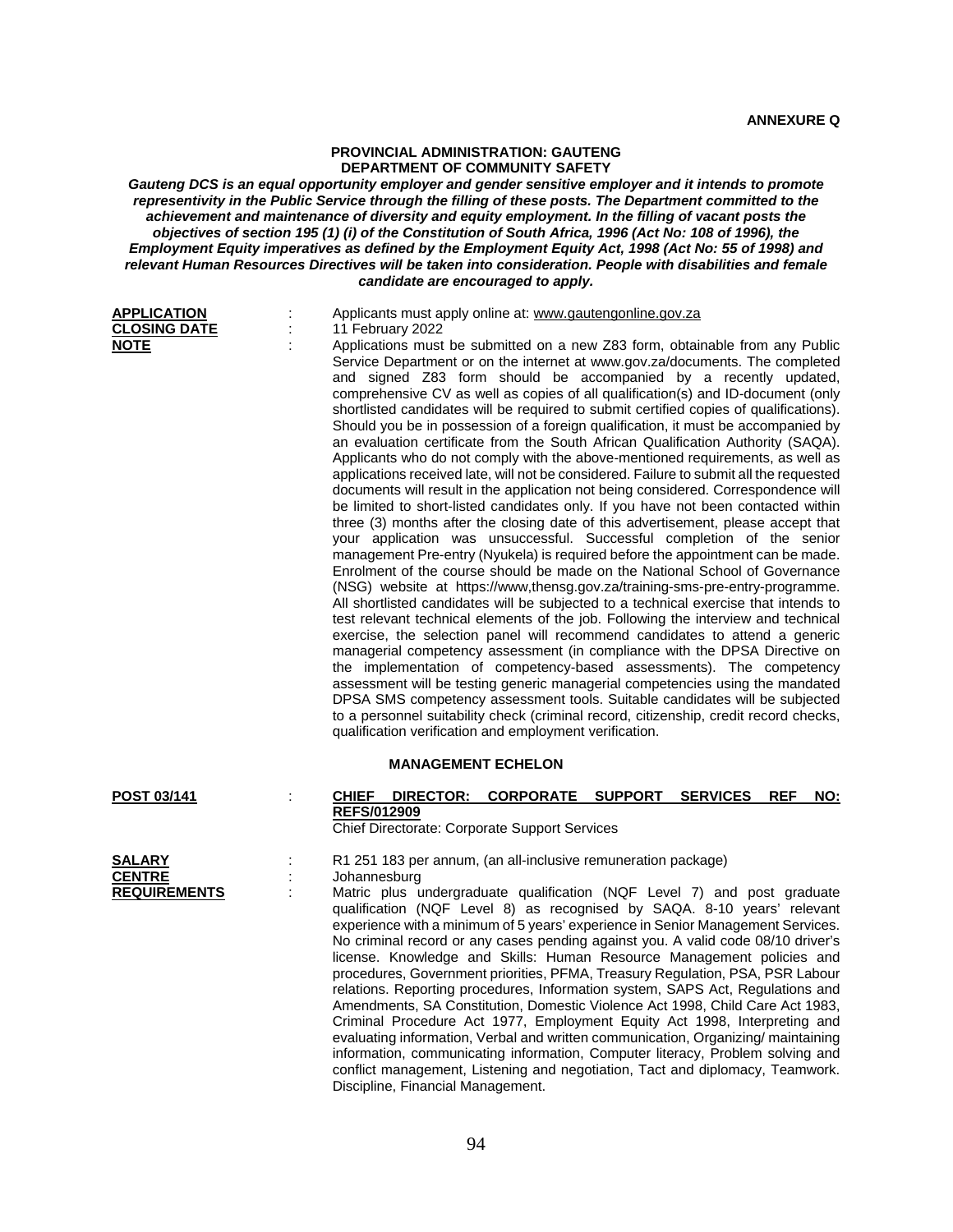## **PROVINCIAL ADMINISTRATION: GAUTENG DEPARTMENT OF COMMUNITY SAFETY**

*Gauteng DCS is an equal opportunity employer and gender sensitive employer and it intends to promote representivity in the Public Service through the filling of these posts. The Department committed to the*  achievement and maintenance of diversity and equity employment. In the filling of vacant posts the *objectives of section 195 (1) (i) of the Constitution of South Africa, 1996 (Act No: 108 of 1996), the Employment Equity imperatives as defined by the Employment Equity Act, 1998 (Act No: 55 of 1998) and relevant Human Resources Directives will be taken into consideration. People with disabilities and female candidate are encouraged to apply.*

| <b>APPLICATION</b><br><b>CLOSING DATE</b>             | Applicants must apply online at: www.gautengonline.gov.za<br>11 February 2022                                                                                                                                                                                                                                                                                                                                                                                                                                                                                                                                                                                                                                                                                                                                                                                                                                                                                                                                                                                                                                                                                                                                                                                                                                                                                                                                                                                                                                                                                                                                                                                                                                                                                                                                                                                                                                                                                                                                                                                                                         |
|-------------------------------------------------------|-------------------------------------------------------------------------------------------------------------------------------------------------------------------------------------------------------------------------------------------------------------------------------------------------------------------------------------------------------------------------------------------------------------------------------------------------------------------------------------------------------------------------------------------------------------------------------------------------------------------------------------------------------------------------------------------------------------------------------------------------------------------------------------------------------------------------------------------------------------------------------------------------------------------------------------------------------------------------------------------------------------------------------------------------------------------------------------------------------------------------------------------------------------------------------------------------------------------------------------------------------------------------------------------------------------------------------------------------------------------------------------------------------------------------------------------------------------------------------------------------------------------------------------------------------------------------------------------------------------------------------------------------------------------------------------------------------------------------------------------------------------------------------------------------------------------------------------------------------------------------------------------------------------------------------------------------------------------------------------------------------------------------------------------------------------------------------------------------------|
| <b>NOTE</b>                                           | Applications must be submitted on a new Z83 form, obtainable from any Public<br>Service Department or on the internet at www.gov.za/documents. The completed<br>and signed Z83 form should be accompanied by a recently updated,<br>comprehensive CV as well as copies of all qualification(s) and ID-document (only<br>shortlisted candidates will be required to submit certified copies of qualifications).<br>Should you be in possession of a foreign qualification, it must be accompanied by<br>an evaluation certificate from the South African Qualification Authority (SAQA).<br>Applicants who do not comply with the above-mentioned requirements, as well as<br>applications received late, will not be considered. Failure to submit all the requested<br>documents will result in the application not being considered. Correspondence will<br>be limited to short-listed candidates only. If you have not been contacted within<br>three (3) months after the closing date of this advertisement, please accept that<br>your application was unsuccessful. Successful completion of the senior<br>management Pre-entry (Nyukela) is required before the appointment can be made.<br>Enrolment of the course should be made on the National School of Governance<br>(NSG) website at https://www.thensg.gov.za/training-sms-pre-entry-programme.<br>All shortlisted candidates will be subjected to a technical exercise that intends to<br>test relevant technical elements of the job. Following the interview and technical<br>exercise, the selection panel will recommend candidates to attend a generic<br>managerial competency assessment (in compliance with the DPSA Directive on<br>the implementation of competency-based assessments). The competency<br>assessment will be testing generic managerial competencies using the mandated<br>DPSA SMS competency assessment tools. Suitable candidates will be subjected<br>to a personnel suitability check (criminal record, citizenship, credit record checks,<br>qualification verification and employment verification. |
|                                                       | <b>MANAGEMENT ECHELON</b>                                                                                                                                                                                                                                                                                                                                                                                                                                                                                                                                                                                                                                                                                                                                                                                                                                                                                                                                                                                                                                                                                                                                                                                                                                                                                                                                                                                                                                                                                                                                                                                                                                                                                                                                                                                                                                                                                                                                                                                                                                                                             |
| POST 03/141                                           | <b>SUPPORT</b><br><b>REF</b><br><b>CHIEF</b><br>DIRECTOR: CORPORATE<br><b>SERVICES</b><br><u>NO:</u><br><b>REFS/012909</b><br>Chief Directorate: Corporate Support Services                                                                                                                                                                                                                                                                                                                                                                                                                                                                                                                                                                                                                                                                                                                                                                                                                                                                                                                                                                                                                                                                                                                                                                                                                                                                                                                                                                                                                                                                                                                                                                                                                                                                                                                                                                                                                                                                                                                           |
| <b>SALARY</b><br><b>CENTRE</b><br><b>REQUIREMENTS</b> | R1 251 183 per annum, (an all-inclusive remuneration package)<br>Johannesburg<br>Matric plus undergraduate qualification (NQF Level 7) and post graduate<br>qualification (NQF Level 8) as recognised by SAQA. 8-10 years' relevant<br>experience with a minimum of 5 years' experience in Senior Management Services.<br>No criminal record or any cases pending against you. A valid code 08/10 driver's<br>license. Knowledge and Skills: Human Resource Management policies and<br>procedures, Government priorities, PFMA, Treasury Regulation, PSA, PSR Labour<br>relations. Reporting procedures, Information system, SAPS Act, Regulations and<br>Amendments, SA Constitution, Domestic Violence Act 1998, Child Care Act 1983,<br>Criminal Procedure Act 1977, Employment Equity Act 1998, Interpreting and<br>evaluating information, Verbal and written communication, Organizing/ maintaining<br>information, communicating information, Computer literacy, Problem solving and<br>conflict management, Listening and negotiation, Tact and diplomacy, Teamwork.<br>Discipline, Financial Management.                                                                                                                                                                                                                                                                                                                                                                                                                                                                                                                                                                                                                                                                                                                                                                                                                                                                                                                                                                                     |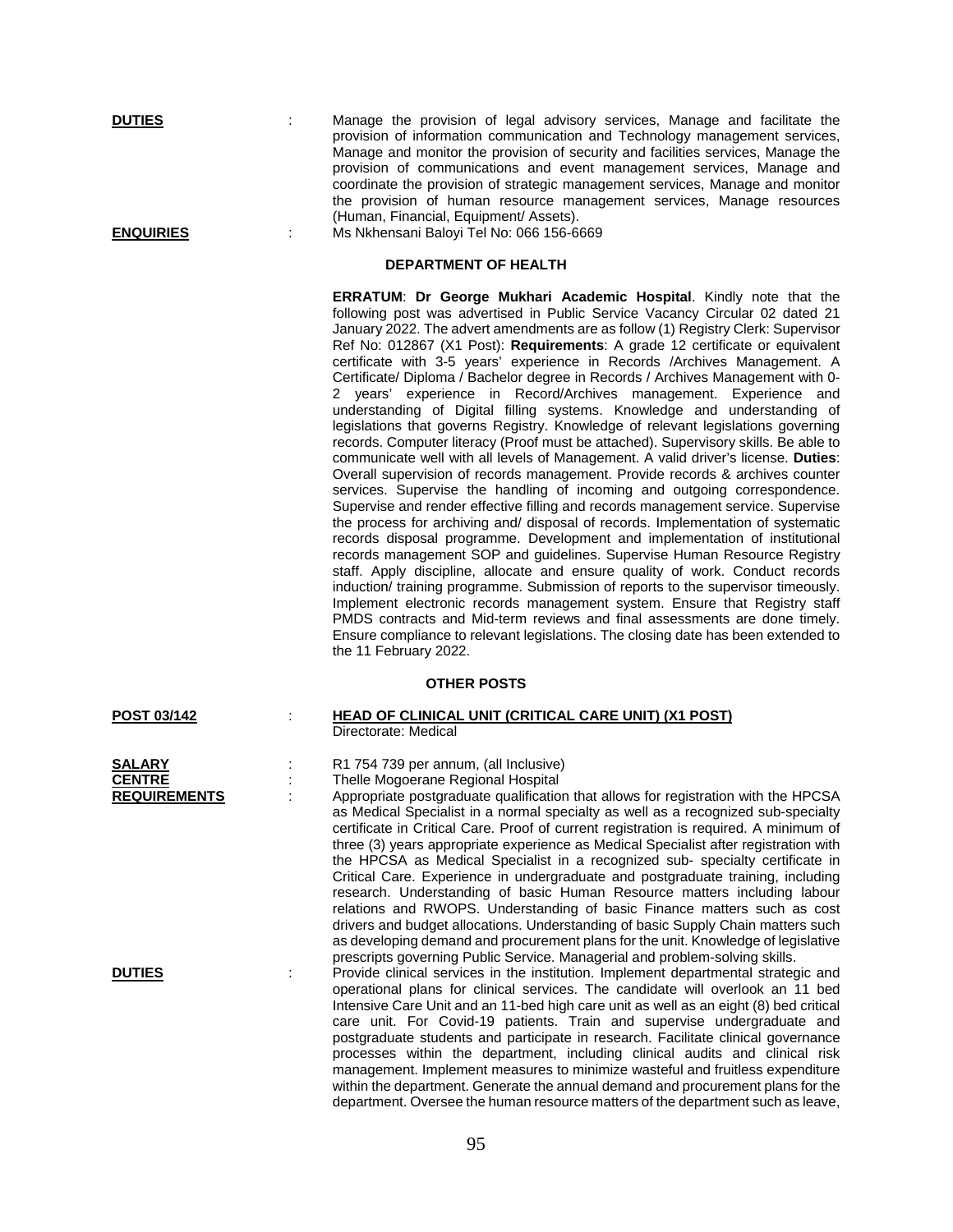**DUTIES** : Manage the provision of legal advisory services, Manage and facilitate the provision of information communication and Technology management services, Manage and monitor the provision of security and facilities services, Manage the provision of communications and event management services, Manage and coordinate the provision of strategic management services, Manage and monitor the provision of human resource management services, Manage resources (Human, Financial, Equipment/ Assets).

**ENQUIRIES** : Ms Nkhensani Baloyi Tel No: 066 156-6669

## **DEPARTMENT OF HEALTH**

**ERRATUM**: **Dr George Mukhari Academic Hospital**. Kindly note that the following post was advertised in Public Service Vacancy Circular 02 dated 21 January 2022. The advert amendments are as follow (1) Registry Clerk: Supervisor Ref No: 012867 (X1 Post): **Requirements**: A grade 12 certificate or equivalent certificate with 3-5 years' experience in Records /Archives Management. A Certificate/ Diploma / Bachelor degree in Records / Archives Management with 0- 2 years' experience in Record/Archives management. Experience and understanding of Digital filling systems. Knowledge and understanding of legislations that governs Registry. Knowledge of relevant legislations governing records. Computer literacy (Proof must be attached). Supervisory skills. Be able to communicate well with all levels of Management. A valid driver's license. **Duties**: Overall supervision of records management. Provide records & archives counter services. Supervise the handling of incoming and outgoing correspondence. Supervise and render effective filling and records management service. Supervise the process for archiving and/ disposal of records. Implementation of systematic records disposal programme. Development and implementation of institutional records management SOP and guidelines. Supervise Human Resource Registry staff. Apply discipline, allocate and ensure quality of work. Conduct records induction/ training programme. Submission of reports to the supervisor timeously. Implement electronic records management system. Ensure that Registry staff PMDS contracts and Mid-term reviews and final assessments are done timely. Ensure compliance to relevant legislations. The closing date has been extended to the 11 February 2022.

## **OTHER POSTS**

| POST 03/142         | <b>HEAD OF CLINICAL UNIT (CRITICAL CARE UNIT) (X1 POST)</b>                                                                                                          |
|---------------------|----------------------------------------------------------------------------------------------------------------------------------------------------------------------|
|                     | Directorate: Medical                                                                                                                                                 |
| <b>SALARY</b>       | R1 754 739 per annum, (all Inclusive)                                                                                                                                |
| <b>CENTRE</b>       | Thelle Mogoerane Regional Hospital                                                                                                                                   |
| <b>REQUIREMENTS</b> | Appropriate postgraduate qualification that allows for registration with the HPCSA                                                                                   |
|                     | as Medical Specialist in a normal specialty as well as a recognized sub-specialty                                                                                    |
|                     | certificate in Critical Care. Proof of current registration is required. A minimum of                                                                                |
|                     | three (3) years appropriate experience as Medical Specialist after registration with                                                                                 |
|                     | the HPCSA as Medical Specialist in a recognized sub- specialty certificate in                                                                                        |
|                     | Critical Care. Experience in undergraduate and postgraduate training, including                                                                                      |
|                     | research. Understanding of basic Human Resource matters including labour                                                                                             |
|                     | relations and RWOPS. Understanding of basic Finance matters such as cost                                                                                             |
|                     | drivers and budget allocations. Understanding of basic Supply Chain matters such                                                                                     |
|                     | as developing demand and procurement plans for the unit. Knowledge of legislative                                                                                    |
|                     | prescripts governing Public Service. Managerial and problem-solving skills.                                                                                          |
| <b>DUTIES</b>       | Provide clinical services in the institution. Implement departmental strategic and<br>operational plans for clinical services. The candidate will overlook an 11 bed |
|                     | Intensive Care Unit and an 11-bed high care unit as well as an eight (8) bed critical                                                                                |
|                     | care unit. For Covid-19 patients. Train and supervise undergraduate and                                                                                              |
|                     | postgraduate students and participate in research. Facilitate clinical governance                                                                                    |
|                     | processes within the department, including clinical audits and clinical risk                                                                                         |
|                     | management. Implement measures to minimize wasteful and fruitless expenditure                                                                                        |
|                     | within the department. Generate the annual demand and procurement plans for the                                                                                      |
|                     | department. Oversee the human resource matters of the department such as leave,                                                                                      |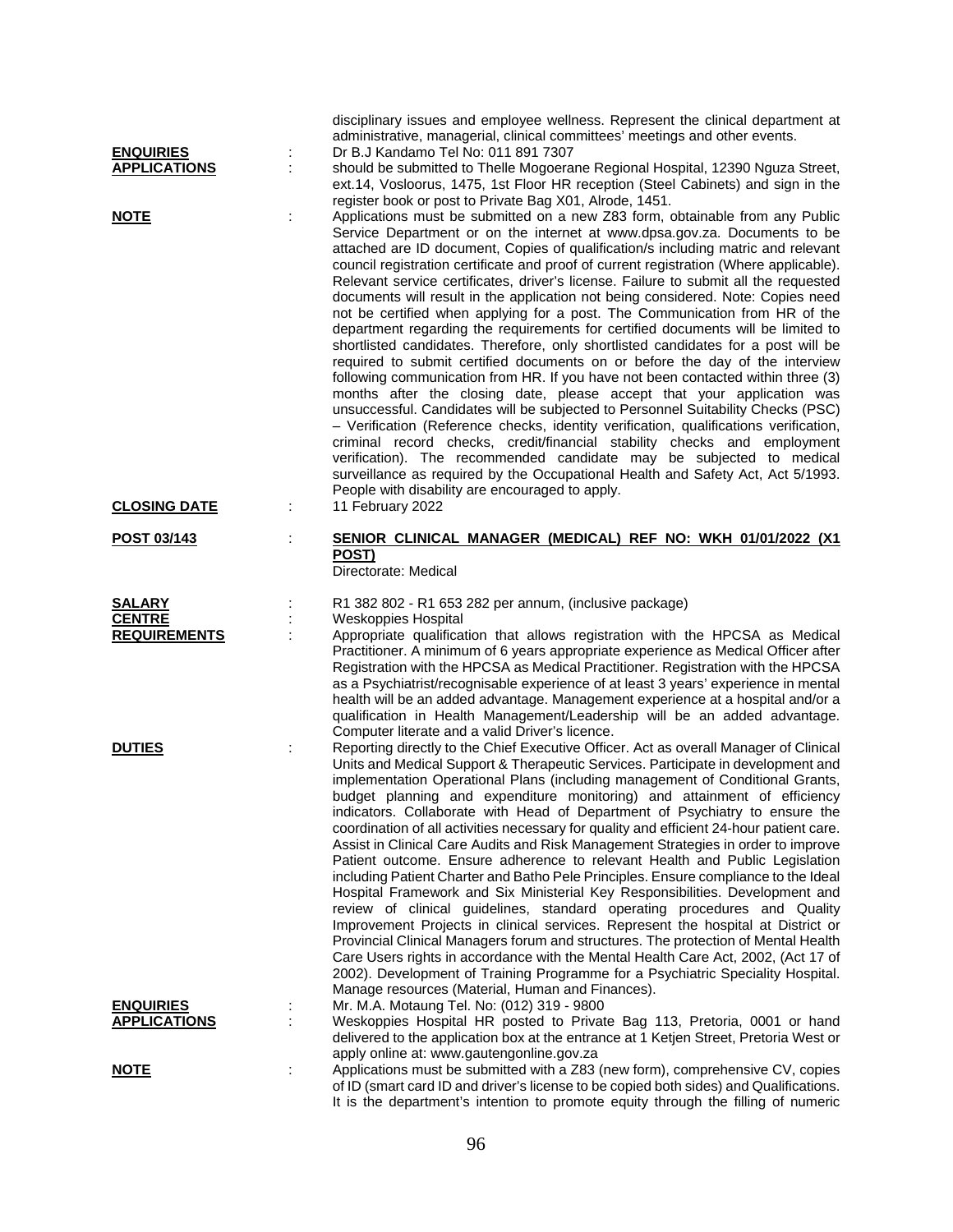|                                         |   | disciplinary issues and employee wellness. Represent the clinical department at                                                                                                                                               |
|-----------------------------------------|---|-------------------------------------------------------------------------------------------------------------------------------------------------------------------------------------------------------------------------------|
|                                         |   | administrative, managerial, clinical committees' meetings and other events.                                                                                                                                                   |
| <b>ENQUIRIES</b><br><b>APPLICATIONS</b> |   | Dr B.J Kandamo Tel No: 011 891 7307                                                                                                                                                                                           |
|                                         | ÷ | should be submitted to Thelle Mogoerane Regional Hospital, 12390 Nguza Street,<br>ext.14, Vosloorus, 1475, 1st Floor HR reception (Steel Cabinets) and sign in the<br>register book or post to Private Bag X01, Alrode, 1451. |
| <b>NOTE</b>                             |   | Applications must be submitted on a new Z83 form, obtainable from any Public                                                                                                                                                  |
|                                         |   | Service Department or on the internet at www.dpsa.gov.za. Documents to be                                                                                                                                                     |
|                                         |   | attached are ID document, Copies of qualification/s including matric and relevant                                                                                                                                             |
|                                         |   | council registration certificate and proof of current registration (Where applicable).                                                                                                                                        |
|                                         |   | Relevant service certificates, driver's license. Failure to submit all the requested                                                                                                                                          |
|                                         |   | documents will result in the application not being considered. Note: Copies need<br>not be certified when applying for a post. The Communication from HR of the                                                               |
|                                         |   | department regarding the requirements for certified documents will be limited to                                                                                                                                              |
|                                         |   | shortlisted candidates. Therefore, only shortlisted candidates for a post will be                                                                                                                                             |
|                                         |   | required to submit certified documents on or before the day of the interview                                                                                                                                                  |
|                                         |   | following communication from HR. If you have not been contacted within three (3)                                                                                                                                              |
|                                         |   | months after the closing date, please accept that your application was                                                                                                                                                        |
|                                         |   | unsuccessful. Candidates will be subjected to Personnel Suitability Checks (PSC)                                                                                                                                              |
|                                         |   | - Verification (Reference checks, identity verification, qualifications verification,<br>criminal record checks, credit/financial stability checks and employment                                                             |
|                                         |   | verification). The recommended candidate may be subjected to medical                                                                                                                                                          |
|                                         |   | surveillance as required by the Occupational Health and Safety Act, Act 5/1993.                                                                                                                                               |
|                                         |   | People with disability are encouraged to apply.                                                                                                                                                                               |
| <b>CLOSING DATE</b>                     |   | 11 February 2022                                                                                                                                                                                                              |
| POST 03/143                             |   | SENIOR CLINICAL MANAGER (MEDICAL) REF NO: WKH 01/01/2022 (X1                                                                                                                                                                  |
|                                         |   | POST)<br>Directorate: Medical                                                                                                                                                                                                 |
|                                         |   |                                                                                                                                                                                                                               |
| <b>SALARY</b>                           |   | R1 382 802 - R1 653 282 per annum, (inclusive package)                                                                                                                                                                        |
| <b>CENTRE</b>                           |   | Weskoppies Hospital                                                                                                                                                                                                           |
| <b>REQUIREMENTS</b>                     |   | Appropriate qualification that allows registration with the HPCSA as Medical                                                                                                                                                  |
|                                         |   | Practitioner. A minimum of 6 years appropriate experience as Medical Officer after<br>Registration with the HPCSA as Medical Practitioner. Registration with the HPCSA                                                        |
|                                         |   | as a Psychiatrist/recognisable experience of at least 3 years' experience in mental                                                                                                                                           |
|                                         |   | health will be an added advantage. Management experience at a hospital and/or a                                                                                                                                               |
|                                         |   | qualification in Health Management/Leadership will be an added advantage.                                                                                                                                                     |
|                                         |   | Computer literate and a valid Driver's licence.                                                                                                                                                                               |
| <b>DUTIES</b>                           |   | Reporting directly to the Chief Executive Officer. Act as overall Manager of Clinical<br>Units and Medical Support & Therapeutic Services. Participate in development and                                                     |
|                                         |   | implementation Operational Plans (including management of Conditional Grants,                                                                                                                                                 |
|                                         |   | budget planning and expenditure monitoring) and attainment of efficiency                                                                                                                                                      |
|                                         |   | indicators. Collaborate with Head of Department of Psychiatry to ensure the                                                                                                                                                   |
|                                         |   | coordination of all activities necessary for quality and efficient 24-hour patient care.                                                                                                                                      |
|                                         |   | Assist in Clinical Care Audits and Risk Management Strategies in order to improve                                                                                                                                             |
|                                         |   | Patient outcome. Ensure adherence to relevant Health and Public Legislation<br>including Patient Charter and Batho Pele Principles. Ensure compliance to the Ideal                                                            |
|                                         |   | Hospital Framework and Six Ministerial Key Responsibilities. Development and                                                                                                                                                  |
|                                         |   | review of clinical guidelines, standard operating procedures and Quality                                                                                                                                                      |
|                                         |   | Improvement Projects in clinical services. Represent the hospital at District or                                                                                                                                              |
|                                         |   | Provincial Clinical Managers forum and structures. The protection of Mental Health                                                                                                                                            |
|                                         |   | Care Users rights in accordance with the Mental Health Care Act, 2002, (Act 17 of                                                                                                                                             |
|                                         |   | 2002). Development of Training Programme for a Psychiatric Speciality Hospital.<br>Manage resources (Material, Human and Finances).                                                                                           |
| <b>ENQUIRIES</b>                        |   | Mr. M.A. Motaung Tel. No: (012) 319 - 9800                                                                                                                                                                                    |
| <b>APPLICATIONS</b>                     |   | Weskoppies Hospital HR posted to Private Bag 113, Pretoria, 0001 or hand                                                                                                                                                      |
|                                         |   | delivered to the application box at the entrance at 1 Ketjen Street, Pretoria West or                                                                                                                                         |
|                                         |   | apply online at: www.gautengonline.gov.za                                                                                                                                                                                     |
| <b>NOTE</b>                             | ÷ | Applications must be submitted with a Z83 (new form), comprehensive CV, copies<br>of ID (smart card ID and driver's license to be copied both sides) and Qualifications.                                                      |
|                                         |   | It is the department's intention to promote equity through the filling of numeric                                                                                                                                             |
|                                         |   |                                                                                                                                                                                                                               |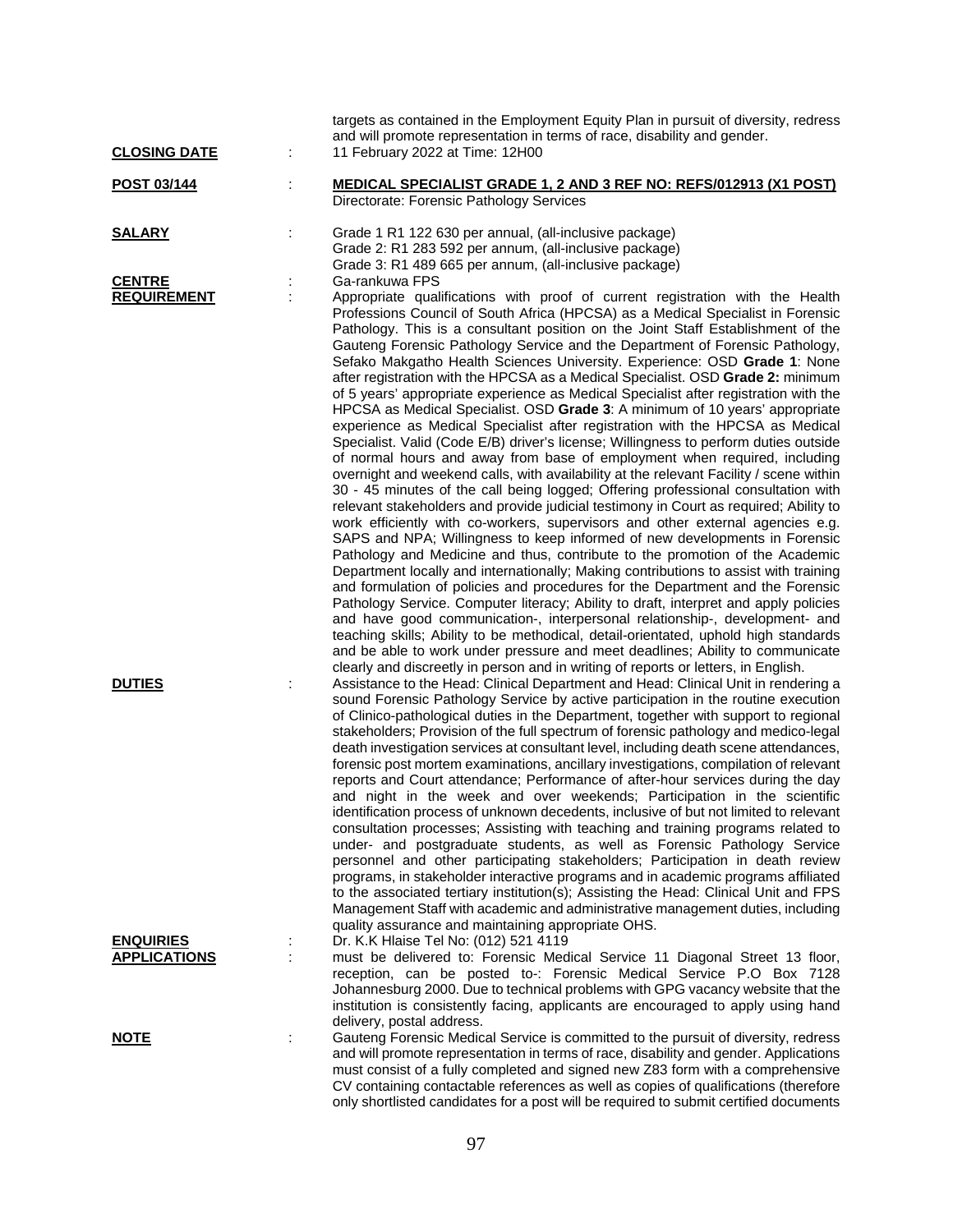| <b>CLOSING DATE</b>                     |   | targets as contained in the Employment Equity Plan in pursuit of diversity, redress<br>and will promote representation in terms of race, disability and gender.<br>11 February 2022 at Time: 12H00                                                                                                                                                                                                                                                                                                                                                                                                                                                                                                                                                                                                                                                                                                                                                                                                                                                                                                                                                                                                                                                                                                                                                                                                                                                                                                                                                                                                                                                                                                                                                                                                                                                                                                                                                                                                                                                                                                 |
|-----------------------------------------|---|----------------------------------------------------------------------------------------------------------------------------------------------------------------------------------------------------------------------------------------------------------------------------------------------------------------------------------------------------------------------------------------------------------------------------------------------------------------------------------------------------------------------------------------------------------------------------------------------------------------------------------------------------------------------------------------------------------------------------------------------------------------------------------------------------------------------------------------------------------------------------------------------------------------------------------------------------------------------------------------------------------------------------------------------------------------------------------------------------------------------------------------------------------------------------------------------------------------------------------------------------------------------------------------------------------------------------------------------------------------------------------------------------------------------------------------------------------------------------------------------------------------------------------------------------------------------------------------------------------------------------------------------------------------------------------------------------------------------------------------------------------------------------------------------------------------------------------------------------------------------------------------------------------------------------------------------------------------------------------------------------------------------------------------------------------------------------------------------------|
| POST 03/144                             |   | <b>MEDICAL SPECIALIST GRADE 1, 2 AND 3 REF NO: REFS/012913 (X1 POST)</b><br>Directorate: Forensic Pathology Services                                                                                                                                                                                                                                                                                                                                                                                                                                                                                                                                                                                                                                                                                                                                                                                                                                                                                                                                                                                                                                                                                                                                                                                                                                                                                                                                                                                                                                                                                                                                                                                                                                                                                                                                                                                                                                                                                                                                                                               |
| <b>SALARY</b>                           |   | Grade 1 R1 122 630 per annual, (all-inclusive package)<br>Grade 2: R1 283 592 per annum, (all-inclusive package)<br>Grade 3: R1 489 665 per annum, (all-inclusive package)                                                                                                                                                                                                                                                                                                                                                                                                                                                                                                                                                                                                                                                                                                                                                                                                                                                                                                                                                                                                                                                                                                                                                                                                                                                                                                                                                                                                                                                                                                                                                                                                                                                                                                                                                                                                                                                                                                                         |
| <b>CENTRE</b><br><b>REQUIREMENT</b>     |   | Ga-rankuwa FPS<br>Appropriate qualifications with proof of current registration with the Health<br>Professions Council of South Africa (HPCSA) as a Medical Specialist in Forensic<br>Pathology. This is a consultant position on the Joint Staff Establishment of the<br>Gauteng Forensic Pathology Service and the Department of Forensic Pathology,<br>Sefako Makgatho Health Sciences University. Experience: OSD Grade 1: None<br>after registration with the HPCSA as a Medical Specialist. OSD <b>Grade 2:</b> minimum<br>of 5 years' appropriate experience as Medical Specialist after registration with the<br>HPCSA as Medical Specialist. OSD Grade 3: A minimum of 10 years' appropriate<br>experience as Medical Specialist after registration with the HPCSA as Medical<br>Specialist. Valid (Code E/B) driver's license; Willingness to perform duties outside<br>of normal hours and away from base of employment when required, including<br>overnight and weekend calls, with availability at the relevant Facility / scene within<br>30 - 45 minutes of the call being logged; Offering professional consultation with<br>relevant stakeholders and provide judicial testimony in Court as required; Ability to<br>work efficiently with co-workers, supervisors and other external agencies e.g.<br>SAPS and NPA; Willingness to keep informed of new developments in Forensic<br>Pathology and Medicine and thus, contribute to the promotion of the Academic<br>Department locally and internationally; Making contributions to assist with training<br>and formulation of policies and procedures for the Department and the Forensic<br>Pathology Service. Computer literacy; Ability to draft, interpret and apply policies<br>and have good communication-, interpersonal relationship-, development- and<br>teaching skills; Ability to be methodical, detail-orientated, uphold high standards<br>and be able to work under pressure and meet deadlines; Ability to communicate<br>clearly and discreetly in person and in writing of reports or letters, in English. |
| <b>DUTIES</b>                           |   | Assistance to the Head: Clinical Department and Head: Clinical Unit in rendering a<br>sound Forensic Pathology Service by active participation in the routine execution<br>of Clinico-pathological duties in the Department, together with support to regional<br>stakeholders; Provision of the full spectrum of forensic pathology and medico-legal<br>death investigation services at consultant level, including death scene attendances,<br>forensic post mortem examinations, ancillary investigations, compilation of relevant<br>reports and Court attendance; Performance of after-hour services during the day<br>and night in the week and over weekends; Participation in the scientific<br>identification process of unknown decedents, inclusive of but not limited to relevant<br>consultation processes; Assisting with teaching and training programs related to<br>under- and postgraduate students, as well as Forensic Pathology Service<br>personnel and other participating stakeholders; Participation in death review<br>programs, in stakeholder interactive programs and in academic programs affiliated<br>to the associated tertiary institution(s); Assisting the Head: Clinical Unit and FPS<br>Management Staff with academic and administrative management duties, including<br>quality assurance and maintaining appropriate OHS.                                                                                                                                                                                                                                                                                                                                                                                                                                                                                                                                                                                                                                                                                                                                 |
| <b>ENQUIRIES</b><br><b>APPLICATIONS</b> | ÷ | Dr. K.K Hlaise Tel No: (012) 521 4119<br>must be delivered to: Forensic Medical Service 11 Diagonal Street 13 floor,<br>reception, can be posted to-: Forensic Medical Service P.O Box 7128<br>Johannesburg 2000. Due to technical problems with GPG vacancy website that the<br>institution is consistently facing, applicants are encouraged to apply using hand<br>delivery, postal address.                                                                                                                                                                                                                                                                                                                                                                                                                                                                                                                                                                                                                                                                                                                                                                                                                                                                                                                                                                                                                                                                                                                                                                                                                                                                                                                                                                                                                                                                                                                                                                                                                                                                                                    |
| <b>NOTE</b>                             | ÷ | Gauteng Forensic Medical Service is committed to the pursuit of diversity, redress<br>and will promote representation in terms of race, disability and gender. Applications<br>must consist of a fully completed and signed new Z83 form with a comprehensive<br>CV containing contactable references as well as copies of qualifications (therefore                                                                                                                                                                                                                                                                                                                                                                                                                                                                                                                                                                                                                                                                                                                                                                                                                                                                                                                                                                                                                                                                                                                                                                                                                                                                                                                                                                                                                                                                                                                                                                                                                                                                                                                                               |

only shortlisted candidates for a post will be required to submit certified documents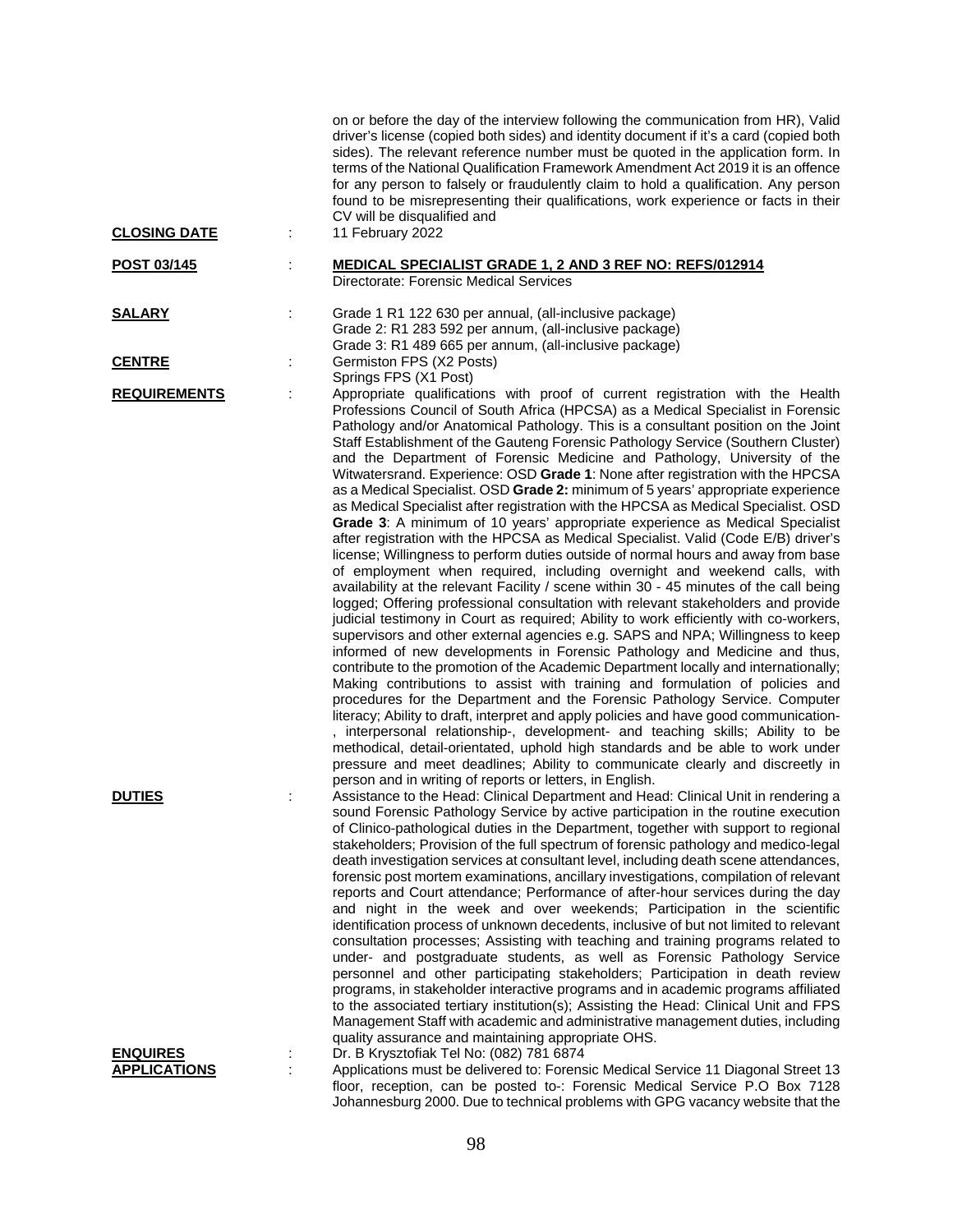| <b>CLOSING DATE</b>                    | on or before the day of the interview following the communication from HR), Valid<br>driver's license (copied both sides) and identity document if it's a card (copied both<br>sides). The relevant reference number must be quoted in the application form. In<br>terms of the National Qualification Framework Amendment Act 2019 it is an offence<br>for any person to falsely or fraudulently claim to hold a qualification. Any person<br>found to be misrepresenting their qualifications, work experience or facts in their<br>CV will be disqualified and<br>11 February 2022                                                                                                                                                                                                                                                                                                                                                                                                                                                                                                                                                                                                                                                                                                                                                                                                                                                                                                                                                                                                                                                                                                                                                                                                                                                                                                                                                                                                                                                                                                                                                                   |
|----------------------------------------|---------------------------------------------------------------------------------------------------------------------------------------------------------------------------------------------------------------------------------------------------------------------------------------------------------------------------------------------------------------------------------------------------------------------------------------------------------------------------------------------------------------------------------------------------------------------------------------------------------------------------------------------------------------------------------------------------------------------------------------------------------------------------------------------------------------------------------------------------------------------------------------------------------------------------------------------------------------------------------------------------------------------------------------------------------------------------------------------------------------------------------------------------------------------------------------------------------------------------------------------------------------------------------------------------------------------------------------------------------------------------------------------------------------------------------------------------------------------------------------------------------------------------------------------------------------------------------------------------------------------------------------------------------------------------------------------------------------------------------------------------------------------------------------------------------------------------------------------------------------------------------------------------------------------------------------------------------------------------------------------------------------------------------------------------------------------------------------------------------------------------------------------------------|
| <b>POST 03/145</b>                     | <b>MEDICAL SPECIALIST GRADE 1, 2 AND 3 REF NO: REFS/012914</b><br>Directorate: Forensic Medical Services                                                                                                                                                                                                                                                                                                                                                                                                                                                                                                                                                                                                                                                                                                                                                                                                                                                                                                                                                                                                                                                                                                                                                                                                                                                                                                                                                                                                                                                                                                                                                                                                                                                                                                                                                                                                                                                                                                                                                                                                                                                |
| <b>SALARY</b>                          | Grade 1 R1 122 630 per annual, (all-inclusive package)<br>÷<br>Grade 2: R1 283 592 per annum, (all-inclusive package)<br>Grade 3: R1 489 665 per annum, (all-inclusive package)                                                                                                                                                                                                                                                                                                                                                                                                                                                                                                                                                                                                                                                                                                                                                                                                                                                                                                                                                                                                                                                                                                                                                                                                                                                                                                                                                                                                                                                                                                                                                                                                                                                                                                                                                                                                                                                                                                                                                                         |
| <b>CENTRE</b>                          | Germiston FPS (X2 Posts)<br>÷                                                                                                                                                                                                                                                                                                                                                                                                                                                                                                                                                                                                                                                                                                                                                                                                                                                                                                                                                                                                                                                                                                                                                                                                                                                                                                                                                                                                                                                                                                                                                                                                                                                                                                                                                                                                                                                                                                                                                                                                                                                                                                                           |
| <b>REQUIREMENTS</b>                    | Springs FPS (X1 Post)<br>Appropriate qualifications with proof of current registration with the Health<br>Professions Council of South Africa (HPCSA) as a Medical Specialist in Forensic<br>Pathology and/or Anatomical Pathology. This is a consultant position on the Joint<br>Staff Establishment of the Gauteng Forensic Pathology Service (Southern Cluster)<br>and the Department of Forensic Medicine and Pathology, University of the<br>Witwatersrand. Experience: OSD Grade 1: None after registration with the HPCSA<br>as a Medical Specialist. OSD Grade 2: minimum of 5 years' appropriate experience<br>as Medical Specialist after registration with the HPCSA as Medical Specialist. OSD<br>Grade 3: A minimum of 10 years' appropriate experience as Medical Specialist<br>after registration with the HPCSA as Medical Specialist. Valid (Code E/B) driver's<br>license; Willingness to perform duties outside of normal hours and away from base<br>of employment when required, including overnight and weekend calls, with<br>availability at the relevant Facility / scene within 30 - 45 minutes of the call being<br>logged; Offering professional consultation with relevant stakeholders and provide<br>judicial testimony in Court as required; Ability to work efficiently with co-workers,<br>supervisors and other external agencies e.g. SAPS and NPA; Willingness to keep<br>informed of new developments in Forensic Pathology and Medicine and thus,<br>contribute to the promotion of the Academic Department locally and internationally;<br>Making contributions to assist with training and formulation of policies and<br>procedures for the Department and the Forensic Pathology Service. Computer<br>literacy; Ability to draft, interpret and apply policies and have good communication-<br>, interpersonal relationship-, development- and teaching skills; Ability to be<br>methodical, detail-orientated, uphold high standards and be able to work under<br>pressure and meet deadlines; Ability to communicate clearly and discreetly in<br>person and in writing of reports or letters, in English. |
| <b>DUTIES</b>                          | Assistance to the Head: Clinical Department and Head: Clinical Unit in rendering a<br>sound Forensic Pathology Service by active participation in the routine execution<br>of Clinico-pathological duties in the Department, together with support to regional<br>stakeholders; Provision of the full spectrum of forensic pathology and medico-legal<br>death investigation services at consultant level, including death scene attendances,<br>forensic post mortem examinations, ancillary investigations, compilation of relevant<br>reports and Court attendance; Performance of after-hour services during the day<br>and night in the week and over weekends; Participation in the scientific<br>identification process of unknown decedents, inclusive of but not limited to relevant<br>consultation processes; Assisting with teaching and training programs related to<br>under- and postgraduate students, as well as Forensic Pathology Service<br>personnel and other participating stakeholders; Participation in death review<br>programs, in stakeholder interactive programs and in academic programs affiliated<br>to the associated tertiary institution(s); Assisting the Head: Clinical Unit and FPS<br>Management Staff with academic and administrative management duties, including<br>quality assurance and maintaining appropriate OHS.                                                                                                                                                                                                                                                                                                                                                                                                                                                                                                                                                                                                                                                                                                                                                                                      |
| <b>ENQUIRES</b><br><b>APPLICATIONS</b> | Dr. B Krysztofiak Tel No: (082) 781 6874<br>Applications must be delivered to: Forensic Medical Service 11 Diagonal Street 13<br>floor, reception, can be posted to -: Forensic Medical Service P.O Box 7128<br>Johannesburg 2000. Due to technical problems with GPG vacancy website that the                                                                                                                                                                                                                                                                                                                                                                                                                                                                                                                                                                                                                                                                                                                                                                                                                                                                                                                                                                                                                                                                                                                                                                                                                                                                                                                                                                                                                                                                                                                                                                                                                                                                                                                                                                                                                                                          |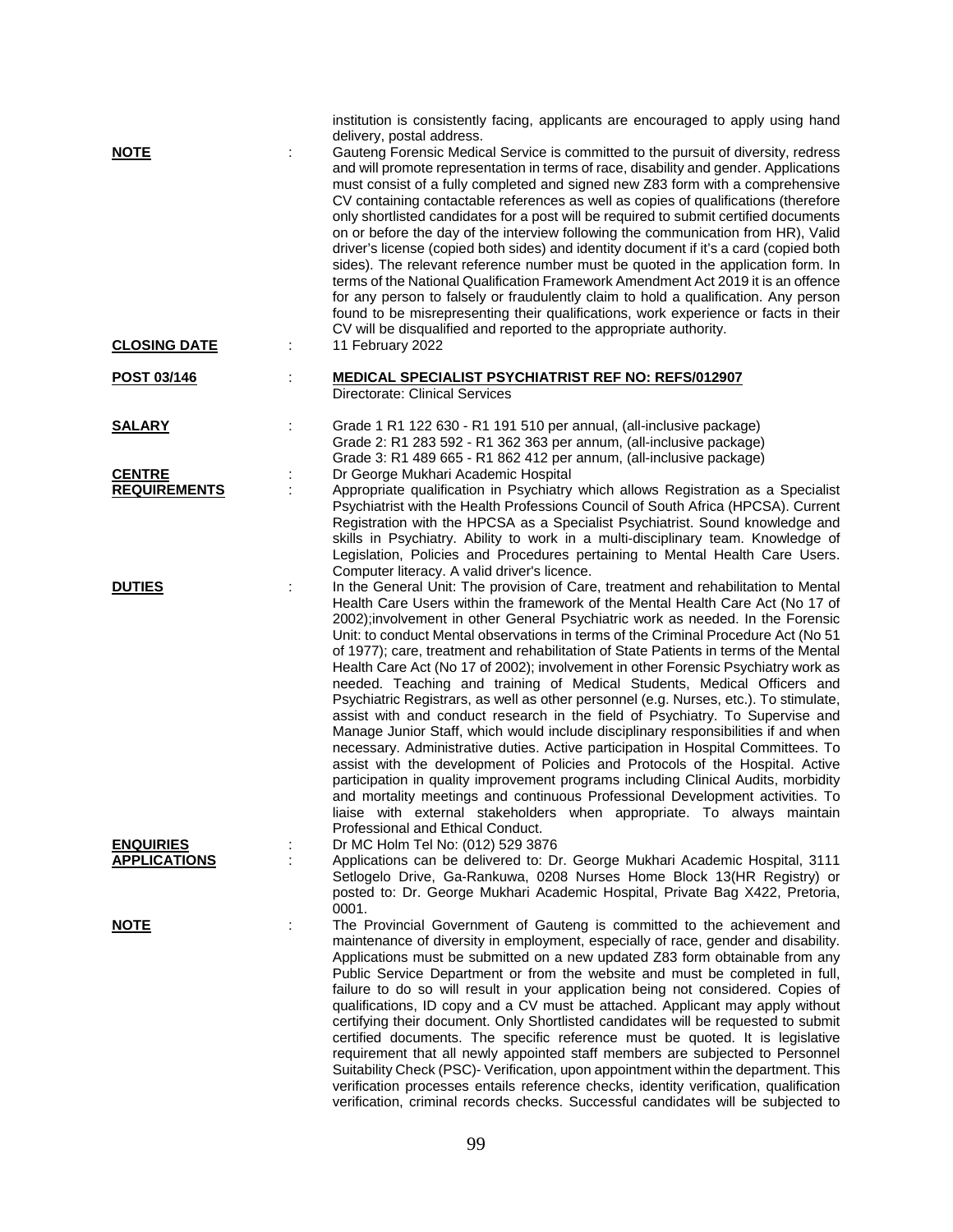| <u>NOTE</u>                             |    | institution is consistently facing, applicants are encouraged to apply using hand<br>delivery, postal address.<br>Gauteng Forensic Medical Service is committed to the pursuit of diversity, redress<br>and will promote representation in terms of race, disability and gender. Applications<br>must consist of a fully completed and signed new Z83 form with a comprehensive<br>CV containing contactable references as well as copies of qualifications (therefore<br>only shortlisted candidates for a post will be required to submit certified documents<br>on or before the day of the interview following the communication from HR), Valid<br>driver's license (copied both sides) and identity document if it's a card (copied both<br>sides). The relevant reference number must be quoted in the application form. In<br>terms of the National Qualification Framework Amendment Act 2019 it is an offence<br>for any person to falsely or fraudulently claim to hold a qualification. Any person<br>found to be misrepresenting their qualifications, work experience or facts in their<br>CV will be disqualified and reported to the appropriate authority.                                                                                                                                                        |
|-----------------------------------------|----|------------------------------------------------------------------------------------------------------------------------------------------------------------------------------------------------------------------------------------------------------------------------------------------------------------------------------------------------------------------------------------------------------------------------------------------------------------------------------------------------------------------------------------------------------------------------------------------------------------------------------------------------------------------------------------------------------------------------------------------------------------------------------------------------------------------------------------------------------------------------------------------------------------------------------------------------------------------------------------------------------------------------------------------------------------------------------------------------------------------------------------------------------------------------------------------------------------------------------------------------------------------------------------------------------------------------------------|
| <b>CLOSING DATE</b>                     |    | 11 February 2022                                                                                                                                                                                                                                                                                                                                                                                                                                                                                                                                                                                                                                                                                                                                                                                                                                                                                                                                                                                                                                                                                                                                                                                                                                                                                                                   |
| POST 03/146                             |    | <b>MEDICAL SPECIALIST PSYCHIATRIST REF NO: REFS/012907</b><br>Directorate: Clinical Services                                                                                                                                                                                                                                                                                                                                                                                                                                                                                                                                                                                                                                                                                                                                                                                                                                                                                                                                                                                                                                                                                                                                                                                                                                       |
| <b>SALARY</b>                           | İ. | Grade 1 R1 122 630 - R1 191 510 per annual, (all-inclusive package)<br>Grade 2: R1 283 592 - R1 362 363 per annum, (all-inclusive package)<br>Grade 3: R1 489 665 - R1 862 412 per annum, (all-inclusive package)                                                                                                                                                                                                                                                                                                                                                                                                                                                                                                                                                                                                                                                                                                                                                                                                                                                                                                                                                                                                                                                                                                                  |
| <b>CENTRE</b><br><b>REQUIREMENTS</b>    |    | Dr George Mukhari Academic Hospital<br>Appropriate qualification in Psychiatry which allows Registration as a Specialist<br>Psychiatrist with the Health Professions Council of South Africa (HPCSA). Current<br>Registration with the HPCSA as a Specialist Psychiatrist. Sound knowledge and<br>skills in Psychiatry. Ability to work in a multi-disciplinary team. Knowledge of<br>Legislation, Policies and Procedures pertaining to Mental Health Care Users.<br>Computer literacy. A valid driver's licence.                                                                                                                                                                                                                                                                                                                                                                                                                                                                                                                                                                                                                                                                                                                                                                                                                 |
| <b>DUTIES</b>                           | t  | In the General Unit: The provision of Care, treatment and rehabilitation to Mental<br>Health Care Users within the framework of the Mental Health Care Act (No 17 of<br>2002);involvement in other General Psychiatric work as needed. In the Forensic<br>Unit: to conduct Mental observations in terms of the Criminal Procedure Act (No 51)<br>of 1977); care, treatment and rehabilitation of State Patients in terms of the Mental<br>Health Care Act (No 17 of 2002); involvement in other Forensic Psychiatry work as<br>needed. Teaching and training of Medical Students, Medical Officers and<br>Psychiatric Registrars, as well as other personnel (e.g. Nurses, etc.). To stimulate,<br>assist with and conduct research in the field of Psychiatry. To Supervise and<br>Manage Junior Staff, which would include disciplinary responsibilities if and when<br>necessary. Administrative duties. Active participation in Hospital Committees. To<br>assist with the development of Policies and Protocols of the Hospital. Active<br>participation in quality improvement programs including Clinical Audits, morbidity<br>and mortality meetings and continuous Professional Development activities. To<br>liaise with external stakeholders when appropriate. To always maintain<br>Professional and Ethical Conduct. |
| <b>ENQUIRIES</b><br><b>APPLICATIONS</b> |    | Dr MC Holm Tel No: (012) 529 3876<br>Applications can be delivered to: Dr. George Mukhari Academic Hospital, 3111<br>Setlogelo Drive, Ga-Rankuwa, 0208 Nurses Home Block 13(HR Registry) or<br>posted to: Dr. George Mukhari Academic Hospital, Private Bag X422, Pretoria,                                                                                                                                                                                                                                                                                                                                                                                                                                                                                                                                                                                                                                                                                                                                                                                                                                                                                                                                                                                                                                                        |
| <b>NOTE</b>                             | ÷  | 0001.<br>The Provincial Government of Gauteng is committed to the achievement and<br>maintenance of diversity in employment, especially of race, gender and disability.<br>Applications must be submitted on a new updated Z83 form obtainable from any<br>Public Service Department or from the website and must be completed in full,<br>failure to do so will result in your application being not considered. Copies of<br>qualifications, ID copy and a CV must be attached. Applicant may apply without<br>certifying their document. Only Shortlisted candidates will be requested to submit<br>certified documents. The specific reference must be quoted. It is legislative<br>requirement that all newly appointed staff members are subjected to Personnel<br>Suitability Check (PSC)- Verification, upon appointment within the department. This<br>verification processes entails reference checks, identity verification, qualification<br>verification, criminal records checks. Successful candidates will be subjected to                                                                                                                                                                                                                                                                                         |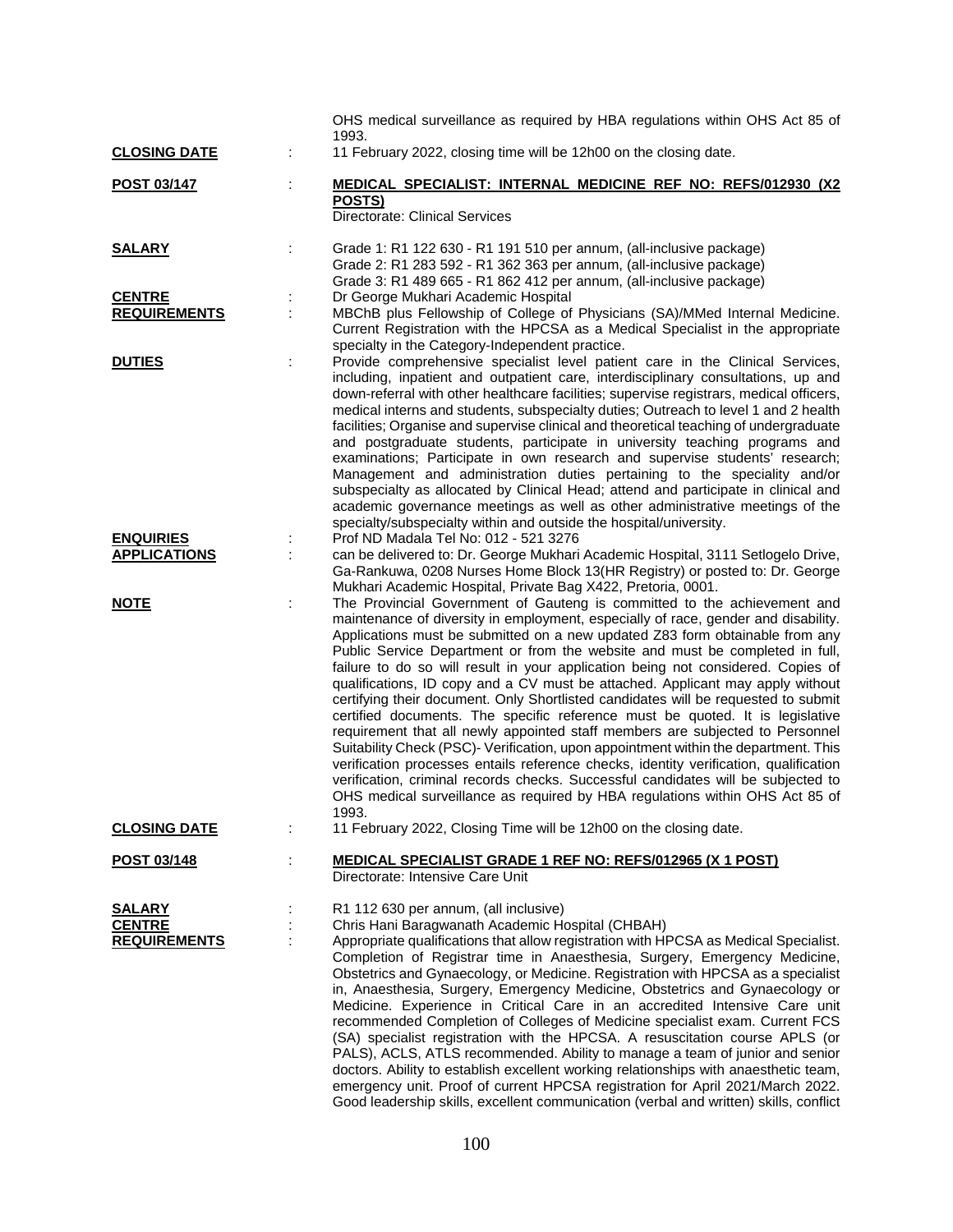|                     |   | OHS medical surveillance as required by HBA regulations within OHS Act 85 of<br>1993.                                                                                                                                                                                                                                                                                                                                                                                                                                                                                                                                                                                                                                                                                                                                                                                                                                                                                                                                                                                                                                      |
|---------------------|---|----------------------------------------------------------------------------------------------------------------------------------------------------------------------------------------------------------------------------------------------------------------------------------------------------------------------------------------------------------------------------------------------------------------------------------------------------------------------------------------------------------------------------------------------------------------------------------------------------------------------------------------------------------------------------------------------------------------------------------------------------------------------------------------------------------------------------------------------------------------------------------------------------------------------------------------------------------------------------------------------------------------------------------------------------------------------------------------------------------------------------|
| <b>CLOSING DATE</b> |   | 11 February 2022, closing time will be 12h00 on the closing date.                                                                                                                                                                                                                                                                                                                                                                                                                                                                                                                                                                                                                                                                                                                                                                                                                                                                                                                                                                                                                                                          |
| POST 03/147         |   | <b>MEDICAL SPECIALIST: INTERNAL MEDICINE REF NO: REFS/012930 (X2)</b>                                                                                                                                                                                                                                                                                                                                                                                                                                                                                                                                                                                                                                                                                                                                                                                                                                                                                                                                                                                                                                                      |
|                     |   | POSTS)<br><b>Directorate: Clinical Services</b>                                                                                                                                                                                                                                                                                                                                                                                                                                                                                                                                                                                                                                                                                                                                                                                                                                                                                                                                                                                                                                                                            |
| <b>SALARY</b>       |   | Grade 1: R1 122 630 - R1 191 510 per annum, (all-inclusive package)<br>Grade 2: R1 283 592 - R1 362 363 per annum, (all-inclusive package)<br>Grade 3: R1 489 665 - R1 862 412 per annum, (all-inclusive package)                                                                                                                                                                                                                                                                                                                                                                                                                                                                                                                                                                                                                                                                                                                                                                                                                                                                                                          |
| <b>CENTRE</b>       |   | Dr George Mukhari Academic Hospital                                                                                                                                                                                                                                                                                                                                                                                                                                                                                                                                                                                                                                                                                                                                                                                                                                                                                                                                                                                                                                                                                        |
| <b>REQUIREMENTS</b> |   | MBChB plus Fellowship of College of Physicians (SA)/MMed Internal Medicine.<br>Current Registration with the HPCSA as a Medical Specialist in the appropriate<br>specialty in the Category-Independent practice.                                                                                                                                                                                                                                                                                                                                                                                                                                                                                                                                                                                                                                                                                                                                                                                                                                                                                                           |
| <b>DUTIES</b>       |   | Provide comprehensive specialist level patient care in the Clinical Services,<br>including, inpatient and outpatient care, interdisciplinary consultations, up and<br>down-referral with other healthcare facilities; supervise registrars, medical officers,<br>medical interns and students, subspecialty duties; Outreach to level 1 and 2 health<br>facilities; Organise and supervise clinical and theoretical teaching of undergraduate<br>and postgraduate students, participate in university teaching programs and<br>examinations; Participate in own research and supervise students' research;<br>Management and administration duties pertaining to the speciality and/or<br>subspecialty as allocated by Clinical Head; attend and participate in clinical and<br>academic governance meetings as well as other administrative meetings of the<br>specialty/subspecialty within and outside the hospital/university.                                                                                                                                                                                         |
| <b>ENQUIRIES</b>    |   | Prof ND Madala Tel No: 012 - 521 3276                                                                                                                                                                                                                                                                                                                                                                                                                                                                                                                                                                                                                                                                                                                                                                                                                                                                                                                                                                                                                                                                                      |
| <b>APPLICATIONS</b> |   | can be delivered to: Dr. George Mukhari Academic Hospital, 3111 Setlogelo Drive,<br>Ga-Rankuwa, 0208 Nurses Home Block 13 (HR Registry) or posted to: Dr. George<br>Mukhari Academic Hospital, Private Bag X422, Pretoria, 0001.                                                                                                                                                                                                                                                                                                                                                                                                                                                                                                                                                                                                                                                                                                                                                                                                                                                                                           |
| <u>NOTE</u>         |   | The Provincial Government of Gauteng is committed to the achievement and<br>maintenance of diversity in employment, especially of race, gender and disability.<br>Applications must be submitted on a new updated Z83 form obtainable from any<br>Public Service Department or from the website and must be completed in full,<br>failure to do so will result in your application being not considered. Copies of<br>qualifications, ID copy and a CV must be attached. Applicant may apply without<br>certifying their document. Only Shortlisted candidates will be requested to submit<br>certified documents. The specific reference must be quoted. It is legislative<br>requirement that all newly appointed staff members are subjected to Personnel<br>Suitability Check (PSC)- Verification, upon appointment within the department. This<br>verification processes entails reference checks, identity verification, qualification<br>verification, criminal records checks. Successful candidates will be subjected to<br>OHS medical surveillance as required by HBA regulations within OHS Act 85 of<br>1993. |
| <b>CLOSING DATE</b> |   | 11 February 2022, Closing Time will be 12h00 on the closing date.                                                                                                                                                                                                                                                                                                                                                                                                                                                                                                                                                                                                                                                                                                                                                                                                                                                                                                                                                                                                                                                          |
| POST 03/148         | ÷ | <b>MEDICAL SPECIALIST GRADE 1 REF NO: REFS/012965 (X 1 POST)</b><br>Directorate: Intensive Care Unit                                                                                                                                                                                                                                                                                                                                                                                                                                                                                                                                                                                                                                                                                                                                                                                                                                                                                                                                                                                                                       |
| <b>SALARY</b>       |   | R1 112 630 per annum, (all inclusive)                                                                                                                                                                                                                                                                                                                                                                                                                                                                                                                                                                                                                                                                                                                                                                                                                                                                                                                                                                                                                                                                                      |
| <b>CENTRE</b>       |   | Chris Hani Baragwanath Academic Hospital (CHBAH)                                                                                                                                                                                                                                                                                                                                                                                                                                                                                                                                                                                                                                                                                                                                                                                                                                                                                                                                                                                                                                                                           |
| <b>REQUIREMENTS</b> |   | Appropriate qualifications that allow registration with HPCSA as Medical Specialist.<br>Completion of Registrar time in Anaesthesia, Surgery, Emergency Medicine,<br>Obstetrics and Gynaecology, or Medicine. Registration with HPCSA as a specialist<br>in, Anaesthesia, Surgery, Emergency Medicine, Obstetrics and Gynaecology or<br>Medicine. Experience in Critical Care in an accredited Intensive Care unit<br>recommended Completion of Colleges of Medicine specialist exam. Current FCS<br>(SA) specialist registration with the HPCSA. A resuscitation course APLS (or<br>PALS), ACLS, ATLS recommended. Ability to manage a team of junior and senior<br>doctors. Ability to establish excellent working relationships with anaesthetic team,<br>emergency unit. Proof of current HPCSA registration for April 2021/March 2022.<br>Good leadership skills, excellent communication (verbal and written) skills, conflict                                                                                                                                                                                       |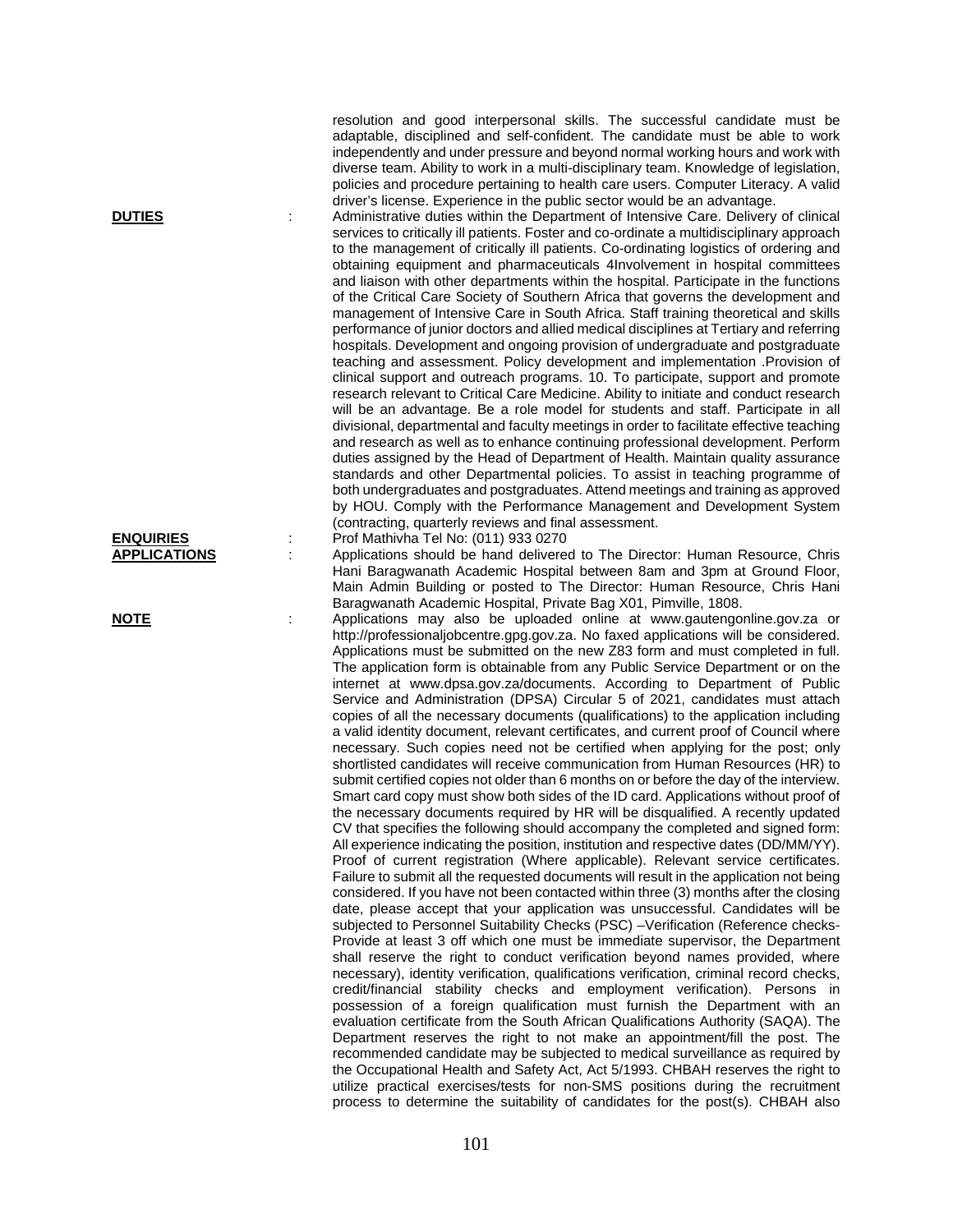resolution and good interpersonal skills. The successful candidate must be adaptable, disciplined and self-confident. The candidate must be able to work independently and under pressure and beyond normal working hours and work with diverse team. Ability to work in a multi-disciplinary team. Knowledge of legislation, policies and procedure pertaining to health care users. Computer Literacy. A valid driver's license. Experience in the public sector would be an advantage.

**DUTIES** : Administrative duties within the Department of Intensive Care. Delivery of clinical services to critically ill patients. Foster and co-ordinate a multidisciplinary approach to the management of critically ill patients. Co-ordinating logistics of ordering and obtaining equipment and pharmaceuticals 4Involvement in hospital committees and liaison with other departments within the hospital. Participate in the functions of the Critical Care Society of Southern Africa that governs the development and management of Intensive Care in South Africa. Staff training theoretical and skills performance of junior doctors and allied medical disciplines at Tertiary and referring hospitals. Development and ongoing provision of undergraduate and postgraduate teaching and assessment. Policy development and implementation .Provision of clinical support and outreach programs. 10. To participate, support and promote research relevant to Critical Care Medicine. Ability to initiate and conduct research will be an advantage. Be a role model for students and staff. Participate in all divisional, departmental and faculty meetings in order to facilitate effective teaching and research as well as to enhance continuing professional development. Perform duties assigned by the Head of Department of Health. Maintain quality assurance standards and other Departmental policies. To assist in teaching programme of both undergraduates and postgraduates. Attend meetings and training as approved by HOU. Comply with the Performance Management and Development System (contracting, quarterly reviews and final assessment.

**ENQUIRIES** : Prof Mathivha Tel No: (011) 933 0270<br> **APPLICATIONS** : Applications should be hand delivered **APPLICATIONS** : Applications should be hand delivered to The Director: Human Resource, Chris Hani Baragwanath Academic Hospital between 8am and 3pm at Ground Floor, Main Admin Building or posted to The Director: Human Resource, Chris Hani Baragwanath Academic Hospital, Private Bag X01, Pimville, 1808.

**NOTE** : Applications may also be uploaded online at www.gautengonline.gov.za or http://professionaljobcentre.gpg.gov.za. No faxed applications will be considered. Applications must be submitted on the new Z83 form and must completed in full. The application form is obtainable from any Public Service Department or on the internet at www.dpsa.gov.za/documents. According to Department of Public Service and Administration (DPSA) Circular 5 of 2021, candidates must attach copies of all the necessary documents (qualifications) to the application including a valid identity document, relevant certificates, and current proof of Council where necessary. Such copies need not be certified when applying for the post; only shortlisted candidates will receive communication from Human Resources (HR) to submit certified copies not older than 6 months on or before the day of the interview. Smart card copy must show both sides of the ID card. Applications without proof of the necessary documents required by HR will be disqualified. A recently updated CV that specifies the following should accompany the completed and signed form: All experience indicating the position, institution and respective dates (DD/MM/YY). Proof of current registration (Where applicable). Relevant service certificates. Failure to submit all the requested documents will result in the application not being considered. If you have not been contacted within three (3) months after the closing date, please accept that your application was unsuccessful. Candidates will be subjected to Personnel Suitability Checks (PSC) –Verification (Reference checks-Provide at least 3 off which one must be immediate supervisor, the Department shall reserve the right to conduct verification beyond names provided, where necessary), identity verification, qualifications verification, criminal record checks, credit/financial stability checks and employment verification). Persons in possession of a foreign qualification must furnish the Department with an evaluation certificate from the South African Qualifications Authority (SAQA). The Department reserves the right to not make an appointment/fill the post. The recommended candidate may be subjected to medical surveillance as required by the Occupational Health and Safety Act, Act 5/1993. CHBAH reserves the right to utilize practical exercises/tests for non-SMS positions during the recruitment process to determine the suitability of candidates for the post(s). CHBAH also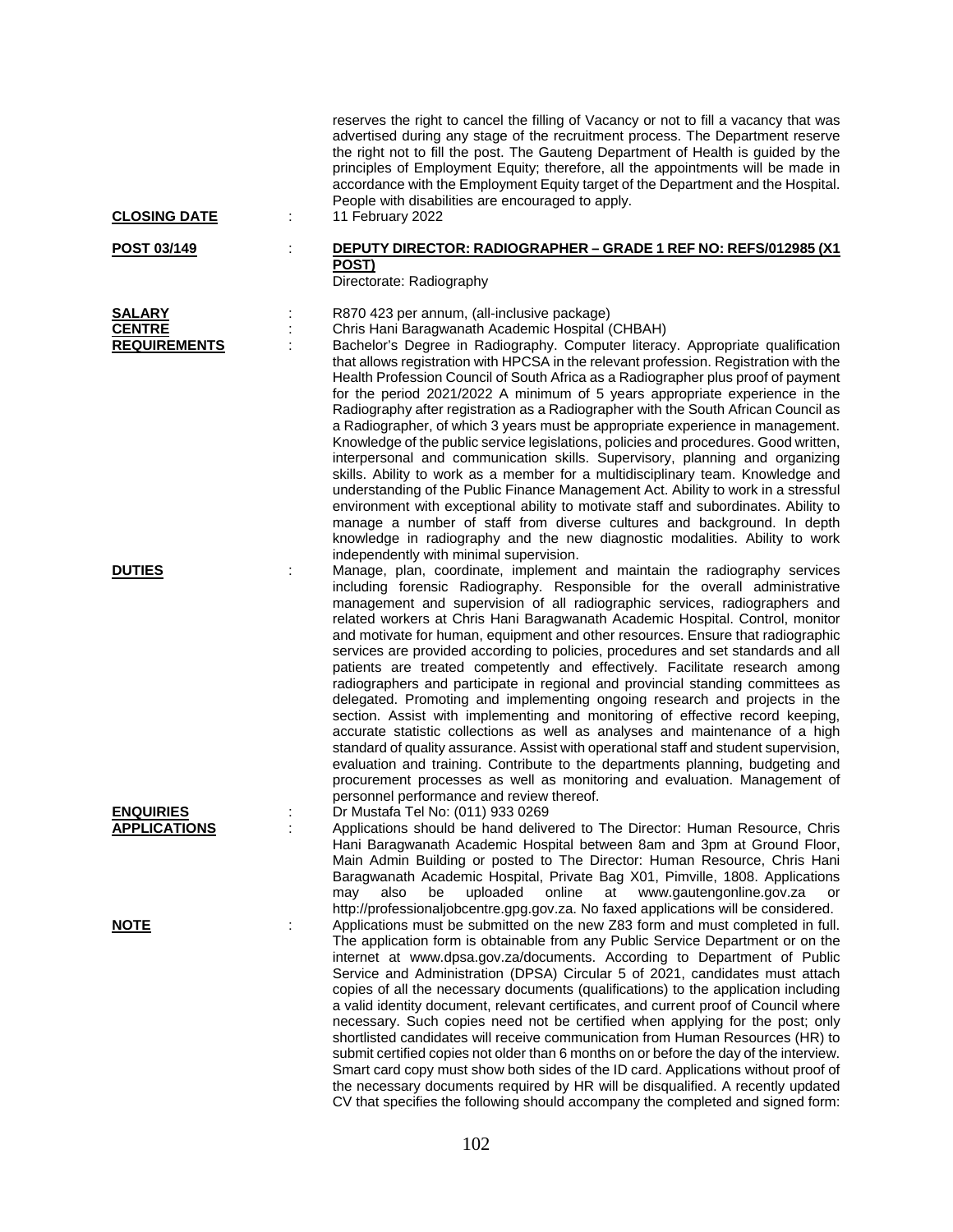| <b>CLOSING DATE</b>                                   | reserves the right to cancel the filling of Vacancy or not to fill a vacancy that was<br>advertised during any stage of the recruitment process. The Department reserve<br>the right not to fill the post. The Gauteng Department of Health is guided by the<br>principles of Employment Equity; therefore, all the appointments will be made in<br>accordance with the Employment Equity target of the Department and the Hospital.<br>People with disabilities are encouraged to apply.<br>11 February 2022                                                                                                                                                                                                                                                                                                                                                                                                                                                                                                                                                                                                                                                                                                                                                       |
|-------------------------------------------------------|---------------------------------------------------------------------------------------------------------------------------------------------------------------------------------------------------------------------------------------------------------------------------------------------------------------------------------------------------------------------------------------------------------------------------------------------------------------------------------------------------------------------------------------------------------------------------------------------------------------------------------------------------------------------------------------------------------------------------------------------------------------------------------------------------------------------------------------------------------------------------------------------------------------------------------------------------------------------------------------------------------------------------------------------------------------------------------------------------------------------------------------------------------------------------------------------------------------------------------------------------------------------|
| POST 03/149                                           | DEPUTY DIRECTOR: RADIOGRAPHER - GRADE 1 REF NO: REFS/012985 (X1<br>POST)<br>Directorate: Radiography                                                                                                                                                                                                                                                                                                                                                                                                                                                                                                                                                                                                                                                                                                                                                                                                                                                                                                                                                                                                                                                                                                                                                                |
| <b>SALARY</b><br><b>CENTRE</b><br><b>REQUIREMENTS</b> | R870 423 per annum, (all-inclusive package)<br>Chris Hani Baragwanath Academic Hospital (CHBAH)<br>Bachelor's Degree in Radiography. Computer literacy. Appropriate qualification<br>that allows registration with HPCSA in the relevant profession. Registration with the<br>Health Profession Council of South Africa as a Radiographer plus proof of payment<br>for the period 2021/2022 A minimum of 5 years appropriate experience in the<br>Radiography after registration as a Radiographer with the South African Council as<br>a Radiographer, of which 3 years must be appropriate experience in management.<br>Knowledge of the public service legislations, policies and procedures. Good written,<br>interpersonal and communication skills. Supervisory, planning and organizing<br>skills. Ability to work as a member for a multidisciplinary team. Knowledge and<br>understanding of the Public Finance Management Act. Ability to work in a stressful<br>environment with exceptional ability to motivate staff and subordinates. Ability to<br>manage a number of staff from diverse cultures and background. In depth<br>knowledge in radiography and the new diagnostic modalities. Ability to work<br>independently with minimal supervision. |
| <b>DUTIES</b>                                         | Manage, plan, coordinate, implement and maintain the radiography services<br>including forensic Radiography. Responsible for the overall administrative<br>management and supervision of all radiographic services, radiographers and<br>related workers at Chris Hani Baragwanath Academic Hospital. Control, monitor<br>and motivate for human, equipment and other resources. Ensure that radiographic<br>services are provided according to policies, procedures and set standards and all<br>patients are treated competently and effectively. Facilitate research among<br>radiographers and participate in regional and provincial standing committees as<br>delegated. Promoting and implementing ongoing research and projects in the<br>section. Assist with implementing and monitoring of effective record keeping,<br>accurate statistic collections as well as analyses and maintenance of a high<br>standard of quality assurance. Assist with operational staff and student supervision,<br>evaluation and training. Contribute to the departments planning, budgeting and<br>procurement processes as well as monitoring and evaluation. Management of<br>personnel performance and review thereof.                                                |
| <b>ENQUIRIES</b><br><b>APPLICATIONS</b>               | Dr Mustafa Tel No: (011) 933 0269<br>Applications should be hand delivered to The Director: Human Resource, Chris<br>Hani Baragwanath Academic Hospital between 8am and 3pm at Ground Floor,<br>Main Admin Building or posted to The Director: Human Resource, Chris Hani<br>Baragwanath Academic Hospital, Private Bag X01, Pimville, 1808. Applications<br>uploaded<br>online<br>also<br>be<br>at<br>www.gautengonline.gov.za<br>may<br>or<br>http://professionaljobcentre.gpg.gov.za. No faxed applications will be considered.                                                                                                                                                                                                                                                                                                                                                                                                                                                                                                                                                                                                                                                                                                                                  |
| <b>NOTE</b>                                           | Applications must be submitted on the new Z83 form and must completed in full.<br>The application form is obtainable from any Public Service Department or on the<br>internet at www.dpsa.gov.za/documents. According to Department of Public<br>Service and Administration (DPSA) Circular 5 of 2021, candidates must attach<br>copies of all the necessary documents (qualifications) to the application including<br>a valid identity document, relevant certificates, and current proof of Council where<br>necessary. Such copies need not be certified when applying for the post; only<br>shortlisted candidates will receive communication from Human Resources (HR) to<br>submit certified copies not older than 6 months on or before the day of the interview.<br>Smart card copy must show both sides of the ID card. Applications without proof of<br>the necessary documents required by HR will be disqualified. A recently updated<br>CV that specifies the following should accompany the completed and signed form:                                                                                                                                                                                                                               |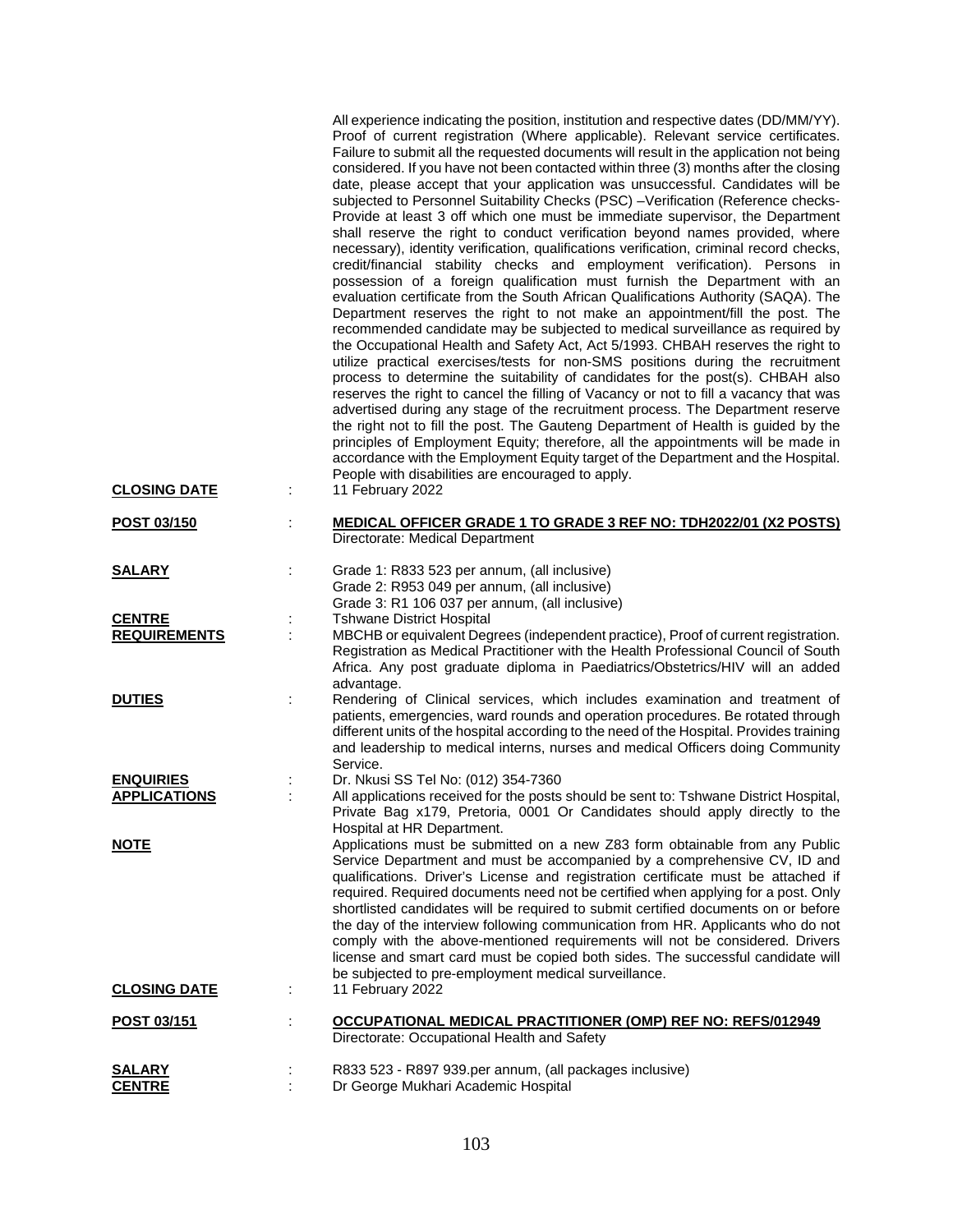|                                         |   | All experience indicating the position, institution and respective dates (DD/MM/YY).<br>Proof of current registration (Where applicable). Relevant service certificates.<br>Failure to submit all the requested documents will result in the application not being<br>considered. If you have not been contacted within three (3) months after the closing<br>date, please accept that your application was unsuccessful. Candidates will be<br>subjected to Personnel Suitability Checks (PSC) -Verification (Reference checks-<br>Provide at least 3 off which one must be immediate supervisor, the Department<br>shall reserve the right to conduct verification beyond names provided, where<br>necessary), identity verification, qualifications verification, criminal record checks,<br>credit/financial stability checks and employment verification). Persons in<br>possession of a foreign qualification must furnish the Department with an<br>evaluation certificate from the South African Qualifications Authority (SAQA). The<br>Department reserves the right to not make an appointment/fill the post. The<br>recommended candidate may be subjected to medical surveillance as required by<br>the Occupational Health and Safety Act, Act 5/1993. CHBAH reserves the right to<br>utilize practical exercises/tests for non-SMS positions during the recruitment<br>process to determine the suitability of candidates for the post(s). CHBAH also<br>reserves the right to cancel the filling of Vacancy or not to fill a vacancy that was<br>advertised during any stage of the recruitment process. The Department reserve<br>the right not to fill the post. The Gauteng Department of Health is guided by the<br>principles of Employment Equity; therefore, all the appointments will be made in<br>accordance with the Employment Equity target of the Department and the Hospital.<br>People with disabilities are encouraged to apply. |
|-----------------------------------------|---|-------------------------------------------------------------------------------------------------------------------------------------------------------------------------------------------------------------------------------------------------------------------------------------------------------------------------------------------------------------------------------------------------------------------------------------------------------------------------------------------------------------------------------------------------------------------------------------------------------------------------------------------------------------------------------------------------------------------------------------------------------------------------------------------------------------------------------------------------------------------------------------------------------------------------------------------------------------------------------------------------------------------------------------------------------------------------------------------------------------------------------------------------------------------------------------------------------------------------------------------------------------------------------------------------------------------------------------------------------------------------------------------------------------------------------------------------------------------------------------------------------------------------------------------------------------------------------------------------------------------------------------------------------------------------------------------------------------------------------------------------------------------------------------------------------------------------------------------------------------------------------------------------------------------------------------------------------------------|
| <b>CLOSING DATE</b>                     |   | 11 February 2022                                                                                                                                                                                                                                                                                                                                                                                                                                                                                                                                                                                                                                                                                                                                                                                                                                                                                                                                                                                                                                                                                                                                                                                                                                                                                                                                                                                                                                                                                                                                                                                                                                                                                                                                                                                                                                                                                                                                                  |
| POST 03/150                             |   | <b>MEDICAL OFFICER GRADE 1 TO GRADE 3 REF NO: TDH2022/01 (X2 POSTS)</b><br>Directorate: Medical Department                                                                                                                                                                                                                                                                                                                                                                                                                                                                                                                                                                                                                                                                                                                                                                                                                                                                                                                                                                                                                                                                                                                                                                                                                                                                                                                                                                                                                                                                                                                                                                                                                                                                                                                                                                                                                                                        |
| <b>SALARY</b>                           | ÷ | Grade 1: R833 523 per annum, (all inclusive)<br>Grade 2: R953 049 per annum, (all inclusive)<br>Grade 3: R1 106 037 per annum, (all inclusive)                                                                                                                                                                                                                                                                                                                                                                                                                                                                                                                                                                                                                                                                                                                                                                                                                                                                                                                                                                                                                                                                                                                                                                                                                                                                                                                                                                                                                                                                                                                                                                                                                                                                                                                                                                                                                    |
| <b>CENTRE</b><br><b>REQUIREMENTS</b>    |   | <b>Tshwane District Hospital</b><br>MBCHB or equivalent Degrees (independent practice), Proof of current registration.<br>Registration as Medical Practitioner with the Health Professional Council of South<br>Africa. Any post graduate diploma in Paediatrics/Obstetrics/HIV will an added                                                                                                                                                                                                                                                                                                                                                                                                                                                                                                                                                                                                                                                                                                                                                                                                                                                                                                                                                                                                                                                                                                                                                                                                                                                                                                                                                                                                                                                                                                                                                                                                                                                                     |
| <b>DUTIES</b>                           | t | advantage.<br>Rendering of Clinical services, which includes examination and treatment of<br>patients, emergencies, ward rounds and operation procedures. Be rotated through<br>different units of the hospital according to the need of the Hospital. Provides training<br>and leadership to medical interns, nurses and medical Officers doing Community<br>Service.                                                                                                                                                                                                                                                                                                                                                                                                                                                                                                                                                                                                                                                                                                                                                                                                                                                                                                                                                                                                                                                                                                                                                                                                                                                                                                                                                                                                                                                                                                                                                                                            |
| <b>ENQUIRIES</b><br><b>APPLICATIONS</b> |   | Dr. Nkusi SS Tel No: (012) 354-7360<br>All applications received for the posts should be sent to: Tshwane District Hospital,<br>Private Bag x179, Pretoria, 0001 Or Candidates should apply directly to the<br>Hospital at HR Department.                                                                                                                                                                                                                                                                                                                                                                                                                                                                                                                                                                                                                                                                                                                                                                                                                                                                                                                                                                                                                                                                                                                                                                                                                                                                                                                                                                                                                                                                                                                                                                                                                                                                                                                         |
| <b>NOTE</b>                             |   | Applications must be submitted on a new Z83 form obtainable from any Public<br>Service Department and must be accompanied by a comprehensive CV, ID and<br>qualifications. Driver's License and registration certificate must be attached if<br>required. Required documents need not be certified when applying for a post. Only<br>shortlisted candidates will be required to submit certified documents on or before<br>the day of the interview following communication from HR. Applicants who do not<br>comply with the above-mentioned requirements will not be considered. Drivers<br>license and smart card must be copied both sides. The successful candidate will<br>be subjected to pre-employment medical surveillance.                                                                                                                                                                                                                                                                                                                                                                                                                                                                                                                                                                                                                                                                                                                                                                                                                                                                                                                                                                                                                                                                                                                                                                                                                             |
| <b>CLOSING DATE</b>                     |   | 11 February 2022                                                                                                                                                                                                                                                                                                                                                                                                                                                                                                                                                                                                                                                                                                                                                                                                                                                                                                                                                                                                                                                                                                                                                                                                                                                                                                                                                                                                                                                                                                                                                                                                                                                                                                                                                                                                                                                                                                                                                  |
| <u>POST 03/151</u>                      |   | OCCUPATIONAL MEDICAL PRACTITIONER (OMP) REF NO: REFS/012949<br>Directorate: Occupational Health and Safety                                                                                                                                                                                                                                                                                                                                                                                                                                                                                                                                                                                                                                                                                                                                                                                                                                                                                                                                                                                                                                                                                                                                                                                                                                                                                                                                                                                                                                                                                                                                                                                                                                                                                                                                                                                                                                                        |
| <b>SALARY</b><br><b>CENTRE</b>          |   | R833 523 - R897 939.per annum, (all packages inclusive)<br>Dr George Mukhari Academic Hospital                                                                                                                                                                                                                                                                                                                                                                                                                                                                                                                                                                                                                                                                                                                                                                                                                                                                                                                                                                                                                                                                                                                                                                                                                                                                                                                                                                                                                                                                                                                                                                                                                                                                                                                                                                                                                                                                    |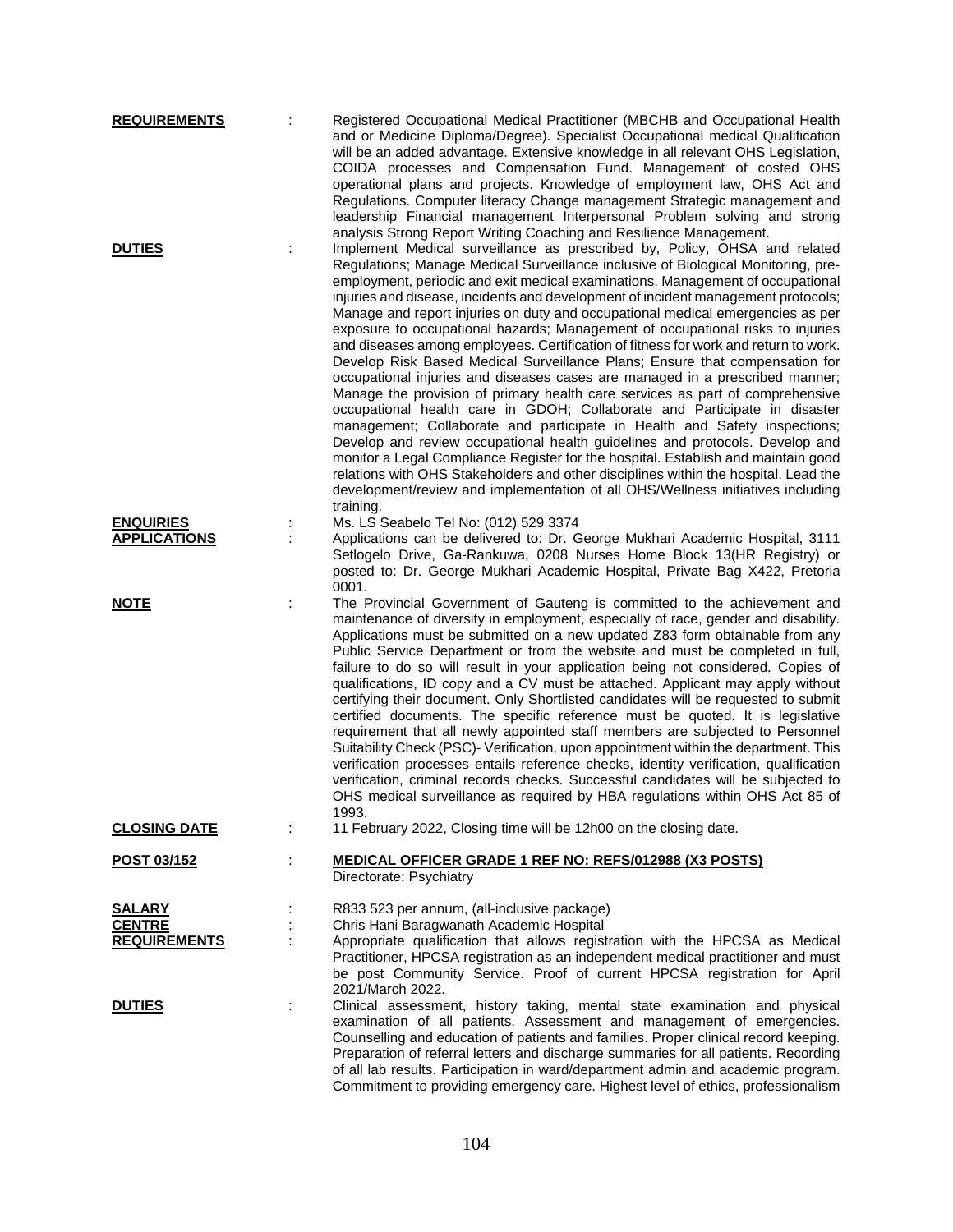| <b>REQUIREMENTS</b><br><b>DUTIES</b>    |   | Registered Occupational Medical Practitioner (MBCHB and Occupational Health<br>and or Medicine Diploma/Degree). Specialist Occupational medical Qualification<br>will be an added advantage. Extensive knowledge in all relevant OHS Legislation,<br>COIDA processes and Compensation Fund. Management of costed OHS<br>operational plans and projects. Knowledge of employment law, OHS Act and<br>Regulations. Computer literacy Change management Strategic management and<br>leadership Financial management Interpersonal Problem solving and strong<br>analysis Strong Report Writing Coaching and Resilience Management.<br>Implement Medical surveillance as prescribed by, Policy, OHSA and related                                                                                                                                                                                                                                                                                                                                                                                                                                                                                                                                                                              |
|-----------------------------------------|---|-------------------------------------------------------------------------------------------------------------------------------------------------------------------------------------------------------------------------------------------------------------------------------------------------------------------------------------------------------------------------------------------------------------------------------------------------------------------------------------------------------------------------------------------------------------------------------------------------------------------------------------------------------------------------------------------------------------------------------------------------------------------------------------------------------------------------------------------------------------------------------------------------------------------------------------------------------------------------------------------------------------------------------------------------------------------------------------------------------------------------------------------------------------------------------------------------------------------------------------------------------------------------------------------|
|                                         |   | Regulations; Manage Medical Surveillance inclusive of Biological Monitoring, pre-<br>employment, periodic and exit medical examinations. Management of occupational<br>injuries and disease, incidents and development of incident management protocols;<br>Manage and report injuries on duty and occupational medical emergencies as per<br>exposure to occupational hazards; Management of occupational risks to injuries<br>and diseases among employees. Certification of fitness for work and return to work.<br>Develop Risk Based Medical Surveillance Plans; Ensure that compensation for<br>occupational injuries and diseases cases are managed in a prescribed manner;<br>Manage the provision of primary health care services as part of comprehensive<br>occupational health care in GDOH; Collaborate and Participate in disaster<br>management; Collaborate and participate in Health and Safety inspections;<br>Develop and review occupational health guidelines and protocols. Develop and<br>monitor a Legal Compliance Register for the hospital. Establish and maintain good<br>relations with OHS Stakeholders and other disciplines within the hospital. Lead the<br>development/review and implementation of all OHS/Wellness initiatives including<br>training. |
| <b>ENQUIRIES</b><br><b>APPLICATIONS</b> |   | Ms. LS Seabelo Tel No: (012) 529 3374<br>Applications can be delivered to: Dr. George Mukhari Academic Hospital, 3111<br>Setlogelo Drive, Ga-Rankuwa, 0208 Nurses Home Block 13(HR Registry) or<br>posted to: Dr. George Mukhari Academic Hospital, Private Bag X422, Pretoria<br>0001.                                                                                                                                                                                                                                                                                                                                                                                                                                                                                                                                                                                                                                                                                                                                                                                                                                                                                                                                                                                                   |
| <b>NOTE</b>                             |   | The Provincial Government of Gauteng is committed to the achievement and<br>maintenance of diversity in employment, especially of race, gender and disability.<br>Applications must be submitted on a new updated Z83 form obtainable from any<br>Public Service Department or from the website and must be completed in full,<br>failure to do so will result in your application being not considered. Copies of<br>qualifications, ID copy and a CV must be attached. Applicant may apply without<br>certifying their document. Only Shortlisted candidates will be requested to submit<br>certified documents. The specific reference must be quoted. It is legislative<br>requirement that all newly appointed staff members are subjected to Personnel<br>Suitability Check (PSC)- Verification, upon appointment within the department. This<br>verification processes entails reference checks, identity verification, qualification<br>verification, criminal records checks. Successful candidates will be subjected to<br>OHS medical surveillance as required by HBA regulations within OHS Act 85 of<br>1993.                                                                                                                                                                |
| <b>CLOSING DATE</b>                     |   | 11 February 2022, Closing time will be 12h00 on the closing date.                                                                                                                                                                                                                                                                                                                                                                                                                                                                                                                                                                                                                                                                                                                                                                                                                                                                                                                                                                                                                                                                                                                                                                                                                         |
| <u>POST 03/152</u>                      |   | <b>MEDICAL OFFICER GRADE 1 REF NO: REFS/012988 (X3 POSTS)</b><br>Directorate: Psychiatry                                                                                                                                                                                                                                                                                                                                                                                                                                                                                                                                                                                                                                                                                                                                                                                                                                                                                                                                                                                                                                                                                                                                                                                                  |
| <u>SALARY</u><br><b>CENTRE</b>          |   | R833 523 per annum, (all-inclusive package)<br>Chris Hani Baragwanath Academic Hospital<br>Appropriate qualification that allows registration with the HPCSA as Medical                                                                                                                                                                                                                                                                                                                                                                                                                                                                                                                                                                                                                                                                                                                                                                                                                                                                                                                                                                                                                                                                                                                   |
| <b>REQUIREMENTS</b>                     |   | Practitioner, HPCSA registration as an independent medical practitioner and must<br>be post Community Service. Proof of current HPCSA registration for April<br>2021/March 2022.                                                                                                                                                                                                                                                                                                                                                                                                                                                                                                                                                                                                                                                                                                                                                                                                                                                                                                                                                                                                                                                                                                          |
| <b>DUTIES</b>                           | ÷ | Clinical assessment, history taking, mental state examination and physical<br>examination of all patients. Assessment and management of emergencies.<br>Counselling and education of patients and families. Proper clinical record keeping.<br>Preparation of referral letters and discharge summaries for all patients. Recording<br>of all lab results. Participation in ward/department admin and academic program.<br>Commitment to providing emergency care. Highest level of ethics, professionalism                                                                                                                                                                                                                                                                                                                                                                                                                                                                                                                                                                                                                                                                                                                                                                                |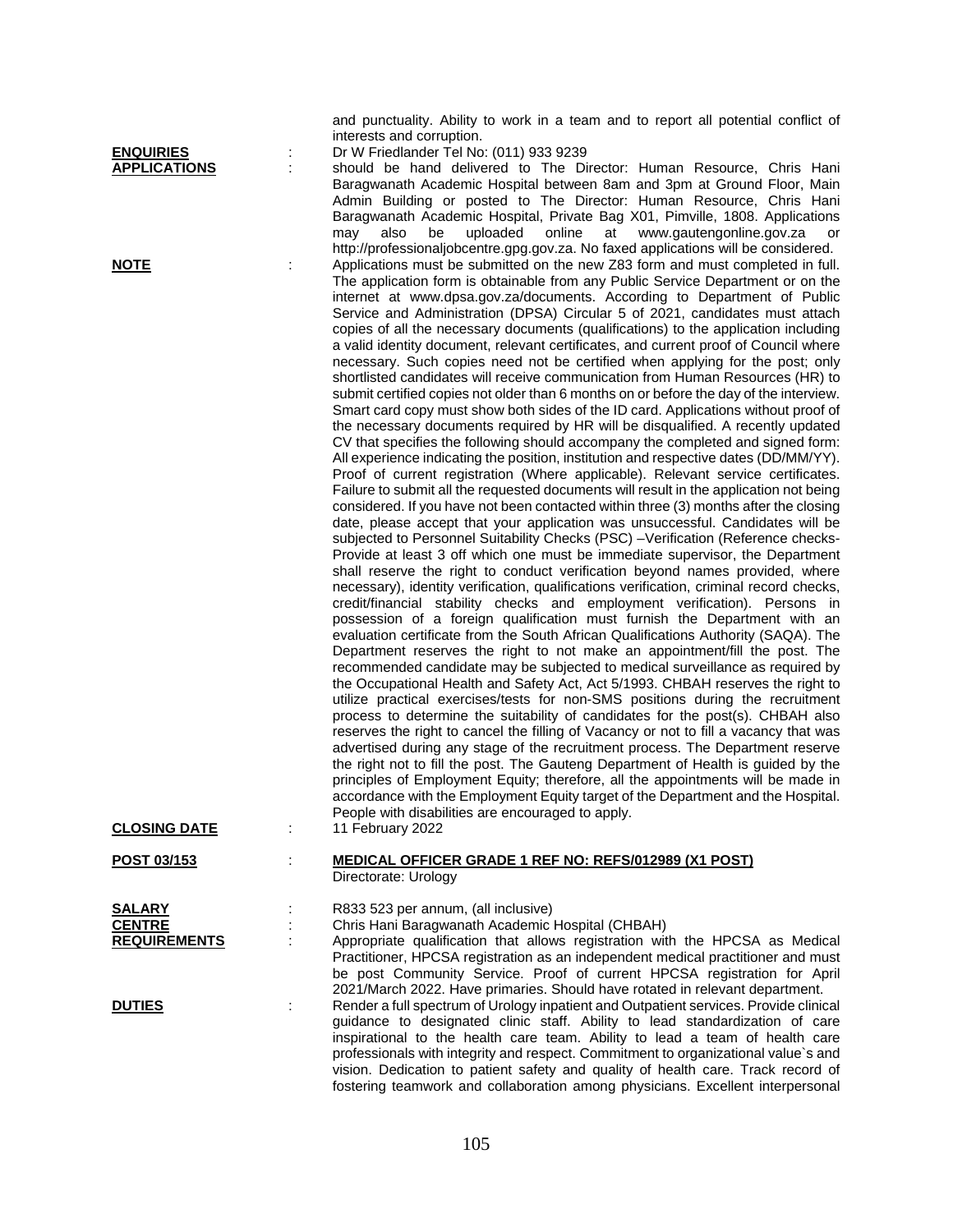and punctuality. Ability to work in a team and to report all potential conflict of interests and corruption.

**ENQUIRIES** : Dr W Friedlander Tel No: (011) 933 9239

**APPLICATIONS** : should be hand delivered to The Director: Human Resource, Chris Hani Baragwanath Academic Hospital between 8am and 3pm at Ground Floor, Main Admin Building or posted to The Director: Human Resource, Chris Hani Baragwanath Academic Hospital, Private Bag X01, Pimville, 1808. Applications may also be uploaded online at www.gautengonline.gov.za or http://professionaljobcentre.gpg.gov.za. No faxed applications will be considered. **NOTE** : Applications must be submitted on the new Z83 form and must completed in full. The application form is obtainable from any Public Service Department or on the internet at www.dpsa.gov.za/documents. According to Department of Public Service and Administration (DPSA) Circular 5 of 2021, candidates must attach copies of all the necessary documents (qualifications) to the application including a valid identity document, relevant certificates, and current proof of Council where necessary. Such copies need not be certified when applying for the post; only shortlisted candidates will receive communication from Human Resources (HR) to submit certified copies not older than 6 months on or before the day of the interview. Smart card copy must show both sides of the ID card. Applications without proof of the necessary documents required by HR will be disqualified. A recently updated CV that specifies the following should accompany the completed and signed form: All experience indicating the position, institution and respective dates (DD/MM/YY). Proof of current registration (Where applicable). Relevant service certificates. Failure to submit all the requested documents will result in the application not being considered. If you have not been contacted within three (3) months after the closing date, please accept that your application was unsuccessful. Candidates will be subjected to Personnel Suitability Checks (PSC) –Verification (Reference checks-Provide at least 3 off which one must be immediate supervisor, the Department shall reserve the right to conduct verification beyond names provided, where necessary), identity verification, qualifications verification, criminal record checks, credit/financial stability checks and employment verification). Persons in possession of a foreign qualification must furnish the Department with an evaluation certificate from the South African Qualifications Authority (SAQA). The Department reserves the right to not make an appointment/fill the post. The recommended candidate may be subjected to medical surveillance as required by the Occupational Health and Safety Act, Act 5/1993. CHBAH reserves the right to utilize practical exercises/tests for non-SMS positions during the recruitment process to determine the suitability of candidates for the post(s). CHBAH also reserves the right to cancel the filling of Vacancy or not to fill a vacancy that was advertised during any stage of the recruitment process. The Department reserve the right not to fill the post. The Gauteng Department of Health is guided by the principles of Employment Equity; therefore, all the appointments will be made in accordance with the Employment Equity target of the Department and the Hospital. People with disabilities are encouraged to apply.

**CLOSING DATE** : 11 February 2022

| <b>POST 03/153</b> | <b>MEDICAL OFFICER GRADE 1 REF NO: REFS/012989 (X1 POST)</b> |
|--------------------|--------------------------------------------------------------|
|                    | Directorate: Urology                                         |

**DAAA FAA** = **c** can use (all inclusive)

| <b>SALART</b>       | R833 523 per annum, (all inclusive)                                                                                                                                                                                                                                                                                                         |
|---------------------|---------------------------------------------------------------------------------------------------------------------------------------------------------------------------------------------------------------------------------------------------------------------------------------------------------------------------------------------|
| <b>CENTRE</b>       | Chris Hani Baragwanath Academic Hospital (CHBAH)                                                                                                                                                                                                                                                                                            |
| <b>REQUIREMENTS</b> | Appropriate qualification that allows registration with the HPCSA as Medical<br>Practitioner, HPCSA registration as an independent medical practitioner and must                                                                                                                                                                            |
|                     | be post Community Service. Proof of current HPCSA registration for April<br>2021/March 2022. Have primaries. Should have rotated in relevant department.                                                                                                                                                                                    |
| <b>DUTIES</b>       | Render a full spectrum of Urology inpatient and Outpatient services. Provide clinical<br>quidance to designated clinic staff. Ability to lead standardization of care<br>inspirational to the health care team. Ability to lead a team of health care<br>professionals with integrity and respect. Commitment to organizational value's and |
|                     | vision. Dedication to patient safety and quality of health care. Track record of<br>fostering teamwork and collaboration among physicians. Excellent interpersonal                                                                                                                                                                          |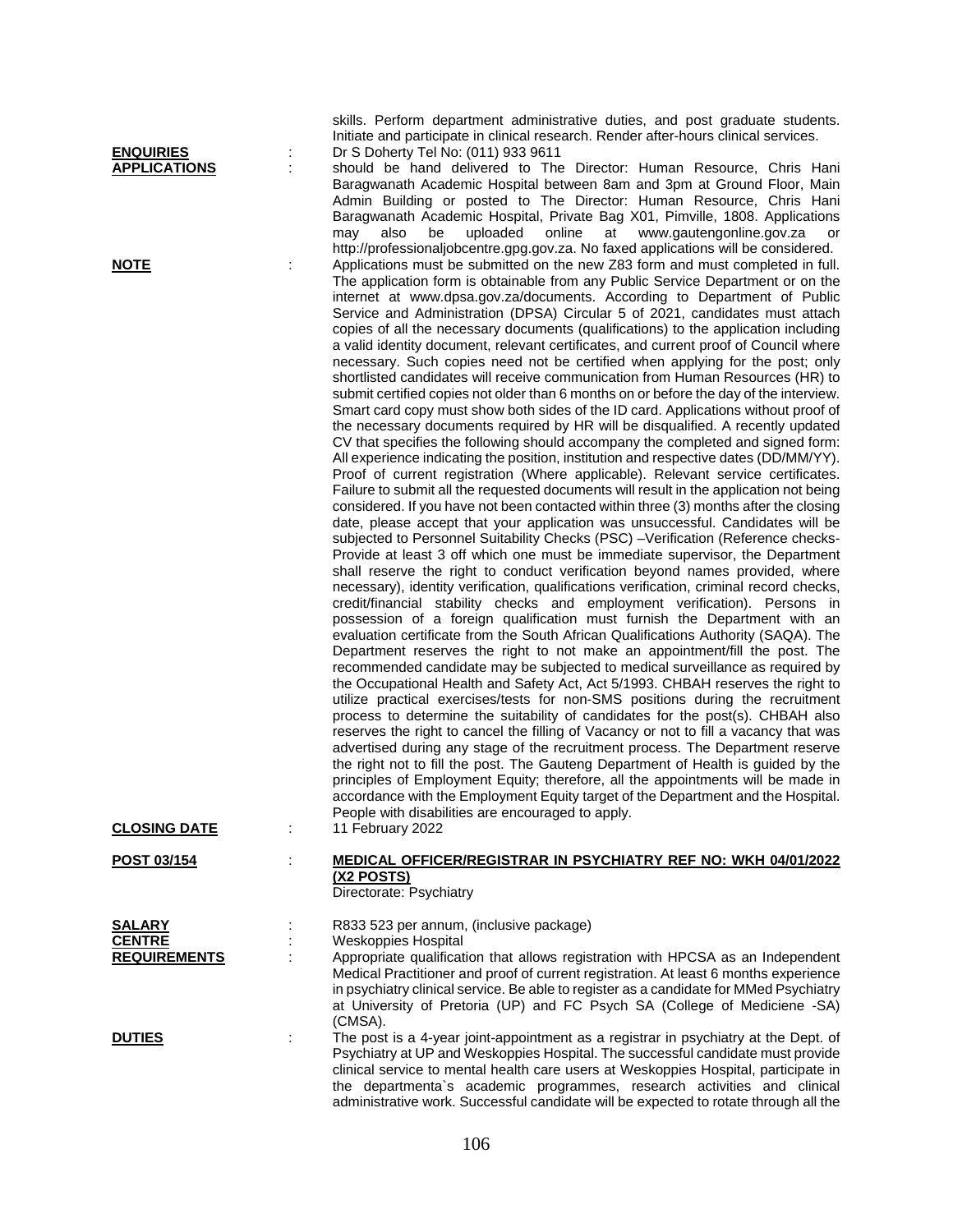| <b>ENQUIRIES</b>                     | Dr S Doherty Tel No: (011) 933 9611                                                                                                                                                                                                                                                                                                                                                                                                                                                                                                                                                                                                                                                                                                                                                                                                                                                                                                                                                                                                                                                                                                                                                                                                                                                                                                                                                                                                                                                                                                                                                                                                                                                                                                                                                                                                                                                                                                                                                                                                                                                                                                                                                                                                                                                                                                                                                                                                                                                                                                                                                                                                                                       |
|--------------------------------------|---------------------------------------------------------------------------------------------------------------------------------------------------------------------------------------------------------------------------------------------------------------------------------------------------------------------------------------------------------------------------------------------------------------------------------------------------------------------------------------------------------------------------------------------------------------------------------------------------------------------------------------------------------------------------------------------------------------------------------------------------------------------------------------------------------------------------------------------------------------------------------------------------------------------------------------------------------------------------------------------------------------------------------------------------------------------------------------------------------------------------------------------------------------------------------------------------------------------------------------------------------------------------------------------------------------------------------------------------------------------------------------------------------------------------------------------------------------------------------------------------------------------------------------------------------------------------------------------------------------------------------------------------------------------------------------------------------------------------------------------------------------------------------------------------------------------------------------------------------------------------------------------------------------------------------------------------------------------------------------------------------------------------------------------------------------------------------------------------------------------------------------------------------------------------------------------------------------------------------------------------------------------------------------------------------------------------------------------------------------------------------------------------------------------------------------------------------------------------------------------------------------------------------------------------------------------------------------------------------------------------------------------------------------------------|
| <b>APPLICATIONS</b><br><b>NOTE</b>   | should be hand delivered to The Director: Human Resource, Chris Hani<br>Baragwanath Academic Hospital between 8am and 3pm at Ground Floor, Main<br>Admin Building or posted to The Director: Human Resource, Chris Hani<br>Baragwanath Academic Hospital, Private Bag X01, Pimville, 1808. Applications<br>online<br>at<br>also<br>be<br>uploaded<br>www.gautengonline.gov.za<br>may<br>or<br>http://professionaljobcentre.gpg.gov.za. No faxed applications will be considered.<br>Applications must be submitted on the new Z83 form and must completed in full.<br>The application form is obtainable from any Public Service Department or on the<br>internet at www.dpsa.gov.za/documents. According to Department of Public<br>Service and Administration (DPSA) Circular 5 of 2021, candidates must attach                                                                                                                                                                                                                                                                                                                                                                                                                                                                                                                                                                                                                                                                                                                                                                                                                                                                                                                                                                                                                                                                                                                                                                                                                                                                                                                                                                                                                                                                                                                                                                                                                                                                                                                                                                                                                                                         |
|                                      | copies of all the necessary documents (qualifications) to the application including<br>a valid identity document, relevant certificates, and current proof of Council where<br>necessary. Such copies need not be certified when applying for the post; only<br>shortlisted candidates will receive communication from Human Resources (HR) to<br>submit certified copies not older than 6 months on or before the day of the interview.<br>Smart card copy must show both sides of the ID card. Applications without proof of<br>the necessary documents required by HR will be disqualified. A recently updated<br>CV that specifies the following should accompany the completed and signed form:<br>All experience indicating the position, institution and respective dates (DD/MM/YY).<br>Proof of current registration (Where applicable). Relevant service certificates.<br>Failure to submit all the requested documents will result in the application not being<br>considered. If you have not been contacted within three (3) months after the closing<br>date, please accept that your application was unsuccessful. Candidates will be<br>subjected to Personnel Suitability Checks (PSC) -Verification (Reference checks-<br>Provide at least 3 off which one must be immediate supervisor, the Department<br>shall reserve the right to conduct verification beyond names provided, where<br>necessary), identity verification, qualifications verification, criminal record checks,<br>credit/financial stability checks and employment verification). Persons in<br>possession of a foreign qualification must furnish the Department with an<br>evaluation certificate from the South African Qualifications Authority (SAQA). The<br>Department reserves the right to not make an appointment/fill the post. The<br>recommended candidate may be subjected to medical surveillance as required by<br>the Occupational Health and Safety Act, Act 5/1993. CHBAH reserves the right to<br>utilize practical exercises/tests for non-SMS positions during the recruitment<br>process to determine the suitability of candidates for the post(s). CHBAH also<br>reserves the right to cancel the filling of Vacancy or not to fill a vacancy that was<br>advertised during any stage of the recruitment process. The Department reserve<br>the right not to fill the post. The Gauteng Department of Health is guided by the<br>principles of Employment Equity; therefore, all the appointments will be made in<br>accordance with the Employment Equity target of the Department and the Hospital.<br>People with disabilities are encouraged to apply. |
| <b>CLOSING DATE</b>                  | 11 February 2022                                                                                                                                                                                                                                                                                                                                                                                                                                                                                                                                                                                                                                                                                                                                                                                                                                                                                                                                                                                                                                                                                                                                                                                                                                                                                                                                                                                                                                                                                                                                                                                                                                                                                                                                                                                                                                                                                                                                                                                                                                                                                                                                                                                                                                                                                                                                                                                                                                                                                                                                                                                                                                                          |
| POST 03/154                          | <u>MEDICAL OFFICER/REGISTRAR IN PSYCHIATRY REF NO: WKH 04/01/2022</u><br>(X2 POSTS)<br>Directorate: Psychiatry                                                                                                                                                                                                                                                                                                                                                                                                                                                                                                                                                                                                                                                                                                                                                                                                                                                                                                                                                                                                                                                                                                                                                                                                                                                                                                                                                                                                                                                                                                                                                                                                                                                                                                                                                                                                                                                                                                                                                                                                                                                                                                                                                                                                                                                                                                                                                                                                                                                                                                                                                            |
| <b>SALARY</b>                        | R833 523 per annum, (inclusive package)                                                                                                                                                                                                                                                                                                                                                                                                                                                                                                                                                                                                                                                                                                                                                                                                                                                                                                                                                                                                                                                                                                                                                                                                                                                                                                                                                                                                                                                                                                                                                                                                                                                                                                                                                                                                                                                                                                                                                                                                                                                                                                                                                                                                                                                                                                                                                                                                                                                                                                                                                                                                                                   |
| <b>CENTRE</b><br><b>REQUIREMENTS</b> | <b>Weskoppies Hospital</b><br>Appropriate qualification that allows registration with HPCSA as an Independent<br>Medical Practitioner and proof of current registration. At least 6 months experience<br>in psychiatry clinical service. Be able to register as a candidate for MMed Psychiatry<br>at University of Pretoria (UP) and FC Psych SA (College of Mediciene -SA)<br>(CMSA).                                                                                                                                                                                                                                                                                                                                                                                                                                                                                                                                                                                                                                                                                                                                                                                                                                                                                                                                                                                                                                                                                                                                                                                                                                                                                                                                                                                                                                                                                                                                                                                                                                                                                                                                                                                                                                                                                                                                                                                                                                                                                                                                                                                                                                                                                   |
| <b>DUTIES</b>                        | The post is a 4-year joint-appointment as a registrar in psychiatry at the Dept. of<br>Psychiatry at UP and Weskoppies Hospital. The successful candidate must provide<br>clinical service to mental health care users at Weskoppies Hospital, participate in<br>the departmenta's academic programmes, research activities and clinical                                                                                                                                                                                                                                                                                                                                                                                                                                                                                                                                                                                                                                                                                                                                                                                                                                                                                                                                                                                                                                                                                                                                                                                                                                                                                                                                                                                                                                                                                                                                                                                                                                                                                                                                                                                                                                                                                                                                                                                                                                                                                                                                                                                                                                                                                                                                  |

skills. Perform department administrative duties, and post graduate students. Initiate and participate in clinical research. Render after-hours clinical services.

administrative work. Successful candidate will be expected to rotate through all the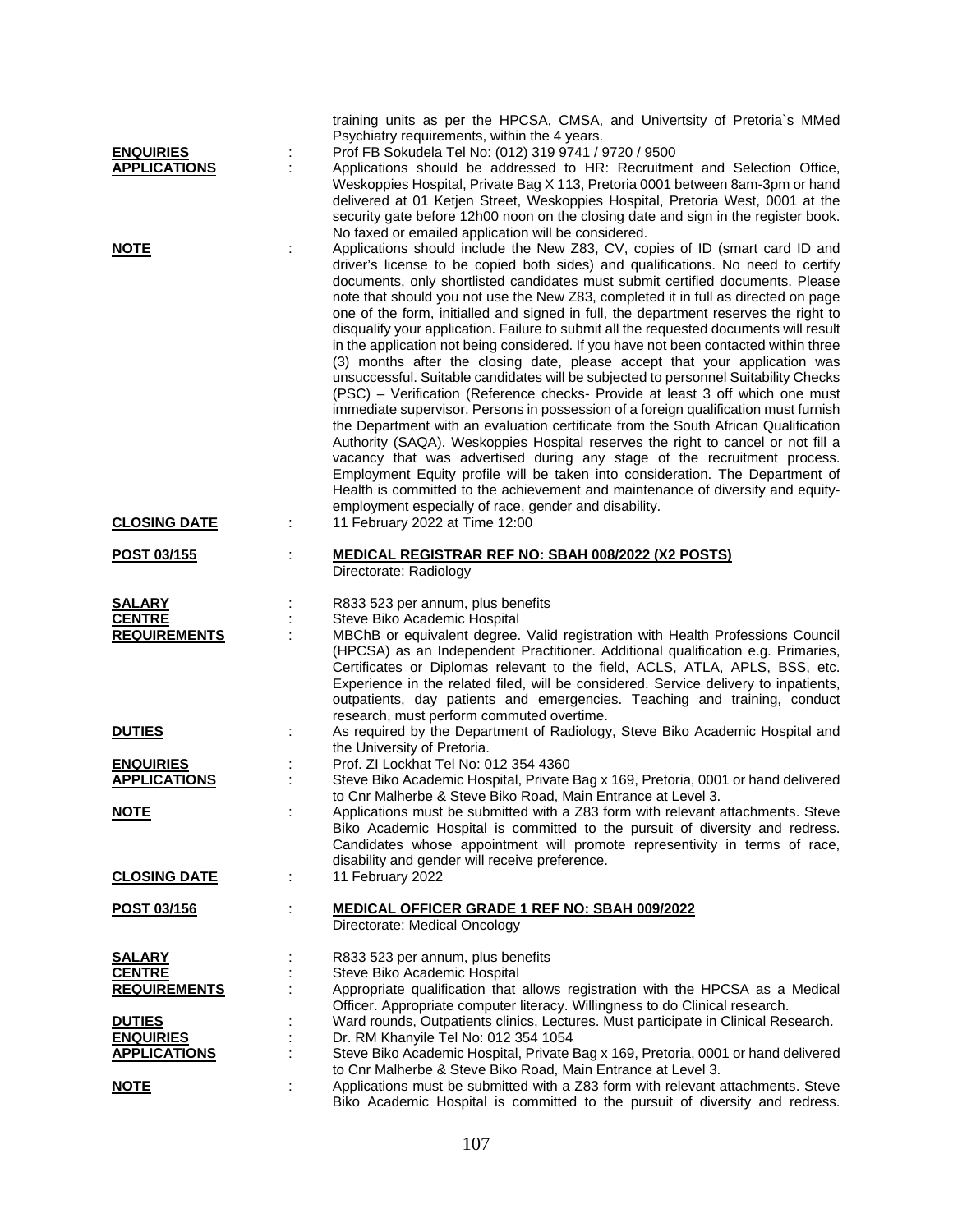| <b>ENQUIRIES</b><br><b>APPLICATIONS</b>               | training units as per the HPCSA, CMSA, and Univertsity of Pretoria's MMed<br>Psychiatry requirements, within the 4 years.<br>Prof FB Sokudela Tel No: (012) 319 9741 / 9720 / 9500<br>Applications should be addressed to HR: Recruitment and Selection Office,<br>Weskoppies Hospital, Private Bag X 113, Pretoria 0001 between 8am-3pm or hand<br>delivered at 01 Ketjen Street, Weskoppies Hospital, Pretoria West, 0001 at the<br>security gate before 12h00 noon on the closing date and sign in the register book.<br>No faxed or emailed application will be considered.                                                                                                                                                                                                                                                                                                                                                                                                                                                                                                                                                                                                                                                                                                                                                                                                                                                                    |
|-------------------------------------------------------|----------------------------------------------------------------------------------------------------------------------------------------------------------------------------------------------------------------------------------------------------------------------------------------------------------------------------------------------------------------------------------------------------------------------------------------------------------------------------------------------------------------------------------------------------------------------------------------------------------------------------------------------------------------------------------------------------------------------------------------------------------------------------------------------------------------------------------------------------------------------------------------------------------------------------------------------------------------------------------------------------------------------------------------------------------------------------------------------------------------------------------------------------------------------------------------------------------------------------------------------------------------------------------------------------------------------------------------------------------------------------------------------------------------------------------------------------|
| <b>NOTE</b>                                           | Applications should include the New Z83, CV, copies of ID (smart card ID and<br>driver's license to be copied both sides) and qualifications. No need to certify<br>documents, only shortlisted candidates must submit certified documents. Please<br>note that should you not use the New Z83, completed it in full as directed on page<br>one of the form, initialled and signed in full, the department reserves the right to<br>disqualify your application. Failure to submit all the requested documents will result<br>in the application not being considered. If you have not been contacted within three<br>(3) months after the closing date, please accept that your application was<br>unsuccessful. Suitable candidates will be subjected to personnel Suitability Checks<br>(PSC) - Verification (Reference checks- Provide at least 3 off which one must<br>immediate supervisor. Persons in possession of a foreign qualification must furnish<br>the Department with an evaluation certificate from the South African Qualification<br>Authority (SAQA). Weskoppies Hospital reserves the right to cancel or not fill a<br>vacancy that was advertised during any stage of the recruitment process.<br>Employment Equity profile will be taken into consideration. The Department of<br>Health is committed to the achievement and maintenance of diversity and equity-<br>employment especially of race, gender and disability. |
| <b>CLOSING DATE</b>                                   | 11 February 2022 at Time 12:00                                                                                                                                                                                                                                                                                                                                                                                                                                                                                                                                                                                                                                                                                                                                                                                                                                                                                                                                                                                                                                                                                                                                                                                                                                                                                                                                                                                                                     |
| <u>POST 03/155</u>                                    | <b>MEDICAL REGISTRAR REF NO: SBAH 008/2022 (X2 POSTS)</b><br>Directorate: Radiology                                                                                                                                                                                                                                                                                                                                                                                                                                                                                                                                                                                                                                                                                                                                                                                                                                                                                                                                                                                                                                                                                                                                                                                                                                                                                                                                                                |
| <b>SALARY</b><br><b>CENTRE</b><br><b>REQUIREMENTS</b> | R833 523 per annum, plus benefits<br>Steve Biko Academic Hospital<br>MBChB or equivalent degree. Valid registration with Health Professions Council<br>(HPCSA) as an Independent Practitioner. Additional qualification e.g. Primaries,<br>Certificates or Diplomas relevant to the field, ACLS, ATLA, APLS, BSS, etc.<br>Experience in the related filed, will be considered. Service delivery to inpatients,<br>outpatients, day patients and emergencies. Teaching and training, conduct                                                                                                                                                                                                                                                                                                                                                                                                                                                                                                                                                                                                                                                                                                                                                                                                                                                                                                                                                        |
| <b>DUTIES</b>                                         | research, must perform commuted overtime.<br>As required by the Department of Radiology, Steve Biko Academic Hospital and<br>the University of Pretoria.                                                                                                                                                                                                                                                                                                                                                                                                                                                                                                                                                                                                                                                                                                                                                                                                                                                                                                                                                                                                                                                                                                                                                                                                                                                                                           |
| <b>ENQUIRIES</b><br><b>APPLICATIONS</b>               | Prof. ZI Lockhat Tel No: 012 354 4360<br>Steve Biko Academic Hospital, Private Bag x 169, Pretoria, 0001 or hand delivered<br>to Cnr Malherbe & Steve Biko Road, Main Entrance at Level 3.                                                                                                                                                                                                                                                                                                                                                                                                                                                                                                                                                                                                                                                                                                                                                                                                                                                                                                                                                                                                                                                                                                                                                                                                                                                         |
| <u>NOTE</u>                                           | Applications must be submitted with a Z83 form with relevant attachments. Steve<br>Biko Academic Hospital is committed to the pursuit of diversity and redress.<br>Candidates whose appointment will promote representivity in terms of race,<br>disability and gender will receive preference.                                                                                                                                                                                                                                                                                                                                                                                                                                                                                                                                                                                                                                                                                                                                                                                                                                                                                                                                                                                                                                                                                                                                                    |
| <b>CLOSING DATE</b>                                   | 11 February 2022                                                                                                                                                                                                                                                                                                                                                                                                                                                                                                                                                                                                                                                                                                                                                                                                                                                                                                                                                                                                                                                                                                                                                                                                                                                                                                                                                                                                                                   |
| POST 03/156                                           | MEDICAL OFFICER GRADE 1 REF NO: SBAH 009/2022<br>Directorate: Medical Oncology                                                                                                                                                                                                                                                                                                                                                                                                                                                                                                                                                                                                                                                                                                                                                                                                                                                                                                                                                                                                                                                                                                                                                                                                                                                                                                                                                                     |
| <u>SALARY</u><br><b>CENTRE</b>                        | R833 523 per annum, plus benefits<br>Steve Biko Academic Hospital                                                                                                                                                                                                                                                                                                                                                                                                                                                                                                                                                                                                                                                                                                                                                                                                                                                                                                                                                                                                                                                                                                                                                                                                                                                                                                                                                                                  |
| <b>REQUIREMENTS</b><br><b>DUTIES</b>                  | Appropriate qualification that allows registration with the HPCSA as a Medical<br>Officer. Appropriate computer literacy. Willingness to do Clinical research.<br>Ward rounds, Outpatients clinics, Lectures. Must participate in Clinical Research.                                                                                                                                                                                                                                                                                                                                                                                                                                                                                                                                                                                                                                                                                                                                                                                                                                                                                                                                                                                                                                                                                                                                                                                               |
| <b>ENQUIRIES</b><br><b>APPLICATIONS</b>               | Dr. RM Khanyile Tel No: 012 354 1054<br>Steve Biko Academic Hospital, Private Bag x 169, Pretoria, 0001 or hand delivered                                                                                                                                                                                                                                                                                                                                                                                                                                                                                                                                                                                                                                                                                                                                                                                                                                                                                                                                                                                                                                                                                                                                                                                                                                                                                                                          |
|                                                       | to Cnr Malherbe & Steve Biko Road, Main Entrance at Level 3.                                                                                                                                                                                                                                                                                                                                                                                                                                                                                                                                                                                                                                                                                                                                                                                                                                                                                                                                                                                                                                                                                                                                                                                                                                                                                                                                                                                       |
| <u>NOTE</u>                                           | Applications must be submitted with a Z83 form with relevant attachments. Steve<br>Biko Academic Hospital is committed to the pursuit of diversity and redress.                                                                                                                                                                                                                                                                                                                                                                                                                                                                                                                                                                                                                                                                                                                                                                                                                                                                                                                                                                                                                                                                                                                                                                                                                                                                                    |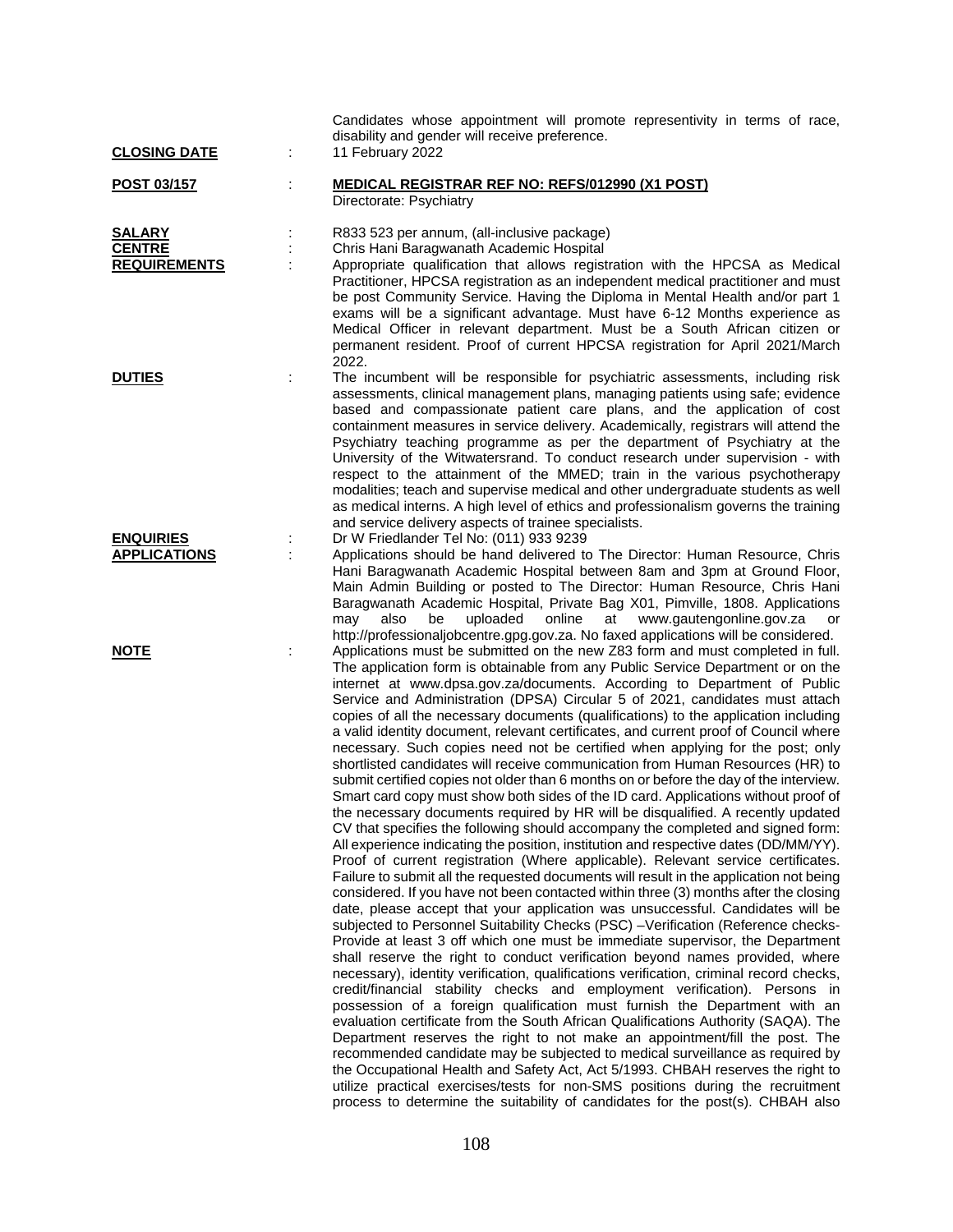| <b>CLOSING DATE</b>                                   | ÷ | Candidates whose appointment will promote representivity in terms of race,<br>disability and gender will receive preference.<br>11 February 2022                                                                                                                                                                                                                                                                                                                                                                                                                                                                                                                                                                                                                                                                                                                                                                                                                                                                                                                                                                                                                                                                                                                                                                                                                                                                                                                                                                                                                                                                                                                                                                                                                                                                                                                                                                                                                                                                                                                                                                                                                                                                                                                                                                                                                                                                                                                                                              |
|-------------------------------------------------------|---|---------------------------------------------------------------------------------------------------------------------------------------------------------------------------------------------------------------------------------------------------------------------------------------------------------------------------------------------------------------------------------------------------------------------------------------------------------------------------------------------------------------------------------------------------------------------------------------------------------------------------------------------------------------------------------------------------------------------------------------------------------------------------------------------------------------------------------------------------------------------------------------------------------------------------------------------------------------------------------------------------------------------------------------------------------------------------------------------------------------------------------------------------------------------------------------------------------------------------------------------------------------------------------------------------------------------------------------------------------------------------------------------------------------------------------------------------------------------------------------------------------------------------------------------------------------------------------------------------------------------------------------------------------------------------------------------------------------------------------------------------------------------------------------------------------------------------------------------------------------------------------------------------------------------------------------------------------------------------------------------------------------------------------------------------------------------------------------------------------------------------------------------------------------------------------------------------------------------------------------------------------------------------------------------------------------------------------------------------------------------------------------------------------------------------------------------------------------------------------------------------------------|
| <b>POST 03/157</b>                                    |   | <u>MEDICAL REGISTRAR REF NO: REFS/012990 (X1 POST)</u><br>Directorate: Psychiatry                                                                                                                                                                                                                                                                                                                                                                                                                                                                                                                                                                                                                                                                                                                                                                                                                                                                                                                                                                                                                                                                                                                                                                                                                                                                                                                                                                                                                                                                                                                                                                                                                                                                                                                                                                                                                                                                                                                                                                                                                                                                                                                                                                                                                                                                                                                                                                                                                             |
| <b>SALARY</b><br><b>CENTRE</b><br><b>REQUIREMENTS</b> |   | R833 523 per annum, (all-inclusive package)<br>Chris Hani Baragwanath Academic Hospital<br>Appropriate qualification that allows registration with the HPCSA as Medical<br>Practitioner, HPCSA registration as an independent medical practitioner and must<br>be post Community Service. Having the Diploma in Mental Health and/or part 1<br>exams will be a significant advantage. Must have 6-12 Months experience as<br>Medical Officer in relevant department. Must be a South African citizen or<br>permanent resident. Proof of current HPCSA registration for April 2021/March<br>2022.                                                                                                                                                                                                                                                                                                                                                                                                                                                                                                                                                                                                                                                                                                                                                                                                                                                                                                                                                                                                                                                                                                                                                                                                                                                                                                                                                                                                                                                                                                                                                                                                                                                                                                                                                                                                                                                                                                              |
| <b>DUTIES</b>                                         |   | The incumbent will be responsible for psychiatric assessments, including risk<br>assessments, clinical management plans, managing patients using safe; evidence<br>based and compassionate patient care plans, and the application of cost<br>containment measures in service delivery. Academically, registrars will attend the<br>Psychiatry teaching programme as per the department of Psychiatry at the<br>University of the Witwatersrand. To conduct research under supervision - with<br>respect to the attainment of the MMED; train in the various psychotherapy<br>modalities; teach and supervise medical and other undergraduate students as well<br>as medical interns. A high level of ethics and professionalism governs the training<br>and service delivery aspects of trainee specialists.                                                                                                                                                                                                                                                                                                                                                                                                                                                                                                                                                                                                                                                                                                                                                                                                                                                                                                                                                                                                                                                                                                                                                                                                                                                                                                                                                                                                                                                                                                                                                                                                                                                                                                 |
| <b>ENQUIRIES</b><br><b>APPLICATIONS</b>               |   | Dr W Friedlander Tel No: (011) 933 9239<br>Applications should be hand delivered to The Director: Human Resource, Chris<br>Hani Baragwanath Academic Hospital between 8am and 3pm at Ground Floor,<br>Main Admin Building or posted to The Director: Human Resource, Chris Hani<br>Baragwanath Academic Hospital, Private Bag X01, Pimville, 1808. Applications<br>uploaded<br>online<br>also<br>be<br>at<br>www.gautengonline.gov.za<br>may<br>or<br>http://professionaljobcentre.gpg.gov.za. No faxed applications will be considered.                                                                                                                                                                                                                                                                                                                                                                                                                                                                                                                                                                                                                                                                                                                                                                                                                                                                                                                                                                                                                                                                                                                                                                                                                                                                                                                                                                                                                                                                                                                                                                                                                                                                                                                                                                                                                                                                                                                                                                      |
| <b>NOTE</b>                                           |   | Applications must be submitted on the new Z83 form and must completed in full.<br>The application form is obtainable from any Public Service Department or on the<br>internet at www.dpsa.gov.za/documents. According to Department of Public<br>Service and Administration (DPSA) Circular 5 of 2021, candidates must attach<br>copies of all the necessary documents (qualifications) to the application including<br>a valid identity document, relevant certificates, and current proof of Council where<br>necessary. Such copies need not be certified when applying for the post; only<br>shortlisted candidates will receive communication from Human Resources (HR) to<br>submit certified copies not older than 6 months on or before the day of the interview.<br>Smart card copy must show both sides of the ID card. Applications without proof of<br>the necessary documents required by HR will be disqualified. A recently updated<br>CV that specifies the following should accompany the completed and signed form:<br>All experience indicating the position, institution and respective dates (DD/MM/YY).<br>Proof of current registration (Where applicable). Relevant service certificates.<br>Failure to submit all the requested documents will result in the application not being<br>considered. If you have not been contacted within three (3) months after the closing<br>date, please accept that your application was unsuccessful. Candidates will be<br>subjected to Personnel Suitability Checks (PSC) -Verification (Reference checks-<br>Provide at least 3 off which one must be immediate supervisor, the Department<br>shall reserve the right to conduct verification beyond names provided, where<br>necessary), identity verification, qualifications verification, criminal record checks,<br>credit/financial stability checks and employment verification). Persons in<br>possession of a foreign qualification must furnish the Department with an<br>evaluation certificate from the South African Qualifications Authority (SAQA). The<br>Department reserves the right to not make an appointment/fill the post. The<br>recommended candidate may be subjected to medical surveillance as required by<br>the Occupational Health and Safety Act, Act 5/1993. CHBAH reserves the right to<br>utilize practical exercises/tests for non-SMS positions during the recruitment<br>process to determine the suitability of candidates for the post(s). CHBAH also |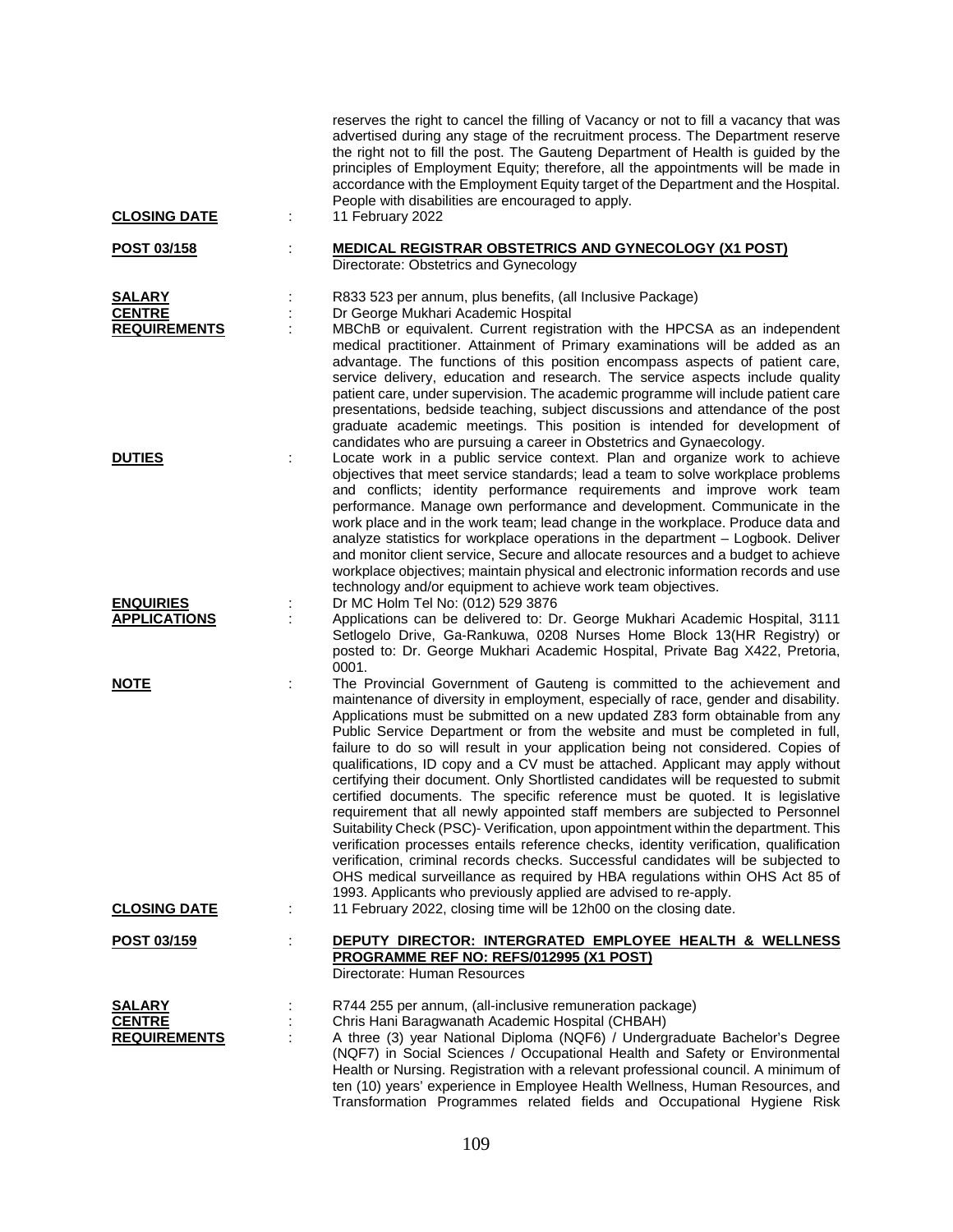| <b>CLOSING DATE</b>                  |   | reserves the right to cancel the filling of Vacancy or not to fill a vacancy that was<br>advertised during any stage of the recruitment process. The Department reserve<br>the right not to fill the post. The Gauteng Department of Health is guided by the<br>principles of Employment Equity; therefore, all the appointments will be made in<br>accordance with the Employment Equity target of the Department and the Hospital.<br>People with disabilities are encouraged to apply.<br>11 February 2022                                                                                                                                                                                                                                                                                                                                                                                                                                                                                                                                                                                                                                                                         |
|--------------------------------------|---|---------------------------------------------------------------------------------------------------------------------------------------------------------------------------------------------------------------------------------------------------------------------------------------------------------------------------------------------------------------------------------------------------------------------------------------------------------------------------------------------------------------------------------------------------------------------------------------------------------------------------------------------------------------------------------------------------------------------------------------------------------------------------------------------------------------------------------------------------------------------------------------------------------------------------------------------------------------------------------------------------------------------------------------------------------------------------------------------------------------------------------------------------------------------------------------|
|                                      |   |                                                                                                                                                                                                                                                                                                                                                                                                                                                                                                                                                                                                                                                                                                                                                                                                                                                                                                                                                                                                                                                                                                                                                                                       |
| POST 03/158                          |   | <b>MEDICAL REGISTRAR OBSTETRICS AND GYNECOLOGY (X1 POST)</b><br>Directorate: Obstetrics and Gynecology                                                                                                                                                                                                                                                                                                                                                                                                                                                                                                                                                                                                                                                                                                                                                                                                                                                                                                                                                                                                                                                                                |
| <b>SALARY</b>                        |   | R833 523 per annum, plus benefits, (all Inclusive Package)                                                                                                                                                                                                                                                                                                                                                                                                                                                                                                                                                                                                                                                                                                                                                                                                                                                                                                                                                                                                                                                                                                                            |
| <b>CENTRE</b><br><b>REQUIREMENTS</b> |   | Dr George Mukhari Academic Hospital                                                                                                                                                                                                                                                                                                                                                                                                                                                                                                                                                                                                                                                                                                                                                                                                                                                                                                                                                                                                                                                                                                                                                   |
|                                      |   | MBChB or equivalent. Current registration with the HPCSA as an independent<br>medical practitioner. Attainment of Primary examinations will be added as an<br>advantage. The functions of this position encompass aspects of patient care,<br>service delivery, education and research. The service aspects include quality<br>patient care, under supervision. The academic programme will include patient care<br>presentations, bedside teaching, subject discussions and attendance of the post<br>graduate academic meetings. This position is intended for development of<br>candidates who are pursuing a career in Obstetrics and Gynaecology.                                                                                                                                                                                                                                                                                                                                                                                                                                                                                                                                |
| <b>DUTIES</b>                        |   | Locate work in a public service context. Plan and organize work to achieve<br>objectives that meet service standards; lead a team to solve workplace problems<br>and conflicts; identity performance requirements and improve work team<br>performance. Manage own performance and development. Communicate in the<br>work place and in the work team; lead change in the workplace. Produce data and<br>analyze statistics for workplace operations in the department – Logbook. Deliver<br>and monitor client service, Secure and allocate resources and a budget to achieve<br>workplace objectives; maintain physical and electronic information records and use<br>technology and/or equipment to achieve work team objectives.                                                                                                                                                                                                                                                                                                                                                                                                                                                  |
| <b>ENQUIRIES</b>                     |   | Dr MC Holm Tel No: (012) 529 3876                                                                                                                                                                                                                                                                                                                                                                                                                                                                                                                                                                                                                                                                                                                                                                                                                                                                                                                                                                                                                                                                                                                                                     |
| <b>APPLICATIONS</b>                  |   | Applications can be delivered to: Dr. George Mukhari Academic Hospital, 3111<br>Setlogelo Drive, Ga-Rankuwa, 0208 Nurses Home Block 13(HR Registry) or<br>posted to: Dr. George Mukhari Academic Hospital, Private Bag X422, Pretoria,<br>0001.                                                                                                                                                                                                                                                                                                                                                                                                                                                                                                                                                                                                                                                                                                                                                                                                                                                                                                                                       |
| <b>NOTE</b>                          | ÷ | The Provincial Government of Gauteng is committed to the achievement and<br>maintenance of diversity in employment, especially of race, gender and disability.<br>Applications must be submitted on a new updated Z83 form obtainable from any<br>Public Service Department or from the website and must be completed in full,<br>failure to do so will result in your application being not considered. Copies of<br>qualifications, ID copy and a CV must be attached. Applicant may apply without<br>certifying their document. Only Shortlisted candidates will be requested to submit<br>certified documents. The specific reference must be quoted. It is legislative<br>requirement that all newly appointed staff members are subjected to Personnel<br>Suitability Check (PSC)- Verification, upon appointment within the department. This<br>verification processes entails reference checks, identity verification, qualification<br>verification, criminal records checks. Successful candidates will be subjected to<br>OHS medical surveillance as required by HBA regulations within OHS Act 85 of<br>1993. Applicants who previously applied are advised to re-apply. |
| <b>CLOSING DATE</b>                  |   | 11 February 2022, closing time will be 12h00 on the closing date.                                                                                                                                                                                                                                                                                                                                                                                                                                                                                                                                                                                                                                                                                                                                                                                                                                                                                                                                                                                                                                                                                                                     |
| POST 03/159                          | ÷ | DEPUTY DIRECTOR: INTERGRATED EMPLOYEE HEALTH & WELLNESS<br>PROGRAMME REF NO: REFS/012995 (X1 POST)<br>Directorate: Human Resources                                                                                                                                                                                                                                                                                                                                                                                                                                                                                                                                                                                                                                                                                                                                                                                                                                                                                                                                                                                                                                                    |
| <b>SALARY</b>                        |   | R744 255 per annum, (all-inclusive remuneration package)                                                                                                                                                                                                                                                                                                                                                                                                                                                                                                                                                                                                                                                                                                                                                                                                                                                                                                                                                                                                                                                                                                                              |
| <b>CENTRE</b><br><b>REQUIREMENTS</b> |   | Chris Hani Baragwanath Academic Hospital (CHBAH)<br>A three (3) year National Diploma (NQF6) / Undergraduate Bachelor's Degree<br>(NQF7) in Social Sciences / Occupational Health and Safety or Environmental<br>Health or Nursing. Registration with a relevant professional council. A minimum of<br>ten (10) years' experience in Employee Health Wellness, Human Resources, and<br>Transformation Programmes related fields and Occupational Hygiene Risk                                                                                                                                                                                                                                                                                                                                                                                                                                                                                                                                                                                                                                                                                                                         |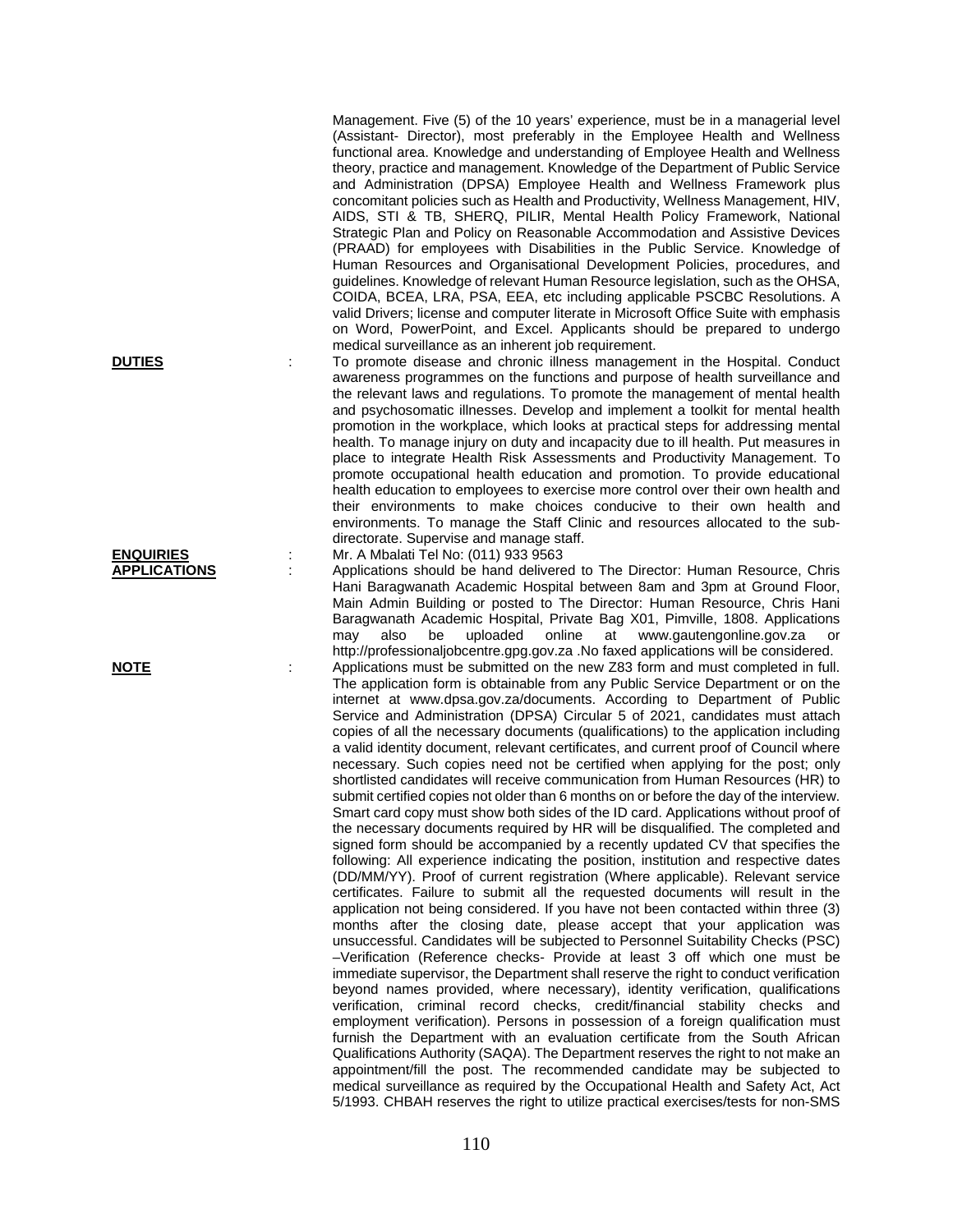Management. Five (5) of the 10 years' experience, must be in a managerial level (Assistant- Director), most preferably in the Employee Health and Wellness functional area. Knowledge and understanding of Employee Health and Wellness theory, practice and management. Knowledge of the Department of Public Service and Administration (DPSA) Employee Health and Wellness Framework plus concomitant policies such as Health and Productivity, Wellness Management, HIV, AIDS, STI & TB, SHERQ, PILIR, Mental Health Policy Framework, National Strategic Plan and Policy on Reasonable Accommodation and Assistive Devices (PRAAD) for employees with Disabilities in the Public Service. Knowledge of Human Resources and Organisational Development Policies, procedures, and guidelines. Knowledge of relevant Human Resource legislation, such as the OHSA, COIDA, BCEA, LRA, PSA, EEA, etc including applicable PSCBC Resolutions. A valid Drivers; license and computer literate in Microsoft Office Suite with emphasis on Word, PowerPoint, and Excel. Applicants should be prepared to undergo medical surveillance as an inherent job requirement.

**DUTIES** : To promote disease and chronic illness management in the Hospital. Conduct awareness programmes on the functions and purpose of health surveillance and the relevant laws and regulations. To promote the management of mental health and psychosomatic illnesses. Develop and implement a toolkit for mental health promotion in the workplace, which looks at practical steps for addressing mental health. To manage injury on duty and incapacity due to ill health. Put measures in place to integrate Health Risk Assessments and Productivity Management. To promote occupational health education and promotion. To provide educational health education to employees to exercise more control over their own health and their environments to make choices conducive to their own health and environments. To manage the Staff Clinic and resources allocated to the subdirectorate. Supervise and manage staff.

**ENQUIRIES** : Mr. A Mbalati Tel No: (011) 933 9563 **APPLICATIONS** : Applications should be hand delivered to The Director: Human Resource, Chris Hani Baragwanath Academic Hospital between 8am and 3pm at Ground Floor, Main Admin Building or posted to The Director: Human Resource, Chris Hani Baragwanath Academic Hospital, Private Bag X01, Pimville, 1808. Applications may also be uploaded online at www.gautengonline.gov.za or http://professionaljobcentre.gpg.gov.za .No faxed applications will be considered. **NOTE** : Applications must be submitted on the new Z83 form and must completed in full. The application form is obtainable from any Public Service Department or on the internet at www.dpsa.gov.za/documents. According to Department of Public Service and Administration (DPSA) Circular 5 of 2021, candidates must attach copies of all the necessary documents (qualifications) to the application including a valid identity document, relevant certificates, and current proof of Council where necessary. Such copies need not be certified when applying for the post; only shortlisted candidates will receive communication from Human Resources (HR) to submit certified copies not older than 6 months on or before the day of the interview. Smart card copy must show both sides of the ID card. Applications without proof of the necessary documents required by HR will be disqualified. The completed and signed form should be accompanied by a recently updated CV that specifies the following: All experience indicating the position, institution and respective dates (DD/MM/YY). Proof of current registration (Where applicable). Relevant service certificates. Failure to submit all the requested documents will result in the application not being considered. If you have not been contacted within three (3)

months after the closing date, please accept that your application was unsuccessful. Candidates will be subjected to Personnel Suitability Checks (PSC) –Verification (Reference checks- Provide at least 3 off which one must be immediate supervisor, the Department shall reserve the right to conduct verification beyond names provided, where necessary), identity verification, qualifications verification, criminal record checks, credit/financial stability checks and employment verification). Persons in possession of a foreign qualification must furnish the Department with an evaluation certificate from the South African Qualifications Authority (SAQA). The Department reserves the right to not make an appointment/fill the post. The recommended candidate may be subjected to medical surveillance as required by the Occupational Health and Safety Act, Act

5/1993. CHBAH reserves the right to utilize practical exercises/tests for non-SMS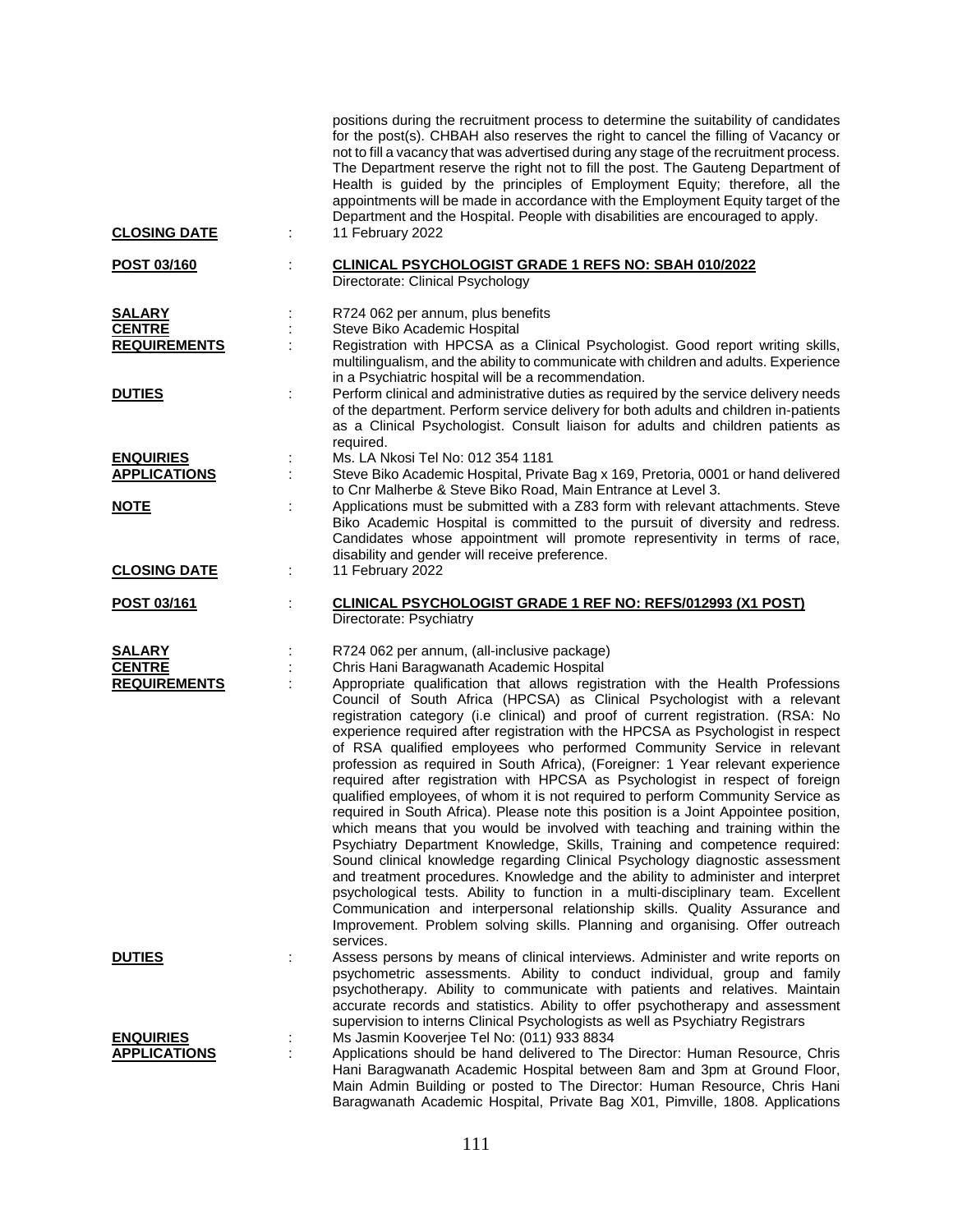|                                         |   | positions during the recruitment process to determine the suitability of candidates<br>for the post(s). CHBAH also reserves the right to cancel the filling of Vacancy or<br>not to fill a vacancy that was advertised during any stage of the recruitment process.<br>The Department reserve the right not to fill the post. The Gauteng Department of<br>Health is guided by the principles of Employment Equity; therefore, all the<br>appointments will be made in accordance with the Employment Equity target of the<br>Department and the Hospital. People with disabilities are encouraged to apply.                                                                                                                                                                                                                                                                                                                                                                                                                                                                                                                                                                                                                                                                                                                                                                                          |
|-----------------------------------------|---|-------------------------------------------------------------------------------------------------------------------------------------------------------------------------------------------------------------------------------------------------------------------------------------------------------------------------------------------------------------------------------------------------------------------------------------------------------------------------------------------------------------------------------------------------------------------------------------------------------------------------------------------------------------------------------------------------------------------------------------------------------------------------------------------------------------------------------------------------------------------------------------------------------------------------------------------------------------------------------------------------------------------------------------------------------------------------------------------------------------------------------------------------------------------------------------------------------------------------------------------------------------------------------------------------------------------------------------------------------------------------------------------------------|
| <b>CLOSING DATE</b>                     |   | 11 February 2022                                                                                                                                                                                                                                                                                                                                                                                                                                                                                                                                                                                                                                                                                                                                                                                                                                                                                                                                                                                                                                                                                                                                                                                                                                                                                                                                                                                      |
| POST 03/160                             |   | CLINICAL PSYCHOLOGIST GRADE 1 REFS NO: SBAH 010/2022<br>Directorate: Clinical Psychology                                                                                                                                                                                                                                                                                                                                                                                                                                                                                                                                                                                                                                                                                                                                                                                                                                                                                                                                                                                                                                                                                                                                                                                                                                                                                                              |
| <b>SALARY</b>                           |   | R724 062 per annum, plus benefits                                                                                                                                                                                                                                                                                                                                                                                                                                                                                                                                                                                                                                                                                                                                                                                                                                                                                                                                                                                                                                                                                                                                                                                                                                                                                                                                                                     |
| <b>CENTRE</b><br><b>REQUIREMENTS</b>    |   | Steve Biko Academic Hospital<br>Registration with HPCSA as a Clinical Psychologist. Good report writing skills,<br>multilingualism, and the ability to communicate with children and adults. Experience<br>in a Psychiatric hospital will be a recommendation.                                                                                                                                                                                                                                                                                                                                                                                                                                                                                                                                                                                                                                                                                                                                                                                                                                                                                                                                                                                                                                                                                                                                        |
| <b>DUTIES</b>                           |   | Perform clinical and administrative duties as required by the service delivery needs<br>of the department. Perform service delivery for both adults and children in-patients<br>as a Clinical Psychologist. Consult liaison for adults and children patients as<br>required.                                                                                                                                                                                                                                                                                                                                                                                                                                                                                                                                                                                                                                                                                                                                                                                                                                                                                                                                                                                                                                                                                                                          |
| <b>ENQUIRIES</b><br><b>APPLICATIONS</b> |   | Ms. LA Nkosi Tel No: 012 354 1181<br>Steve Biko Academic Hospital, Private Bag x 169, Pretoria, 0001 or hand delivered<br>to Cnr Malherbe & Steve Biko Road, Main Entrance at Level 3.                                                                                                                                                                                                                                                                                                                                                                                                                                                                                                                                                                                                                                                                                                                                                                                                                                                                                                                                                                                                                                                                                                                                                                                                                |
| <u>NOTE</u>                             | ÷ | Applications must be submitted with a Z83 form with relevant attachments. Steve<br>Biko Academic Hospital is committed to the pursuit of diversity and redress.<br>Candidates whose appointment will promote representivity in terms of race,<br>disability and gender will receive preference.                                                                                                                                                                                                                                                                                                                                                                                                                                                                                                                                                                                                                                                                                                                                                                                                                                                                                                                                                                                                                                                                                                       |
| <b>CLOSING DATE</b>                     |   | 11 February 2022                                                                                                                                                                                                                                                                                                                                                                                                                                                                                                                                                                                                                                                                                                                                                                                                                                                                                                                                                                                                                                                                                                                                                                                                                                                                                                                                                                                      |
| POST 03/161                             |   | CLINICAL PSYCHOLOGIST GRADE 1 REF NO: REFS/012993 (X1 POST)<br>Directorate: Psychiatry                                                                                                                                                                                                                                                                                                                                                                                                                                                                                                                                                                                                                                                                                                                                                                                                                                                                                                                                                                                                                                                                                                                                                                                                                                                                                                                |
| <b>SALARY</b>                           |   | R724 062 per annum, (all-inclusive package)                                                                                                                                                                                                                                                                                                                                                                                                                                                                                                                                                                                                                                                                                                                                                                                                                                                                                                                                                                                                                                                                                                                                                                                                                                                                                                                                                           |
| <b>CENTRE</b><br><b>REQUIREMENTS</b>    |   | Chris Hani Baragwanath Academic Hospital<br>Appropriate qualification that allows registration with the Health Professions<br>Council of South Africa (HPCSA) as Clinical Psychologist with a relevant<br>registration category (i.e clinical) and proof of current registration. (RSA: No<br>experience required after registration with the HPCSA as Psychologist in respect<br>of RSA qualified employees who performed Community Service in relevant<br>profession as required in South Africa), (Foreigner: 1 Year relevant experience<br>required after registration with HPCSA as Psychologist in respect of foreign<br>qualified employees, of whom it is not required to perform Community Service as<br>required in South Africa). Please note this position is a Joint Appointee position,<br>which means that you would be involved with teaching and training within the<br>Psychiatry Department Knowledge, Skills, Training and competence required:<br>Sound clinical knowledge regarding Clinical Psychology diagnostic assessment<br>and treatment procedures. Knowledge and the ability to administer and interpret<br>psychological tests. Ability to function in a multi-disciplinary team. Excellent<br>Communication and interpersonal relationship skills. Quality Assurance and<br>Improvement. Problem solving skills. Planning and organising. Offer outreach<br>services. |
| <b>DUTIES</b>                           |   | Assess persons by means of clinical interviews. Administer and write reports on<br>psychometric assessments. Ability to conduct individual, group and family<br>psychotherapy. Ability to communicate with patients and relatives. Maintain<br>accurate records and statistics. Ability to offer psychotherapy and assessment<br>supervision to interns Clinical Psychologists as well as Psychiatry Registrars                                                                                                                                                                                                                                                                                                                                                                                                                                                                                                                                                                                                                                                                                                                                                                                                                                                                                                                                                                                       |
| <b>ENQUIRIES</b><br><b>APPLICATIONS</b> |   | Ms Jasmin Kooverjee Tel No: (011) 933 8834<br>Applications should be hand delivered to The Director: Human Resource, Chris<br>Hani Baragwanath Academic Hospital between 8am and 3pm at Ground Floor,<br>Main Admin Building or posted to The Director: Human Resource, Chris Hani<br>Baragwanath Academic Hospital, Private Bag X01, Pimville, 1808. Applications                                                                                                                                                                                                                                                                                                                                                                                                                                                                                                                                                                                                                                                                                                                                                                                                                                                                                                                                                                                                                                    |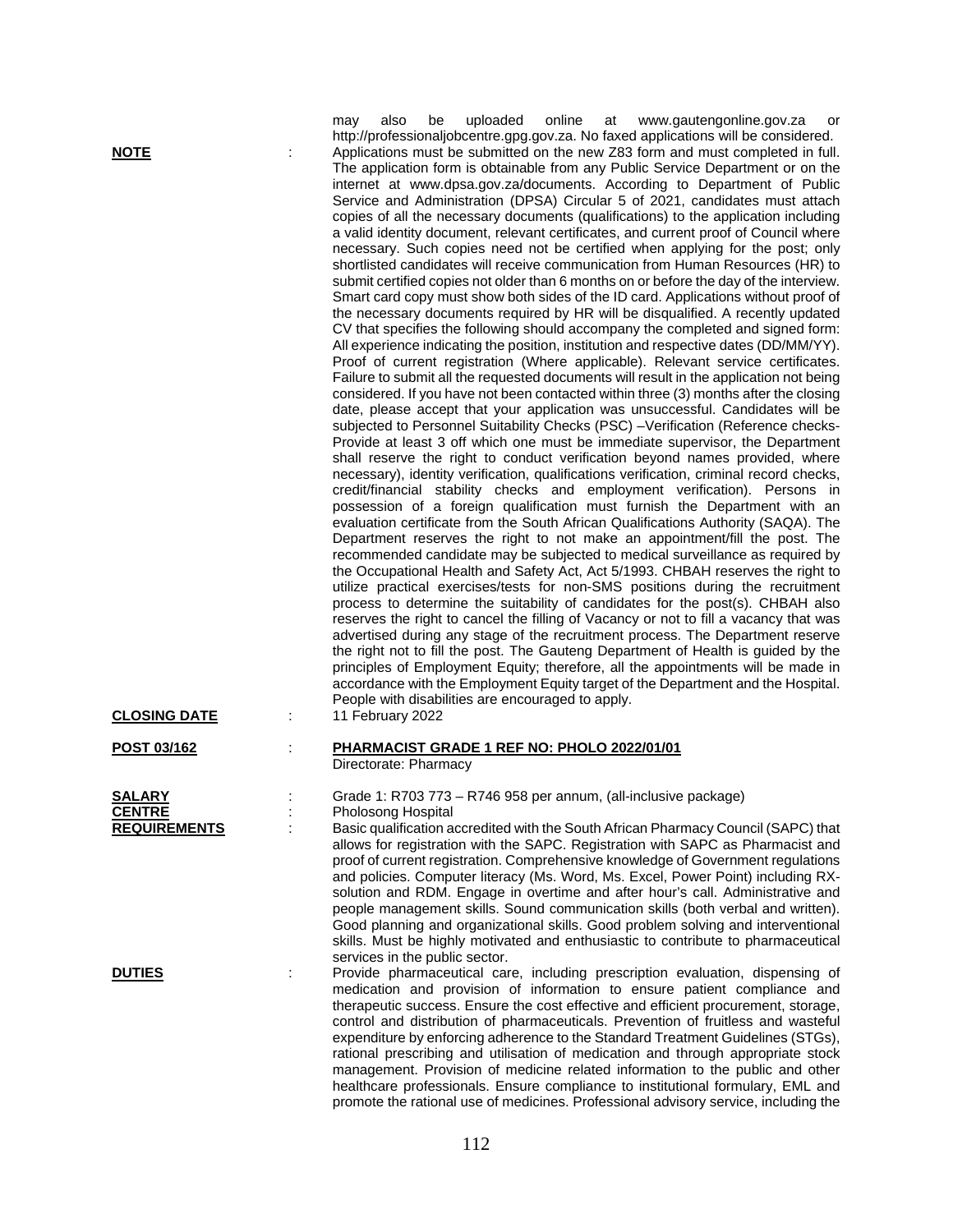| NOTE<br><b>CLOSING DATE</b>                    | uploaded<br>online<br>at<br>www.gautengonline.gov.za<br>also<br>be<br>may<br>or<br>http://professionaljobcentre.gpg.gov.za. No faxed applications will be considered.<br>Applications must be submitted on the new Z83 form and must completed in full.<br>The application form is obtainable from any Public Service Department or on the<br>internet at www.dpsa.gov.za/documents. According to Department of Public<br>Service and Administration (DPSA) Circular 5 of 2021, candidates must attach<br>copies of all the necessary documents (qualifications) to the application including<br>a valid identity document, relevant certificates, and current proof of Council where<br>necessary. Such copies need not be certified when applying for the post; only<br>shortlisted candidates will receive communication from Human Resources (HR) to<br>submit certified copies not older than 6 months on or before the day of the interview.<br>Smart card copy must show both sides of the ID card. Applications without proof of<br>the necessary documents required by HR will be disqualified. A recently updated<br>CV that specifies the following should accompany the completed and signed form:<br>All experience indicating the position, institution and respective dates (DD/MM/YY).<br>Proof of current registration (Where applicable). Relevant service certificates.<br>Failure to submit all the requested documents will result in the application not being<br>considered. If you have not been contacted within three (3) months after the closing<br>date, please accept that your application was unsuccessful. Candidates will be<br>subjected to Personnel Suitability Checks (PSC) -Verification (Reference checks-<br>Provide at least 3 off which one must be immediate supervisor, the Department<br>shall reserve the right to conduct verification beyond names provided, where<br>necessary), identity verification, qualifications verification, criminal record checks,<br>credit/financial stability checks and employment verification). Persons in<br>possession of a foreign qualification must furnish the Department with an<br>evaluation certificate from the South African Qualifications Authority (SAQA). The<br>Department reserves the right to not make an appointment/fill the post. The<br>recommended candidate may be subjected to medical surveillance as required by<br>the Occupational Health and Safety Act, Act 5/1993. CHBAH reserves the right to<br>utilize practical exercises/tests for non-SMS positions during the recruitment<br>process to determine the suitability of candidates for the post(s). CHBAH also<br>reserves the right to cancel the filling of Vacancy or not to fill a vacancy that was<br>advertised during any stage of the recruitment process. The Department reserve<br>the right not to fill the post. The Gauteng Department of Health is guided by the<br>principles of Employment Equity; therefore, all the appointments will be made in<br>accordance with the Employment Equity target of the Department and the Hospital.<br>People with disabilities are encouraged to apply.<br>11 February 2022 |
|------------------------------------------------|---------------------------------------------------------------------------------------------------------------------------------------------------------------------------------------------------------------------------------------------------------------------------------------------------------------------------------------------------------------------------------------------------------------------------------------------------------------------------------------------------------------------------------------------------------------------------------------------------------------------------------------------------------------------------------------------------------------------------------------------------------------------------------------------------------------------------------------------------------------------------------------------------------------------------------------------------------------------------------------------------------------------------------------------------------------------------------------------------------------------------------------------------------------------------------------------------------------------------------------------------------------------------------------------------------------------------------------------------------------------------------------------------------------------------------------------------------------------------------------------------------------------------------------------------------------------------------------------------------------------------------------------------------------------------------------------------------------------------------------------------------------------------------------------------------------------------------------------------------------------------------------------------------------------------------------------------------------------------------------------------------------------------------------------------------------------------------------------------------------------------------------------------------------------------------------------------------------------------------------------------------------------------------------------------------------------------------------------------------------------------------------------------------------------------------------------------------------------------------------------------------------------------------------------------------------------------------------------------------------------------------------------------------------------------------------------------------------------------------------------------------------------------------------------------------------------------------------------------------------------------------------------------------------------------------------------------------------------------------------------------------------------------------------------------------------------------------------------------------------------------------------------------------------------------------------------------------|
|                                                |                                                                                                                                                                                                                                                                                                                                                                                                                                                                                                                                                                                                                                                                                                                                                                                                                                                                                                                                                                                                                                                                                                                                                                                                                                                                                                                                                                                                                                                                                                                                                                                                                                                                                                                                                                                                                                                                                                                                                                                                                                                                                                                                                                                                                                                                                                                                                                                                                                                                                                                                                                                                                                                                                                                                                                                                                                                                                                                                                                                                                                                                                                                                                                                                         |
| POST 03/162                                    | PHARMACIST GRADE 1 REF NO: PHOLO 2022/01/01<br>Directorate: Pharmacy                                                                                                                                                                                                                                                                                                                                                                                                                                                                                                                                                                                                                                                                                                                                                                                                                                                                                                                                                                                                                                                                                                                                                                                                                                                                                                                                                                                                                                                                                                                                                                                                                                                                                                                                                                                                                                                                                                                                                                                                                                                                                                                                                                                                                                                                                                                                                                                                                                                                                                                                                                                                                                                                                                                                                                                                                                                                                                                                                                                                                                                                                                                                    |
| SALARY<br><b>CENTRE</b><br><b>REQUIREMENTS</b> | Grade 1: R703 773 – R746 958 per annum, (all-inclusive package)<br>Pholosong Hospital<br>Basic qualification accredited with the South African Pharmacy Council (SAPC) that<br>allows for registration with the SAPC. Registration with SAPC as Pharmacist and<br>proof of current registration. Comprehensive knowledge of Government regulations<br>and policies. Computer literacy (Ms. Word, Ms. Excel, Power Point) including RX-<br>solution and RDM. Engage in overtime and after hour's call. Administrative and<br>people management skills. Sound communication skills (both verbal and written).<br>Good planning and organizational skills. Good problem solving and interventional<br>skills. Must be highly motivated and enthusiastic to contribute to pharmaceutical<br>services in the public sector.                                                                                                                                                                                                                                                                                                                                                                                                                                                                                                                                                                                                                                                                                                                                                                                                                                                                                                                                                                                                                                                                                                                                                                                                                                                                                                                                                                                                                                                                                                                                                                                                                                                                                                                                                                                                                                                                                                                                                                                                                                                                                                                                                                                                                                                                                                                                                                                  |

**DUTIES** : Provide pharmaceutical care, including prescription evaluation, dispensing of medication and provision of information to ensure patient compliance and therapeutic success. Ensure the cost effective and efficient procurement, storage, control and distribution of pharmaceuticals. Prevention of fruitless and wasteful expenditure by enforcing adherence to the Standard Treatment Guidelines (STGs), rational prescribing and utilisation of medication and through appropriate stock management. Provision of medicine related information to the public and other healthcare professionals. Ensure compliance to institutional formulary, EML and promote the rational use of medicines. Professional advisory service, including the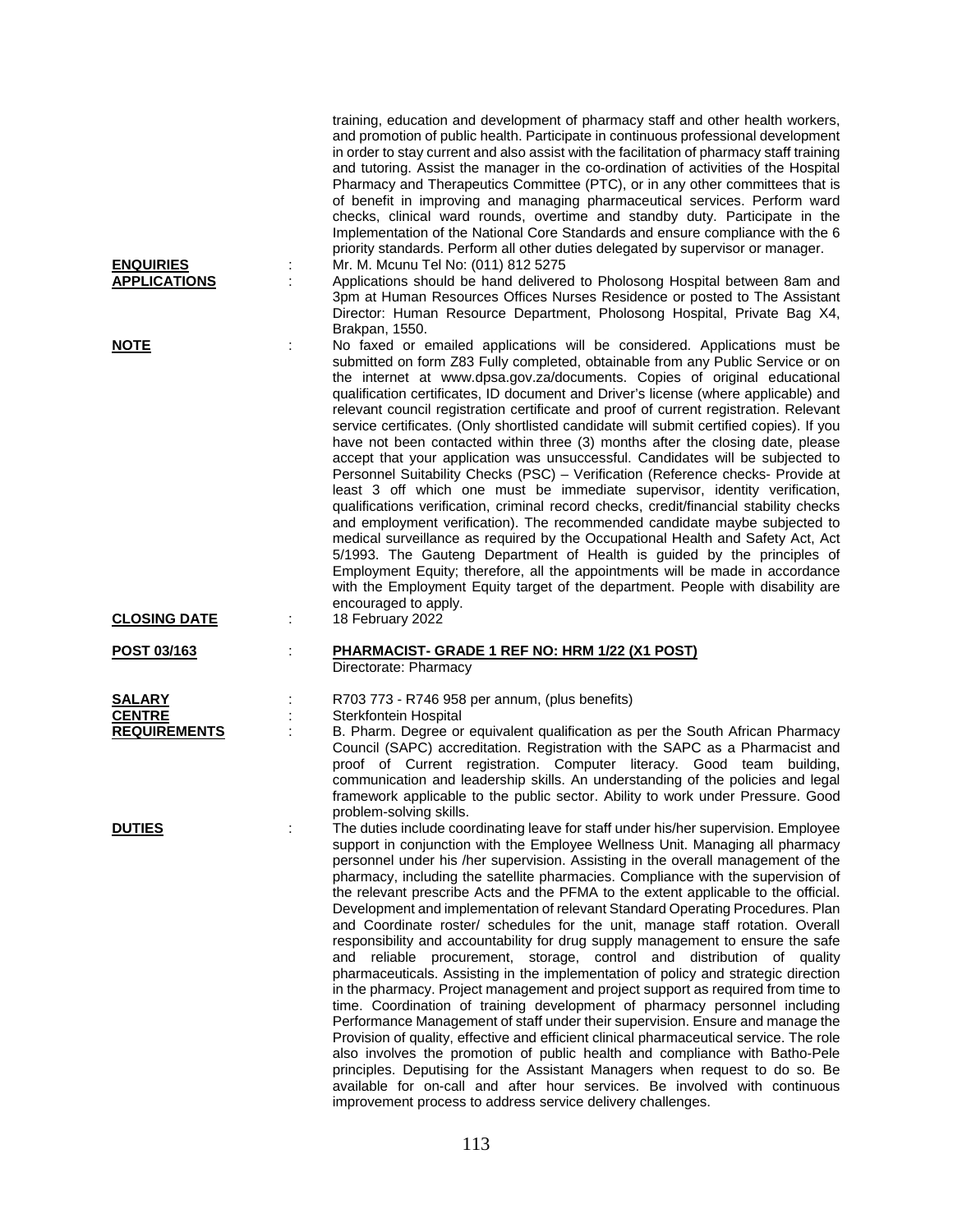|                                         | training, education and development of pharmacy staff and other health workers,<br>and promotion of public health. Participate in continuous professional development<br>in order to stay current and also assist with the facilitation of pharmacy staff training<br>and tutoring. Assist the manager in the co-ordination of activities of the Hospital<br>Pharmacy and Therapeutics Committee (PTC), or in any other committees that is<br>of benefit in improving and managing pharmaceutical services. Perform ward<br>checks, clinical ward rounds, overtime and standby duty. Participate in the<br>Implementation of the National Core Standards and ensure compliance with the 6<br>priority standards. Perform all other duties delegated by supervisor or manager.                                                                                                                                                                                                                                                                                                                                                                                                                                                                                                                                                                                                               |
|-----------------------------------------|---------------------------------------------------------------------------------------------------------------------------------------------------------------------------------------------------------------------------------------------------------------------------------------------------------------------------------------------------------------------------------------------------------------------------------------------------------------------------------------------------------------------------------------------------------------------------------------------------------------------------------------------------------------------------------------------------------------------------------------------------------------------------------------------------------------------------------------------------------------------------------------------------------------------------------------------------------------------------------------------------------------------------------------------------------------------------------------------------------------------------------------------------------------------------------------------------------------------------------------------------------------------------------------------------------------------------------------------------------------------------------------------|
| <b>ENQUIRIES</b><br><b>APPLICATIONS</b> | Mr. M. Mcunu Tel No: (011) 812 5275<br>Applications should be hand delivered to Pholosong Hospital between 8am and<br>3pm at Human Resources Offices Nurses Residence or posted to The Assistant<br>Director: Human Resource Department, Pholosong Hospital, Private Bag X4,<br>Brakpan, 1550.                                                                                                                                                                                                                                                                                                                                                                                                                                                                                                                                                                                                                                                                                                                                                                                                                                                                                                                                                                                                                                                                                              |
| <b>NOTE</b>                             | No faxed or emailed applications will be considered. Applications must be<br>submitted on form Z83 Fully completed, obtainable from any Public Service or on<br>the internet at www.dpsa.gov.za/documents. Copies of original educational<br>qualification certificates, ID document and Driver's license (where applicable) and<br>relevant council registration certificate and proof of current registration. Relevant<br>service certificates. (Only shortlisted candidate will submit certified copies). If you<br>have not been contacted within three (3) months after the closing date, please<br>accept that your application was unsuccessful. Candidates will be subjected to<br>Personnel Suitability Checks (PSC) - Verification (Reference checks- Provide at<br>least 3 off which one must be immediate supervisor, identity verification,<br>qualifications verification, criminal record checks, credit/financial stability checks<br>and employment verification). The recommended candidate maybe subjected to<br>medical surveillance as required by the Occupational Health and Safety Act, Act<br>5/1993. The Gauteng Department of Health is guided by the principles of<br>Employment Equity; therefore, all the appointments will be made in accordance<br>with the Employment Equity target of the department. People with disability are<br>encouraged to apply. |
| <b>CLOSING DATE</b>                     | 18 February 2022<br>÷                                                                                                                                                                                                                                                                                                                                                                                                                                                                                                                                                                                                                                                                                                                                                                                                                                                                                                                                                                                                                                                                                                                                                                                                                                                                                                                                                                       |
| POST 03/163                             | PHARMACIST- GRADE 1 REF NO: HRM 1/22 (X1 POST)<br>Directorate: Pharmacy                                                                                                                                                                                                                                                                                                                                                                                                                                                                                                                                                                                                                                                                                                                                                                                                                                                                                                                                                                                                                                                                                                                                                                                                                                                                                                                     |
| <b>SALARY</b><br><b>CENTRE</b>          | R703 773 - R746 958 per annum, (plus benefits)<br>Sterkfontein Hospital                                                                                                                                                                                                                                                                                                                                                                                                                                                                                                                                                                                                                                                                                                                                                                                                                                                                                                                                                                                                                                                                                                                                                                                                                                                                                                                     |
| <b>REQUIREMENTS</b>                     | B. Pharm. Degree or equivalent qualification as per the South African Pharmacy<br>Council (SAPC) accreditation. Registration with the SAPC as a Pharmacist and<br>proof of Current registration. Computer literacy. Good team building,<br>communication and leadership skills. An understanding of the policies and legal<br>framework applicable to the public sector. Ability to work under Pressure. Good<br>problem-solving skills.                                                                                                                                                                                                                                                                                                                                                                                                                                                                                                                                                                                                                                                                                                                                                                                                                                                                                                                                                    |
| <b>DUTIES</b>                           | The duties include coordinating leave for staff under his/her supervision. Employee<br>support in conjunction with the Employee Wellness Unit. Managing all pharmacy<br>personnel under his /her supervision. Assisting in the overall management of the<br>pharmacy, including the satellite pharmacies. Compliance with the supervision of<br>the relevant prescribe Acts and the PFMA to the extent applicable to the official.<br>Development and implementation of relevant Standard Operating Procedures. Plan<br>and Coordinate roster/ schedules for the unit, manage staff rotation. Overall<br>responsibility and accountability for drug supply management to ensure the safe<br>and reliable procurement, storage, control and distribution of quality<br>pharmaceuticals. Assisting in the implementation of policy and strategic direction<br>in the pharmacy. Project management and project support as required from time to<br>time. Coordination of training development of pharmacy personnel including<br>Performance Management of staff under their supervision. Ensure and manage the<br>Provision of quality, effective and efficient clinical pharmaceutical service. The role<br>also involves the promotion of public health and compliance with Batho-Pele                                                                                                      |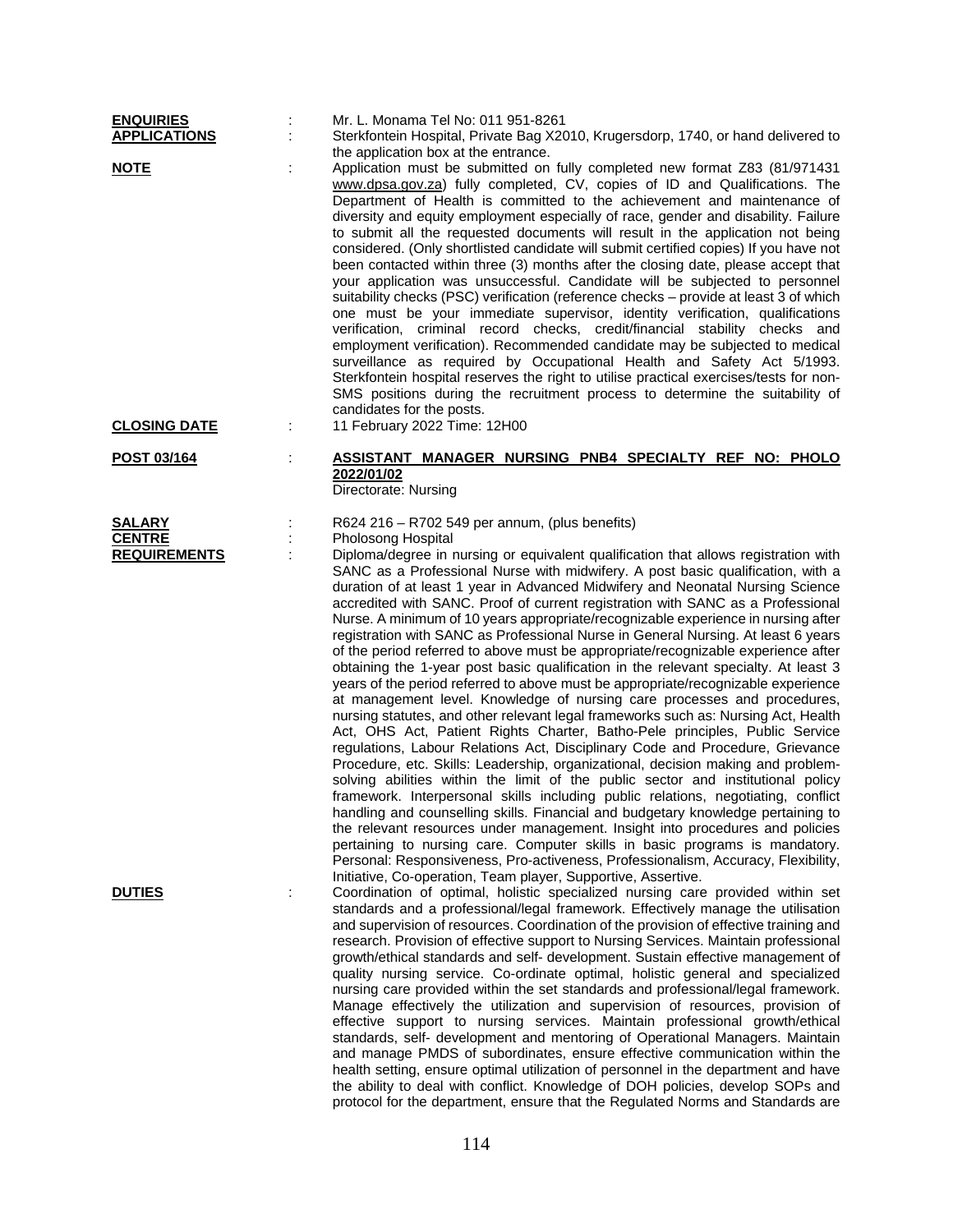| <b>ENQUIRIES</b><br><b>APPLICATIONS</b>               |   | Mr. L. Monama Tel No: 011 951-8261<br>Sterkfontein Hospital, Private Bag X2010, Krugersdorp, 1740, or hand delivered to<br>the application box at the entrance.                                                                                                                                                                                                                                                                                                                                                                                                                                                                                                                                                                                                                                                                                                                                                                                                                                                                                                                                                                                                                                                                                                                                                                                                                                                                                                                                                                                                                                                                                                                                                                                                                                        |
|-------------------------------------------------------|---|--------------------------------------------------------------------------------------------------------------------------------------------------------------------------------------------------------------------------------------------------------------------------------------------------------------------------------------------------------------------------------------------------------------------------------------------------------------------------------------------------------------------------------------------------------------------------------------------------------------------------------------------------------------------------------------------------------------------------------------------------------------------------------------------------------------------------------------------------------------------------------------------------------------------------------------------------------------------------------------------------------------------------------------------------------------------------------------------------------------------------------------------------------------------------------------------------------------------------------------------------------------------------------------------------------------------------------------------------------------------------------------------------------------------------------------------------------------------------------------------------------------------------------------------------------------------------------------------------------------------------------------------------------------------------------------------------------------------------------------------------------------------------------------------------------|
| <b>NOTE</b><br><b>CLOSING DATE</b>                    |   | Application must be submitted on fully completed new format Z83 (81/971431<br>www.dpsa.gov.za) fully completed, CV, copies of ID and Qualifications. The<br>Department of Health is committed to the achievement and maintenance of<br>diversity and equity employment especially of race, gender and disability. Failure<br>to submit all the requested documents will result in the application not being<br>considered. (Only shortlisted candidate will submit certified copies) If you have not<br>been contacted within three (3) months after the closing date, please accept that<br>your application was unsuccessful. Candidate will be subjected to personnel<br>suitability checks (PSC) verification (reference checks - provide at least 3 of which<br>one must be your immediate supervisor, identity verification, qualifications<br>verification, criminal record checks, credit/financial stability checks and<br>employment verification). Recommended candidate may be subjected to medical<br>surveillance as required by Occupational Health and Safety Act 5/1993.<br>Sterkfontein hospital reserves the right to utilise practical exercises/tests for non-<br>SMS positions during the recruitment process to determine the suitability of<br>candidates for the posts.<br>11 February 2022 Time: 12H00                                                                                                                                                                                                                                                                                                                                                                                                                                                                       |
| POST 03/164                                           |   | ASSISTANT MANAGER NURSING PNB4 SPECIALTY REF NO: PHOLO<br>2022/01/02<br>Directorate: Nursing                                                                                                                                                                                                                                                                                                                                                                                                                                                                                                                                                                                                                                                                                                                                                                                                                                                                                                                                                                                                                                                                                                                                                                                                                                                                                                                                                                                                                                                                                                                                                                                                                                                                                                           |
| <b>SALARY</b><br><b>CENTRE</b><br><b>REQUIREMENTS</b> |   | R624 216 – R702 549 per annum, (plus benefits)<br>Pholosong Hospital<br>Diploma/degree in nursing or equivalent qualification that allows registration with<br>SANC as a Professional Nurse with midwifery. A post basic qualification, with a<br>duration of at least 1 year in Advanced Midwifery and Neonatal Nursing Science<br>accredited with SANC. Proof of current registration with SANC as a Professional<br>Nurse. A minimum of 10 years appropriate/recognizable experience in nursing after<br>registration with SANC as Professional Nurse in General Nursing. At least 6 years<br>of the period referred to above must be appropriate/recognizable experience after<br>obtaining the 1-year post basic qualification in the relevant specialty. At least 3<br>years of the period referred to above must be appropriate/recognizable experience<br>at management level. Knowledge of nursing care processes and procedures,<br>nursing statutes, and other relevant legal frameworks such as: Nursing Act, Health<br>Act, OHS Act, Patient Rights Charter, Batho-Pele principles, Public Service<br>regulations, Labour Relations Act, Disciplinary Code and Procedure, Grievance<br>Procedure, etc. Skills: Leadership, organizational, decision making and problem-<br>solving abilities within the limit of the public sector and institutional policy<br>framework. Interpersonal skills including public relations, negotiating, conflict<br>handling and counselling skills. Financial and budgetary knowledge pertaining to<br>the relevant resources under management. Insight into procedures and policies<br>pertaining to nursing care. Computer skills in basic programs is mandatory.<br>Personal: Responsiveness, Pro-activeness, Professionalism, Accuracy, Flexibility, |
| <b>DUTIES</b>                                         | ÷ | Initiative, Co-operation, Team player, Supportive, Assertive.<br>Coordination of optimal, holistic specialized nursing care provided within set<br>standards and a professional/legal framework. Effectively manage the utilisation<br>and supervision of resources. Coordination of the provision of effective training and<br>research. Provision of effective support to Nursing Services. Maintain professional<br>growth/ethical standards and self- development. Sustain effective management of<br>quality nursing service. Co-ordinate optimal, holistic general and specialized<br>nursing care provided within the set standards and professional/legal framework.<br>Manage effectively the utilization and supervision of resources, provision of<br>effective support to nursing services. Maintain professional growth/ethical<br>standards, self- development and mentoring of Operational Managers. Maintain<br>and manage PMDS of subordinates, ensure effective communication within the<br>health setting, ensure optimal utilization of personnel in the department and have<br>the ability to deal with conflict. Knowledge of DOH policies, develop SOPs and<br>protocol for the department, ensure that the Regulated Norms and Standards are                                                                                                                                                                                                                                                                                                                                                                                                                                                                                                                                   |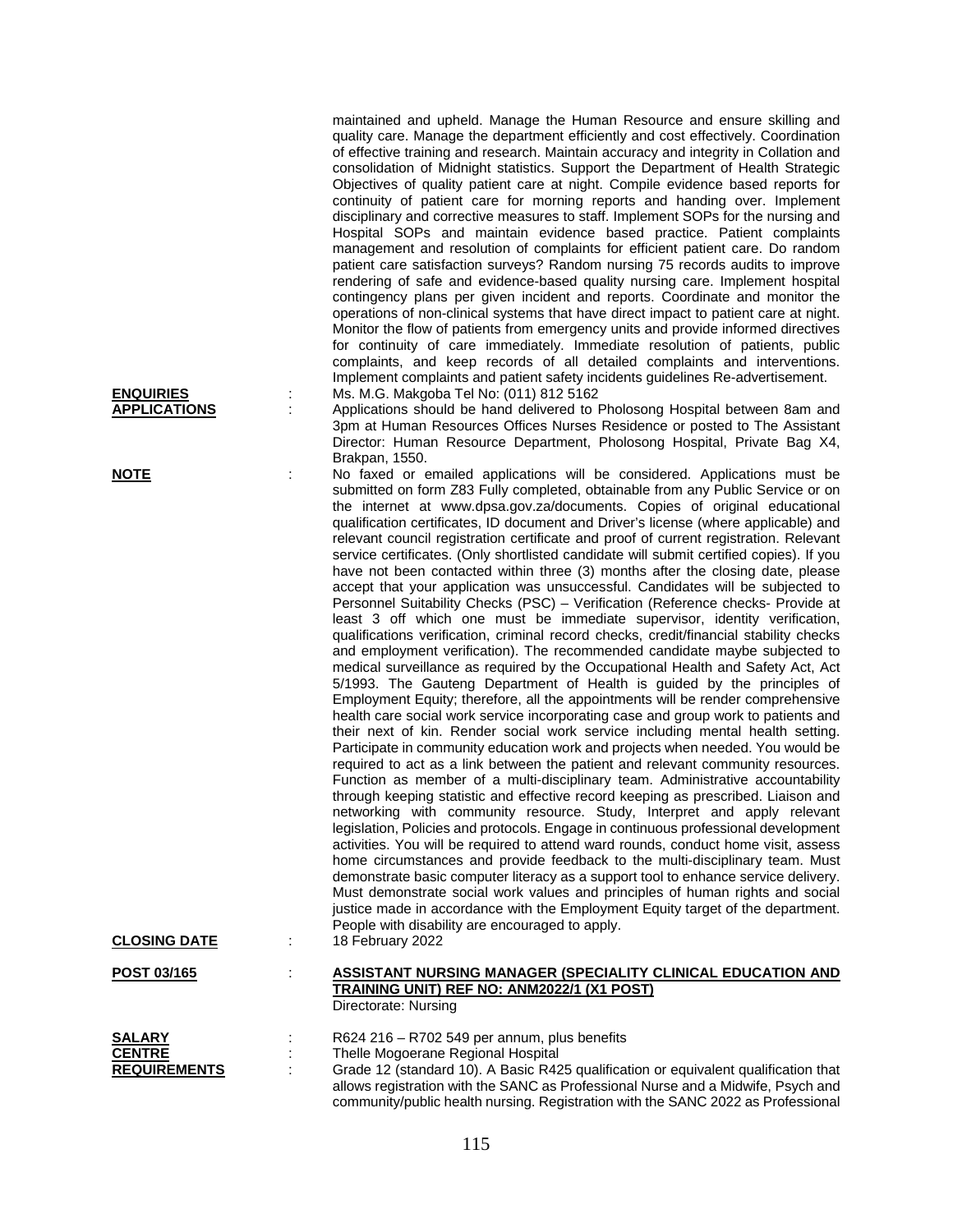| <b>ENQUIRIES</b><br><b>APPLICATIONS</b> |   | quality care. Manage the department efficiently and cost effectively. Coordination<br>of effective training and research. Maintain accuracy and integrity in Collation and<br>consolidation of Midnight statistics. Support the Department of Health Strategic<br>Objectives of quality patient care at night. Compile evidence based reports for<br>continuity of patient care for morning reports and handing over. Implement<br>disciplinary and corrective measures to staff. Implement SOPs for the nursing and<br>Hospital SOPs and maintain evidence based practice. Patient complaints<br>management and resolution of complaints for efficient patient care. Do random<br>patient care satisfaction surveys? Random nursing 75 records audits to improve<br>rendering of safe and evidence-based quality nursing care. Implement hospital<br>contingency plans per given incident and reports. Coordinate and monitor the<br>operations of non-clinical systems that have direct impact to patient care at night.<br>Monitor the flow of patients from emergency units and provide informed directives<br>for continuity of care immediately. Immediate resolution of patients, public<br>complaints, and keep records of all detailed complaints and interventions.<br>Implement complaints and patient safety incidents guidelines Re-advertisement.<br>Ms. M.G. Makgoba Tel No: (011) 812 5162<br>Applications should be hand delivered to Pholosong Hospital between 8am and<br>3pm at Human Resources Offices Nurses Residence or posted to The Assistant<br>Director: Human Resource Department, Pholosong Hospital, Private Bag X4,<br>Brakpan, 1550.                                                                                                                                                                                                                                                                                                                                                                                                                                                                                                                                                                                                                                                                                                        |
|-----------------------------------------|---|------------------------------------------------------------------------------------------------------------------------------------------------------------------------------------------------------------------------------------------------------------------------------------------------------------------------------------------------------------------------------------------------------------------------------------------------------------------------------------------------------------------------------------------------------------------------------------------------------------------------------------------------------------------------------------------------------------------------------------------------------------------------------------------------------------------------------------------------------------------------------------------------------------------------------------------------------------------------------------------------------------------------------------------------------------------------------------------------------------------------------------------------------------------------------------------------------------------------------------------------------------------------------------------------------------------------------------------------------------------------------------------------------------------------------------------------------------------------------------------------------------------------------------------------------------------------------------------------------------------------------------------------------------------------------------------------------------------------------------------------------------------------------------------------------------------------------------------------------------------------------------------------------------------------------------------------------------------------------------------------------------------------------------------------------------------------------------------------------------------------------------------------------------------------------------------------------------------------------------------------------------------------------------------------------------------------------------------------------------------------------|
| <b>NOTE</b>                             | t | No faxed or emailed applications will be considered. Applications must be                                                                                                                                                                                                                                                                                                                                                                                                                                                                                                                                                                                                                                                                                                                                                                                                                                                                                                                                                                                                                                                                                                                                                                                                                                                                                                                                                                                                                                                                                                                                                                                                                                                                                                                                                                                                                                                                                                                                                                                                                                                                                                                                                                                                                                                                                                    |
|                                         |   | submitted on form Z83 Fully completed, obtainable from any Public Service or on<br>the internet at www.dpsa.gov.za/documents. Copies of original educational<br>qualification certificates, ID document and Driver's license (where applicable) and<br>relevant council registration certificate and proof of current registration. Relevant<br>service certificates. (Only shortlisted candidate will submit certified copies). If you<br>have not been contacted within three (3) months after the closing date, please<br>accept that your application was unsuccessful. Candidates will be subjected to<br>Personnel Suitability Checks (PSC) - Verification (Reference checks- Provide at<br>least 3 off which one must be immediate supervisor, identity verification,<br>qualifications verification, criminal record checks, credit/financial stability checks<br>and employment verification). The recommended candidate maybe subjected to<br>medical surveillance as required by the Occupational Health and Safety Act, Act<br>5/1993. The Gauteng Department of Health is guided by the principles of<br>Employment Equity; therefore, all the appointments will be render comprehensive<br>health care social work service incorporating case and group work to patients and<br>their next of kin. Render social work service including mental health setting.<br>Participate in community education work and projects when needed. You would be<br>required to act as a link between the patient and relevant community resources.<br>Function as member of a multi-disciplinary team. Administrative accountability<br>through keeping statistic and effective record keeping as prescribed. Liaison and<br>networking with community resource. Study, Interpret and apply relevant<br>legislation, Policies and protocols. Engage in continuous professional development<br>activities. You will be required to attend ward rounds, conduct home visit, assess<br>home circumstances and provide feedback to the multi-disciplinary team. Must<br>demonstrate basic computer literacy as a support tool to enhance service delivery.<br>Must demonstrate social work values and principles of human rights and social<br>justice made in accordance with the Employment Equity target of the department.<br>People with disability are encouraged to apply. |
| <b>CLOSING DATE</b>                     | ÷ | 18 February 2022                                                                                                                                                                                                                                                                                                                                                                                                                                                                                                                                                                                                                                                                                                                                                                                                                                                                                                                                                                                                                                                                                                                                                                                                                                                                                                                                                                                                                                                                                                                                                                                                                                                                                                                                                                                                                                                                                                                                                                                                                                                                                                                                                                                                                                                                                                                                                             |
| <u>POST 03/165</u>                      |   | <b>ASSISTANT NURSING MANAGER (SPECIALITY CLINICAL EDUCATION AND</b><br>TRAINING UNIT) REF NO: ANM2022/1 (X1 POST)<br>Directorate: Nursing                                                                                                                                                                                                                                                                                                                                                                                                                                                                                                                                                                                                                                                                                                                                                                                                                                                                                                                                                                                                                                                                                                                                                                                                                                                                                                                                                                                                                                                                                                                                                                                                                                                                                                                                                                                                                                                                                                                                                                                                                                                                                                                                                                                                                                    |
| <b>SALARY</b>                           |   | R624 216 - R702 549 per annum, plus benefits                                                                                                                                                                                                                                                                                                                                                                                                                                                                                                                                                                                                                                                                                                                                                                                                                                                                                                                                                                                                                                                                                                                                                                                                                                                                                                                                                                                                                                                                                                                                                                                                                                                                                                                                                                                                                                                                                                                                                                                                                                                                                                                                                                                                                                                                                                                                 |
| <b>CENTRE</b><br><b>REQUIREMENTS</b>    |   | Thelle Mogoerane Regional Hospital<br>Grade 12 (standard 10). A Basic R425 qualification or equivalent qualification that                                                                                                                                                                                                                                                                                                                                                                                                                                                                                                                                                                                                                                                                                                                                                                                                                                                                                                                                                                                                                                                                                                                                                                                                                                                                                                                                                                                                                                                                                                                                                                                                                                                                                                                                                                                                                                                                                                                                                                                                                                                                                                                                                                                                                                                    |
|                                         |   | allows registration with the SANC as Professional Nurse and a Midwife, Psych and                                                                                                                                                                                                                                                                                                                                                                                                                                                                                                                                                                                                                                                                                                                                                                                                                                                                                                                                                                                                                                                                                                                                                                                                                                                                                                                                                                                                                                                                                                                                                                                                                                                                                                                                                                                                                                                                                                                                                                                                                                                                                                                                                                                                                                                                                             |

maintained and upheld. Manage the Human Resource and ensure skilling and

community/public health nursing. Registration with the SANC 2022 as Professional

115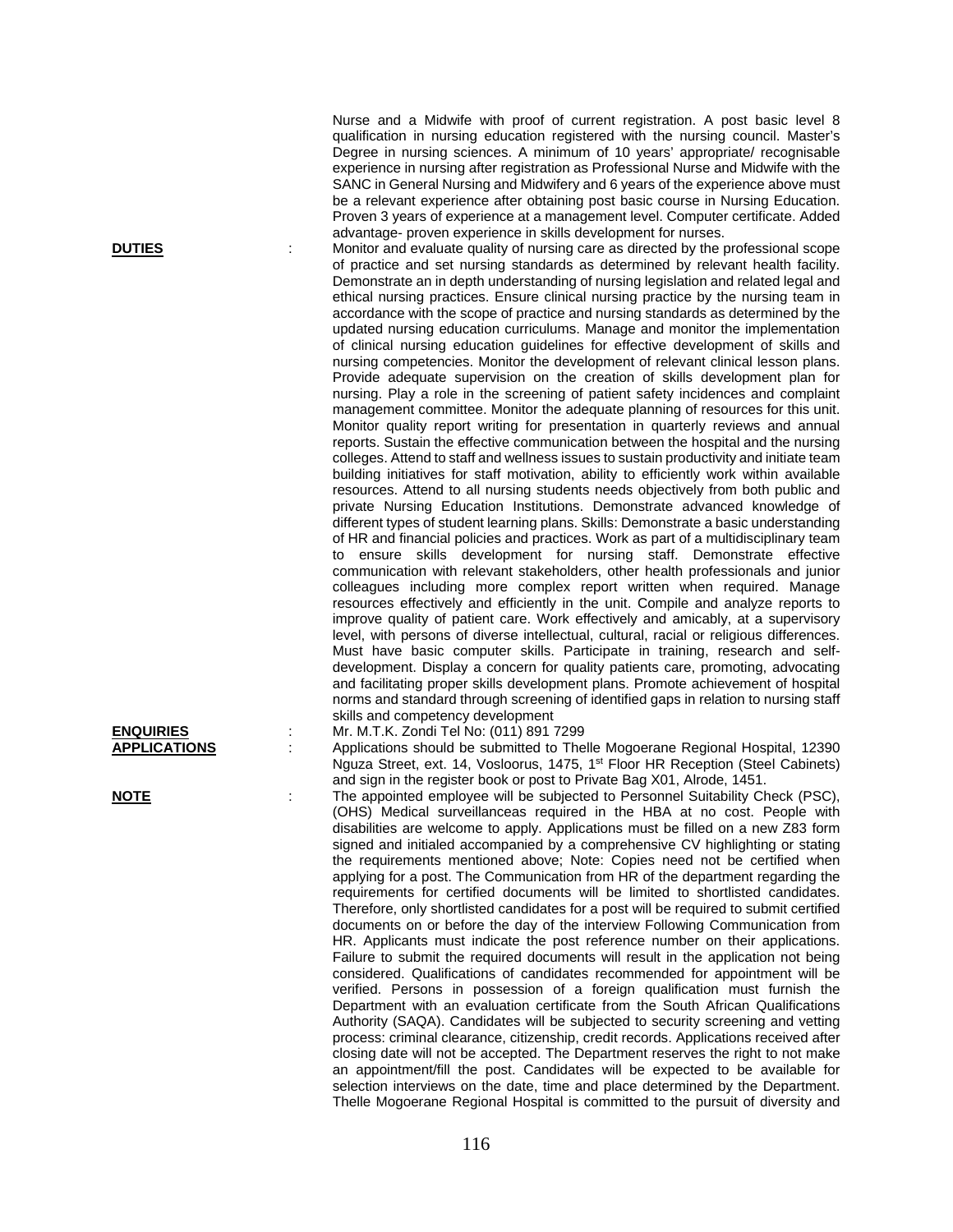Nurse and a Midwife with proof of current registration. A post basic level 8 qualification in nursing education registered with the nursing council. Master's Degree in nursing sciences. A minimum of 10 years' appropriate/ recognisable experience in nursing after registration as Professional Nurse and Midwife with the SANC in General Nursing and Midwifery and 6 years of the experience above must be a relevant experience after obtaining post basic course in Nursing Education. Proven 3 years of experience at a management level. Computer certificate. Added advantage- proven experience in skills development for nurses.

**DUTIES** : Monitor and evaluate quality of nursing care as directed by the professional scope of practice and set nursing standards as determined by relevant health facility. Demonstrate an in depth understanding of nursing legislation and related legal and ethical nursing practices. Ensure clinical nursing practice by the nursing team in accordance with the scope of practice and nursing standards as determined by the updated nursing education curriculums. Manage and monitor the implementation of clinical nursing education guidelines for effective development of skills and nursing competencies. Monitor the development of relevant clinical lesson plans. Provide adequate supervision on the creation of skills development plan for nursing. Play a role in the screening of patient safety incidences and complaint management committee. Monitor the adequate planning of resources for this unit. Monitor quality report writing for presentation in quarterly reviews and annual reports. Sustain the effective communication between the hospital and the nursing colleges. Attend to staff and wellness issues to sustain productivity and initiate team building initiatives for staff motivation, ability to efficiently work within available resources. Attend to all nursing students needs objectively from both public and private Nursing Education Institutions. Demonstrate advanced knowledge of different types of student learning plans. Skills: Demonstrate a basic understanding of HR and financial policies and practices. Work as part of a multidisciplinary team to ensure skills development for nursing staff. Demonstrate effective communication with relevant stakeholders, other health professionals and junior colleagues including more complex report written when required. Manage resources effectively and efficiently in the unit. Compile and analyze reports to improve quality of patient care. Work effectively and amicably, at a supervisory level, with persons of diverse intellectual, cultural, racial or religious differences. Must have basic computer skills. Participate in training, research and selfdevelopment. Display a concern for quality patients care, promoting, advocating and facilitating proper skills development plans. Promote achievement of hospital norms and standard through screening of identified gaps in relation to nursing staff skills and competency development

**ENQUIRIES** : Mr. M.T.K. Zondi Tel No: (011) 891 7299 **APPLICATIONS** : Applications should be submitted to Thelle Mogoerane Regional Hospital, 12390 Nguza Street, ext. 14, Vosloorus, 1475, 1<sup>st</sup> Floor HR Reception (Steel Cabinets) and sign in the register book or post to Private Bag X01, Alrode, 1451.

**NOTE** : The appointed employee will be subjected to Personnel Suitability Check (PSC), (OHS) Medical surveillanceas required in the HBA at no cost. People with disabilities are welcome to apply. Applications must be filled on a new Z83 form signed and initialed accompanied by a comprehensive CV highlighting or stating the requirements mentioned above; Note: Copies need not be certified when applying for a post. The Communication from HR of the department regarding the requirements for certified documents will be limited to shortlisted candidates. Therefore, only shortlisted candidates for a post will be required to submit certified documents on or before the day of the interview Following Communication from HR. Applicants must indicate the post reference number on their applications. Failure to submit the required documents will result in the application not being considered. Qualifications of candidates recommended for appointment will be verified. Persons in possession of a foreign qualification must furnish the Department with an evaluation certificate from the South African Qualifications Authority (SAQA). Candidates will be subjected to security screening and vetting process: criminal clearance, citizenship, credit records. Applications received after closing date will not be accepted. The Department reserves the right to not make an appointment/fill the post. Candidates will be expected to be available for selection interviews on the date, time and place determined by the Department. Thelle Mogoerane Regional Hospital is committed to the pursuit of diversity and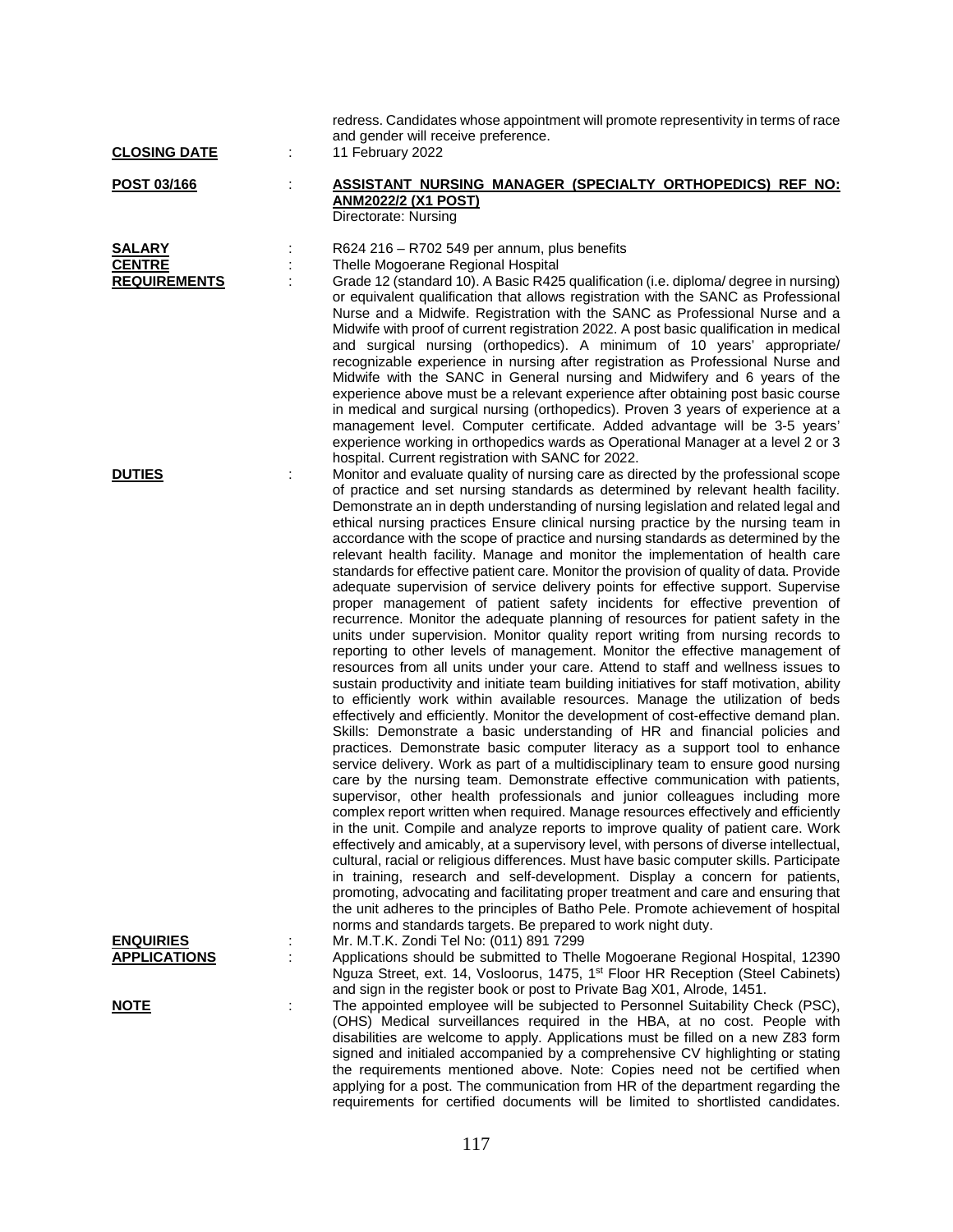| <b>CLOSING DATE</b>                            | ÷ | redress. Candidates whose appointment will promote representivity in terms of race<br>and gender will receive preference.<br>11 February 2022                                                                                                                                                                                                                                                                                                                                                                                                                                                                                                                                                                                                                                                                                                                                                                                                                                                                                                                                                                                                                                                                                                                                                                                                                                                                                                                                                                                                                                                                                                                                                                                                                                                                                                                                                                                                                                                                                                                                                                                                                                                                                                                                                                                                                                                                                                                                                          |
|------------------------------------------------|---|--------------------------------------------------------------------------------------------------------------------------------------------------------------------------------------------------------------------------------------------------------------------------------------------------------------------------------------------------------------------------------------------------------------------------------------------------------------------------------------------------------------------------------------------------------------------------------------------------------------------------------------------------------------------------------------------------------------------------------------------------------------------------------------------------------------------------------------------------------------------------------------------------------------------------------------------------------------------------------------------------------------------------------------------------------------------------------------------------------------------------------------------------------------------------------------------------------------------------------------------------------------------------------------------------------------------------------------------------------------------------------------------------------------------------------------------------------------------------------------------------------------------------------------------------------------------------------------------------------------------------------------------------------------------------------------------------------------------------------------------------------------------------------------------------------------------------------------------------------------------------------------------------------------------------------------------------------------------------------------------------------------------------------------------------------------------------------------------------------------------------------------------------------------------------------------------------------------------------------------------------------------------------------------------------------------------------------------------------------------------------------------------------------------------------------------------------------------------------------------------------------|
| POST 03/166                                    | ÷ | ASSISTANT NURSING MANAGER (SPECIALTY ORTHOPEDICS) REF NO:<br><b>ANM2022/2 (X1 POST)</b><br>Directorate: Nursing                                                                                                                                                                                                                                                                                                                                                                                                                                                                                                                                                                                                                                                                                                                                                                                                                                                                                                                                                                                                                                                                                                                                                                                                                                                                                                                                                                                                                                                                                                                                                                                                                                                                                                                                                                                                                                                                                                                                                                                                                                                                                                                                                                                                                                                                                                                                                                                        |
| SALARY<br><b>CENTRE</b><br><b>REQUIREMENTS</b> | ÷ | R624 216 - R702 549 per annum, plus benefits<br>Thelle Mogoerane Regional Hospital<br>Grade 12 (standard 10). A Basic R425 qualification (i.e. diploma/ degree in nursing)<br>or equivalent qualification that allows registration with the SANC as Professional<br>Nurse and a Midwife. Registration with the SANC as Professional Nurse and a<br>Midwife with proof of current registration 2022. A post basic qualification in medical<br>and surgical nursing (orthopedics). A minimum of 10 years' appropriate/<br>recognizable experience in nursing after registration as Professional Nurse and<br>Midwife with the SANC in General nursing and Midwifery and 6 years of the<br>experience above must be a relevant experience after obtaining post basic course<br>in medical and surgical nursing (orthopedics). Proven 3 years of experience at a<br>management level. Computer certificate. Added advantage will be 3-5 years'<br>experience working in orthopedics wards as Operational Manager at a level 2 or 3                                                                                                                                                                                                                                                                                                                                                                                                                                                                                                                                                                                                                                                                                                                                                                                                                                                                                                                                                                                                                                                                                                                                                                                                                                                                                                                                                                                                                                                                         |
| <b>DUTIES</b>                                  | ÷ | hospital. Current registration with SANC for 2022.<br>Monitor and evaluate quality of nursing care as directed by the professional scope<br>of practice and set nursing standards as determined by relevant health facility.<br>Demonstrate an in depth understanding of nursing legislation and related legal and<br>ethical nursing practices Ensure clinical nursing practice by the nursing team in<br>accordance with the scope of practice and nursing standards as determined by the<br>relevant health facility. Manage and monitor the implementation of health care<br>standards for effective patient care. Monitor the provision of quality of data. Provide<br>adequate supervision of service delivery points for effective support. Supervise<br>proper management of patient safety incidents for effective prevention of<br>recurrence. Monitor the adequate planning of resources for patient safety in the<br>units under supervision. Monitor quality report writing from nursing records to<br>reporting to other levels of management. Monitor the effective management of<br>resources from all units under your care. Attend to staff and wellness issues to<br>sustain productivity and initiate team building initiatives for staff motivation, ability<br>to efficiently work within available resources. Manage the utilization of beds<br>effectively and efficiently. Monitor the development of cost-effective demand plan.<br>Skills: Demonstrate a basic understanding of HR and financial policies and<br>practices. Demonstrate basic computer literacy as a support tool to enhance<br>service delivery. Work as part of a multidisciplinary team to ensure good nursing<br>care by the nursing team. Demonstrate effective communication with patients,<br>supervisor, other health professionals and junior colleagues including more<br>complex report written when required. Manage resources effectively and efficiently<br>in the unit. Compile and analyze reports to improve quality of patient care. Work<br>effectively and amicably, at a supervisory level, with persons of diverse intellectual,<br>cultural, racial or religious differences. Must have basic computer skills. Participate<br>in training, research and self-development. Display a concern for patients,<br>promoting, advocating and facilitating proper treatment and care and ensuring that<br>the unit adheres to the principles of Batho Pele. Promote achievement of hospital |
| <b>ENQUIRIES</b><br><b>APPLICATIONS</b>        |   | norms and standards targets. Be prepared to work night duty.<br>Mr. M.T.K. Zondi Tel No: (011) 891 7299<br>Applications should be submitted to Thelle Mogoerane Regional Hospital, 12390<br>Nguza Street, ext. 14, Vosloorus, 1475, 1 <sup>st</sup> Floor HR Reception (Steel Cabinets)                                                                                                                                                                                                                                                                                                                                                                                                                                                                                                                                                                                                                                                                                                                                                                                                                                                                                                                                                                                                                                                                                                                                                                                                                                                                                                                                                                                                                                                                                                                                                                                                                                                                                                                                                                                                                                                                                                                                                                                                                                                                                                                                                                                                                |
| <u>NOTE</u>                                    | ÷ | and sign in the register book or post to Private Bag X01, Alrode, 1451.<br>The appointed employee will be subjected to Personnel Suitability Check (PSC),<br>(OHS) Medical surveillances required in the HBA, at no cost. People with<br>disabilities are welcome to apply. Applications must be filled on a new Z83 form<br>signed and initialed accompanied by a comprehensive CV highlighting or stating<br>the requirements mentioned above. Note: Copies need not be certified when                                                                                                                                                                                                                                                                                                                                                                                                                                                                                                                                                                                                                                                                                                                                                                                                                                                                                                                                                                                                                                                                                                                                                                                                                                                                                                                                                                                                                                                                                                                                                                                                                                                                                                                                                                                                                                                                                                                                                                                                               |

applying for a post. The communication from HR of the department regarding the requirements for certified documents will be limited to shortlisted candidates.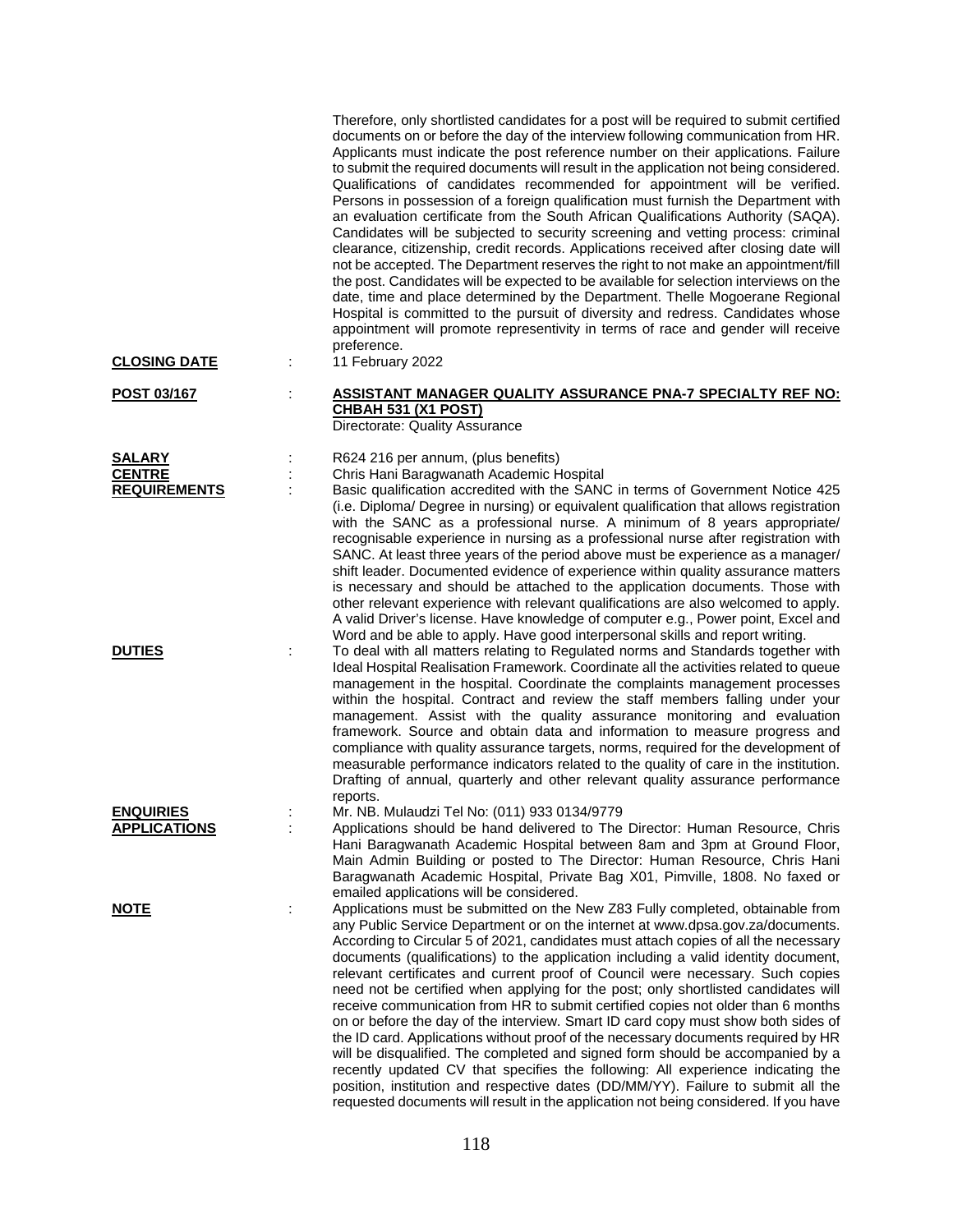| <b>CLOSING DATE</b>                                   | ÷ | Therefore, only shortlisted candidates for a post will be required to submit certified<br>documents on or before the day of the interview following communication from HR.<br>Applicants must indicate the post reference number on their applications. Failure<br>to submit the required documents will result in the application not being considered.<br>Qualifications of candidates recommended for appointment will be verified.<br>Persons in possession of a foreign qualification must furnish the Department with<br>an evaluation certificate from the South African Qualifications Authority (SAQA).<br>Candidates will be subjected to security screening and vetting process: criminal<br>clearance, citizenship, credit records. Applications received after closing date will<br>not be accepted. The Department reserves the right to not make an appointment/fill<br>the post. Candidates will be expected to be available for selection interviews on the<br>date, time and place determined by the Department. Thelle Mogoerane Regional<br>Hospital is committed to the pursuit of diversity and redress. Candidates whose<br>appointment will promote representivity in terms of race and gender will receive<br>preference.<br>11 February 2022 |
|-------------------------------------------------------|---|------------------------------------------------------------------------------------------------------------------------------------------------------------------------------------------------------------------------------------------------------------------------------------------------------------------------------------------------------------------------------------------------------------------------------------------------------------------------------------------------------------------------------------------------------------------------------------------------------------------------------------------------------------------------------------------------------------------------------------------------------------------------------------------------------------------------------------------------------------------------------------------------------------------------------------------------------------------------------------------------------------------------------------------------------------------------------------------------------------------------------------------------------------------------------------------------------------------------------------------------------------------------|
| POST 03/167                                           |   | ASSISTANT MANAGER QUALITY ASSURANCE PNA-7 SPECIALTY REF NO:<br><b>CHBAH 531 (X1 POST)</b><br>Directorate: Quality Assurance                                                                                                                                                                                                                                                                                                                                                                                                                                                                                                                                                                                                                                                                                                                                                                                                                                                                                                                                                                                                                                                                                                                                            |
| <b>SALARY</b><br><b>CENTRE</b><br><b>REQUIREMENTS</b> |   | R624 216 per annum, (plus benefits)<br>Chris Hani Baragwanath Academic Hospital<br>Basic qualification accredited with the SANC in terms of Government Notice 425<br>(i.e. Diploma/ Degree in nursing) or equivalent qualification that allows registration<br>with the SANC as a professional nurse. A minimum of 8 years appropriate/<br>recognisable experience in nursing as a professional nurse after registration with<br>SANC. At least three years of the period above must be experience as a manager/<br>shift leader. Documented evidence of experience within quality assurance matters<br>is necessary and should be attached to the application documents. Those with<br>other relevant experience with relevant qualifications are also welcomed to apply.<br>A valid Driver's license. Have knowledge of computer e.g., Power point, Excel and<br>Word and be able to apply. Have good interpersonal skills and report writing.                                                                                                                                                                                                                                                                                                                       |
| <b>DUTIES</b>                                         |   | To deal with all matters relating to Regulated norms and Standards together with<br>Ideal Hospital Realisation Framework. Coordinate all the activities related to queue<br>management in the hospital. Coordinate the complaints management processes<br>within the hospital. Contract and review the staff members falling under your<br>management. Assist with the quality assurance monitoring and evaluation<br>framework. Source and obtain data and information to measure progress and<br>compliance with quality assurance targets, norms, required for the development of<br>measurable performance indicators related to the quality of care in the institution.<br>Drafting of annual, quarterly and other relevant quality assurance performance<br>reports.                                                                                                                                                                                                                                                                                                                                                                                                                                                                                             |
| <b>ENQUIRIES</b><br><b>APPLICATIONS</b>               |   | Mr. NB. Mulaudzi Tel No: (011) 933 0134/9779<br>Applications should be hand delivered to The Director: Human Resource, Chris<br>Hani Baragwanath Academic Hospital between 8am and 3pm at Ground Floor,<br>Main Admin Building or posted to The Director: Human Resource, Chris Hani<br>Baragwanath Academic Hospital, Private Bag X01, Pimville, 1808. No faxed or<br>emailed applications will be considered.                                                                                                                                                                                                                                                                                                                                                                                                                                                                                                                                                                                                                                                                                                                                                                                                                                                        |
| <u>NOTE</u>                                           |   | Applications must be submitted on the New Z83 Fully completed, obtainable from<br>any Public Service Department or on the internet at www.dpsa.gov.za/documents.<br>According to Circular 5 of 2021, candidates must attach copies of all the necessary<br>documents (qualifications) to the application including a valid identity document,<br>relevant certificates and current proof of Council were necessary. Such copies<br>need not be certified when applying for the post; only shortlisted candidates will<br>receive communication from HR to submit certified copies not older than 6 months<br>on or before the day of the interview. Smart ID card copy must show both sides of<br>the ID card. Applications without proof of the necessary documents required by HR<br>will be disqualified. The completed and signed form should be accompanied by a<br>recently updated CV that specifies the following: All experience indicating the<br>position, institution and respective dates (DD/MM/YY). Failure to submit all the<br>requested documents will result in the application not being considered. If you have                                                                                                                                   |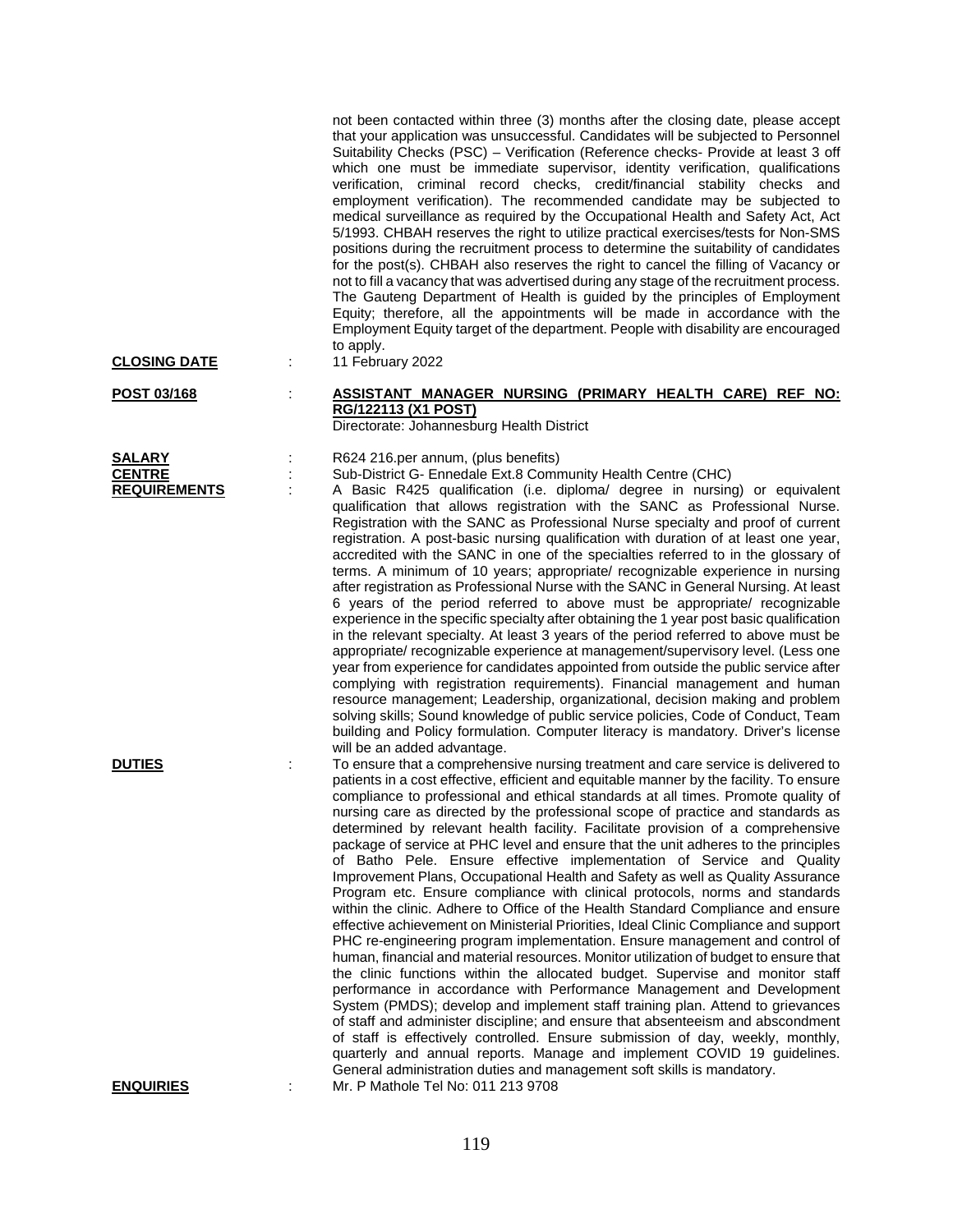| <b>CLOSING DATE</b>                                   | not been contacted within three (3) months after the closing date, please accept<br>that your application was unsuccessful. Candidates will be subjected to Personnel<br>Suitability Checks (PSC) - Verification (Reference checks- Provide at least 3 off<br>which one must be immediate supervisor, identity verification, qualifications<br>verification, criminal record checks, credit/financial stability checks and<br>employment verification). The recommended candidate may be subjected to<br>medical surveillance as required by the Occupational Health and Safety Act, Act<br>5/1993. CHBAH reserves the right to utilize practical exercises/tests for Non-SMS<br>positions during the recruitment process to determine the suitability of candidates<br>for the post(s). CHBAH also reserves the right to cancel the filling of Vacancy or<br>not to fill a vacancy that was advertised during any stage of the recruitment process.<br>The Gauteng Department of Health is guided by the principles of Employment<br>Equity; therefore, all the appointments will be made in accordance with the<br>Employment Equity target of the department. People with disability are encouraged<br>to apply.<br>11 February 2022                                                                                                                                                                                                                                                                                                                                                                                                                                                           |
|-------------------------------------------------------|---------------------------------------------------------------------------------------------------------------------------------------------------------------------------------------------------------------------------------------------------------------------------------------------------------------------------------------------------------------------------------------------------------------------------------------------------------------------------------------------------------------------------------------------------------------------------------------------------------------------------------------------------------------------------------------------------------------------------------------------------------------------------------------------------------------------------------------------------------------------------------------------------------------------------------------------------------------------------------------------------------------------------------------------------------------------------------------------------------------------------------------------------------------------------------------------------------------------------------------------------------------------------------------------------------------------------------------------------------------------------------------------------------------------------------------------------------------------------------------------------------------------------------------------------------------------------------------------------------------------------------------------------------------------------------------------------|
| POST 03/168                                           | ASSISTANT MANAGER NURSING (PRIMARY HEALTH CARE) REF NO:<br>RG/122113 (X1 POST)<br>Directorate: Johannesburg Health District                                                                                                                                                                                                                                                                                                                                                                                                                                                                                                                                                                                                                                                                                                                                                                                                                                                                                                                                                                                                                                                                                                                                                                                                                                                                                                                                                                                                                                                                                                                                                                       |
| <b>SALARY</b><br><b>CENTRE</b><br><b>REQUIREMENTS</b> | R624 216.per annum, (plus benefits)<br>Sub-District G- Ennedale Ext.8 Community Health Centre (CHC)<br>A Basic R425 qualification (i.e. diploma/ degree in nursing) or equivalent<br>qualification that allows registration with the SANC as Professional Nurse.<br>Registration with the SANC as Professional Nurse specialty and proof of current<br>registration. A post-basic nursing qualification with duration of at least one year,<br>accredited with the SANC in one of the specialties referred to in the glossary of<br>terms. A minimum of 10 years; appropriate/ recognizable experience in nursing<br>after registration as Professional Nurse with the SANC in General Nursing. At least<br>6 years of the period referred to above must be appropriate/ recognizable<br>experience in the specific specialty after obtaining the 1 year post basic qualification<br>in the relevant specialty. At least 3 years of the period referred to above must be<br>appropriate/ recognizable experience at management/supervisory level. (Less one<br>year from experience for candidates appointed from outside the public service after<br>complying with registration requirements). Financial management and human<br>resource management; Leadership, organizational, decision making and problem<br>solving skills; Sound knowledge of public service policies, Code of Conduct, Team<br>building and Policy formulation. Computer literacy is mandatory. Driver's license<br>will be an added advantage.                                                                                                                                                                          |
| <b>DUTIES</b>                                         | To ensure that a comprehensive nursing treatment and care service is delivered to<br>patients in a cost effective, efficient and equitable manner by the facility. To ensure<br>compliance to professional and ethical standards at all times. Promote quality of<br>nursing care as directed by the professional scope of practice and standards as<br>determined by relevant health facility. Facilitate provision of a comprehensive<br>package of service at PHC level and ensure that the unit adheres to the principles<br>of Batho Pele. Ensure effective implementation of Service and Quality<br>Improvement Plans, Occupational Health and Safety as well as Quality Assurance<br>Program etc. Ensure compliance with clinical protocols, norms and standards<br>within the clinic. Adhere to Office of the Health Standard Compliance and ensure<br>effective achievement on Ministerial Priorities, Ideal Clinic Compliance and support<br>PHC re-engineering program implementation. Ensure management and control of<br>human, financial and material resources. Monitor utilization of budget to ensure that<br>the clinic functions within the allocated budget. Supervise and monitor staff<br>performance in accordance with Performance Management and Development<br>System (PMDS); develop and implement staff training plan. Attend to grievances<br>of staff and administer discipline; and ensure that absenteeism and abscondment<br>of staff is effectively controlled. Ensure submission of day, weekly, monthly,<br>quarterly and annual reports. Manage and implement COVID 19 guidelines.<br>General administration duties and management soft skills is mandatory. |
| <b>ENQUIRIES</b>                                      | Mr. P Mathole Tel No: 011 213 9708                                                                                                                                                                                                                                                                                                                                                                                                                                                                                                                                                                                                                                                                                                                                                                                                                                                                                                                                                                                                                                                                                                                                                                                                                                                                                                                                                                                                                                                                                                                                                                                                                                                                |

119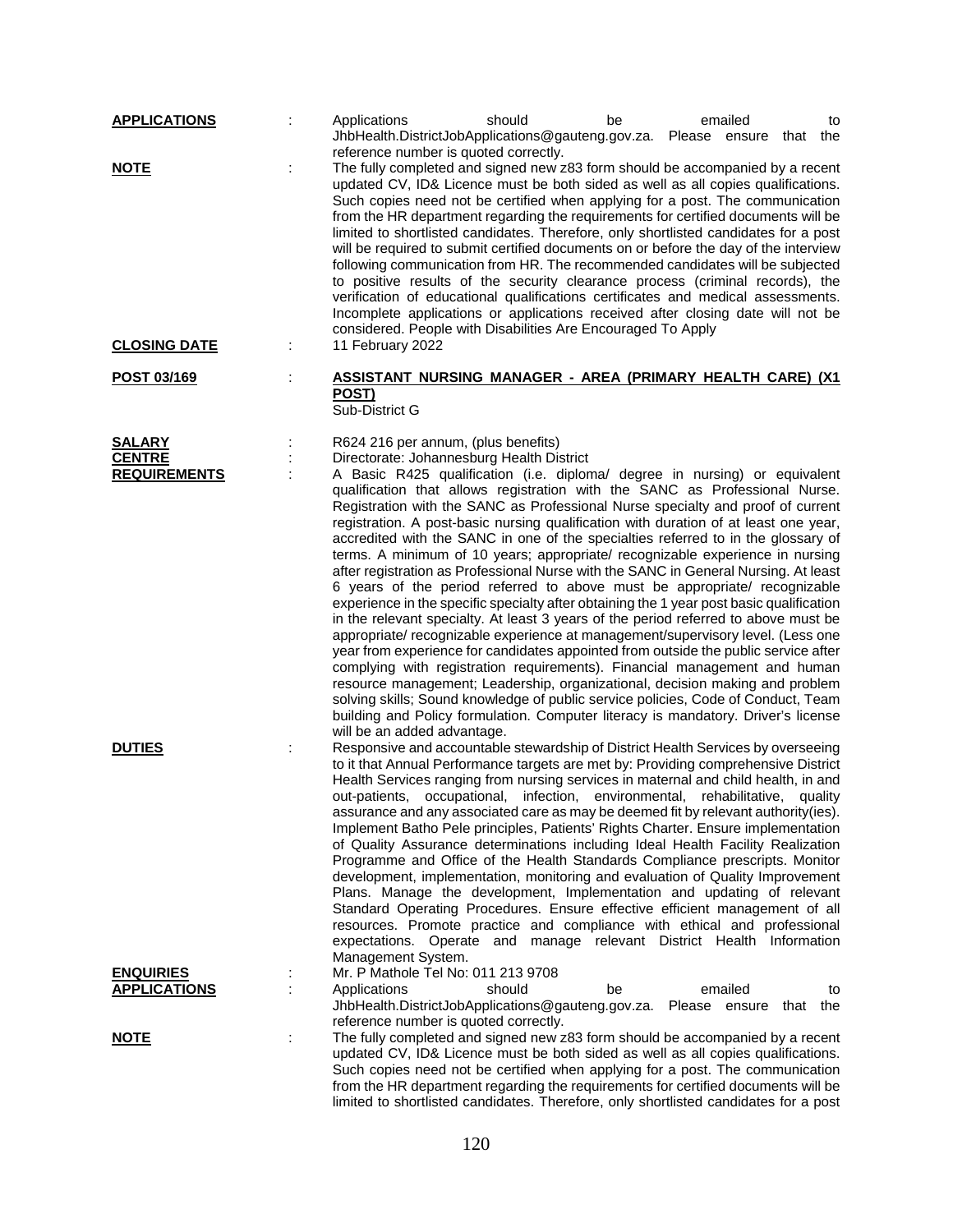| <b>APPLICATIONS</b> |   | should<br>emailed<br>Applications<br>be<br>to                                                                                                                                                                                                                                                                                                                                                                                                                                                                                                                                                                                                                                                                                                                                                                                                                                                                                                                                                                                                                                                                                                                                                                                                                                                                                                                                                                     |
|---------------------|---|-------------------------------------------------------------------------------------------------------------------------------------------------------------------------------------------------------------------------------------------------------------------------------------------------------------------------------------------------------------------------------------------------------------------------------------------------------------------------------------------------------------------------------------------------------------------------------------------------------------------------------------------------------------------------------------------------------------------------------------------------------------------------------------------------------------------------------------------------------------------------------------------------------------------------------------------------------------------------------------------------------------------------------------------------------------------------------------------------------------------------------------------------------------------------------------------------------------------------------------------------------------------------------------------------------------------------------------------------------------------------------------------------------------------|
|                     |   | JhbHealth.DistrictJobApplications@gauteng.gov.za. Please ensure that<br>the                                                                                                                                                                                                                                                                                                                                                                                                                                                                                                                                                                                                                                                                                                                                                                                                                                                                                                                                                                                                                                                                                                                                                                                                                                                                                                                                       |
| <b>NOTE</b>         |   | reference number is quoted correctly.<br>The fully completed and signed new z83 form should be accompanied by a recent<br>updated CV, ID& Licence must be both sided as well as all copies qualifications.<br>Such copies need not be certified when applying for a post. The communication<br>from the HR department regarding the requirements for certified documents will be<br>limited to shortlisted candidates. Therefore, only shortlisted candidates for a post<br>will be required to submit certified documents on or before the day of the interview<br>following communication from HR. The recommended candidates will be subjected<br>to positive results of the security clearance process (criminal records), the<br>verification of educational qualifications certificates and medical assessments.<br>Incomplete applications or applications received after closing date will not be<br>considered. People with Disabilities Are Encouraged To Apply                                                                                                                                                                                                                                                                                                                                                                                                                                         |
| <b>CLOSING DATE</b> |   | 11 February 2022                                                                                                                                                                                                                                                                                                                                                                                                                                                                                                                                                                                                                                                                                                                                                                                                                                                                                                                                                                                                                                                                                                                                                                                                                                                                                                                                                                                                  |
| POST 03/169         |   | <b>ASSISTANT NURSING MANAGER - AREA (PRIMARY HEALTH CARE) (X1</b><br>POST)<br>Sub-District G                                                                                                                                                                                                                                                                                                                                                                                                                                                                                                                                                                                                                                                                                                                                                                                                                                                                                                                                                                                                                                                                                                                                                                                                                                                                                                                      |
| <b>SALARY</b>       |   | R624 216 per annum, (plus benefits)                                                                                                                                                                                                                                                                                                                                                                                                                                                                                                                                                                                                                                                                                                                                                                                                                                                                                                                                                                                                                                                                                                                                                                                                                                                                                                                                                                               |
| <b>CENTRE</b>       |   | Directorate: Johannesburg Health District                                                                                                                                                                                                                                                                                                                                                                                                                                                                                                                                                                                                                                                                                                                                                                                                                                                                                                                                                                                                                                                                                                                                                                                                                                                                                                                                                                         |
| <b>REQUIREMENTS</b> |   | A Basic R425 qualification (i.e. diploma/ degree in nursing) or equivalent<br>qualification that allows registration with the SANC as Professional Nurse.<br>Registration with the SANC as Professional Nurse specialty and proof of current<br>registration. A post-basic nursing qualification with duration of at least one year,<br>accredited with the SANC in one of the specialties referred to in the glossary of<br>terms. A minimum of 10 years; appropriate/ recognizable experience in nursing<br>after registration as Professional Nurse with the SANC in General Nursing. At least<br>6 years of the period referred to above must be appropriate/ recognizable<br>experience in the specific specialty after obtaining the 1 year post basic qualification<br>in the relevant specialty. At least 3 years of the period referred to above must be<br>appropriate/ recognizable experience at management/supervisory level. (Less one<br>year from experience for candidates appointed from outside the public service after<br>complying with registration requirements). Financial management and human<br>resource management; Leadership, organizational, decision making and problem<br>solving skills; Sound knowledge of public service policies, Code of Conduct, Team<br>building and Policy formulation. Computer literacy is mandatory. Driver's license<br>will be an added advantage. |
| <b>DUTIES</b>       | ÷ | Responsive and accountable stewardship of District Health Services by overseeing<br>to it that Annual Performance targets are met by: Providing comprehensive District<br>Health Services ranging from nursing services in maternal and child health, in and<br>out-patients, occupational, infection, environmental, rehabilitative, quality<br>assurance and any associated care as may be deemed fit by relevant authority(ies).<br>Implement Batho Pele principles, Patients' Rights Charter. Ensure implementation<br>of Quality Assurance determinations including Ideal Health Facility Realization<br>Programme and Office of the Health Standards Compliance prescripts. Monitor<br>development, implementation, monitoring and evaluation of Quality Improvement<br>Plans. Manage the development, Implementation and updating of relevant<br>Standard Operating Procedures. Ensure effective efficient management of all<br>resources. Promote practice and compliance with ethical and professional<br>expectations. Operate and manage relevant District Health Information<br>Management System.                                                                                                                                                                                                                                                                                                    |
| <b>ENQUIRIES</b>    |   | Mr. P Mathole Tel No: 011 213 9708                                                                                                                                                                                                                                                                                                                                                                                                                                                                                                                                                                                                                                                                                                                                                                                                                                                                                                                                                                                                                                                                                                                                                                                                                                                                                                                                                                                |
| <b>APPLICATIONS</b> |   | Applications<br>emailed<br>should<br>be<br>to<br>JhbHealth.DistrictJobApplications@gauteng.gov.za. Please ensure<br>that<br>the                                                                                                                                                                                                                                                                                                                                                                                                                                                                                                                                                                                                                                                                                                                                                                                                                                                                                                                                                                                                                                                                                                                                                                                                                                                                                   |
| <b>NOTE</b>         | t | reference number is quoted correctly.<br>The fully completed and signed new z83 form should be accompanied by a recent<br>updated CV, ID& Licence must be both sided as well as all copies qualifications.<br>Such copies need not be certified when applying for a post. The communication<br>from the HR department regarding the requirements for certified documents will be<br>limited to shortlisted candidates. Therefore, only shortlisted candidates for a post                                                                                                                                                                                                                                                                                                                                                                                                                                                                                                                                                                                                                                                                                                                                                                                                                                                                                                                                          |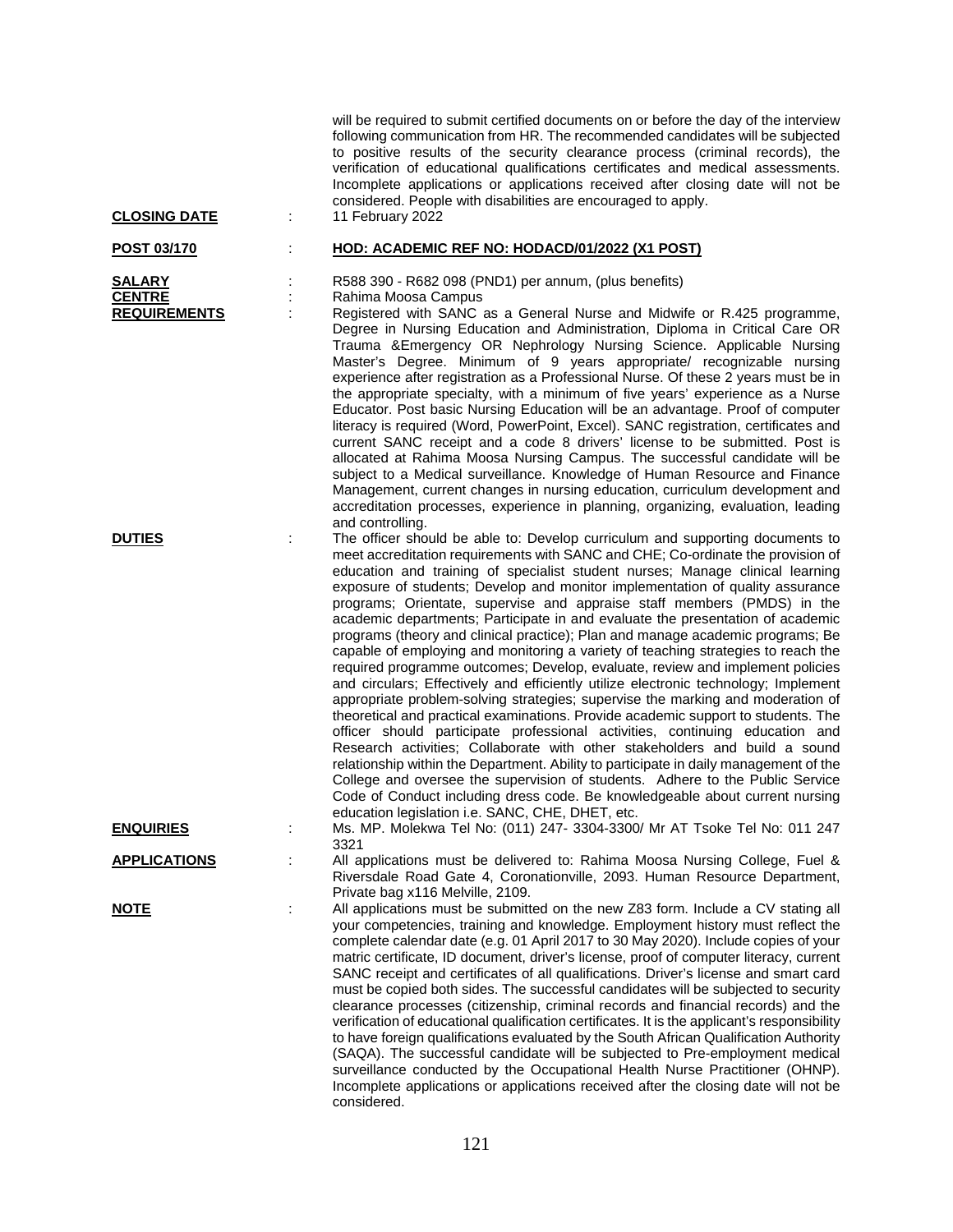| <b>CLOSING DATE</b>                                   | ÷      | will be required to submit certified documents on or before the day of the interview<br>following communication from HR. The recommended candidates will be subjected<br>to positive results of the security clearance process (criminal records), the<br>verification of educational qualifications certificates and medical assessments.<br>Incomplete applications or applications received after closing date will not be<br>considered. People with disabilities are encouraged to apply.<br>11 February 2022                                                                                                                                                                                                                                                                                                                                                                                                                                                                                                                                                                                                                                                                                                                                                                                                                                                                                                                             |
|-------------------------------------------------------|--------|------------------------------------------------------------------------------------------------------------------------------------------------------------------------------------------------------------------------------------------------------------------------------------------------------------------------------------------------------------------------------------------------------------------------------------------------------------------------------------------------------------------------------------------------------------------------------------------------------------------------------------------------------------------------------------------------------------------------------------------------------------------------------------------------------------------------------------------------------------------------------------------------------------------------------------------------------------------------------------------------------------------------------------------------------------------------------------------------------------------------------------------------------------------------------------------------------------------------------------------------------------------------------------------------------------------------------------------------------------------------------------------------------------------------------------------------|
| POST 03/170                                           |        | HOD: ACADEMIC REF NO: HODACD/01/2022 (X1 POST)                                                                                                                                                                                                                                                                                                                                                                                                                                                                                                                                                                                                                                                                                                                                                                                                                                                                                                                                                                                                                                                                                                                                                                                                                                                                                                                                                                                                 |
| <b>SALARY</b><br><b>CENTRE</b><br><b>REQUIREMENTS</b> | ÷<br>÷ | R588 390 - R682 098 (PND1) per annum, (plus benefits)<br>Rahima Moosa Campus<br>Registered with SANC as a General Nurse and Midwife or R.425 programme,<br>Degree in Nursing Education and Administration, Diploma in Critical Care OR<br>Trauma & Emergency OR Nephrology Nursing Science. Applicable Nursing<br>Master's Degree. Minimum of 9 years appropriate/ recognizable nursing<br>experience after registration as a Professional Nurse. Of these 2 years must be in<br>the appropriate specialty, with a minimum of five years' experience as a Nurse<br>Educator. Post basic Nursing Education will be an advantage. Proof of computer<br>literacy is required (Word, PowerPoint, Excel). SANC registration, certificates and<br>current SANC receipt and a code 8 drivers' license to be submitted. Post is<br>allocated at Rahima Moosa Nursing Campus. The successful candidate will be<br>subject to a Medical surveillance. Knowledge of Human Resource and Finance<br>Management, current changes in nursing education, curriculum development and<br>accreditation processes, experience in planning, organizing, evaluation, leading<br>and controlling.                                                                                                                                                                                                                                                                    |
| <b>DUTIES</b>                                         | ÷      | The officer should be able to: Develop curriculum and supporting documents to<br>meet accreditation requirements with SANC and CHE; Co-ordinate the provision of<br>education and training of specialist student nurses; Manage clinical learning<br>exposure of students; Develop and monitor implementation of quality assurance<br>programs; Orientate, supervise and appraise staff members (PMDS) in the<br>academic departments; Participate in and evaluate the presentation of academic<br>programs (theory and clinical practice); Plan and manage academic programs; Be<br>capable of employing and monitoring a variety of teaching strategies to reach the<br>required programme outcomes; Develop, evaluate, review and implement policies<br>and circulars; Effectively and efficiently utilize electronic technology; Implement<br>appropriate problem-solving strategies; supervise the marking and moderation of<br>theoretical and practical examinations. Provide academic support to students. The<br>officer should participate professional activities, continuing education and<br>Research activities; Collaborate with other stakeholders and build a sound<br>relationship within the Department. Ability to participate in daily management of the<br>College and oversee the supervision of students. Adhere to the Public Service<br>Code of Conduct including dress code. Be knowledgeable about current nursing |
| <b>ENQUIRIES</b>                                      | ÷      | education legislation i.e. SANC, CHE, DHET, etc.<br>Ms. MP. Molekwa Tel No: (011) 247- 3304-3300/ Mr AT Tsoke Tel No: 011 247                                                                                                                                                                                                                                                                                                                                                                                                                                                                                                                                                                                                                                                                                                                                                                                                                                                                                                                                                                                                                                                                                                                                                                                                                                                                                                                  |
| <b>APPLICATIONS</b>                                   | ÷      | 3321<br>All applications must be delivered to: Rahima Moosa Nursing College, Fuel &<br>Riversdale Road Gate 4, Coronationville, 2093. Human Resource Department,<br>Private bag x116 Melville, 2109.                                                                                                                                                                                                                                                                                                                                                                                                                                                                                                                                                                                                                                                                                                                                                                                                                                                                                                                                                                                                                                                                                                                                                                                                                                           |
| <u>NOTE</u>                                           | ÷      | All applications must be submitted on the new Z83 form. Include a CV stating all<br>your competencies, training and knowledge. Employment history must reflect the<br>complete calendar date (e.g. 01 April 2017 to 30 May 2020). Include copies of your<br>matric certificate, ID document, driver's license, proof of computer literacy, current<br>SANC receipt and certificates of all qualifications. Driver's license and smart card<br>must be copied both sides. The successful candidates will be subjected to security<br>clearance processes (citizenship, criminal records and financial records) and the<br>verification of educational qualification certificates. It is the applicant's responsibility<br>to have foreign qualifications evaluated by the South African Qualification Authority<br>(SAQA). The successful candidate will be subjected to Pre-employment medical<br>surveillance conducted by the Occupational Health Nurse Practitioner (OHNP).<br>Incomplete applications or applications received after the closing date will not be<br>considered.                                                                                                                                                                                                                                                                                                                                                           |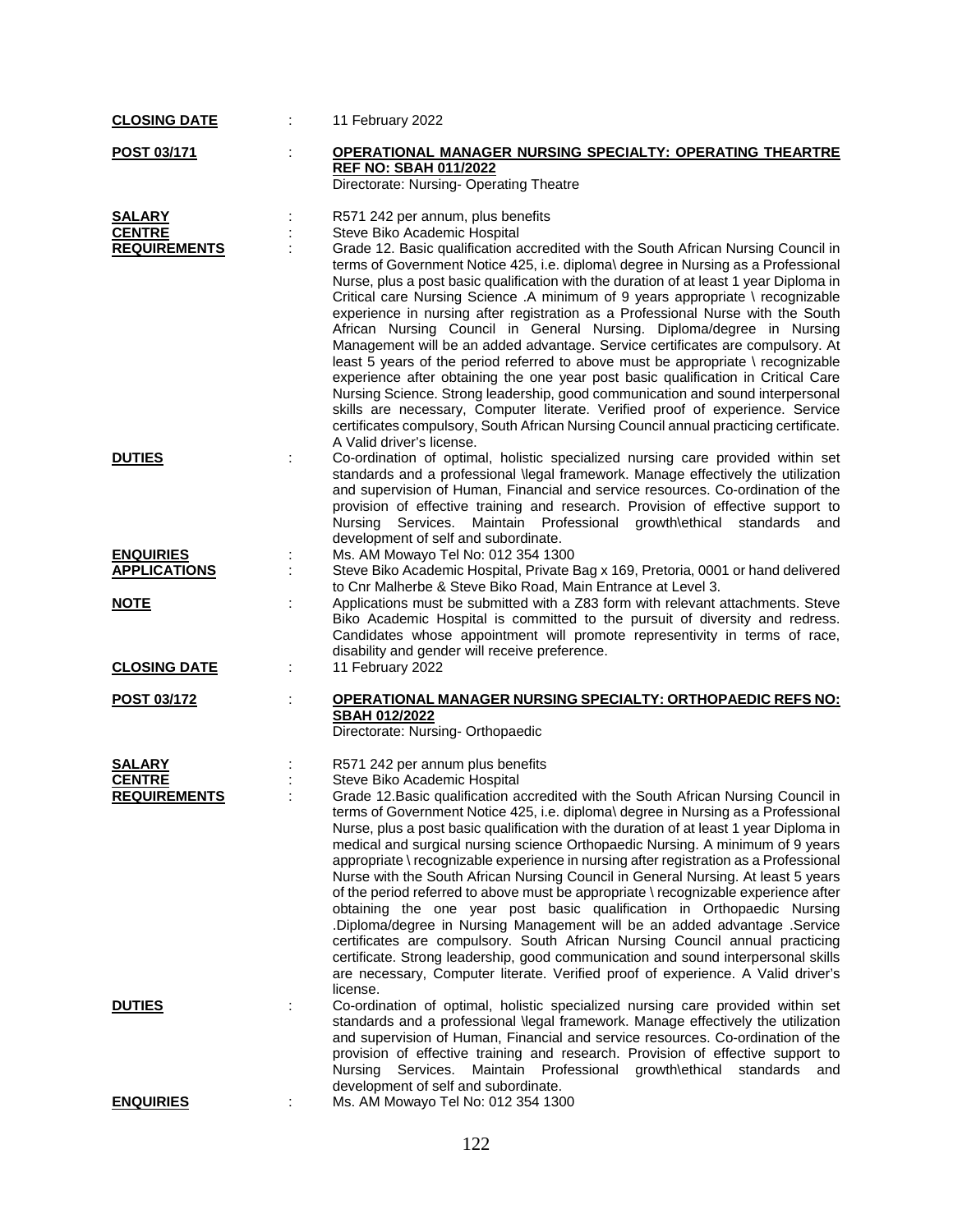| <b>CLOSING DATE</b>                                   | 11 February 2022                                                                                                                                                                                                                                                                                                                                                                                                                                                                                                                                                                                                                                                                                                                                                                                                                                                                                                                                                                                                                                                                                                                          |                  |
|-------------------------------------------------------|-------------------------------------------------------------------------------------------------------------------------------------------------------------------------------------------------------------------------------------------------------------------------------------------------------------------------------------------------------------------------------------------------------------------------------------------------------------------------------------------------------------------------------------------------------------------------------------------------------------------------------------------------------------------------------------------------------------------------------------------------------------------------------------------------------------------------------------------------------------------------------------------------------------------------------------------------------------------------------------------------------------------------------------------------------------------------------------------------------------------------------------------|------------------|
| POST 03/171                                           | OPERATIONAL MANAGER NURSING SPECIALTY: OPERATING THEARTRE<br><b>REF NO: SBAH 011/2022</b><br>Directorate: Nursing-Operating Theatre                                                                                                                                                                                                                                                                                                                                                                                                                                                                                                                                                                                                                                                                                                                                                                                                                                                                                                                                                                                                       |                  |
| <b>SALARY</b><br><b>CENTRE</b><br><b>REQUIREMENTS</b> | R571 242 per annum, plus benefits<br>Steve Biko Academic Hospital<br>Grade 12. Basic qualification accredited with the South African Nursing Council in<br>terms of Government Notice 425, i.e. diploma\ degree in Nursing as a Professional<br>Nurse, plus a post basic qualification with the duration of at least 1 year Diploma in<br>Critical care Nursing Science .A minimum of 9 years appropriate \ recognizable<br>experience in nursing after registration as a Professional Nurse with the South<br>African Nursing Council in General Nursing. Diploma/degree in Nursing<br>Management will be an added advantage. Service certificates are compulsory. At<br>least 5 years of the period referred to above must be appropriate \ recognizable<br>experience after obtaining the one year post basic qualification in Critical Care<br>Nursing Science. Strong leadership, good communication and sound interpersonal<br>skills are necessary, Computer literate. Verified proof of experience. Service<br>certificates compulsory, South African Nursing Council annual practicing certificate.<br>A Valid driver's license. |                  |
| <b>DUTIES</b><br><b>ENQUIRIES</b>                     | Co-ordination of optimal, holistic specialized nursing care provided within set<br>standards and a professional \legal framework. Manage effectively the utilization<br>and supervision of Human, Financial and service resources. Co-ordination of the<br>provision of effective training and research. Provision of effective support to<br>Nursing Services. Maintain Professional growth\ethical standards<br>development of self and subordinate.                                                                                                                                                                                                                                                                                                                                                                                                                                                                                                                                                                                                                                                                                    | and              |
| <b>APPLICATIONS</b>                                   | Ms. AM Mowayo Tel No: 012 354 1300<br>Steve Biko Academic Hospital, Private Bag x 169, Pretoria, 0001 or hand delivered<br>to Cnr Malherbe & Steve Biko Road, Main Entrance at Level 3.                                                                                                                                                                                                                                                                                                                                                                                                                                                                                                                                                                                                                                                                                                                                                                                                                                                                                                                                                   |                  |
| <b>NOTE</b>                                           | Applications must be submitted with a Z83 form with relevant attachments. Steve<br>Biko Academic Hospital is committed to the pursuit of diversity and redress.<br>Candidates whose appointment will promote representivity in terms of race,<br>disability and gender will receive preference.                                                                                                                                                                                                                                                                                                                                                                                                                                                                                                                                                                                                                                                                                                                                                                                                                                           |                  |
| <b>CLOSING DATE</b>                                   | 11 February 2022<br>÷                                                                                                                                                                                                                                                                                                                                                                                                                                                                                                                                                                                                                                                                                                                                                                                                                                                                                                                                                                                                                                                                                                                     |                  |
| POST 03/172                                           | <b>OPERATIONAL MANAGER NURSING SPECIALTY: ORTHOPAEDIC REFS NO:</b><br>SBAH 012/2022<br>Directorate: Nursing- Orthopaedic                                                                                                                                                                                                                                                                                                                                                                                                                                                                                                                                                                                                                                                                                                                                                                                                                                                                                                                                                                                                                  |                  |
| <b>SALARY</b>                                         | R571 242 per annum plus benefits                                                                                                                                                                                                                                                                                                                                                                                                                                                                                                                                                                                                                                                                                                                                                                                                                                                                                                                                                                                                                                                                                                          |                  |
| <b>CENTRE</b><br><b>REQUIREMENTS</b>                  | Steve Biko Academic Hospital<br>Grade 12. Basic qualification accredited with the South African Nursing Council in<br>terms of Government Notice 425, i.e. diploma\ degree in Nursing as a Professional<br>Nurse, plus a post basic qualification with the duration of at least 1 year Diploma in<br>medical and surgical nursing science Orthopaedic Nursing. A minimum of 9 years<br>appropriate \recognizable experience in nursing after registration as a Professional<br>Nurse with the South African Nursing Council in General Nursing. At least 5 years<br>of the period referred to above must be appropriate \recognizable experience after<br>obtaining the one year post basic qualification in Orthopaedic Nursing<br>Diploma/degree in Nursing Management will be an added advantage .Service<br>certificates are compulsory. South African Nursing Council annual practicing<br>certificate. Strong leadership, good communication and sound interpersonal skills<br>are necessary, Computer literate. Verified proof of experience. A Valid driver's<br>license.                                                         |                  |
| <b>DUTIES</b>                                         | Co-ordination of optimal, holistic specialized nursing care provided within set<br>standards and a professional \legal framework. Manage effectively the utilization<br>and supervision of Human, Financial and service resources. Co-ordination of the<br>provision of effective training and research. Provision of effective support to<br>Services.<br>Maintain Professional growth\ethical<br>Nursing<br>development of self and subordinate.                                                                                                                                                                                                                                                                                                                                                                                                                                                                                                                                                                                                                                                                                        | standards<br>and |
| <b>ENQUIRIES</b>                                      | Ms. AM Mowayo Tel No: 012 354 1300                                                                                                                                                                                                                                                                                                                                                                                                                                                                                                                                                                                                                                                                                                                                                                                                                                                                                                                                                                                                                                                                                                        |                  |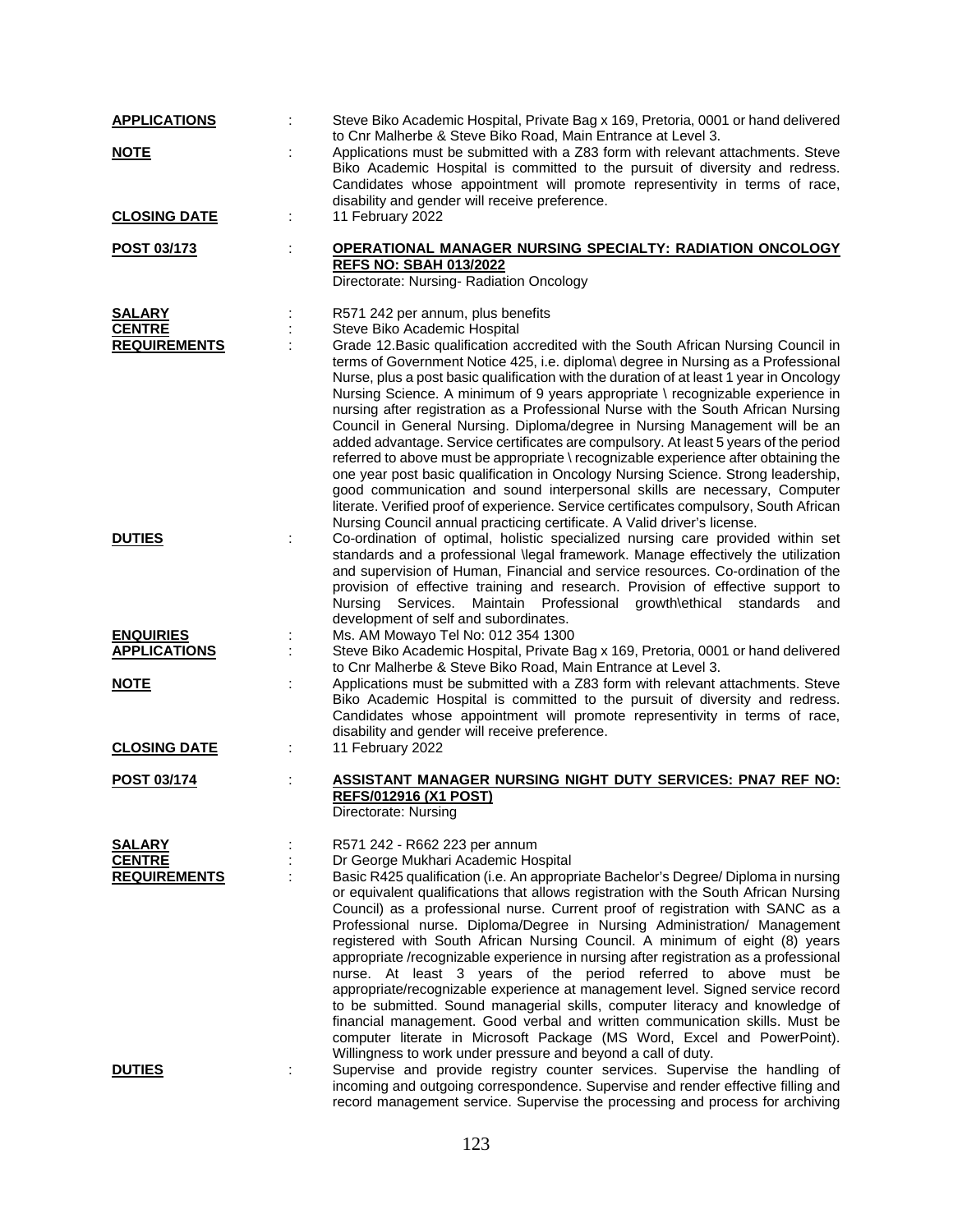| <b>APPLICATIONS</b>                  | Steve Biko Academic Hospital, Private Bag x 169, Pretoria, 0001 or hand delivered<br>to Cnr Malherbe & Steve Biko Road, Main Entrance at Level 3.                                                                                                                                                                                                                                                                                                                                                                                                                                                                                                                                                                                                                                                                                                                                                                                                                                                   |
|--------------------------------------|-----------------------------------------------------------------------------------------------------------------------------------------------------------------------------------------------------------------------------------------------------------------------------------------------------------------------------------------------------------------------------------------------------------------------------------------------------------------------------------------------------------------------------------------------------------------------------------------------------------------------------------------------------------------------------------------------------------------------------------------------------------------------------------------------------------------------------------------------------------------------------------------------------------------------------------------------------------------------------------------------------|
| <b>NOTE</b>                          | Applications must be submitted with a Z83 form with relevant attachments. Steve<br>Biko Academic Hospital is committed to the pursuit of diversity and redress.<br>Candidates whose appointment will promote representivity in terms of race,                                                                                                                                                                                                                                                                                                                                                                                                                                                                                                                                                                                                                                                                                                                                                       |
| <b>CLOSING DATE</b>                  | disability and gender will receive preference.<br>11 February 2022                                                                                                                                                                                                                                                                                                                                                                                                                                                                                                                                                                                                                                                                                                                                                                                                                                                                                                                                  |
| POST 03/173                          | OPERATIONAL MANAGER NURSING SPECIALTY: RADIATION ONCOLOGY<br><b>REFS NO: SBAH 013/2022</b><br>Directorate: Nursing-Radiation Oncology                                                                                                                                                                                                                                                                                                                                                                                                                                                                                                                                                                                                                                                                                                                                                                                                                                                               |
| <b>SALARY</b>                        | R571 242 per annum, plus benefits                                                                                                                                                                                                                                                                                                                                                                                                                                                                                                                                                                                                                                                                                                                                                                                                                                                                                                                                                                   |
| <b>CENTRE</b><br><b>REQUIREMENTS</b> | Steve Biko Academic Hospital<br>Grade 12. Basic qualification accredited with the South African Nursing Council in<br>terms of Government Notice 425, i.e. diploma\ degree in Nursing as a Professional<br>Nurse, plus a post basic qualification with the duration of at least 1 year in Oncology<br>Nursing Science. A minimum of 9 years appropriate \ recognizable experience in<br>nursing after registration as a Professional Nurse with the South African Nursing<br>Council in General Nursing. Diploma/degree in Nursing Management will be an<br>added advantage. Service certificates are compulsory. At least 5 years of the period<br>referred to above must be appropriate \ recognizable experience after obtaining the<br>one year post basic qualification in Oncology Nursing Science. Strong leadership,<br>good communication and sound interpersonal skills are necessary, Computer<br>literate. Verified proof of experience. Service certificates compulsory, South African |
| <b>DUTIES</b>                        | Nursing Council annual practicing certificate. A Valid driver's license.<br>Co-ordination of optimal, holistic specialized nursing care provided within set<br>standards and a professional \legal framework. Manage effectively the utilization<br>and supervision of Human, Financial and service resources. Co-ordination of the<br>provision of effective training and research. Provision of effective support to<br>Nursing Services. Maintain Professional<br>growth\ethical standards<br>and<br>development of self and subordinates.                                                                                                                                                                                                                                                                                                                                                                                                                                                       |
| <b>ENQUIRIES</b>                     | Ms. AM Mowayo Tel No: 012 354 1300                                                                                                                                                                                                                                                                                                                                                                                                                                                                                                                                                                                                                                                                                                                                                                                                                                                                                                                                                                  |
| <b>APPLICATIONS</b>                  | Steve Biko Academic Hospital, Private Bag x 169, Pretoria, 0001 or hand delivered<br>to Cnr Malherbe & Steve Biko Road, Main Entrance at Level 3.                                                                                                                                                                                                                                                                                                                                                                                                                                                                                                                                                                                                                                                                                                                                                                                                                                                   |
| <b>NOTE</b>                          | Applications must be submitted with a Z83 form with relevant attachments. Steve<br>Biko Academic Hospital is committed to the pursuit of diversity and redress.<br>Candidates whose appointment will promote representivity in terms of race,<br>disability and gender will receive preference.                                                                                                                                                                                                                                                                                                                                                                                                                                                                                                                                                                                                                                                                                                     |
| <b>CLOSING DATE</b>                  | 11 February 2022                                                                                                                                                                                                                                                                                                                                                                                                                                                                                                                                                                                                                                                                                                                                                                                                                                                                                                                                                                                    |
| POST 03/174                          | ASSISTANT MANAGER NURSING NIGHT DUTY SERVICES: PNA7 REF NO:<br><b>REFS/012916 (X1 POST)</b><br>Directorate: Nursing                                                                                                                                                                                                                                                                                                                                                                                                                                                                                                                                                                                                                                                                                                                                                                                                                                                                                 |
| <b>SALARY</b>                        | R571 242 - R662 223 per annum                                                                                                                                                                                                                                                                                                                                                                                                                                                                                                                                                                                                                                                                                                                                                                                                                                                                                                                                                                       |
| <b>CENTRE</b>                        | Dr George Mukhari Academic Hospital                                                                                                                                                                                                                                                                                                                                                                                                                                                                                                                                                                                                                                                                                                                                                                                                                                                                                                                                                                 |
| <b>REQUIREMENTS</b>                  | Basic R425 qualification (i.e. An appropriate Bachelor's Degree/ Diploma in nursing<br>or equivalent qualifications that allows registration with the South African Nursing<br>Council) as a professional nurse. Current proof of registration with SANC as a<br>Professional nurse. Diploma/Degree in Nursing Administration/ Management<br>registered with South African Nursing Council. A minimum of eight (8) years<br>appropriate /recognizable experience in nursing after registration as a professional<br>nurse. At least 3 years of the period referred to above must be<br>appropriate/recognizable experience at management level. Signed service record<br>to be submitted. Sound managerial skills, computer literacy and knowledge of<br>financial management. Good verbal and written communication skills. Must be<br>computer literate in Microsoft Package (MS Word, Excel and PowerPoint).<br>Willingness to work under pressure and beyond a call of duty.                    |
| <b>DUTIES</b>                        | Supervise and provide registry counter services. Supervise the handling of<br>incoming and outgoing correspondence. Supervise and render effective filling and<br>record management service. Supervise the processing and process for archiving                                                                                                                                                                                                                                                                                                                                                                                                                                                                                                                                                                                                                                                                                                                                                     |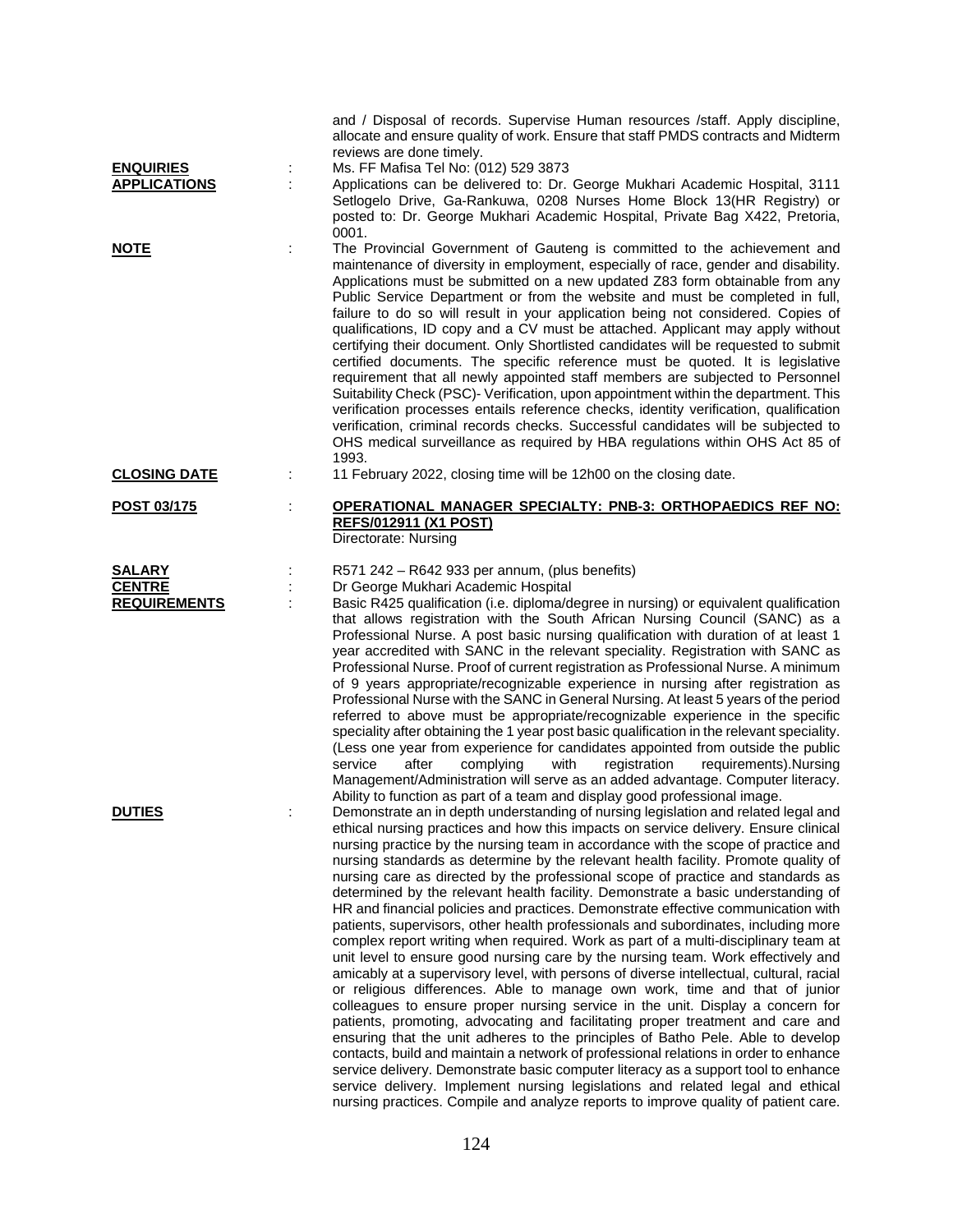|                     | and / Disposal of records. Supervise Human resources /staff. Apply discipline,<br>allocate and ensure quality of work. Ensure that staff PMDS contracts and Midterm<br>reviews are done timely.                                                                                                                                                                                                                                                                                                                                                                                                                                                                                                                                                                                                                                                                                                                                                                                                                                                                                                                                                                                                                                                                                                                                                                                                                                                                                                                                                                                                                                                                        |
|---------------------|------------------------------------------------------------------------------------------------------------------------------------------------------------------------------------------------------------------------------------------------------------------------------------------------------------------------------------------------------------------------------------------------------------------------------------------------------------------------------------------------------------------------------------------------------------------------------------------------------------------------------------------------------------------------------------------------------------------------------------------------------------------------------------------------------------------------------------------------------------------------------------------------------------------------------------------------------------------------------------------------------------------------------------------------------------------------------------------------------------------------------------------------------------------------------------------------------------------------------------------------------------------------------------------------------------------------------------------------------------------------------------------------------------------------------------------------------------------------------------------------------------------------------------------------------------------------------------------------------------------------------------------------------------------------|
| <b>ENQUIRIES</b>    | Ms. FF Mafisa Tel No: (012) 529 3873                                                                                                                                                                                                                                                                                                                                                                                                                                                                                                                                                                                                                                                                                                                                                                                                                                                                                                                                                                                                                                                                                                                                                                                                                                                                                                                                                                                                                                                                                                                                                                                                                                   |
| <b>APPLICATIONS</b> | Applications can be delivered to: Dr. George Mukhari Academic Hospital, 3111<br>Setlogelo Drive, Ga-Rankuwa, 0208 Nurses Home Block 13(HR Registry) or<br>posted to: Dr. George Mukhari Academic Hospital, Private Bag X422, Pretoria,<br>0001.                                                                                                                                                                                                                                                                                                                                                                                                                                                                                                                                                                                                                                                                                                                                                                                                                                                                                                                                                                                                                                                                                                                                                                                                                                                                                                                                                                                                                        |
| <b>NOTE</b>         | The Provincial Government of Gauteng is committed to the achievement and<br>maintenance of diversity in employment, especially of race, gender and disability.<br>Applications must be submitted on a new updated Z83 form obtainable from any<br>Public Service Department or from the website and must be completed in full,<br>failure to do so will result in your application being not considered. Copies of<br>qualifications, ID copy and a CV must be attached. Applicant may apply without<br>certifying their document. Only Shortlisted candidates will be requested to submit<br>certified documents. The specific reference must be quoted. It is legislative<br>requirement that all newly appointed staff members are subjected to Personnel<br>Suitability Check (PSC)- Verification, upon appointment within the department. This<br>verification processes entails reference checks, identity verification, qualification<br>verification, criminal records checks. Successful candidates will be subjected to<br>OHS medical surveillance as required by HBA regulations within OHS Act 85 of<br>1993.                                                                                                                                                                                                                                                                                                                                                                                                                                                                                                                                             |
| <b>CLOSING DATE</b> | 11 February 2022, closing time will be 12h00 on the closing date.                                                                                                                                                                                                                                                                                                                                                                                                                                                                                                                                                                                                                                                                                                                                                                                                                                                                                                                                                                                                                                                                                                                                                                                                                                                                                                                                                                                                                                                                                                                                                                                                      |
| POST 03/175         | OPERATIONAL MANAGER SPECIALTY: PNB-3: ORTHOPAEDICS REF NO:<br><b>REFS/012911 (X1 POST)</b><br>Directorate: Nursing                                                                                                                                                                                                                                                                                                                                                                                                                                                                                                                                                                                                                                                                                                                                                                                                                                                                                                                                                                                                                                                                                                                                                                                                                                                                                                                                                                                                                                                                                                                                                     |
| <b>SALARY</b>       | R571 242 – R642 933 per annum, (plus benefits)                                                                                                                                                                                                                                                                                                                                                                                                                                                                                                                                                                                                                                                                                                                                                                                                                                                                                                                                                                                                                                                                                                                                                                                                                                                                                                                                                                                                                                                                                                                                                                                                                         |
| <b>CENTRE</b>       | Dr George Mukhari Academic Hospital                                                                                                                                                                                                                                                                                                                                                                                                                                                                                                                                                                                                                                                                                                                                                                                                                                                                                                                                                                                                                                                                                                                                                                                                                                                                                                                                                                                                                                                                                                                                                                                                                                    |
| <b>REQUIREMENTS</b> | Basic R425 qualification (i.e. diploma/degree in nursing) or equivalent qualification<br>that allows registration with the South African Nursing Council (SANC) as a<br>Professional Nurse. A post basic nursing qualification with duration of at least 1<br>year accredited with SANC in the relevant speciality. Registration with SANC as<br>Professional Nurse. Proof of current registration as Professional Nurse. A minimum<br>of 9 years appropriate/recognizable experience in nursing after registration as<br>Professional Nurse with the SANC in General Nursing. At least 5 years of the period<br>referred to above must be appropriate/recognizable experience in the specific<br>speciality after obtaining the 1 year post basic qualification in the relevant speciality.<br>(Less one year from experience for candidates appointed from outside the public<br>complying<br>with<br>registration<br>requirements).Nursing<br>service<br>after<br>Management/Administration will serve as an added advantage. Computer literacy.<br>Ability to function as part of a team and display good professional image.                                                                                                                                                                                                                                                                                                                                                                                                                                                                                                                                      |
| <b>DUTIES</b>       | Demonstrate an in depth understanding of nursing legislation and related legal and<br>ethical nursing practices and how this impacts on service delivery. Ensure clinical<br>nursing practice by the nursing team in accordance with the scope of practice and<br>nursing standards as determine by the relevant health facility. Promote quality of<br>nursing care as directed by the professional scope of practice and standards as<br>determined by the relevant health facility. Demonstrate a basic understanding of<br>HR and financial policies and practices. Demonstrate effective communication with<br>patients, supervisors, other health professionals and subordinates, including more<br>complex report writing when required. Work as part of a multi-disciplinary team at<br>unit level to ensure good nursing care by the nursing team. Work effectively and<br>amicably at a supervisory level, with persons of diverse intellectual, cultural, racial<br>or religious differences. Able to manage own work, time and that of junior<br>colleagues to ensure proper nursing service in the unit. Display a concern for<br>patients, promoting, advocating and facilitating proper treatment and care and<br>ensuring that the unit adheres to the principles of Batho Pele. Able to develop<br>contacts, build and maintain a network of professional relations in order to enhance<br>service delivery. Demonstrate basic computer literacy as a support tool to enhance<br>service delivery. Implement nursing legislations and related legal and ethical<br>nursing practices. Compile and analyze reports to improve quality of patient care. |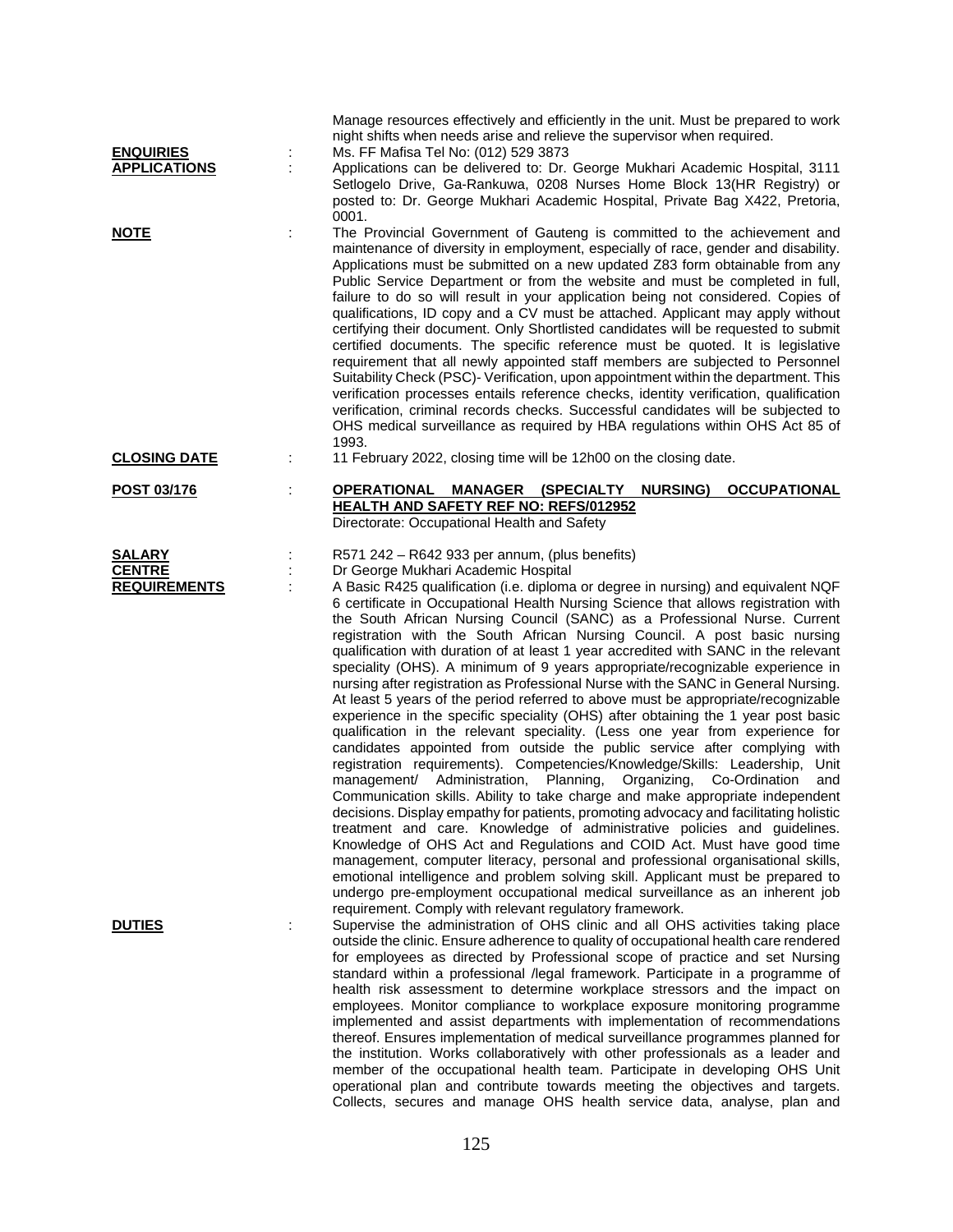|                     |   | Manage resources effectively and efficiently in the unit. Must be prepared to work                                                                                                                                                                                                                                                                                                                                                                                                                                                                                                                                                                                                                                                                                                                                                                                                                                                                                                                                                                                                                                                                                                                                                                                                                                                                                                                                                                                                                                                                                                                                                                                                                                                                    |
|---------------------|---|-------------------------------------------------------------------------------------------------------------------------------------------------------------------------------------------------------------------------------------------------------------------------------------------------------------------------------------------------------------------------------------------------------------------------------------------------------------------------------------------------------------------------------------------------------------------------------------------------------------------------------------------------------------------------------------------------------------------------------------------------------------------------------------------------------------------------------------------------------------------------------------------------------------------------------------------------------------------------------------------------------------------------------------------------------------------------------------------------------------------------------------------------------------------------------------------------------------------------------------------------------------------------------------------------------------------------------------------------------------------------------------------------------------------------------------------------------------------------------------------------------------------------------------------------------------------------------------------------------------------------------------------------------------------------------------------------------------------------------------------------------|
|                     |   | night shifts when needs arise and relieve the supervisor when required.                                                                                                                                                                                                                                                                                                                                                                                                                                                                                                                                                                                                                                                                                                                                                                                                                                                                                                                                                                                                                                                                                                                                                                                                                                                                                                                                                                                                                                                                                                                                                                                                                                                                               |
| <b>ENQUIRIES</b>    |   | Ms. FF Mafisa Tel No: (012) 529 3873                                                                                                                                                                                                                                                                                                                                                                                                                                                                                                                                                                                                                                                                                                                                                                                                                                                                                                                                                                                                                                                                                                                                                                                                                                                                                                                                                                                                                                                                                                                                                                                                                                                                                                                  |
| <b>APPLICATIONS</b> |   | Applications can be delivered to: Dr. George Mukhari Academic Hospital, 3111<br>Setlogelo Drive, Ga-Rankuwa, 0208 Nurses Home Block 13(HR Registry) or<br>posted to: Dr. George Mukhari Academic Hospital, Private Bag X422, Pretoria,<br>0001.                                                                                                                                                                                                                                                                                                                                                                                                                                                                                                                                                                                                                                                                                                                                                                                                                                                                                                                                                                                                                                                                                                                                                                                                                                                                                                                                                                                                                                                                                                       |
| <b>NOTE</b>         |   | The Provincial Government of Gauteng is committed to the achievement and<br>maintenance of diversity in employment, especially of race, gender and disability.<br>Applications must be submitted on a new updated Z83 form obtainable from any<br>Public Service Department or from the website and must be completed in full,<br>failure to do so will result in your application being not considered. Copies of<br>qualifications, ID copy and a CV must be attached. Applicant may apply without<br>certifying their document. Only Shortlisted candidates will be requested to submit<br>certified documents. The specific reference must be quoted. It is legislative<br>requirement that all newly appointed staff members are subjected to Personnel<br>Suitability Check (PSC)- Verification, upon appointment within the department. This<br>verification processes entails reference checks, identity verification, qualification<br>verification, criminal records checks. Successful candidates will be subjected to<br>OHS medical surveillance as required by HBA regulations within OHS Act 85 of<br>1993.                                                                                                                                                                                                                                                                                                                                                                                                                                                                                                                                                                                                                            |
| <b>CLOSING DATE</b> | ÷ | 11 February 2022, closing time will be 12h00 on the closing date.                                                                                                                                                                                                                                                                                                                                                                                                                                                                                                                                                                                                                                                                                                                                                                                                                                                                                                                                                                                                                                                                                                                                                                                                                                                                                                                                                                                                                                                                                                                                                                                                                                                                                     |
| POST 03/176         |   | <b>OPERATIONAL</b><br>MANAGER (SPECIALTY NURSING)<br><b>OCCUPATIONAL</b><br><b>HEALTH AND SAFETY REF NO: REFS/012952</b><br>Directorate: Occupational Health and Safety                                                                                                                                                                                                                                                                                                                                                                                                                                                                                                                                                                                                                                                                                                                                                                                                                                                                                                                                                                                                                                                                                                                                                                                                                                                                                                                                                                                                                                                                                                                                                                               |
| <b>SALARY</b>       |   | R571 242 - R642 933 per annum, (plus benefits)                                                                                                                                                                                                                                                                                                                                                                                                                                                                                                                                                                                                                                                                                                                                                                                                                                                                                                                                                                                                                                                                                                                                                                                                                                                                                                                                                                                                                                                                                                                                                                                                                                                                                                        |
| <b>CENTRE</b>       |   | Dr George Mukhari Academic Hospital                                                                                                                                                                                                                                                                                                                                                                                                                                                                                                                                                                                                                                                                                                                                                                                                                                                                                                                                                                                                                                                                                                                                                                                                                                                                                                                                                                                                                                                                                                                                                                                                                                                                                                                   |
| <b>REQUIREMENTS</b> |   | A Basic R425 qualification (i.e. diploma or degree in nursing) and equivalent NQF<br>6 certificate in Occupational Health Nursing Science that allows registration with<br>the South African Nursing Council (SANC) as a Professional Nurse. Current<br>registration with the South African Nursing Council. A post basic nursing<br>qualification with duration of at least 1 year accredited with SANC in the relevant<br>speciality (OHS). A minimum of 9 years appropriate/recognizable experience in<br>nursing after registration as Professional Nurse with the SANC in General Nursing.<br>At least 5 years of the period referred to above must be appropriate/recognizable<br>experience in the specific speciality (OHS) after obtaining the 1 year post basic<br>qualification in the relevant speciality. (Less one year from experience for<br>candidates appointed from outside the public service after complying with<br>registration requirements). Competencies/Knowledge/Skills: Leadership, Unit<br>management/ Administration, Planning,<br>Organizing,<br>Co-Ordination<br>and<br>Communication skills. Ability to take charge and make appropriate independent<br>decisions. Display empathy for patients, promoting advocacy and facilitating holistic<br>treatment and care. Knowledge of administrative policies and guidelines.<br>Knowledge of OHS Act and Regulations and COID Act. Must have good time<br>management, computer literacy, personal and professional organisational skills,<br>emotional intelligence and problem solving skill. Applicant must be prepared to<br>undergo pre-employment occupational medical surveillance as an inherent job<br>requirement. Comply with relevant regulatory framework. |
| <b>DUTIES</b>       |   | Supervise the administration of OHS clinic and all OHS activities taking place<br>outside the clinic. Ensure adherence to quality of occupational health care rendered<br>for employees as directed by Professional scope of practice and set Nursing<br>standard within a professional /legal framework. Participate in a programme of<br>health risk assessment to determine workplace stressors and the impact on<br>employees. Monitor compliance to workplace exposure monitoring programme<br>implemented and assist departments with implementation of recommendations<br>thereof. Ensures implementation of medical surveillance programmes planned for<br>the institution. Works collaboratively with other professionals as a leader and<br>member of the occupational health team. Participate in developing OHS Unit<br>operational plan and contribute towards meeting the objectives and targets.<br>Collects, secures and manage OHS health service data, analyse, plan and                                                                                                                                                                                                                                                                                                                                                                                                                                                                                                                                                                                                                                                                                                                                                            |
|                     |   |                                                                                                                                                                                                                                                                                                                                                                                                                                                                                                                                                                                                                                                                                                                                                                                                                                                                                                                                                                                                                                                                                                                                                                                                                                                                                                                                                                                                                                                                                                                                                                                                                                                                                                                                                       |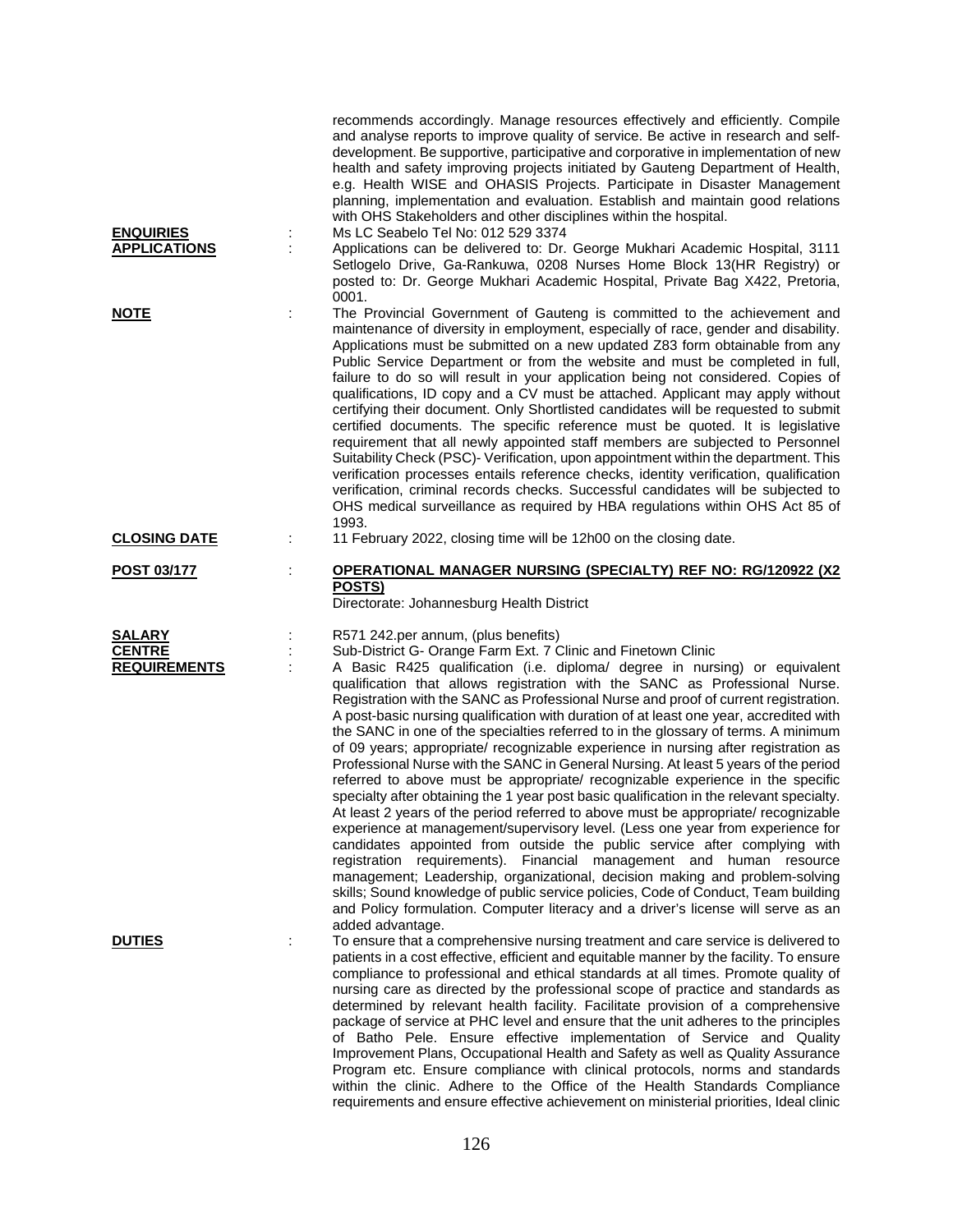| <b>ENQUIRIES</b><br><b>APPLICATIONS</b>               | ÷  | recommends accordingly. Manage resources effectively and efficiently. Compile<br>and analyse reports to improve quality of service. Be active in research and self-<br>development. Be supportive, participative and corporative in implementation of new<br>health and safety improving projects initiated by Gauteng Department of Health,<br>e.g. Health WISE and OHASIS Projects. Participate in Disaster Management<br>planning, implementation and evaluation. Establish and maintain good relations<br>with OHS Stakeholders and other disciplines within the hospital.<br>Ms LC Seabelo Tel No: 012 529 3374<br>Applications can be delivered to: Dr. George Mukhari Academic Hospital, 3111<br>Setlogelo Drive, Ga-Rankuwa, 0208 Nurses Home Block 13(HR Registry) or<br>posted to: Dr. George Mukhari Academic Hospital, Private Bag X422, Pretoria,<br>0001.                                                                                                                                                                                                                                                                                                                                                                                                                                                                                                                                                                                                                                       |
|-------------------------------------------------------|----|---------------------------------------------------------------------------------------------------------------------------------------------------------------------------------------------------------------------------------------------------------------------------------------------------------------------------------------------------------------------------------------------------------------------------------------------------------------------------------------------------------------------------------------------------------------------------------------------------------------------------------------------------------------------------------------------------------------------------------------------------------------------------------------------------------------------------------------------------------------------------------------------------------------------------------------------------------------------------------------------------------------------------------------------------------------------------------------------------------------------------------------------------------------------------------------------------------------------------------------------------------------------------------------------------------------------------------------------------------------------------------------------------------------------------------------------------------------------------------------------------------------|
| <u>NOTE</u>                                           | t  | The Provincial Government of Gauteng is committed to the achievement and<br>maintenance of diversity in employment, especially of race, gender and disability.<br>Applications must be submitted on a new updated Z83 form obtainable from any<br>Public Service Department or from the website and must be completed in full,<br>failure to do so will result in your application being not considered. Copies of<br>qualifications, ID copy and a CV must be attached. Applicant may apply without<br>certifying their document. Only Shortlisted candidates will be requested to submit<br>certified documents. The specific reference must be quoted. It is legislative<br>requirement that all newly appointed staff members are subjected to Personnel<br>Suitability Check (PSC)- Verification, upon appointment within the department. This<br>verification processes entails reference checks, identity verification, qualification<br>verification, criminal records checks. Successful candidates will be subjected to<br>OHS medical surveillance as required by HBA regulations within OHS Act 85 of<br>1993.                                                                                                                                                                                                                                                                                                                                                                                    |
| <b>CLOSING DATE</b>                                   | t. | 11 February 2022, closing time will be 12h00 on the closing date.                                                                                                                                                                                                                                                                                                                                                                                                                                                                                                                                                                                                                                                                                                                                                                                                                                                                                                                                                                                                                                                                                                                                                                                                                                                                                                                                                                                                                                             |
| <b>POST 03/177</b>                                    | ÷  | <b>OPERATIONAL MANAGER NURSING (SPECIALTY) REF NO: RG/120922 (X2</b><br>POSTS)<br>Directorate: Johannesburg Health District                                                                                                                                                                                                                                                                                                                                                                                                                                                                                                                                                                                                                                                                                                                                                                                                                                                                                                                                                                                                                                                                                                                                                                                                                                                                                                                                                                                   |
| <b>SALARY</b><br><b>CENTRE</b><br><b>REQUIREMENTS</b> | t  | R571 242.per annum, (plus benefits)<br>Sub-District G- Orange Farm Ext. 7 Clinic and Finetown Clinic<br>A Basic R425 qualification (i.e. diploma/ degree in nursing) or equivalent<br>qualification that allows registration with the SANC as Professional Nurse.<br>Registration with the SANC as Professional Nurse and proof of current registration.<br>A post-basic nursing qualification with duration of at least one year, accredited with<br>the SANC in one of the specialties referred to in the glossary of terms. A minimum<br>of 09 years; appropriate/ recognizable experience in nursing after registration as<br>Professional Nurse with the SANC in General Nursing. At least 5 years of the period<br>referred to above must be appropriate/ recognizable experience in the specific<br>specialty after obtaining the 1 year post basic qualification in the relevant specialty.<br>At least 2 years of the period referred to above must be appropriate/ recognizable<br>experience at management/supervisory level. (Less one year from experience for<br>candidates appointed from outside the public service after complying with<br>registration requirements). Financial management and human resource<br>management; Leadership, organizational, decision making and problem-solving<br>skills; Sound knowledge of public service policies, Code of Conduct, Team building<br>and Policy formulation. Computer literacy and a driver's license will serve as an<br>added advantage. |
| <b>DUTIES</b>                                         |    | To ensure that a comprehensive nursing treatment and care service is delivered to<br>patients in a cost effective, efficient and equitable manner by the facility. To ensure<br>compliance to professional and ethical standards at all times. Promote quality of<br>nursing care as directed by the professional scope of practice and standards as                                                                                                                                                                                                                                                                                                                                                                                                                                                                                                                                                                                                                                                                                                                                                                                                                                                                                                                                                                                                                                                                                                                                                          |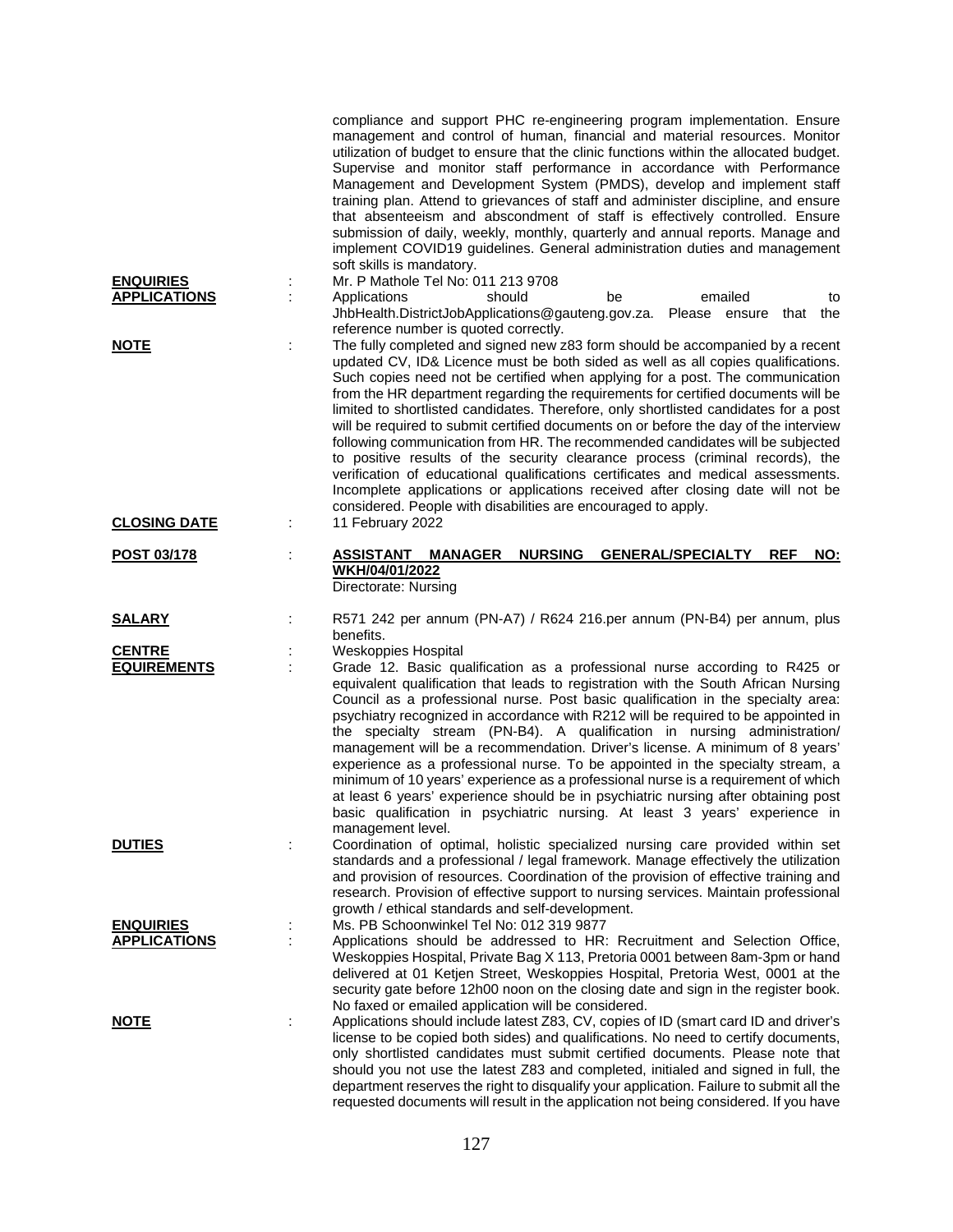| <b>ENQUIRIES</b><br><b>APPLICATIONS</b> | compliance and support PHC re-engineering program implementation. Ensure<br>management and control of human, financial and material resources. Monitor<br>utilization of budget to ensure that the clinic functions within the allocated budget.<br>Supervise and monitor staff performance in accordance with Performance<br>Management and Development System (PMDS), develop and implement staff<br>training plan. Attend to grievances of staff and administer discipline, and ensure<br>that absenteeism and abscondment of staff is effectively controlled. Ensure<br>submission of daily, weekly, monthly, quarterly and annual reports. Manage and<br>implement COVID19 guidelines. General administration duties and management<br>soft skills is mandatory.<br>Mr. P Mathole Tel No: 011 213 9708<br>should<br>emailed<br>Applications<br>be<br>to                                                                      |
|-----------------------------------------|-----------------------------------------------------------------------------------------------------------------------------------------------------------------------------------------------------------------------------------------------------------------------------------------------------------------------------------------------------------------------------------------------------------------------------------------------------------------------------------------------------------------------------------------------------------------------------------------------------------------------------------------------------------------------------------------------------------------------------------------------------------------------------------------------------------------------------------------------------------------------------------------------------------------------------------|
|                                         | JhbHealth.DistrictJobApplications@gauteng.gov.za. Please ensure that<br>the<br>reference number is quoted correctly.                                                                                                                                                                                                                                                                                                                                                                                                                                                                                                                                                                                                                                                                                                                                                                                                              |
| <b>NOTE</b>                             | The fully completed and signed new z83 form should be accompanied by a recent<br>updated CV, ID& Licence must be both sided as well as all copies qualifications.<br>Such copies need not be certified when applying for a post. The communication<br>from the HR department regarding the requirements for certified documents will be<br>limited to shortlisted candidates. Therefore, only shortlisted candidates for a post<br>will be required to submit certified documents on or before the day of the interview<br>following communication from HR. The recommended candidates will be subjected<br>to positive results of the security clearance process (criminal records), the<br>verification of educational qualifications certificates and medical assessments.<br>Incomplete applications or applications received after closing date will not be<br>considered. People with disabilities are encouraged to apply. |
| <b>CLOSING DATE</b>                     | 11 February 2022                                                                                                                                                                                                                                                                                                                                                                                                                                                                                                                                                                                                                                                                                                                                                                                                                                                                                                                  |
| POST 03/178                             | <b>ASSISTANT</b><br><b>NURSING</b><br><b>GENERAL/SPECIALTY</b><br><b>REF</b><br>NO:<br><b>MANAGER</b><br>WKH/04/01/2022<br>Directorate: Nursing                                                                                                                                                                                                                                                                                                                                                                                                                                                                                                                                                                                                                                                                                                                                                                                   |
| <b>SALARY</b>                           | R571 242 per annum (PN-A7) / R624 216.per annum (PN-B4) per annum, plus<br>benefits.                                                                                                                                                                                                                                                                                                                                                                                                                                                                                                                                                                                                                                                                                                                                                                                                                                              |
| <b>CENTRE</b>                           | <b>Weskoppies Hospital</b>                                                                                                                                                                                                                                                                                                                                                                                                                                                                                                                                                                                                                                                                                                                                                                                                                                                                                                        |
| <b>EQUIREMENTS</b>                      | Grade 12. Basic qualification as a professional nurse according to R425 or<br>equivalent qualification that leads to registration with the South African Nursing<br>Council as a professional nurse. Post basic qualification in the specialty area:<br>psychiatry recognized in accordance with R212 will be required to be appointed in<br>the specialty stream (PN-B4). A qualification in nursing administration/<br>management will be a recommendation. Driver's license. A minimum of 8 years'<br>experience as a professional nurse. To be appointed in the specialty stream, a<br>minimum of 10 years' experience as a professional nurse is a requirement of which<br>at least 6 years' experience should be in psychiatric nursing after obtaining post<br>basic qualification in psychiatric nursing. At least 3 years' experience in<br>management level.                                                            |
| <b>DUTIES</b>                           | Coordination of optimal, holistic specialized nursing care provided within set<br>standards and a professional / legal framework. Manage effectively the utilization<br>and provision of resources. Coordination of the provision of effective training and<br>research. Provision of effective support to nursing services. Maintain professional<br>growth / ethical standards and self-development.                                                                                                                                                                                                                                                                                                                                                                                                                                                                                                                            |
| <b>ENQUIRIES</b>                        | Ms. PB Schoonwinkel Tel No: 012 319 9877                                                                                                                                                                                                                                                                                                                                                                                                                                                                                                                                                                                                                                                                                                                                                                                                                                                                                          |
| <b>APPLICATIONS</b>                     | Applications should be addressed to HR: Recruitment and Selection Office,<br>Weskoppies Hospital, Private Bag X 113, Pretoria 0001 between 8am-3pm or hand<br>delivered at 01 Ketjen Street, Weskoppies Hospital, Pretoria West, 0001 at the<br>security gate before 12h00 noon on the closing date and sign in the register book.<br>No faxed or emailed application will be considered.                                                                                                                                                                                                                                                                                                                                                                                                                                                                                                                                         |
| <b>NOTE</b>                             | Applications should include latest Z83, CV, copies of ID (smart card ID and driver's<br>÷<br>license to be copied both sides) and qualifications. No need to certify documents,<br>only shortlisted candidates must submit certified documents. Please note that<br>should you not use the latest Z83 and completed, initialed and signed in full, the<br>department reserves the right to disqualify your application. Failure to submit all the<br>requested documents will result in the application not being considered. If you have                                                                                                                                                                                                                                                                                                                                                                                         |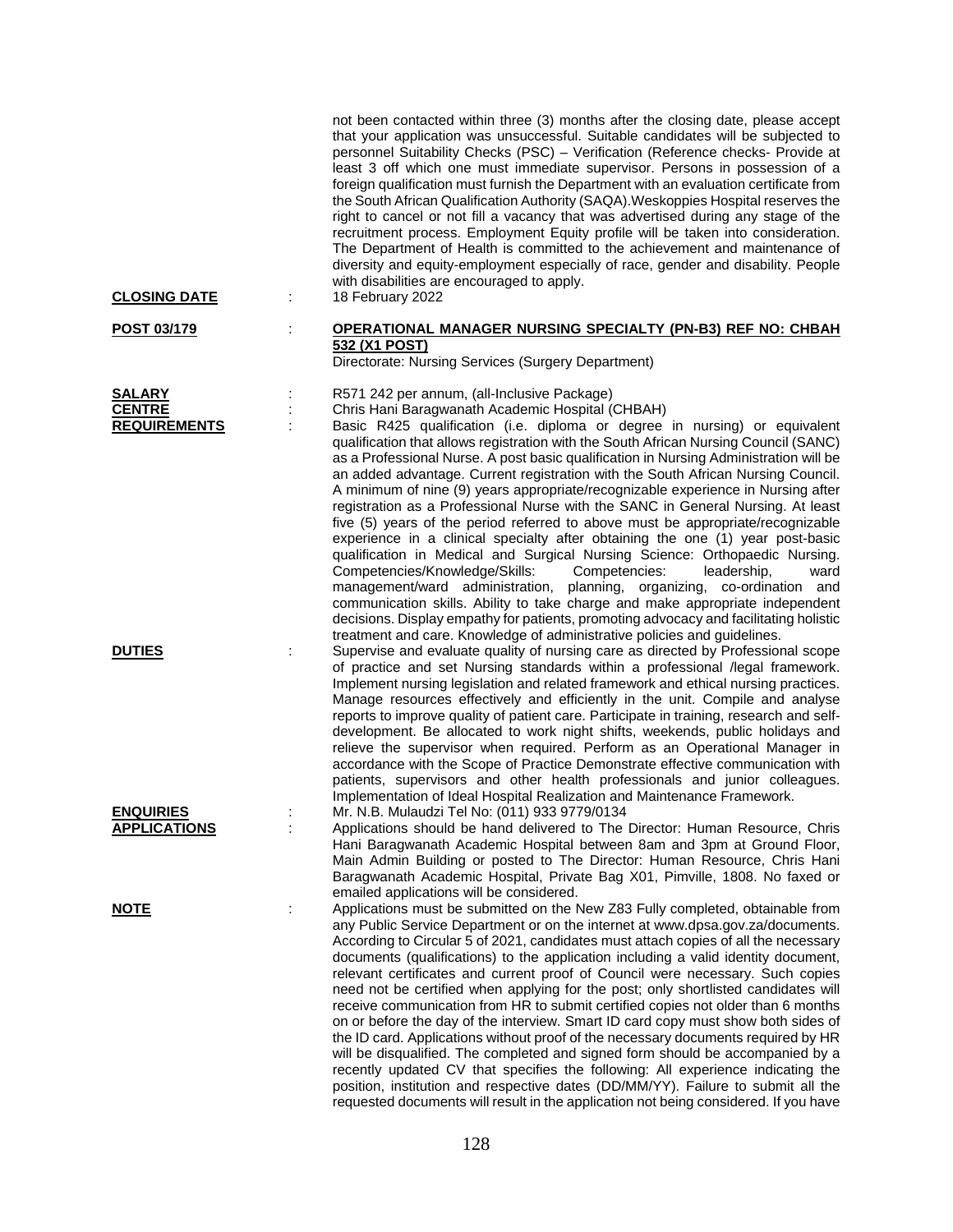| <b>CLOSING DATE</b>                                   | ÷ | not been contacted within three (3) months after the closing date, please accept<br>that your application was unsuccessful. Suitable candidates will be subjected to<br>personnel Suitability Checks (PSC) - Verification (Reference checks- Provide at<br>least 3 off which one must immediate supervisor. Persons in possession of a<br>foreign qualification must furnish the Department with an evaluation certificate from<br>the South African Qualification Authority (SAQA). Weskoppies Hospital reserves the<br>right to cancel or not fill a vacancy that was advertised during any stage of the<br>recruitment process. Employment Equity profile will be taken into consideration.<br>The Department of Health is committed to the achievement and maintenance of<br>diversity and equity-employment especially of race, gender and disability. People<br>with disabilities are encouraged to apply.<br>18 February 2022                                                                                                                                                                                                                                                                                                                                                     |
|-------------------------------------------------------|---|------------------------------------------------------------------------------------------------------------------------------------------------------------------------------------------------------------------------------------------------------------------------------------------------------------------------------------------------------------------------------------------------------------------------------------------------------------------------------------------------------------------------------------------------------------------------------------------------------------------------------------------------------------------------------------------------------------------------------------------------------------------------------------------------------------------------------------------------------------------------------------------------------------------------------------------------------------------------------------------------------------------------------------------------------------------------------------------------------------------------------------------------------------------------------------------------------------------------------------------------------------------------------------------|
| <u>POST 03/179</u>                                    | t | <b>OPERATIONAL MANAGER NURSING SPECIALTY (PN-B3) REF NO: CHBAH</b><br>532 (X1 POST)<br>Directorate: Nursing Services (Surgery Department)                                                                                                                                                                                                                                                                                                                                                                                                                                                                                                                                                                                                                                                                                                                                                                                                                                                                                                                                                                                                                                                                                                                                                |
| <b>SALARY</b><br><b>CENTRE</b><br><b>REQUIREMENTS</b> |   | R571 242 per annum, (all-Inclusive Package)<br>Chris Hani Baragwanath Academic Hospital (CHBAH)<br>Basic R425 qualification (i.e. diploma or degree in nursing) or equivalent<br>qualification that allows registration with the South African Nursing Council (SANC)<br>as a Professional Nurse. A post basic qualification in Nursing Administration will be<br>an added advantage. Current registration with the South African Nursing Council.<br>A minimum of nine (9) years appropriate/recognizable experience in Nursing after<br>registration as a Professional Nurse with the SANC in General Nursing. At least<br>five (5) years of the period referred to above must be appropriate/recognizable<br>experience in a clinical specialty after obtaining the one (1) year post-basic<br>qualification in Medical and Surgical Nursing Science: Orthopaedic Nursing.<br>Competencies/Knowledge/Skills:<br>Competencies:<br>leadership,<br>ward<br>management/ward administration, planning, organizing, co-ordination and<br>communication skills. Ability to take charge and make appropriate independent<br>decisions. Display empathy for patients, promoting advocacy and facilitating holistic<br>treatment and care. Knowledge of administrative policies and guidelines. |
| <b>DUTIES</b>                                         | ÷ | Supervise and evaluate quality of nursing care as directed by Professional scope<br>of practice and set Nursing standards within a professional /legal framework.<br>Implement nursing legislation and related framework and ethical nursing practices.<br>Manage resources effectively and efficiently in the unit. Compile and analyse<br>reports to improve quality of patient care. Participate in training, research and self-<br>development. Be allocated to work night shifts, weekends, public holidays and<br>relieve the supervisor when required. Perform as an Operational Manager in<br>accordance with the Scope of Practice Demonstrate effective communication with<br>patients, supervisors and other health professionals and junior colleagues.<br>Implementation of Ideal Hospital Realization and Maintenance Framework.                                                                                                                                                                                                                                                                                                                                                                                                                                           |
| <b>ENQUIRIES</b><br><b>APPLICATIONS</b>               |   | Mr. N.B. Mulaudzi Tel No: (011) 933 9779/0134<br>Applications should be hand delivered to The Director: Human Resource, Chris<br>Hani Baragwanath Academic Hospital between 8am and 3pm at Ground Floor,<br>Main Admin Building or posted to The Director: Human Resource, Chris Hani<br>Baragwanath Academic Hospital, Private Bag X01, Pimville, 1808. No faxed or<br>emailed applications will be considered.                                                                                                                                                                                                                                                                                                                                                                                                                                                                                                                                                                                                                                                                                                                                                                                                                                                                         |
| <u>NOTE</u>                                           | ÷ | Applications must be submitted on the New Z83 Fully completed, obtainable from<br>any Public Service Department or on the internet at www.dpsa.gov.za/documents.<br>According to Circular 5 of 2021, candidates must attach copies of all the necessary<br>documents (qualifications) to the application including a valid identity document,<br>relevant certificates and current proof of Council were necessary. Such copies<br>need not be certified when applying for the post; only shortlisted candidates will<br>receive communication from HR to submit certified copies not older than 6 months<br>on or before the day of the interview. Smart ID card copy must show both sides of<br>the ID card. Applications without proof of the necessary documents required by HR<br>will be disqualified. The completed and signed form should be accompanied by a<br>recently updated CV that specifies the following: All experience indicating the<br>position, institution and respective dates (DD/MM/YY). Failure to submit all the<br>requested documents will result in the application not being considered. If you have                                                                                                                                                     |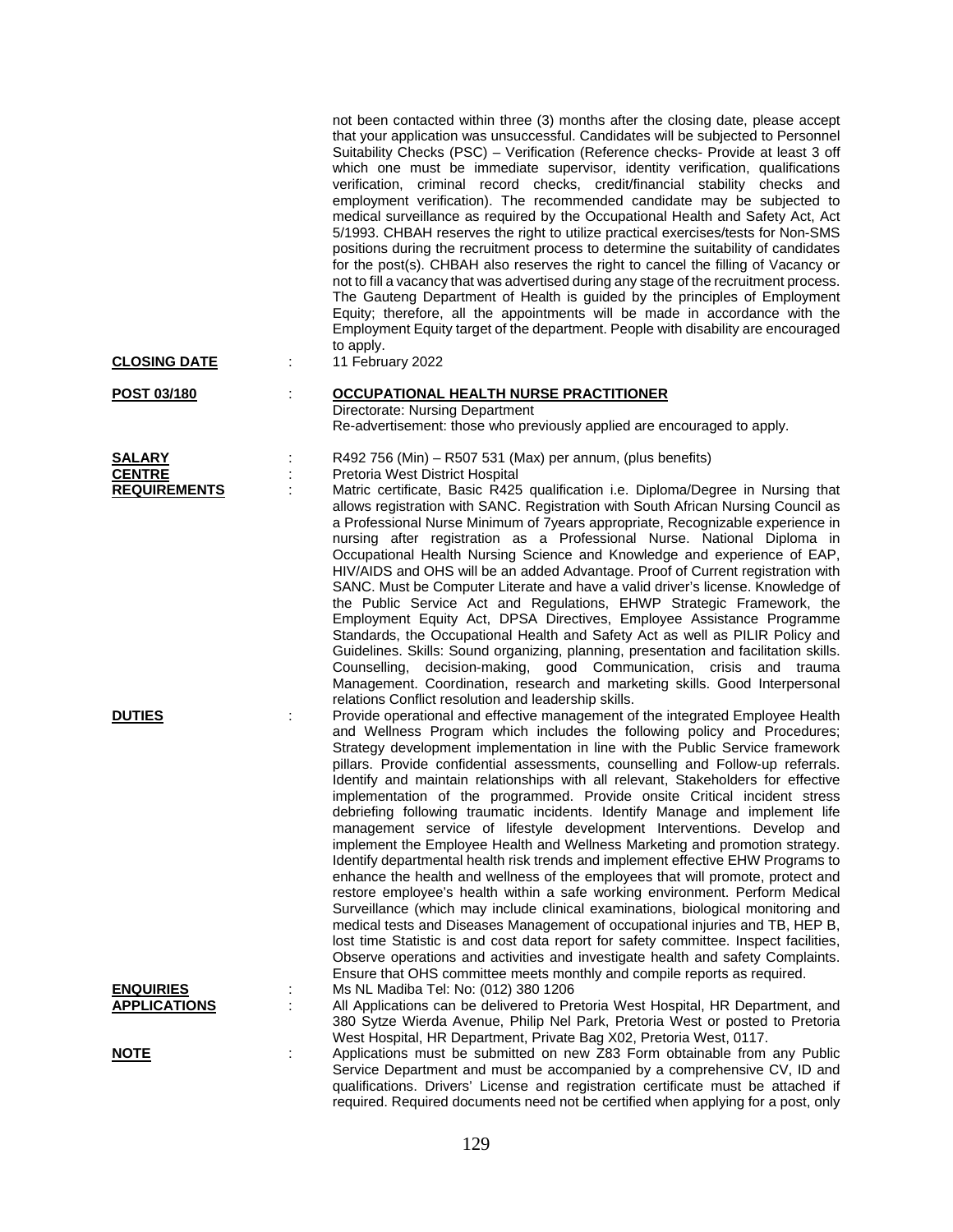| <b>CLOSING DATE</b>                  | ÷ | not been contacted within three (3) months after the closing date, please accept<br>that your application was unsuccessful. Candidates will be subjected to Personnel<br>Suitability Checks (PSC) - Verification (Reference checks- Provide at least 3 off<br>which one must be immediate supervisor, identity verification, qualifications<br>verification, criminal record checks, credit/financial stability checks and<br>employment verification). The recommended candidate may be subjected to<br>medical surveillance as required by the Occupational Health and Safety Act, Act<br>5/1993. CHBAH reserves the right to utilize practical exercises/tests for Non-SMS<br>positions during the recruitment process to determine the suitability of candidates<br>for the post(s). CHBAH also reserves the right to cancel the filling of Vacancy or<br>not to fill a vacancy that was advertised during any stage of the recruitment process.<br>The Gauteng Department of Health is guided by the principles of Employment<br>Equity; therefore, all the appointments will be made in accordance with the<br>Employment Equity target of the department. People with disability are encouraged<br>to apply.<br>11 February 2022                                                                                                            |
|--------------------------------------|---|----------------------------------------------------------------------------------------------------------------------------------------------------------------------------------------------------------------------------------------------------------------------------------------------------------------------------------------------------------------------------------------------------------------------------------------------------------------------------------------------------------------------------------------------------------------------------------------------------------------------------------------------------------------------------------------------------------------------------------------------------------------------------------------------------------------------------------------------------------------------------------------------------------------------------------------------------------------------------------------------------------------------------------------------------------------------------------------------------------------------------------------------------------------------------------------------------------------------------------------------------------------------------------------------------------------------------------------------------|
| POST 03/180                          |   | <b>OCCUPATIONAL HEALTH NURSE PRACTITIONER</b>                                                                                                                                                                                                                                                                                                                                                                                                                                                                                                                                                                                                                                                                                                                                                                                                                                                                                                                                                                                                                                                                                                                                                                                                                                                                                                      |
|                                      |   | Directorate: Nursing Department                                                                                                                                                                                                                                                                                                                                                                                                                                                                                                                                                                                                                                                                                                                                                                                                                                                                                                                                                                                                                                                                                                                                                                                                                                                                                                                    |
|                                      |   | Re-advertisement: those who previously applied are encouraged to apply.                                                                                                                                                                                                                                                                                                                                                                                                                                                                                                                                                                                                                                                                                                                                                                                                                                                                                                                                                                                                                                                                                                                                                                                                                                                                            |
| <b>SALARY</b>                        |   | R492 756 (Min) - R507 531 (Max) per annum, (plus benefits)                                                                                                                                                                                                                                                                                                                                                                                                                                                                                                                                                                                                                                                                                                                                                                                                                                                                                                                                                                                                                                                                                                                                                                                                                                                                                         |
| <b>CENTRE</b><br><b>REQUIREMENTS</b> |   | Pretoria West District Hospital<br>Matric certificate, Basic R425 qualification i.e. Diploma/Degree in Nursing that                                                                                                                                                                                                                                                                                                                                                                                                                                                                                                                                                                                                                                                                                                                                                                                                                                                                                                                                                                                                                                                                                                                                                                                                                                |
|                                      |   | allows registration with SANC. Registration with South African Nursing Council as<br>a Professional Nurse Minimum of 7years appropriate, Recognizable experience in<br>nursing after registration as a Professional Nurse. National Diploma in<br>Occupational Health Nursing Science and Knowledge and experience of EAP,<br>HIV/AIDS and OHS will be an added Advantage. Proof of Current registration with<br>SANC. Must be Computer Literate and have a valid driver's license. Knowledge of<br>the Public Service Act and Regulations, EHWP Strategic Framework, the<br>Employment Equity Act, DPSA Directives, Employee Assistance Programme<br>Standards, the Occupational Health and Safety Act as well as PILIR Policy and<br>Guidelines. Skills: Sound organizing, planning, presentation and facilitation skills.<br>decision-making, good Communication, crisis and trauma<br>Counselling,<br>Management. Coordination, research and marketing skills. Good Interpersonal<br>relations Conflict resolution and leadership skills.                                                                                                                                                                                                                                                                                                      |
| <b>DUTIES</b>                        |   | Provide operational and effective management of the integrated Employee Health<br>and Wellness Program which includes the following policy and Procedures;<br>Strategy development implementation in line with the Public Service framework<br>pillars. Provide confidential assessments, counselling and Follow-up referrals.<br>Identify and maintain relationships with all relevant, Stakeholders for effective<br>implementation of the programmed. Provide onsite Critical incident stress<br>debriefing following traumatic incidents. Identify Manage and implement life<br>management service of lifestyle development Interventions. Develop and<br>implement the Employee Health and Wellness Marketing and promotion strategy.<br>Identify departmental health risk trends and implement effective EHW Programs to<br>enhance the health and wellness of the employees that will promote, protect and<br>restore employee's health within a safe working environment. Perform Medical<br>Surveillance (which may include clinical examinations, biological monitoring and<br>medical tests and Diseases Management of occupational injuries and TB, HEP B,<br>lost time Statistic is and cost data report for safety committee. Inspect facilities,<br>Observe operations and activities and investigate health and safety Complaints. |
| <b>ENQUIRIES</b>                     |   | Ensure that OHS committee meets monthly and compile reports as required.<br>Ms NL Madiba Tel: No: (012) 380 1206                                                                                                                                                                                                                                                                                                                                                                                                                                                                                                                                                                                                                                                                                                                                                                                                                                                                                                                                                                                                                                                                                                                                                                                                                                   |
| <b>APPLICATIONS</b>                  |   | All Applications can be delivered to Pretoria West Hospital, HR Department, and                                                                                                                                                                                                                                                                                                                                                                                                                                                                                                                                                                                                                                                                                                                                                                                                                                                                                                                                                                                                                                                                                                                                                                                                                                                                    |
|                                      |   | 380 Sytze Wierda Avenue, Philip Nel Park, Pretoria West or posted to Pretoria<br>West Hospital, HR Department, Private Bag X02, Pretoria West, 0117.                                                                                                                                                                                                                                                                                                                                                                                                                                                                                                                                                                                                                                                                                                                                                                                                                                                                                                                                                                                                                                                                                                                                                                                               |
| <u>NOTE</u>                          | ÷ | Applications must be submitted on new Z83 Form obtainable from any Public                                                                                                                                                                                                                                                                                                                                                                                                                                                                                                                                                                                                                                                                                                                                                                                                                                                                                                                                                                                                                                                                                                                                                                                                                                                                          |
|                                      |   | Service Department and must be accompanied by a comprehensive CV, ID and<br>qualifications. Drivers' License and registration certificate must be attached if                                                                                                                                                                                                                                                                                                                                                                                                                                                                                                                                                                                                                                                                                                                                                                                                                                                                                                                                                                                                                                                                                                                                                                                      |

required. Required documents need not be certified when applying for a post, only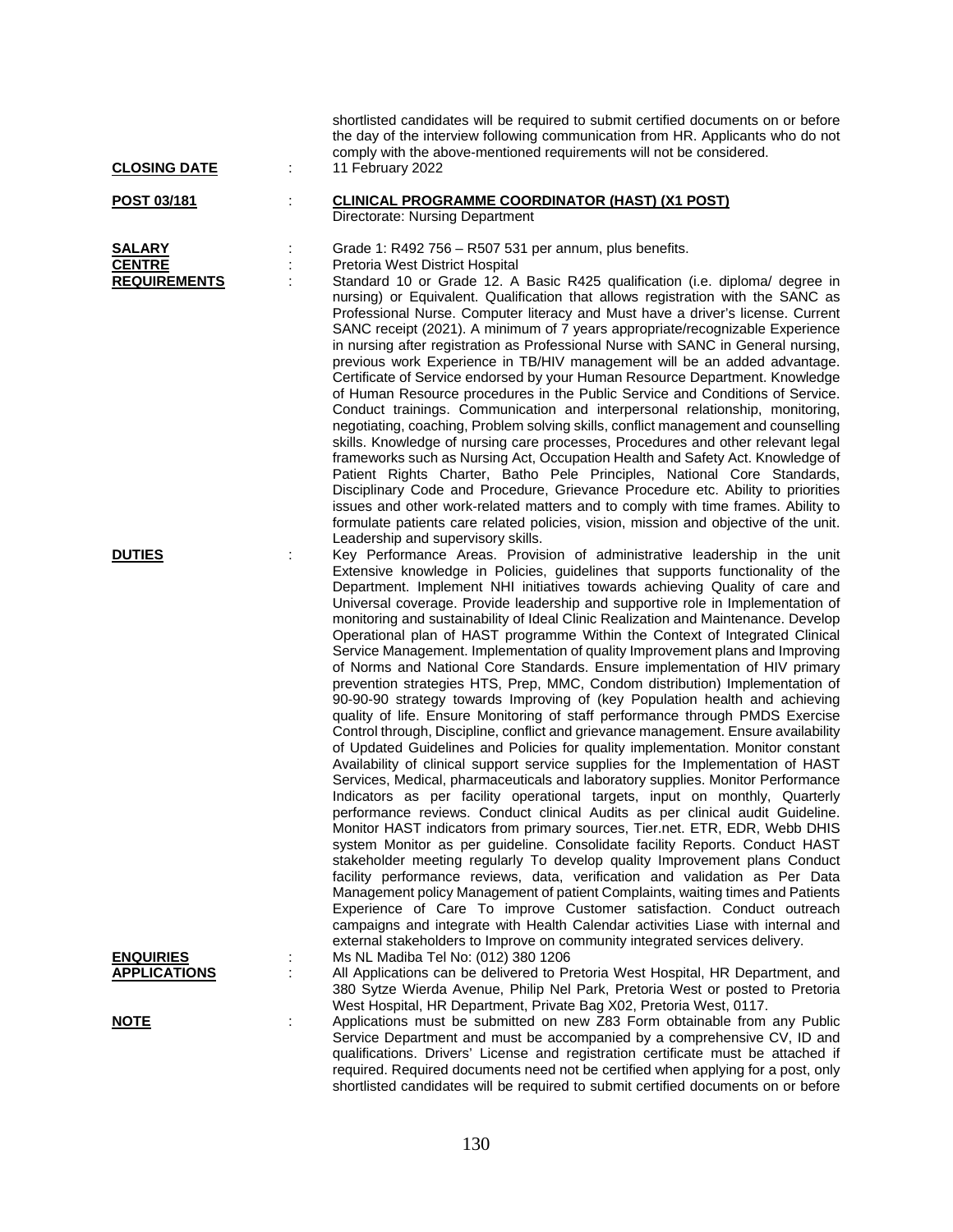| <b>CLOSING DATE</b>                                    | ÷ | shortlisted candidates will be required to submit certified documents on or before<br>the day of the interview following communication from HR. Applicants who do not<br>comply with the above-mentioned requirements will not be considered.<br>11 February 2022                                                                                                                                                                                                                                                                                                                                                                                                                                                                                                                                                                                                                                                                                                                                                                                                                                                                                                                                                                                                                                                                                                                                                                                                                                                                                                                                                                                                                                                                    |
|--------------------------------------------------------|---|--------------------------------------------------------------------------------------------------------------------------------------------------------------------------------------------------------------------------------------------------------------------------------------------------------------------------------------------------------------------------------------------------------------------------------------------------------------------------------------------------------------------------------------------------------------------------------------------------------------------------------------------------------------------------------------------------------------------------------------------------------------------------------------------------------------------------------------------------------------------------------------------------------------------------------------------------------------------------------------------------------------------------------------------------------------------------------------------------------------------------------------------------------------------------------------------------------------------------------------------------------------------------------------------------------------------------------------------------------------------------------------------------------------------------------------------------------------------------------------------------------------------------------------------------------------------------------------------------------------------------------------------------------------------------------------------------------------------------------------|
| <u>POST 03/181</u>                                     |   | <b>CLINICAL PROGRAMME COORDINATOR (HAST) (X1 POST)</b><br>Directorate: Nursing Department                                                                                                                                                                                                                                                                                                                                                                                                                                                                                                                                                                                                                                                                                                                                                                                                                                                                                                                                                                                                                                                                                                                                                                                                                                                                                                                                                                                                                                                                                                                                                                                                                                            |
| <b>SALARY</b><br><b>CENTRE</b><br><b>REQUIREMENTS</b>  |   | Grade 1: R492 756 – R507 531 per annum, plus benefits.<br>Pretoria West District Hospital<br>Standard 10 or Grade 12. A Basic R425 qualification (i.e. diploma/ degree in<br>nursing) or Equivalent. Qualification that allows registration with the SANC as<br>Professional Nurse. Computer literacy and Must have a driver's license. Current<br>SANC receipt (2021). A minimum of 7 years appropriate/recognizable Experience<br>in nursing after registration as Professional Nurse with SANC in General nursing,<br>previous work Experience in TB/HIV management will be an added advantage.<br>Certificate of Service endorsed by your Human Resource Department. Knowledge<br>of Human Resource procedures in the Public Service and Conditions of Service.<br>Conduct trainings. Communication and interpersonal relationship, monitoring,<br>negotiating, coaching, Problem solving skills, conflict management and counselling<br>skills. Knowledge of nursing care processes, Procedures and other relevant legal<br>frameworks such as Nursing Act, Occupation Health and Safety Act. Knowledge of<br>Patient Rights Charter, Batho Pele Principles, National Core Standards,<br>Disciplinary Code and Procedure, Grievance Procedure etc. Ability to priorities                                                                                                                                                                                                                                                                                                                                                                                                                                                        |
| <b>DUTIES</b>                                          |   | issues and other work-related matters and to comply with time frames. Ability to<br>formulate patients care related policies, vision, mission and objective of the unit.<br>Leadership and supervisory skills.<br>Key Performance Areas. Provision of administrative leadership in the unit<br>Extensive knowledge in Policies, guidelines that supports functionality of the<br>Department. Implement NHI initiatives towards achieving Quality of care and<br>Universal coverage. Provide leadership and supportive role in Implementation of<br>monitoring and sustainability of Ideal Clinic Realization and Maintenance. Develop<br>Operational plan of HAST programme Within the Context of Integrated Clinical<br>Service Management. Implementation of quality Improvement plans and Improving<br>of Norms and National Core Standards. Ensure implementation of HIV primary<br>prevention strategies HTS, Prep, MMC, Condom distribution) Implementation of<br>90-90-90 strategy towards Improving of (key Population health and achieving<br>quality of life. Ensure Monitoring of staff performance through PMDS Exercise<br>Control through, Discipline, conflict and grievance management. Ensure availability<br>of Updated Guidelines and Policies for quality implementation. Monitor constant<br>Availability of clinical support service supplies for the Implementation of HAST<br>Services, Medical, pharmaceuticals and laboratory supplies. Monitor Performance<br>Indicators as per facility operational targets, input on monthly, Quarterly<br>performance reviews. Conduct clinical Audits as per clinical audit Guideline.<br>Monitor HAST indicators from primary sources, Tier.net. ETR, EDR, Webb DHIS |
| <b>ENQUIRIES</b><br><b>APPLICATIONS</b><br><u>NOTE</u> |   | system Monitor as per guideline. Consolidate facility Reports. Conduct HAST<br>stakeholder meeting regularly To develop quality Improvement plans Conduct<br>facility performance reviews, data, verification and validation as Per Data<br>Management policy Management of patient Complaints, waiting times and Patients<br>Experience of Care To improve Customer satisfaction. Conduct outreach<br>campaigns and integrate with Health Calendar activities Liase with internal and<br>external stakeholders to Improve on community integrated services delivery.<br>Ms NL Madiba Tel No: (012) 380 1206<br>All Applications can be delivered to Pretoria West Hospital, HR Department, and<br>380 Sytze Wierda Avenue, Philip Nel Park, Pretoria West or posted to Pretoria<br>West Hospital, HR Department, Private Bag X02, Pretoria West, 0117.<br>Applications must be submitted on new Z83 Form obtainable from any Public<br>Service Department and must be accompanied by a comprehensive CV, ID and<br>qualifications. Drivers' License and registration certificate must be attached if<br>required. Required documents need not be certified when applying for a post, only                                                                                                                                                                                                                                                                                                                                                                                                                                                                                                                                           |

shortlisted candidates will be required to submit certified documents on or before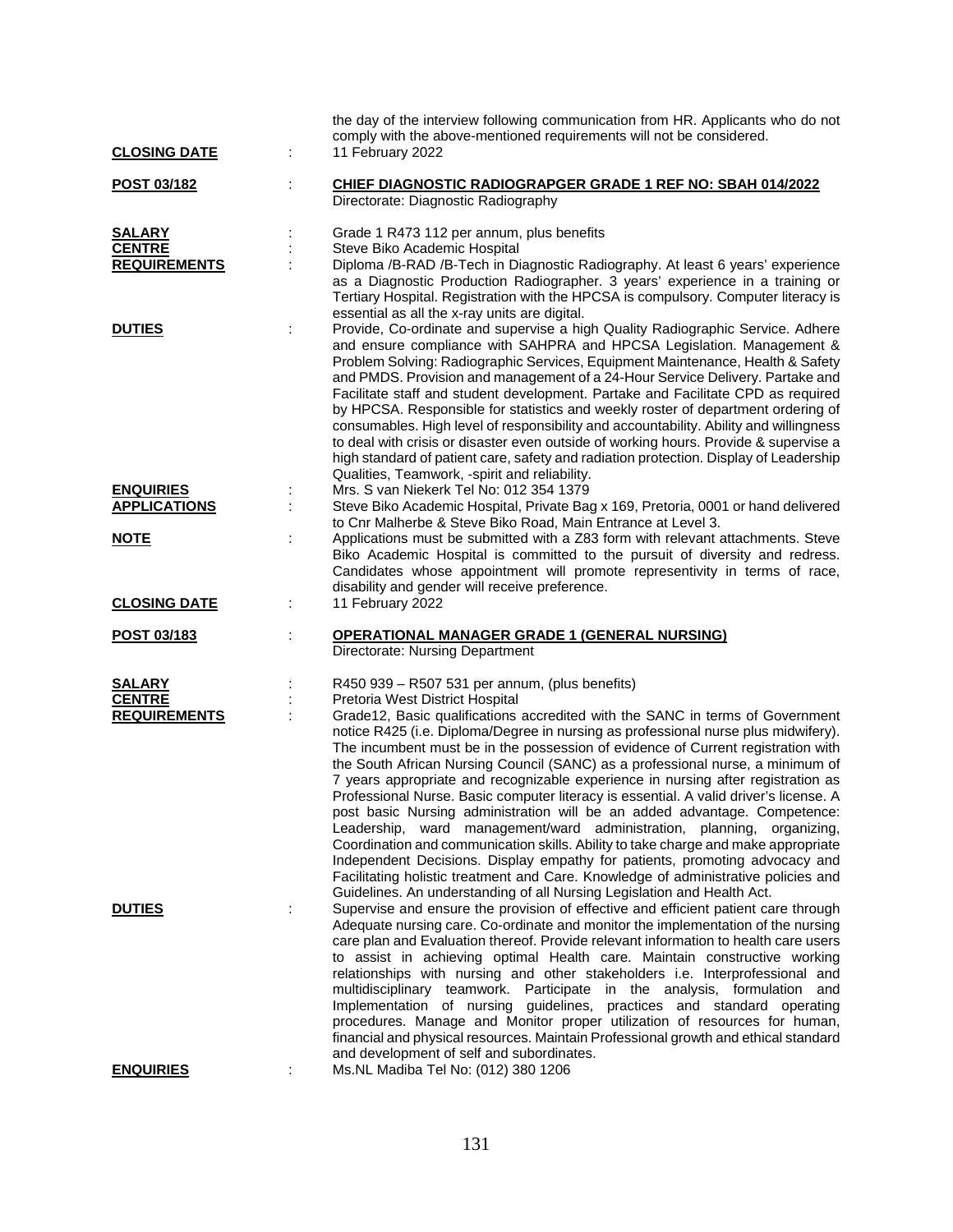| <b>CLOSING DATE</b> |   | the day of the interview following communication from HR. Applicants who do not<br>comply with the above-mentioned requirements will not be considered.<br>11 February 2022                                                                                                                                                                                                                                                                                                                                                                                                                                                                                                                                                                                                                                                                                                                                                                                                                                         |
|---------------------|---|---------------------------------------------------------------------------------------------------------------------------------------------------------------------------------------------------------------------------------------------------------------------------------------------------------------------------------------------------------------------------------------------------------------------------------------------------------------------------------------------------------------------------------------------------------------------------------------------------------------------------------------------------------------------------------------------------------------------------------------------------------------------------------------------------------------------------------------------------------------------------------------------------------------------------------------------------------------------------------------------------------------------|
|                     |   |                                                                                                                                                                                                                                                                                                                                                                                                                                                                                                                                                                                                                                                                                                                                                                                                                                                                                                                                                                                                                     |
| POST 03/182         |   | CHIEF DIAGNOSTIC RADIOGRAPGER GRADE 1 REF NO: SBAH 014/2022<br>Directorate: Diagnostic Radiography                                                                                                                                                                                                                                                                                                                                                                                                                                                                                                                                                                                                                                                                                                                                                                                                                                                                                                                  |
| <b>SALARY</b>       |   | Grade 1 R473 112 per annum, plus benefits                                                                                                                                                                                                                                                                                                                                                                                                                                                                                                                                                                                                                                                                                                                                                                                                                                                                                                                                                                           |
| <b>CENTRE</b>       |   | Steve Biko Academic Hospital                                                                                                                                                                                                                                                                                                                                                                                                                                                                                                                                                                                                                                                                                                                                                                                                                                                                                                                                                                                        |
| <b>REQUIREMENTS</b> |   | Diploma /B-RAD /B-Tech in Diagnostic Radiography. At least 6 years' experience<br>as a Diagnostic Production Radiographer. 3 years' experience in a training or<br>Tertiary Hospital. Registration with the HPCSA is compulsory. Computer literacy is<br>essential as all the x-ray units are digital.                                                                                                                                                                                                                                                                                                                                                                                                                                                                                                                                                                                                                                                                                                              |
| <b>DUTIES</b>       |   | Provide, Co-ordinate and supervise a high Quality Radiographic Service. Adhere                                                                                                                                                                                                                                                                                                                                                                                                                                                                                                                                                                                                                                                                                                                                                                                                                                                                                                                                      |
|                     |   | and ensure compliance with SAHPRA and HPCSA Legislation. Management &<br>Problem Solving: Radiographic Services, Equipment Maintenance, Health & Safety<br>and PMDS. Provision and management of a 24-Hour Service Delivery. Partake and<br>Facilitate staff and student development. Partake and Facilitate CPD as required<br>by HPCSA. Responsible for statistics and weekly roster of department ordering of<br>consumables. High level of responsibility and accountability. Ability and willingness<br>to deal with crisis or disaster even outside of working hours. Provide & supervise a<br>high standard of patient care, safety and radiation protection. Display of Leadership<br>Qualities, Teamwork, -spirit and reliability.                                                                                                                                                                                                                                                                         |
| <b>ENQUIRIES</b>    |   | Mrs. S van Niekerk Tel No: 012 354 1379                                                                                                                                                                                                                                                                                                                                                                                                                                                                                                                                                                                                                                                                                                                                                                                                                                                                                                                                                                             |
| <b>APPLICATIONS</b> |   | Steve Biko Academic Hospital, Private Bag x 169, Pretoria, 0001 or hand delivered<br>to Cnr Malherbe & Steve Biko Road, Main Entrance at Level 3.                                                                                                                                                                                                                                                                                                                                                                                                                                                                                                                                                                                                                                                                                                                                                                                                                                                                   |
| <b>NOTE</b>         |   | Applications must be submitted with a Z83 form with relevant attachments. Steve<br>Biko Academic Hospital is committed to the pursuit of diversity and redress.<br>Candidates whose appointment will promote representivity in terms of race,<br>disability and gender will receive preference.                                                                                                                                                                                                                                                                                                                                                                                                                                                                                                                                                                                                                                                                                                                     |
| <b>CLOSING DATE</b> | ÷ | 11 February 2022                                                                                                                                                                                                                                                                                                                                                                                                                                                                                                                                                                                                                                                                                                                                                                                                                                                                                                                                                                                                    |
| POST 03/183         |   | <b>OPERATIONAL MANAGER GRADE 1 (GENERAL NURSING)</b><br>Directorate: Nursing Department                                                                                                                                                                                                                                                                                                                                                                                                                                                                                                                                                                                                                                                                                                                                                                                                                                                                                                                             |
| <b>SALARY</b>       |   | R450 939 - R507 531 per annum, (plus benefits)                                                                                                                                                                                                                                                                                                                                                                                                                                                                                                                                                                                                                                                                                                                                                                                                                                                                                                                                                                      |
| <b>CENTRE</b>       |   | Pretoria West District Hospital                                                                                                                                                                                                                                                                                                                                                                                                                                                                                                                                                                                                                                                                                                                                                                                                                                                                                                                                                                                     |
| <b>REQUIREMENTS</b> |   | Grade12, Basic qualifications accredited with the SANC in terms of Government<br>notice R425 (i.e. Diploma/Degree in nursing as professional nurse plus midwifery).<br>The incumbent must be in the possession of evidence of Current registration with<br>the South African Nursing Council (SANC) as a professional nurse, a minimum of<br>7 years appropriate and recognizable experience in nursing after registration as<br>Professional Nurse. Basic computer literacy is essential. A valid driver's license. A<br>post basic Nursing administration will be an added advantage. Competence:<br>Leadership, ward management/ward administration, planning, organizing,<br>Coordination and communication skills. Ability to take charge and make appropriate<br>Independent Decisions. Display empathy for patients, promoting advocacy and<br>Facilitating holistic treatment and Care. Knowledge of administrative policies and<br>Guidelines. An understanding of all Nursing Legislation and Health Act. |
| <b>DUTIES</b>       | ÷ | Supervise and ensure the provision of effective and efficient patient care through<br>Adequate nursing care. Co-ordinate and monitor the implementation of the nursing<br>care plan and Evaluation thereof. Provide relevant information to health care users<br>to assist in achieving optimal Health care. Maintain constructive working<br>relationships with nursing and other stakeholders i.e. Interprofessional and<br>multidisciplinary teamwork. Participate in the analysis, formulation and<br>Implementation of nursing guidelines, practices and standard operating<br>procedures. Manage and Monitor proper utilization of resources for human,<br>financial and physical resources. Maintain Professional growth and ethical standard<br>and development of self and subordinates.                                                                                                                                                                                                                   |
| <b>ENQUIRIES</b>    |   | Ms.NL Madiba Tel No: (012) 380 1206                                                                                                                                                                                                                                                                                                                                                                                                                                                                                                                                                                                                                                                                                                                                                                                                                                                                                                                                                                                 |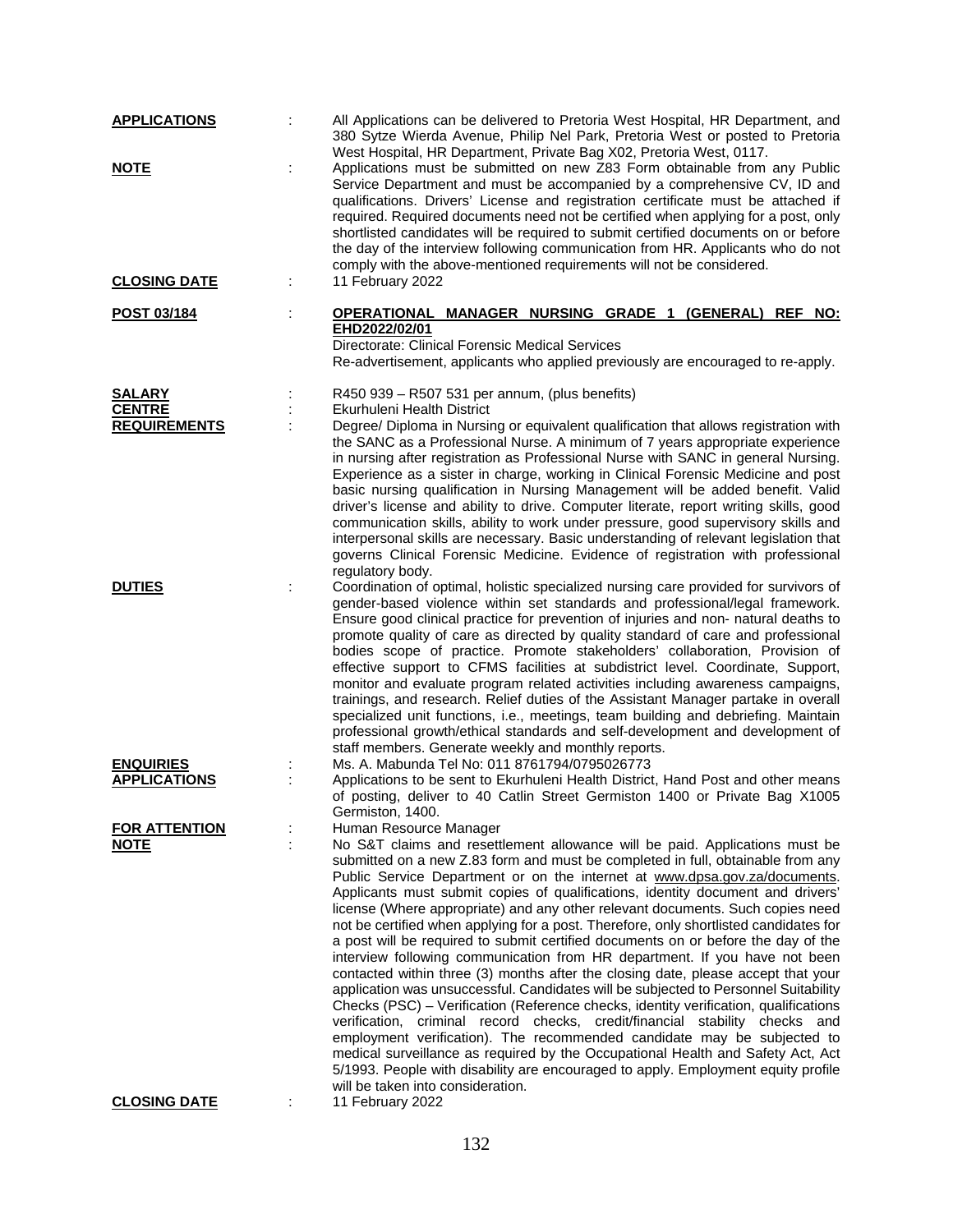| <b>APPLICATIONS</b>  | All Applications can be delivered to Pretoria West Hospital, HR Department, and<br>380 Sytze Wierda Avenue, Philip Nel Park, Pretoria West or posted to Pretoria<br>West Hospital, HR Department, Private Bag X02, Pretoria West, 0117.                                                                                                                                                                                                                                                                                                                                                                                                                                                                                                                                                                                                                                                                                                                                                                                                                                                                                                                                                                                                                                                                                  |
|----------------------|--------------------------------------------------------------------------------------------------------------------------------------------------------------------------------------------------------------------------------------------------------------------------------------------------------------------------------------------------------------------------------------------------------------------------------------------------------------------------------------------------------------------------------------------------------------------------------------------------------------------------------------------------------------------------------------------------------------------------------------------------------------------------------------------------------------------------------------------------------------------------------------------------------------------------------------------------------------------------------------------------------------------------------------------------------------------------------------------------------------------------------------------------------------------------------------------------------------------------------------------------------------------------------------------------------------------------|
| <b>NOTE</b>          | Applications must be submitted on new Z83 Form obtainable from any Public<br>Service Department and must be accompanied by a comprehensive CV, ID and<br>qualifications. Drivers' License and registration certificate must be attached if<br>required. Required documents need not be certified when applying for a post, only<br>shortlisted candidates will be required to submit certified documents on or before<br>the day of the interview following communication from HR. Applicants who do not<br>comply with the above-mentioned requirements will not be considered.                                                                                                                                                                                                                                                                                                                                                                                                                                                                                                                                                                                                                                                                                                                                         |
| <b>CLOSING DATE</b>  | 11 February 2022                                                                                                                                                                                                                                                                                                                                                                                                                                                                                                                                                                                                                                                                                                                                                                                                                                                                                                                                                                                                                                                                                                                                                                                                                                                                                                         |
| <b>POST 03/184</b>   | OPERATIONAL MANAGER NURSING GRADE 1 (GENERAL) REF NO:<br>EHD2022/02/01<br>Directorate: Clinical Forensic Medical Services<br>Re-advertisement, applicants who applied previously are encouraged to re-apply.                                                                                                                                                                                                                                                                                                                                                                                                                                                                                                                                                                                                                                                                                                                                                                                                                                                                                                                                                                                                                                                                                                             |
| <b>SALARY</b>        | R450 939 - R507 531 per annum, (plus benefits)                                                                                                                                                                                                                                                                                                                                                                                                                                                                                                                                                                                                                                                                                                                                                                                                                                                                                                                                                                                                                                                                                                                                                                                                                                                                           |
| <b>CENTRE</b>        | <b>Ekurhuleni Health District</b>                                                                                                                                                                                                                                                                                                                                                                                                                                                                                                                                                                                                                                                                                                                                                                                                                                                                                                                                                                                                                                                                                                                                                                                                                                                                                        |
| <b>REQUIREMENTS</b>  | Degree/ Diploma in Nursing or equivalent qualification that allows registration with<br>the SANC as a Professional Nurse. A minimum of 7 years appropriate experience<br>in nursing after registration as Professional Nurse with SANC in general Nursing.<br>Experience as a sister in charge, working in Clinical Forensic Medicine and post<br>basic nursing qualification in Nursing Management will be added benefit. Valid<br>driver's license and ability to drive. Computer literate, report writing skills, good<br>communication skills, ability to work under pressure, good supervisory skills and<br>interpersonal skills are necessary. Basic understanding of relevant legislation that<br>governs Clinical Forensic Medicine. Evidence of registration with professional                                                                                                                                                                                                                                                                                                                                                                                                                                                                                                                                 |
|                      | regulatory body.                                                                                                                                                                                                                                                                                                                                                                                                                                                                                                                                                                                                                                                                                                                                                                                                                                                                                                                                                                                                                                                                                                                                                                                                                                                                                                         |
| <b>DUTIES</b>        | Coordination of optimal, holistic specialized nursing care provided for survivors of<br>gender-based violence within set standards and professional/legal framework.<br>Ensure good clinical practice for prevention of injuries and non- natural deaths to<br>promote quality of care as directed by quality standard of care and professional<br>bodies scope of practice. Promote stakeholders' collaboration, Provision of<br>effective support to CFMS facilities at subdistrict level. Coordinate, Support,<br>monitor and evaluate program related activities including awareness campaigns,<br>trainings, and research. Relief duties of the Assistant Manager partake in overall<br>specialized unit functions, i.e., meetings, team building and debriefing. Maintain<br>professional growth/ethical standards and self-development and development of<br>staff members. Generate weekly and monthly reports.                                                                                                                                                                                                                                                                                                                                                                                                  |
| <b>ENQUIRIES</b>     | Ms. A. Mabunda Tel No: 011 8761794/0795026773                                                                                                                                                                                                                                                                                                                                                                                                                                                                                                                                                                                                                                                                                                                                                                                                                                                                                                                                                                                                                                                                                                                                                                                                                                                                            |
| <b>APPLICATIONS</b>  | Applications to be sent to Ekurhuleni Health District, Hand Post and other means<br>of posting, deliver to 40 Catlin Street Germiston 1400 or Private Bag X1005<br>Germiston, 1400.                                                                                                                                                                                                                                                                                                                                                                                                                                                                                                                                                                                                                                                                                                                                                                                                                                                                                                                                                                                                                                                                                                                                      |
| <b>FOR ATTENTION</b> | Human Resource Manager                                                                                                                                                                                                                                                                                                                                                                                                                                                                                                                                                                                                                                                                                                                                                                                                                                                                                                                                                                                                                                                                                                                                                                                                                                                                                                   |
| <b>NOTE</b>          | No S&T claims and resettlement allowance will be paid. Applications must be<br>submitted on a new Z.83 form and must be completed in full, obtainable from any<br>Public Service Department or on the internet at www.dpsa.gov.za/documents.<br>Applicants must submit copies of qualifications, identity document and drivers'<br>license (Where appropriate) and any other relevant documents. Such copies need<br>not be certified when applying for a post. Therefore, only shortlisted candidates for<br>a post will be required to submit certified documents on or before the day of the<br>interview following communication from HR department. If you have not been<br>contacted within three (3) months after the closing date, please accept that your<br>application was unsuccessful. Candidates will be subjected to Personnel Suitability<br>Checks (PSC) – Verification (Reference checks, identity verification, qualifications<br>verification, criminal record checks, credit/financial stability checks and<br>employment verification). The recommended candidate may be subjected to<br>medical surveillance as required by the Occupational Health and Safety Act, Act<br>5/1993. People with disability are encouraged to apply. Employment equity profile<br>will be taken into consideration. |
| <b>CLOSING DATE</b>  | 11 February 2022                                                                                                                                                                                                                                                                                                                                                                                                                                                                                                                                                                                                                                                                                                                                                                                                                                                                                                                                                                                                                                                                                                                                                                                                                                                                                                         |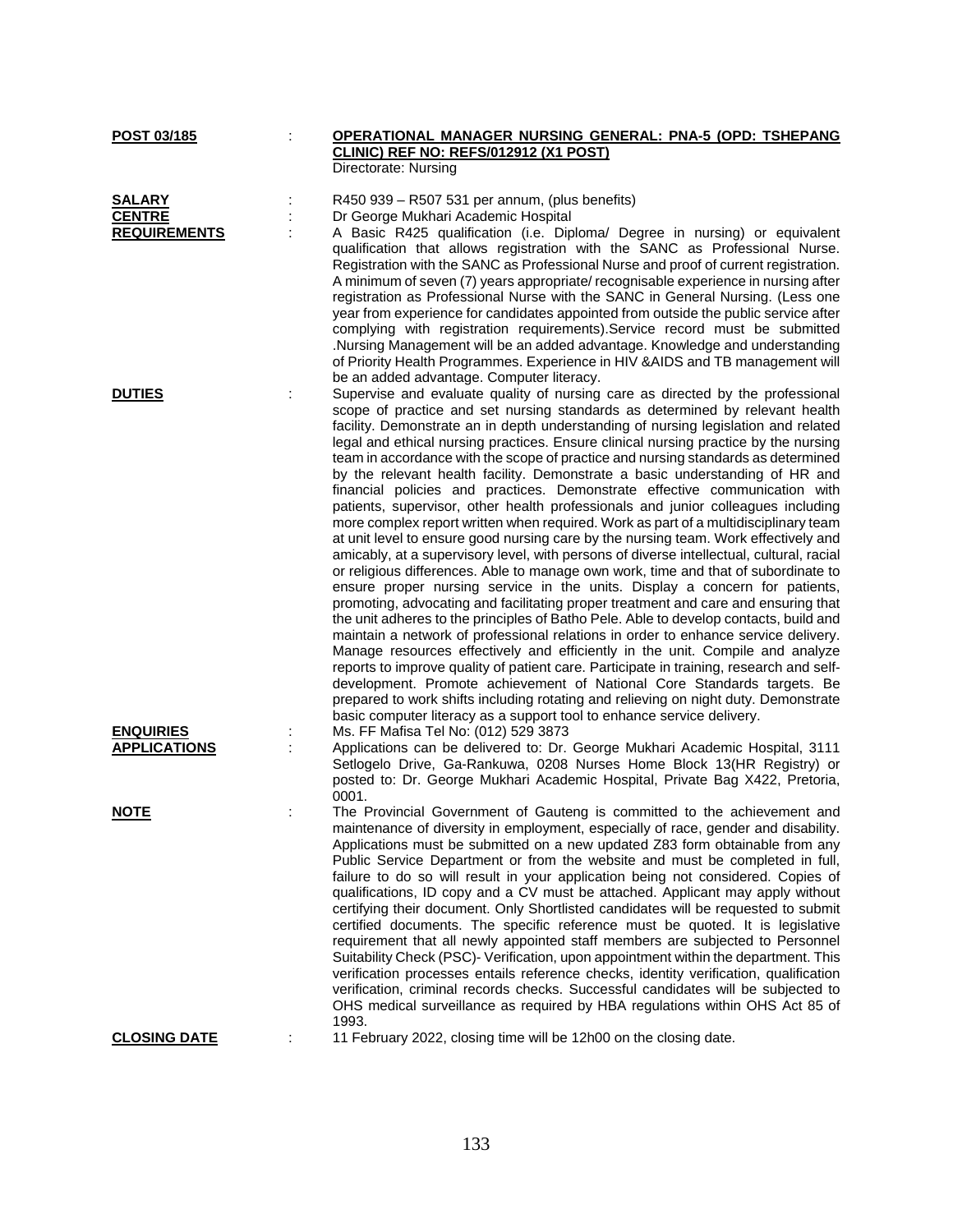| POST 03/185                                           |   | OPERATIONAL MANAGER NURSING GENERAL: PNA-5 (OPD: TSHEPANG<br>CLINIC) REF NO: REFS/012912 (X1 POST)                                                                                                                                                                                                                                                                                                                                                                                                                                                                                                                                                                                                                                                                                                                                                                                                                                                                                                                                                                                                                                                                                                                                                                                                                                                                                                                                                                                                                                                                                                                                                                                                                                                                                                                                                                           |
|-------------------------------------------------------|---|------------------------------------------------------------------------------------------------------------------------------------------------------------------------------------------------------------------------------------------------------------------------------------------------------------------------------------------------------------------------------------------------------------------------------------------------------------------------------------------------------------------------------------------------------------------------------------------------------------------------------------------------------------------------------------------------------------------------------------------------------------------------------------------------------------------------------------------------------------------------------------------------------------------------------------------------------------------------------------------------------------------------------------------------------------------------------------------------------------------------------------------------------------------------------------------------------------------------------------------------------------------------------------------------------------------------------------------------------------------------------------------------------------------------------------------------------------------------------------------------------------------------------------------------------------------------------------------------------------------------------------------------------------------------------------------------------------------------------------------------------------------------------------------------------------------------------------------------------------------------------|
|                                                       |   | Directorate: Nursing                                                                                                                                                                                                                                                                                                                                                                                                                                                                                                                                                                                                                                                                                                                                                                                                                                                                                                                                                                                                                                                                                                                                                                                                                                                                                                                                                                                                                                                                                                                                                                                                                                                                                                                                                                                                                                                         |
| <b>SALARY</b><br><b>CENTRE</b><br><b>REQUIREMENTS</b> |   | R450 939 - R507 531 per annum, (plus benefits)<br>Dr George Mukhari Academic Hospital<br>A Basic R425 qualification (i.e. Diploma/ Degree in nursing) or equivalent<br>qualification that allows registration with the SANC as Professional Nurse.<br>Registration with the SANC as Professional Nurse and proof of current registration.<br>A minimum of seven (7) years appropriate/ recognisable experience in nursing after<br>registration as Professional Nurse with the SANC in General Nursing. (Less one<br>year from experience for candidates appointed from outside the public service after<br>complying with registration requirements). Service record must be submitted<br>Nursing Management will be an added advantage. Knowledge and understanding<br>of Priority Health Programmes. Experience in HIV & AIDS and TB management will                                                                                                                                                                                                                                                                                                                                                                                                                                                                                                                                                                                                                                                                                                                                                                                                                                                                                                                                                                                                                      |
| <b>DUTIES</b>                                         | ÷ | be an added advantage. Computer literacy.<br>Supervise and evaluate quality of nursing care as directed by the professional<br>scope of practice and set nursing standards as determined by relevant health<br>facility. Demonstrate an in depth understanding of nursing legislation and related<br>legal and ethical nursing practices. Ensure clinical nursing practice by the nursing<br>team in accordance with the scope of practice and nursing standards as determined<br>by the relevant health facility. Demonstrate a basic understanding of HR and<br>financial policies and practices. Demonstrate effective communication with<br>patients, supervisor, other health professionals and junior colleagues including<br>more complex report written when required. Work as part of a multidisciplinary team<br>at unit level to ensure good nursing care by the nursing team. Work effectively and<br>amicably, at a supervisory level, with persons of diverse intellectual, cultural, racial<br>or religious differences. Able to manage own work, time and that of subordinate to<br>ensure proper nursing service in the units. Display a concern for patients,<br>promoting, advocating and facilitating proper treatment and care and ensuring that<br>the unit adheres to the principles of Batho Pele. Able to develop contacts, build and<br>maintain a network of professional relations in order to enhance service delivery.<br>Manage resources effectively and efficiently in the unit. Compile and analyze<br>reports to improve quality of patient care. Participate in training, research and self-<br>development. Promote achievement of National Core Standards targets. Be<br>prepared to work shifts including rotating and relieving on night duty. Demonstrate<br>basic computer literacy as a support tool to enhance service delivery. |
| <b>ENQUIRIES</b><br><b>APPLICATIONS</b>               |   | Ms. FF Mafisa Tel No: (012) 529 3873<br>Applications can be delivered to: Dr. George Mukhari Academic Hospital, 3111<br>Setlogelo Drive, Ga-Rankuwa, 0208 Nurses Home Block 13(HR Registry) or<br>posted to: Dr. George Mukhari Academic Hospital, Private Bag X422, Pretoria,<br>0001.                                                                                                                                                                                                                                                                                                                                                                                                                                                                                                                                                                                                                                                                                                                                                                                                                                                                                                                                                                                                                                                                                                                                                                                                                                                                                                                                                                                                                                                                                                                                                                                      |
| <b>NOTE</b>                                           |   | The Provincial Government of Gauteng is committed to the achievement and<br>maintenance of diversity in employment, especially of race, gender and disability.<br>Applications must be submitted on a new updated Z83 form obtainable from any<br>Public Service Department or from the website and must be completed in full,<br>failure to do so will result in your application being not considered. Copies of<br>qualifications, ID copy and a CV must be attached. Applicant may apply without<br>certifying their document. Only Shortlisted candidates will be requested to submit<br>certified documents. The specific reference must be quoted. It is legislative<br>requirement that all newly appointed staff members are subjected to Personnel<br>Suitability Check (PSC)- Verification, upon appointment within the department. This<br>verification processes entails reference checks, identity verification, qualification<br>verification, criminal records checks. Successful candidates will be subjected to<br>OHS medical surveillance as required by HBA regulations within OHS Act 85 of<br>1993.                                                                                                                                                                                                                                                                                                                                                                                                                                                                                                                                                                                                                                                                                                                                                   |
| <b>CLOSING DATE</b>                                   | ÷ | 11 February 2022, closing time will be 12h00 on the closing date.                                                                                                                                                                                                                                                                                                                                                                                                                                                                                                                                                                                                                                                                                                                                                                                                                                                                                                                                                                                                                                                                                                                                                                                                                                                                                                                                                                                                                                                                                                                                                                                                                                                                                                                                                                                                            |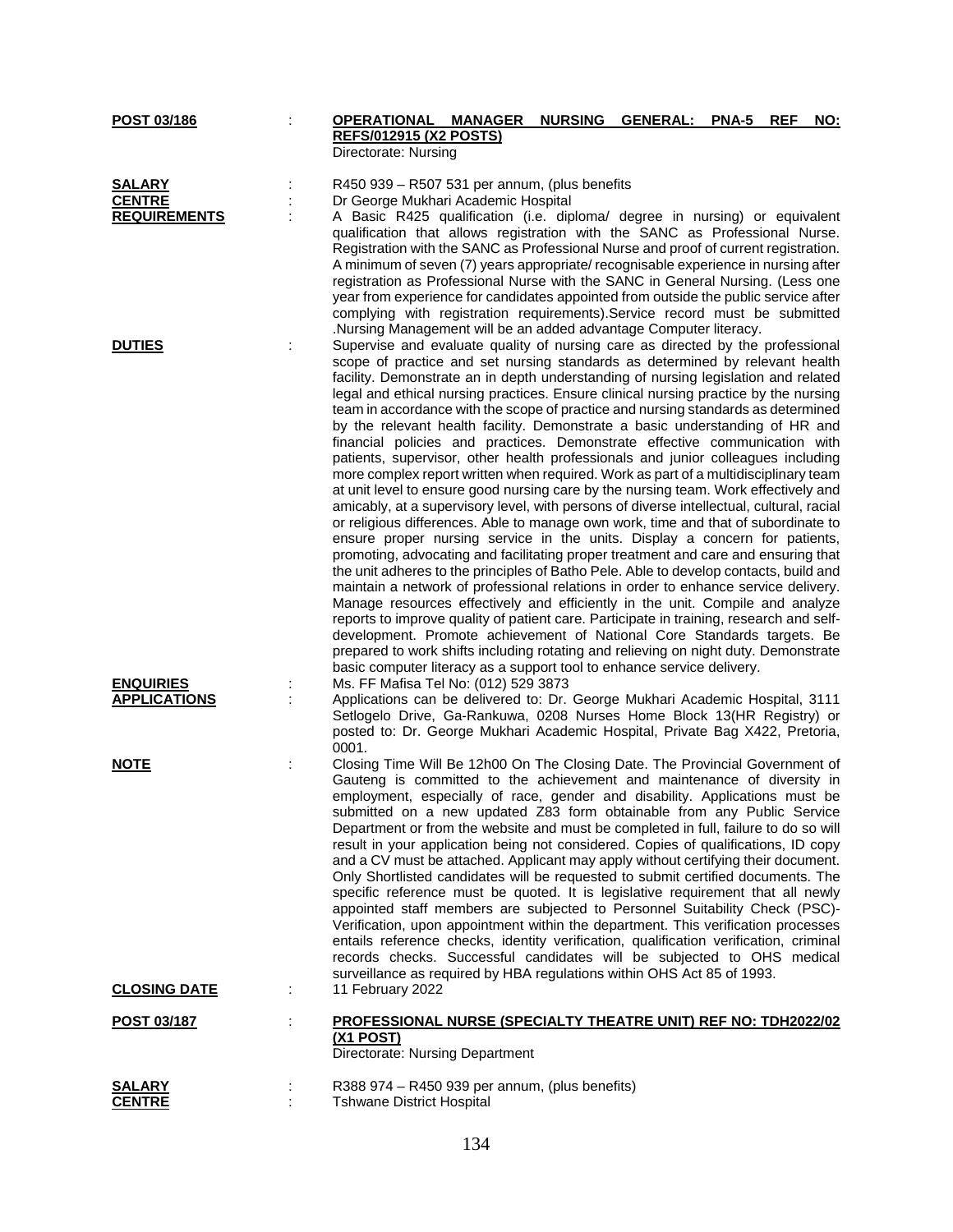| POST 03/186         | <b>OPERATIONAL MANAGER</b><br><b>REFS/012915 (X2 POSTS)</b>                              | <b>NURSING</b> | <b>GENERAL:</b> | <b>PNA-5</b> | <b>REF</b> | NO: |
|---------------------|------------------------------------------------------------------------------------------|----------------|-----------------|--------------|------------|-----|
|                     | Directorate: Nursing                                                                     |                |                 |              |            |     |
| <b>SALARY</b>       | R450 939 - R507 531 per annum, (plus benefits                                            |                |                 |              |            |     |
| <b>CENTRE</b>       | Dr George Mukhari Academic Hospital                                                      |                |                 |              |            |     |
| <b>REQUIREMENTS</b> | A Basic R425 qualification (i.e. diploma/ degree in nursing) or equivalent               |                |                 |              |            |     |
|                     | qualification that allows registration with the SANC as Professional Nurse.              |                |                 |              |            |     |
|                     | Registration with the SANC as Professional Nurse and proof of current registration.      |                |                 |              |            |     |
|                     | A minimum of seven (7) years appropriate/ recognisable experience in nursing after       |                |                 |              |            |     |
|                     | registration as Professional Nurse with the SANC in General Nursing. (Less one           |                |                 |              |            |     |
|                     | year from experience for candidates appointed from outside the public service after      |                |                 |              |            |     |
|                     | complying with registration requirements). Service record must be submitted              |                |                 |              |            |     |
|                     | .Nursing Management will be an added advantage Computer literacy.                        |                |                 |              |            |     |
| <b>DUTIES</b>       | Supervise and evaluate quality of nursing care as directed by the professional           |                |                 |              |            |     |
|                     | scope of practice and set nursing standards as determined by relevant health             |                |                 |              |            |     |
|                     | facility. Demonstrate an in depth understanding of nursing legislation and related       |                |                 |              |            |     |
|                     | legal and ethical nursing practices. Ensure clinical nursing practice by the nursing     |                |                 |              |            |     |
|                     | team in accordance with the scope of practice and nursing standards as determined        |                |                 |              |            |     |
|                     | by the relevant health facility. Demonstrate a basic understanding of HR and             |                |                 |              |            |     |
|                     | financial policies and practices. Demonstrate effective communication with               |                |                 |              |            |     |
|                     | patients, supervisor, other health professionals and junior colleagues including         |                |                 |              |            |     |
|                     | more complex report written when required. Work as part of a multidisciplinary team      |                |                 |              |            |     |
|                     | at unit level to ensure good nursing care by the nursing team. Work effectively and      |                |                 |              |            |     |
|                     | amicably, at a supervisory level, with persons of diverse intellectual, cultural, racial |                |                 |              |            |     |
|                     | or religious differences. Able to manage own work, time and that of subordinate to       |                |                 |              |            |     |
|                     | ensure proper nursing service in the units. Display a concern for patients,              |                |                 |              |            |     |
|                     | promoting, advocating and facilitating proper treatment and care and ensuring that       |                |                 |              |            |     |
|                     | the unit adheres to the principles of Batho Pele. Able to develop contacts, build and    |                |                 |              |            |     |
|                     | maintain a network of professional relations in order to enhance service delivery.       |                |                 |              |            |     |
|                     | Manage resources effectively and efficiently in the unit. Compile and analyze            |                |                 |              |            |     |
|                     | reports to improve quality of patient care. Participate in training, research and self-  |                |                 |              |            |     |
|                     | development. Promote achievement of National Core Standards targets. Be                  |                |                 |              |            |     |
|                     | prepared to work shifts including rotating and relieving on night duty. Demonstrate      |                |                 |              |            |     |
|                     | basic computer literacy as a support tool to enhance service delivery.                   |                |                 |              |            |     |
| <b>ENQUIRIES</b>    | Ms. FF Mafisa Tel No: (012) 529 3873                                                     |                |                 |              |            |     |
| <b>APPLICATIONS</b> | Applications can be delivered to: Dr. George Mukhari Academic Hospital, 3111             |                |                 |              |            |     |
|                     | Setlogelo Drive, Ga-Rankuwa, 0208 Nurses Home Block 13(HR Registry) or                   |                |                 |              |            |     |
|                     | posted to: Dr. George Mukhari Academic Hospital, Private Bag X422, Pretoria,             |                |                 |              |            |     |
|                     | 0001.                                                                                    |                |                 |              |            |     |
| <b>NOTE</b>         | Closing Time Will Be 12h00 On The Closing Date. The Provincial Government of             |                |                 |              |            |     |
|                     | Gauteng is committed to the achievement and maintenance of diversity in                  |                |                 |              |            |     |
|                     | employment, especially of race, gender and disability. Applications must be              |                |                 |              |            |     |
|                     | submitted on a new updated Z83 form obtainable from any Public Service                   |                |                 |              |            |     |
|                     | Department or from the website and must be completed in full, failure to do so will      |                |                 |              |            |     |
|                     | result in your application being not considered. Copies of qualifications, ID copy       |                |                 |              |            |     |
|                     | and a CV must be attached. Applicant may apply without certifying their document.        |                |                 |              |            |     |
|                     | Only Shortlisted candidates will be requested to submit certified documents. The         |                |                 |              |            |     |
|                     | specific reference must be quoted. It is legislative requirement that all newly          |                |                 |              |            |     |
|                     | appointed staff members are subjected to Personnel Suitability Check (PSC)-              |                |                 |              |            |     |
|                     | Verification, upon appointment within the department. This verification processes        |                |                 |              |            |     |
|                     | entails reference checks, identity verification, qualification verification, criminal    |                |                 |              |            |     |
|                     | records checks. Successful candidates will be subjected to OHS medical                   |                |                 |              |            |     |
|                     | surveillance as required by HBA regulations within OHS Act 85 of 1993.                   |                |                 |              |            |     |
| <b>CLOSING DATE</b> | 11 February 2022                                                                         |                |                 |              |            |     |
|                     |                                                                                          |                |                 |              |            |     |
| POST 03/187         | <b>PROFESSIONAL NURSE (SPECIALTY THEATRE UNIT) REF NO: TDH2022/02</b>                    |                |                 |              |            |     |
|                     | <u>(X1 POST)</u>                                                                         |                |                 |              |            |     |
|                     | Directorate: Nursing Department                                                          |                |                 |              |            |     |
|                     |                                                                                          |                |                 |              |            |     |
| <b>SALARY</b>       | R388 974 - R450 939 per annum, (plus benefits)                                           |                |                 |              |            |     |
| <b>CENTRE</b>       | <b>Tshwane District Hospital</b>                                                         |                |                 |              |            |     |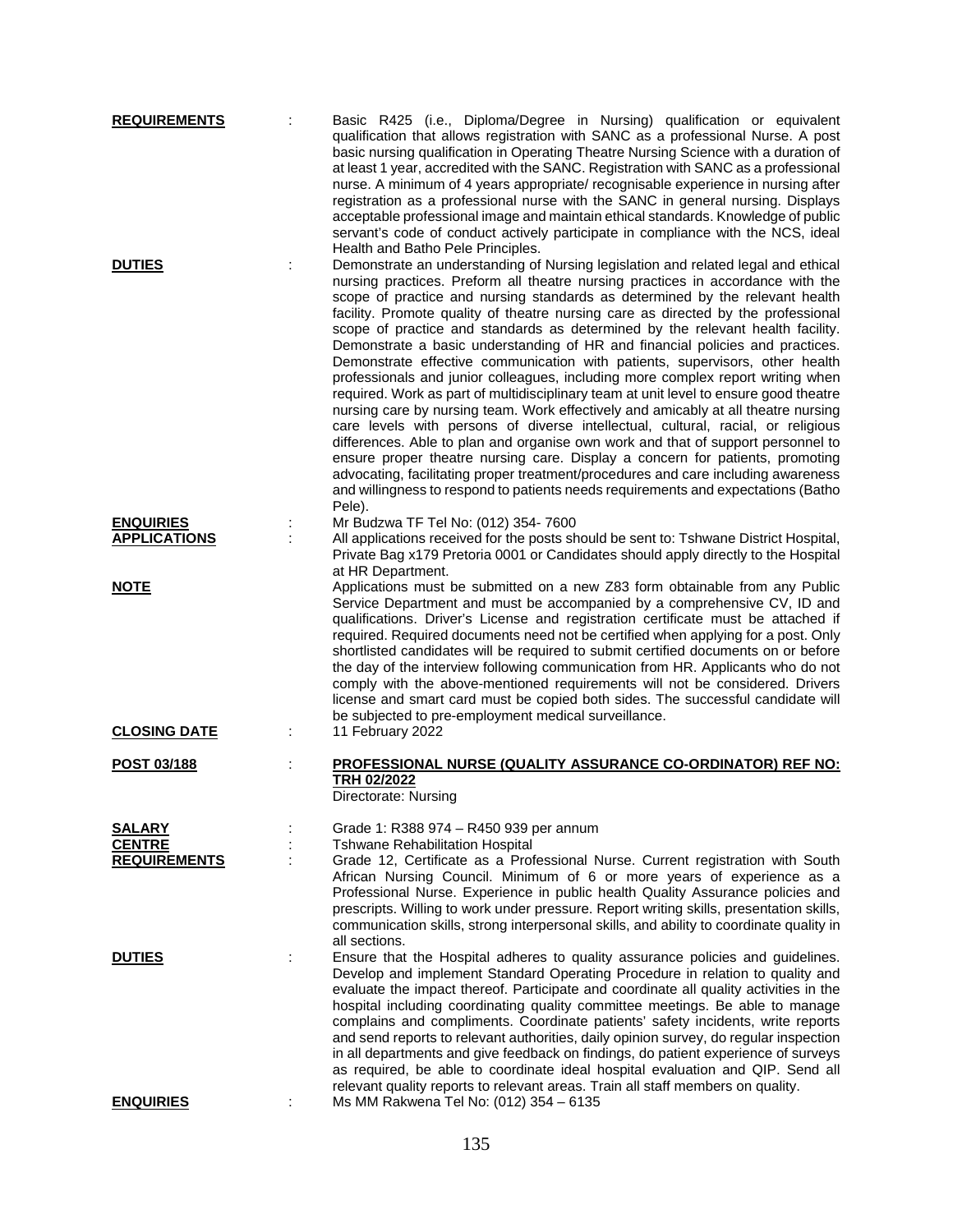| <b>REQUIREMENTS</b>                     | Basic R425 (i.e., Diploma/Degree in Nursing) qualification or equivalent<br>qualification that allows registration with SANC as a professional Nurse. A post<br>basic nursing qualification in Operating Theatre Nursing Science with a duration of<br>at least 1 year, accredited with the SANC. Registration with SANC as a professional<br>nurse. A minimum of 4 years appropriate/ recognisable experience in nursing after<br>registration as a professional nurse with the SANC in general nursing. Displays<br>acceptable professional image and maintain ethical standards. Knowledge of public<br>servant's code of conduct actively participate in compliance with the NCS, ideal<br>Health and Batho Pele Principles.                                                                                                                                                                                                                                                                                                                                                                                                                                                                                                                                                                            |
|-----------------------------------------|-------------------------------------------------------------------------------------------------------------------------------------------------------------------------------------------------------------------------------------------------------------------------------------------------------------------------------------------------------------------------------------------------------------------------------------------------------------------------------------------------------------------------------------------------------------------------------------------------------------------------------------------------------------------------------------------------------------------------------------------------------------------------------------------------------------------------------------------------------------------------------------------------------------------------------------------------------------------------------------------------------------------------------------------------------------------------------------------------------------------------------------------------------------------------------------------------------------------------------------------------------------------------------------------------------------|
| <b>DUTIES</b>                           | Demonstrate an understanding of Nursing legislation and related legal and ethical<br>nursing practices. Preform all theatre nursing practices in accordance with the<br>scope of practice and nursing standards as determined by the relevant health<br>facility. Promote quality of theatre nursing care as directed by the professional<br>scope of practice and standards as determined by the relevant health facility.<br>Demonstrate a basic understanding of HR and financial policies and practices.<br>Demonstrate effective communication with patients, supervisors, other health<br>professionals and junior colleagues, including more complex report writing when<br>required. Work as part of multidisciplinary team at unit level to ensure good theatre<br>nursing care by nursing team. Work effectively and amicably at all theatre nursing<br>care levels with persons of diverse intellectual, cultural, racial, or religious<br>differences. Able to plan and organise own work and that of support personnel to<br>ensure proper theatre nursing care. Display a concern for patients, promoting<br>advocating, facilitating proper treatment/procedures and care including awareness<br>and willingness to respond to patients needs requirements and expectations (Batho<br>Pele). |
| <b>ENQUIRIES</b><br><b>APPLICATIONS</b> | Mr Budzwa TF Tel No: (012) 354-7600<br>All applications received for the posts should be sent to: Tshwane District Hospital,<br>Private Bag x179 Pretoria 0001 or Candidates should apply directly to the Hospital<br>at HR Department.                                                                                                                                                                                                                                                                                                                                                                                                                                                                                                                                                                                                                                                                                                                                                                                                                                                                                                                                                                                                                                                                     |
| <b>NOTE</b>                             | Applications must be submitted on a new Z83 form obtainable from any Public<br>Service Department and must be accompanied by a comprehensive CV, ID and<br>qualifications. Driver's License and registration certificate must be attached if<br>required. Required documents need not be certified when applying for a post. Only<br>shortlisted candidates will be required to submit certified documents on or before<br>the day of the interview following communication from HR. Applicants who do not<br>comply with the above-mentioned requirements will not be considered. Drivers<br>license and smart card must be copied both sides. The successful candidate will<br>be subjected to pre-employment medical surveillance.                                                                                                                                                                                                                                                                                                                                                                                                                                                                                                                                                                       |
| <b>CLOSING DATE</b>                     | 11 February 2022                                                                                                                                                                                                                                                                                                                                                                                                                                                                                                                                                                                                                                                                                                                                                                                                                                                                                                                                                                                                                                                                                                                                                                                                                                                                                            |
| POST 03/188                             | <b>PROFESSIONAL NURSE (QUALITY ASSURANCE CO-ORDINATOR) REF NO:</b><br>TRH 02/2022<br>Directorate: Nursing                                                                                                                                                                                                                                                                                                                                                                                                                                                                                                                                                                                                                                                                                                                                                                                                                                                                                                                                                                                                                                                                                                                                                                                                   |
| <b>SALARY</b>                           | Grade 1: R388 974 - R450 939 per annum                                                                                                                                                                                                                                                                                                                                                                                                                                                                                                                                                                                                                                                                                                                                                                                                                                                                                                                                                                                                                                                                                                                                                                                                                                                                      |
| <b>CENTRE</b>                           | <b>Tshwane Rehabilitation Hospital</b>                                                                                                                                                                                                                                                                                                                                                                                                                                                                                                                                                                                                                                                                                                                                                                                                                                                                                                                                                                                                                                                                                                                                                                                                                                                                      |
| <b>REQUIREMENTS</b>                     | Grade 12, Certificate as a Professional Nurse. Current registration with South<br>African Nursing Council. Minimum of 6 or more years of experience as a<br>Professional Nurse. Experience in public health Quality Assurance policies and<br>prescripts. Willing to work under pressure. Report writing skills, presentation skills,<br>communication skills, strong interpersonal skills, and ability to coordinate quality in<br>all sections.                                                                                                                                                                                                                                                                                                                                                                                                                                                                                                                                                                                                                                                                                                                                                                                                                                                           |
| <b>DUTIES</b>                           | Ensure that the Hospital adheres to quality assurance policies and guidelines.<br>Develop and implement Standard Operating Procedure in relation to quality and<br>evaluate the impact thereof. Participate and coordinate all quality activities in the<br>hospital including coordinating quality committee meetings. Be able to manage<br>complains and compliments. Coordinate patients' safety incidents, write reports<br>and send reports to relevant authorities, daily opinion survey, do regular inspection<br>in all departments and give feedback on findings, do patient experience of surveys<br>as required, be able to coordinate ideal hospital evaluation and QIP. Send all<br>relevant quality reports to relevant areas. Train all staff members on quality.                                                                                                                                                                                                                                                                                                                                                                                                                                                                                                                            |
| <b>ENQUIRIES</b>                        | Ms MM Rakwena Tel No: (012) 354 - 6135                                                                                                                                                                                                                                                                                                                                                                                                                                                                                                                                                                                                                                                                                                                                                                                                                                                                                                                                                                                                                                                                                                                                                                                                                                                                      |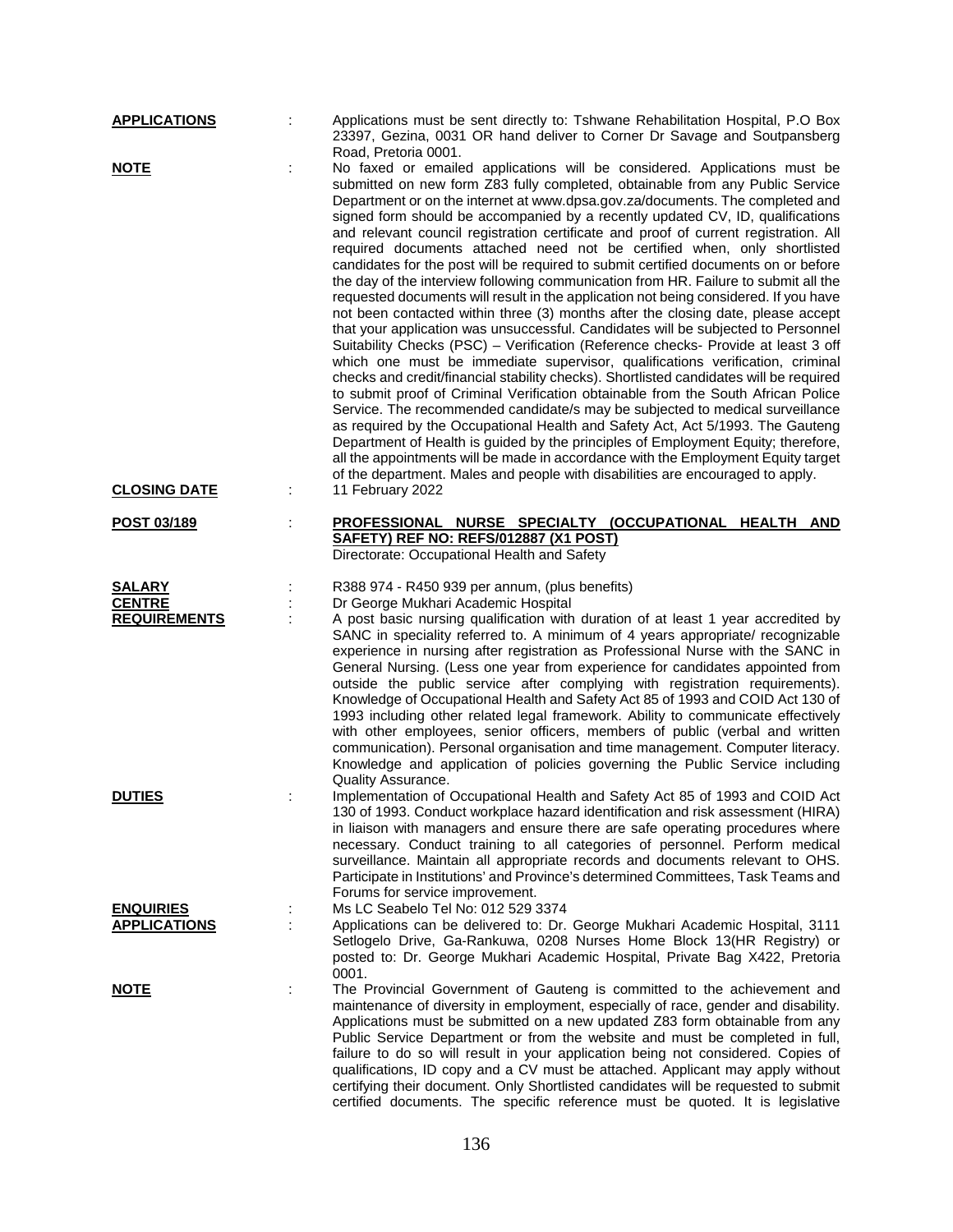| <b>APPLICATIONS</b>                     | Applications must be sent directly to: Tshwane Rehabilitation Hospital, P.O Box<br>23397, Gezina, 0031 OR hand deliver to Corner Dr Savage and Soutpansberg<br>Road, Pretoria 0001.                                                                                                                                                                                                                                                                                                                                                                                                                                                                                                                                                                                                                                                                                                                                                                                                                                                                                                                                                                                                                                                                                                                                                                                                                                                                                                                                                                                                                                                                                                                                                                      |
|-----------------------------------------|----------------------------------------------------------------------------------------------------------------------------------------------------------------------------------------------------------------------------------------------------------------------------------------------------------------------------------------------------------------------------------------------------------------------------------------------------------------------------------------------------------------------------------------------------------------------------------------------------------------------------------------------------------------------------------------------------------------------------------------------------------------------------------------------------------------------------------------------------------------------------------------------------------------------------------------------------------------------------------------------------------------------------------------------------------------------------------------------------------------------------------------------------------------------------------------------------------------------------------------------------------------------------------------------------------------------------------------------------------------------------------------------------------------------------------------------------------------------------------------------------------------------------------------------------------------------------------------------------------------------------------------------------------------------------------------------------------------------------------------------------------|
| <b>NOTE</b><br><b>CLOSING DATE</b>      | No faxed or emailed applications will be considered. Applications must be<br>submitted on new form Z83 fully completed, obtainable from any Public Service<br>Department or on the internet at www.dpsa.gov.za/documents. The completed and<br>signed form should be accompanied by a recently updated CV, ID, qualifications<br>and relevant council registration certificate and proof of current registration. All<br>required documents attached need not be certified when, only shortlisted<br>candidates for the post will be required to submit certified documents on or before<br>the day of the interview following communication from HR. Failure to submit all the<br>requested documents will result in the application not being considered. If you have<br>not been contacted within three (3) months after the closing date, please accept<br>that your application was unsuccessful. Candidates will be subjected to Personnel<br>Suitability Checks (PSC) - Verification (Reference checks- Provide at least 3 off<br>which one must be immediate supervisor, qualifications verification, criminal<br>checks and credit/financial stability checks). Shortlisted candidates will be required<br>to submit proof of Criminal Verification obtainable from the South African Police<br>Service. The recommended candidate/s may be subjected to medical surveillance<br>as required by the Occupational Health and Safety Act, Act 5/1993. The Gauteng<br>Department of Health is guided by the principles of Employment Equity; therefore,<br>all the appointments will be made in accordance with the Employment Equity target<br>of the department. Males and people with disabilities are encouraged to apply.<br>11 February 2022 |
|                                         |                                                                                                                                                                                                                                                                                                                                                                                                                                                                                                                                                                                                                                                                                                                                                                                                                                                                                                                                                                                                                                                                                                                                                                                                                                                                                                                                                                                                                                                                                                                                                                                                                                                                                                                                                          |
| POST 03/189                             | PROFESSIONAL NURSE SPECIALTY (OCCUPATIONAL HEALTH AND<br>SAFETY) REF NO: REFS/012887 (X1 POST)<br>Directorate: Occupational Health and Safety                                                                                                                                                                                                                                                                                                                                                                                                                                                                                                                                                                                                                                                                                                                                                                                                                                                                                                                                                                                                                                                                                                                                                                                                                                                                                                                                                                                                                                                                                                                                                                                                            |
| <b>SALARY</b>                           | R388 974 - R450 939 per annum, (plus benefits)                                                                                                                                                                                                                                                                                                                                                                                                                                                                                                                                                                                                                                                                                                                                                                                                                                                                                                                                                                                                                                                                                                                                                                                                                                                                                                                                                                                                                                                                                                                                                                                                                                                                                                           |
| <b>CENTRE</b><br><b>REQUIREMENTS</b>    | Dr George Mukhari Academic Hospital<br>A post basic nursing qualification with duration of at least 1 year accredited by<br>SANC in speciality referred to. A minimum of 4 years appropriate/ recognizable<br>experience in nursing after registration as Professional Nurse with the SANC in<br>General Nursing. (Less one year from experience for candidates appointed from<br>outside the public service after complying with registration requirements).<br>Knowledge of Occupational Health and Safety Act 85 of 1993 and COID Act 130 of<br>1993 including other related legal framework. Ability to communicate effectively<br>with other employees, senior officers, members of public (verbal and written<br>communication). Personal organisation and time management. Computer literacy.<br>Knowledge and application of policies governing the Public Service including<br>Quality Assurance.                                                                                                                                                                                                                                                                                                                                                                                                                                                                                                                                                                                                                                                                                                                                                                                                                                               |
| <b>DUTIES</b>                           | Implementation of Occupational Health and Safety Act 85 of 1993 and COID Act<br>130 of 1993. Conduct workplace hazard identification and risk assessment (HIRA)<br>in liaison with managers and ensure there are safe operating procedures where<br>necessary. Conduct training to all categories of personnel. Perform medical<br>surveillance. Maintain all appropriate records and documents relevant to OHS.<br>Participate in Institutions' and Province's determined Committees, Task Teams and<br>Forums for service improvement.                                                                                                                                                                                                                                                                                                                                                                                                                                                                                                                                                                                                                                                                                                                                                                                                                                                                                                                                                                                                                                                                                                                                                                                                                 |
| <b>ENQUIRIES</b><br><b>APPLICATIONS</b> | Ms LC Seabelo Tel No: 012 529 3374<br>Applications can be delivered to: Dr. George Mukhari Academic Hospital, 3111                                                                                                                                                                                                                                                                                                                                                                                                                                                                                                                                                                                                                                                                                                                                                                                                                                                                                                                                                                                                                                                                                                                                                                                                                                                                                                                                                                                                                                                                                                                                                                                                                                       |
|                                         | Setlogelo Drive, Ga-Rankuwa, 0208 Nurses Home Block 13(HR Registry) or<br>posted to: Dr. George Mukhari Academic Hospital, Private Bag X422, Pretoria<br>0001.                                                                                                                                                                                                                                                                                                                                                                                                                                                                                                                                                                                                                                                                                                                                                                                                                                                                                                                                                                                                                                                                                                                                                                                                                                                                                                                                                                                                                                                                                                                                                                                           |
| <b>NOTE</b>                             | The Provincial Government of Gauteng is committed to the achievement and<br>maintenance of diversity in employment, especially of race, gender and disability.<br>Applications must be submitted on a new updated Z83 form obtainable from any<br>Public Service Department or from the website and must be completed in full,<br>failure to do so will result in your application being not considered. Copies of<br>qualifications, ID copy and a CV must be attached. Applicant may apply without<br>certifying their document. Only Shortlisted candidates will be requested to submit<br>certified documents. The specific reference must be quoted. It is legislative                                                                                                                                                                                                                                                                                                                                                                                                                                                                                                                                                                                                                                                                                                                                                                                                                                                                                                                                                                                                                                                                              |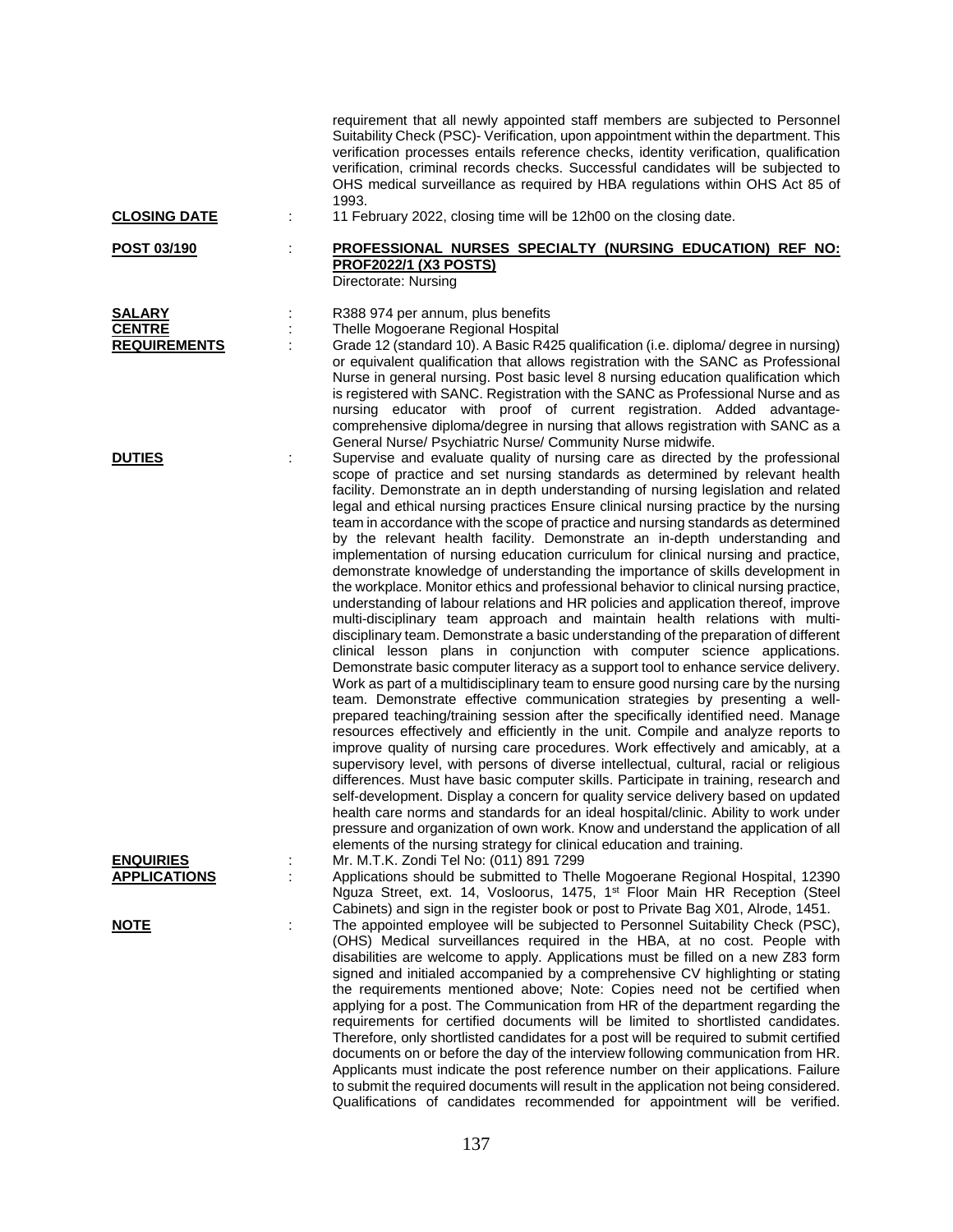| <b>CLOSING DATE</b>                                   | ÷ | requirement that all newly appointed staff members are subjected to Personnel<br>Suitability Check (PSC)- Verification, upon appointment within the department. This<br>verification processes entails reference checks, identity verification, qualification<br>verification, criminal records checks. Successful candidates will be subjected to<br>OHS medical surveillance as required by HBA regulations within OHS Act 85 of<br>1993.<br>11 February 2022, closing time will be 12h00 on the closing date.                                                                                                                                                                                                                                                                                                                                                                                                                                                                                                                                                                                                                                                                                                                                                                                                                                                                                                                                                                                                                                                                                                                                                                                                                                                                                                                                                                                                                                                                                                                                                                                                                                                          |
|-------------------------------------------------------|---|---------------------------------------------------------------------------------------------------------------------------------------------------------------------------------------------------------------------------------------------------------------------------------------------------------------------------------------------------------------------------------------------------------------------------------------------------------------------------------------------------------------------------------------------------------------------------------------------------------------------------------------------------------------------------------------------------------------------------------------------------------------------------------------------------------------------------------------------------------------------------------------------------------------------------------------------------------------------------------------------------------------------------------------------------------------------------------------------------------------------------------------------------------------------------------------------------------------------------------------------------------------------------------------------------------------------------------------------------------------------------------------------------------------------------------------------------------------------------------------------------------------------------------------------------------------------------------------------------------------------------------------------------------------------------------------------------------------------------------------------------------------------------------------------------------------------------------------------------------------------------------------------------------------------------------------------------------------------------------------------------------------------------------------------------------------------------------------------------------------------------------------------------------------------------|
| POST 03/190                                           | ÷ | PROFESSIONAL NURSES SPECIALTY (NURSING EDUCATION) REF NO:<br><b>PROF2022/1 (X3 POSTS)</b><br>Directorate: Nursing                                                                                                                                                                                                                                                                                                                                                                                                                                                                                                                                                                                                                                                                                                                                                                                                                                                                                                                                                                                                                                                                                                                                                                                                                                                                                                                                                                                                                                                                                                                                                                                                                                                                                                                                                                                                                                                                                                                                                                                                                                                         |
| <b>SALARY</b><br><b>CENTRE</b><br><b>REQUIREMENTS</b> |   | R388 974 per annum, plus benefits<br>Thelle Mogoerane Regional Hospital<br>Grade 12 (standard 10). A Basic R425 qualification (i.e. diploma/ degree in nursing)<br>or equivalent qualification that allows registration with the SANC as Professional<br>Nurse in general nursing. Post basic level 8 nursing education qualification which<br>is registered with SANC. Registration with the SANC as Professional Nurse and as<br>nursing educator with proof of current registration. Added advantage-<br>comprehensive diploma/degree in nursing that allows registration with SANC as a<br>General Nurse/ Psychiatric Nurse/ Community Nurse midwife.                                                                                                                                                                                                                                                                                                                                                                                                                                                                                                                                                                                                                                                                                                                                                                                                                                                                                                                                                                                                                                                                                                                                                                                                                                                                                                                                                                                                                                                                                                                 |
| <b>DUTIES</b>                                         | ÷ | Supervise and evaluate quality of nursing care as directed by the professional<br>scope of practice and set nursing standards as determined by relevant health<br>facility. Demonstrate an in depth understanding of nursing legislation and related<br>legal and ethical nursing practices Ensure clinical nursing practice by the nursing<br>team in accordance with the scope of practice and nursing standards as determined<br>by the relevant health facility. Demonstrate an in-depth understanding and<br>implementation of nursing education curriculum for clinical nursing and practice,<br>demonstrate knowledge of understanding the importance of skills development in<br>the workplace. Monitor ethics and professional behavior to clinical nursing practice,<br>understanding of labour relations and HR policies and application thereof, improve<br>multi-disciplinary team approach and maintain health relations with multi-<br>disciplinary team. Demonstrate a basic understanding of the preparation of different<br>clinical lesson plans in conjunction with computer science applications.<br>Demonstrate basic computer literacy as a support tool to enhance service delivery.<br>Work as part of a multidisciplinary team to ensure good nursing care by the nursing<br>team. Demonstrate effective communication strategies by presenting a well-<br>prepared teaching/training session after the specifically identified need. Manage<br>resources effectively and efficiently in the unit. Compile and analyze reports to<br>improve quality of nursing care procedures. Work effectively and amicably, at a<br>supervisory level, with persons of diverse intellectual, cultural, racial or religious<br>differences. Must have basic computer skills. Participate in training, research and<br>self-development. Display a concern for quality service delivery based on updated<br>health care norms and standards for an ideal hospital/clinic. Ability to work under<br>pressure and organization of own work. Know and understand the application of all<br>elements of the nursing strategy for clinical education and training. |
| <b>ENQUIRIES</b><br><b>APPLICATIONS</b>               | ÷ | Mr. M.T.K. Zondi Tel No: (011) 891 7299<br>Applications should be submitted to Thelle Mogoerane Regional Hospital, 12390<br>Nguza Street, ext. 14, Vosloorus, 1475, 1 <sup>st</sup> Floor Main HR Reception (Steel<br>Cabinets) and sign in the register book or post to Private Bag X01, Alrode, 1451.                                                                                                                                                                                                                                                                                                                                                                                                                                                                                                                                                                                                                                                                                                                                                                                                                                                                                                                                                                                                                                                                                                                                                                                                                                                                                                                                                                                                                                                                                                                                                                                                                                                                                                                                                                                                                                                                   |
| <b>NOTE</b>                                           | ÷ | The appointed employee will be subjected to Personnel Suitability Check (PSC),<br>(OHS) Medical surveillances required in the HBA, at no cost. People with<br>disabilities are welcome to apply. Applications must be filled on a new Z83 form<br>signed and initialed accompanied by a comprehensive CV highlighting or stating<br>the requirements mentioned above; Note: Copies need not be certified when<br>applying for a post. The Communication from HR of the department regarding the<br>requirements for certified documents will be limited to shortlisted candidates.<br>Therefore, only shortlisted candidates for a post will be required to submit certified<br>documents on or before the day of the interview following communication from HR.<br>Applicants must indicate the post reference number on their applications. Failure<br>to submit the required documents will result in the application not being considered.<br>Qualifications of candidates recommended for appointment will be verified.                                                                                                                                                                                                                                                                                                                                                                                                                                                                                                                                                                                                                                                                                                                                                                                                                                                                                                                                                                                                                                                                                                                                              |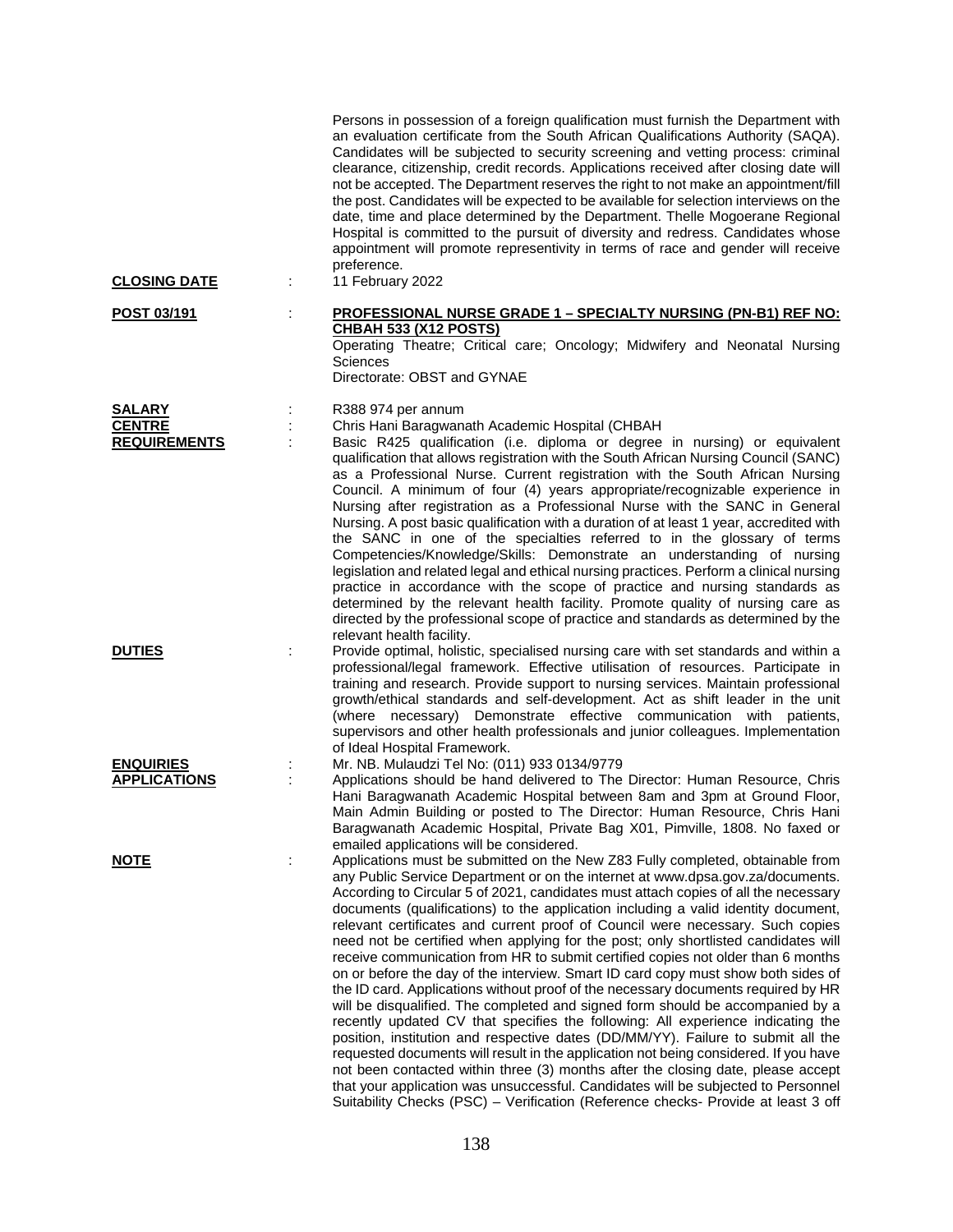| <b>CLOSING DATE</b>                  |   | Persons in possession of a foreign qualification must furnish the Department with<br>an evaluation certificate from the South African Qualifications Authority (SAQA).<br>Candidates will be subjected to security screening and vetting process: criminal<br>clearance, citizenship, credit records. Applications received after closing date will<br>not be accepted. The Department reserves the right to not make an appointment/fill<br>the post. Candidates will be expected to be available for selection interviews on the<br>date, time and place determined by the Department. Thelle Mogoerane Regional<br>Hospital is committed to the pursuit of diversity and redress. Candidates whose<br>appointment will promote representivity in terms of race and gender will receive<br>preference.<br>11 February 2022                                                                                                                                                                                                                                                                                                                                                                                                                                                                                                                                                                       |
|--------------------------------------|---|----------------------------------------------------------------------------------------------------------------------------------------------------------------------------------------------------------------------------------------------------------------------------------------------------------------------------------------------------------------------------------------------------------------------------------------------------------------------------------------------------------------------------------------------------------------------------------------------------------------------------------------------------------------------------------------------------------------------------------------------------------------------------------------------------------------------------------------------------------------------------------------------------------------------------------------------------------------------------------------------------------------------------------------------------------------------------------------------------------------------------------------------------------------------------------------------------------------------------------------------------------------------------------------------------------------------------------------------------------------------------------------------------|
|                                      |   |                                                                                                                                                                                                                                                                                                                                                                                                                                                                                                                                                                                                                                                                                                                                                                                                                                                                                                                                                                                                                                                                                                                                                                                                                                                                                                                                                                                                    |
| POST 03/191                          |   | <b>PROFESSIONAL NURSE GRADE 1 - SPECIALTY NURSING (PN-B1) REF NO:</b><br><b>CHBAH 533 (X12 POSTS)</b><br>Operating Theatre; Critical care; Oncology; Midwifery and Neonatal Nursing<br>Sciences<br>Directorate: OBST and GYNAE                                                                                                                                                                                                                                                                                                                                                                                                                                                                                                                                                                                                                                                                                                                                                                                                                                                                                                                                                                                                                                                                                                                                                                     |
| <b>SALARY</b>                        |   | R388 974 per annum                                                                                                                                                                                                                                                                                                                                                                                                                                                                                                                                                                                                                                                                                                                                                                                                                                                                                                                                                                                                                                                                                                                                                                                                                                                                                                                                                                                 |
| <b>CENTRE</b><br><b>REQUIREMENTS</b> |   | Chris Hani Baragwanath Academic Hospital (CHBAH<br>Basic R425 qualification (i.e. diploma or degree in nursing) or equivalent<br>qualification that allows registration with the South African Nursing Council (SANC)<br>as a Professional Nurse. Current registration with the South African Nursing<br>Council. A minimum of four (4) years appropriate/recognizable experience in<br>Nursing after registration as a Professional Nurse with the SANC in General<br>Nursing. A post basic qualification with a duration of at least 1 year, accredited with<br>the SANC in one of the specialties referred to in the glossary of terms<br>Competencies/Knowledge/Skills: Demonstrate an understanding of nursing<br>legislation and related legal and ethical nursing practices. Perform a clinical nursing<br>practice in accordance with the scope of practice and nursing standards as<br>determined by the relevant health facility. Promote quality of nursing care as<br>directed by the professional scope of practice and standards as determined by the                                                                                                                                                                                                                                                                                                                                |
| <b>DUTIES</b>                        | ÷ | relevant health facility.<br>Provide optimal, holistic, specialised nursing care with set standards and within a<br>professional/legal framework. Effective utilisation of resources. Participate in<br>training and research. Provide support to nursing services. Maintain professional<br>growth/ethical standards and self-development. Act as shift leader in the unit<br>(where necessary) Demonstrate effective communication with patients,<br>supervisors and other health professionals and junior colleagues. Implementation<br>of Ideal Hospital Framework.                                                                                                                                                                                                                                                                                                                                                                                                                                                                                                                                                                                                                                                                                                                                                                                                                            |
| <b>ENQUIRIES</b>                     |   | Mr. NB. Mulaudzi Tel No: (011) 933 0134/9779                                                                                                                                                                                                                                                                                                                                                                                                                                                                                                                                                                                                                                                                                                                                                                                                                                                                                                                                                                                                                                                                                                                                                                                                                                                                                                                                                       |
| <b>APPLICATIONS</b>                  |   | Applications should be hand delivered to The Director: Human Resource, Chris<br>Hani Baragwanath Academic Hospital between 8am and 3pm at Ground Floor,<br>Main Admin Building or posted to The Director: Human Resource, Chris Hani<br>Baragwanath Academic Hospital, Private Bag X01, Pimville, 1808. No faxed or<br>emailed applications will be considered.                                                                                                                                                                                                                                                                                                                                                                                                                                                                                                                                                                                                                                                                                                                                                                                                                                                                                                                                                                                                                                    |
| <b>NOTE</b>                          | ÷ | Applications must be submitted on the New Z83 Fully completed, obtainable from<br>any Public Service Department or on the internet at www.dpsa.gov.za/documents.<br>According to Circular 5 of 2021, candidates must attach copies of all the necessary<br>documents (qualifications) to the application including a valid identity document,<br>relevant certificates and current proof of Council were necessary. Such copies<br>need not be certified when applying for the post; only shortlisted candidates will<br>receive communication from HR to submit certified copies not older than 6 months<br>on or before the day of the interview. Smart ID card copy must show both sides of<br>the ID card. Applications without proof of the necessary documents required by HR<br>will be disqualified. The completed and signed form should be accompanied by a<br>recently updated CV that specifies the following: All experience indicating the<br>position, institution and respective dates (DD/MM/YY). Failure to submit all the<br>requested documents will result in the application not being considered. If you have<br>not been contacted within three (3) months after the closing date, please accept<br>that your application was unsuccessful. Candidates will be subjected to Personnel<br>Suitability Checks (PSC) - Verification (Reference checks- Provide at least 3 off |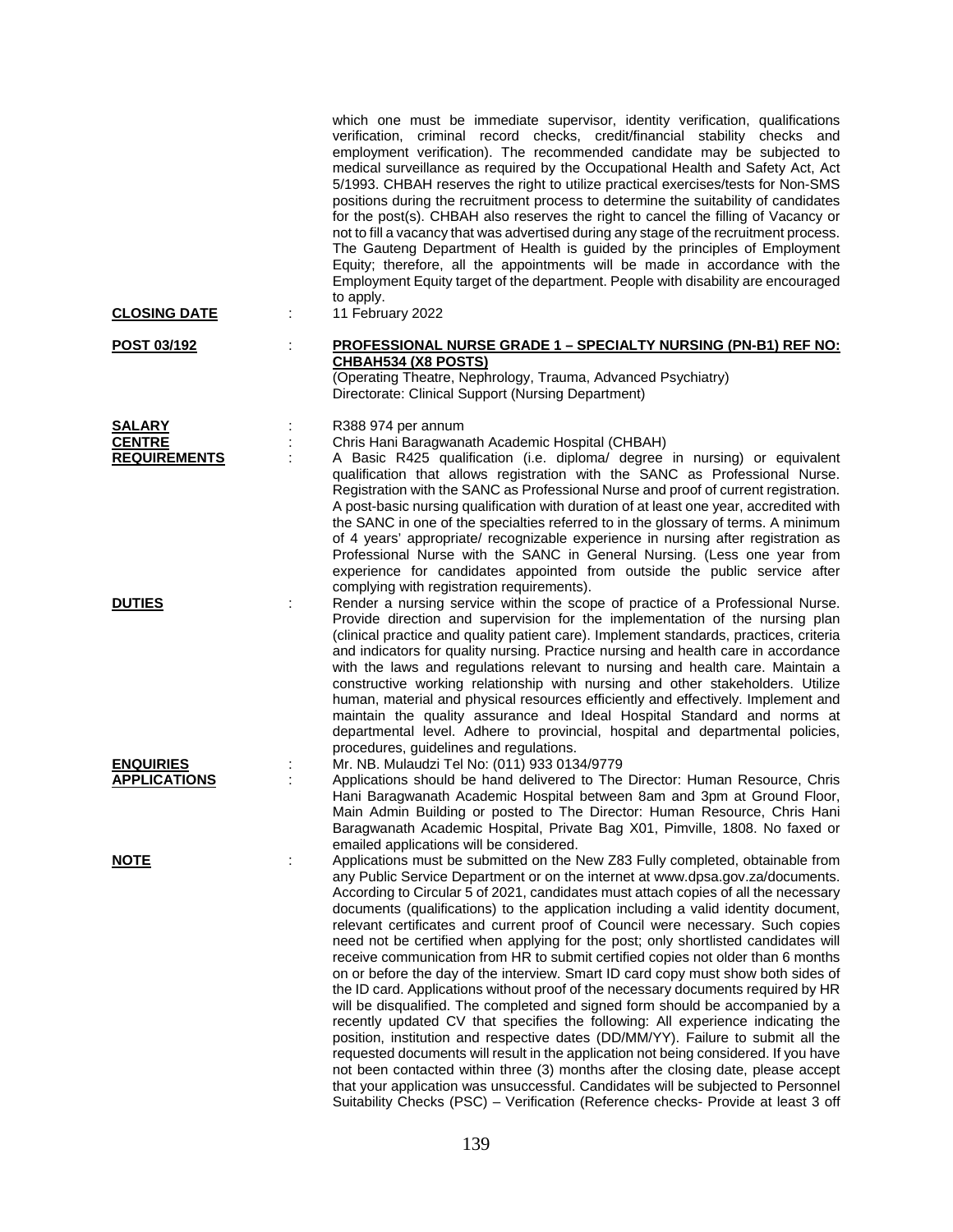|                                      | which one must be immediate supervisor, identity verification, qualifications<br>verification, criminal record checks, credit/financial stability checks and<br>employment verification). The recommended candidate may be subjected to<br>medical surveillance as required by the Occupational Health and Safety Act, Act<br>5/1993. CHBAH reserves the right to utilize practical exercises/tests for Non-SMS<br>positions during the recruitment process to determine the suitability of candidates<br>for the post(s). CHBAH also reserves the right to cancel the filling of Vacancy or<br>not to fill a vacancy that was advertised during any stage of the recruitment process.<br>The Gauteng Department of Health is guided by the principles of Employment<br>Equity; therefore, all the appointments will be made in accordance with the<br>Employment Equity target of the department. People with disability are encouraged<br>to apply.                                                                                                                                                                                                                                                                                                                                                                                                                                                   |
|--------------------------------------|---------------------------------------------------------------------------------------------------------------------------------------------------------------------------------------------------------------------------------------------------------------------------------------------------------------------------------------------------------------------------------------------------------------------------------------------------------------------------------------------------------------------------------------------------------------------------------------------------------------------------------------------------------------------------------------------------------------------------------------------------------------------------------------------------------------------------------------------------------------------------------------------------------------------------------------------------------------------------------------------------------------------------------------------------------------------------------------------------------------------------------------------------------------------------------------------------------------------------------------------------------------------------------------------------------------------------------------------------------------------------------------------------------|
| <b>CLOSING DATE</b>                  | 11 February 2022                                                                                                                                                                                                                                                                                                                                                                                                                                                                                                                                                                                                                                                                                                                                                                                                                                                                                                                                                                                                                                                                                                                                                                                                                                                                                                                                                                                        |
| <u>POST 03/192</u>                   | <b>PROFESSIONAL NURSE GRADE 1 - SPECIALTY NURSING (PN-B1) REF NO:</b><br>÷<br><b>CHBAH534 (X8 POSTS)</b><br>(Operating Theatre, Nephrology, Trauma, Advanced Psychiatry)<br>Directorate: Clinical Support (Nursing Department)                                                                                                                                                                                                                                                                                                                                                                                                                                                                                                                                                                                                                                                                                                                                                                                                                                                                                                                                                                                                                                                                                                                                                                          |
| <b>SALARY</b>                        | R388 974 per annum                                                                                                                                                                                                                                                                                                                                                                                                                                                                                                                                                                                                                                                                                                                                                                                                                                                                                                                                                                                                                                                                                                                                                                                                                                                                                                                                                                                      |
| <b>CENTRE</b><br><b>REQUIREMENTS</b> | Chris Hani Baragwanath Academic Hospital (CHBAH)<br>A Basic R425 qualification (i.e. diploma/ degree in nursing) or equivalent<br>qualification that allows registration with the SANC as Professional Nurse.<br>Registration with the SANC as Professional Nurse and proof of current registration.<br>A post-basic nursing qualification with duration of at least one year, accredited with<br>the SANC in one of the specialties referred to in the glossary of terms. A minimum<br>of 4 years' appropriate/ recognizable experience in nursing after registration as<br>Professional Nurse with the SANC in General Nursing. (Less one year from<br>experience for candidates appointed from outside the public service after                                                                                                                                                                                                                                                                                                                                                                                                                                                                                                                                                                                                                                                                      |
| <b>DUTIES</b>                        | complying with registration requirements).<br>Render a nursing service within the scope of practice of a Professional Nurse.<br>Provide direction and supervision for the implementation of the nursing plan<br>(clinical practice and quality patient care). Implement standards, practices, criteria<br>and indicators for quality nursing. Practice nursing and health care in accordance<br>with the laws and regulations relevant to nursing and health care. Maintain a<br>constructive working relationship with nursing and other stakeholders. Utilize<br>human, material and physical resources efficiently and effectively. Implement and<br>maintain the quality assurance and Ideal Hospital Standard and norms at<br>departmental level. Adhere to provincial, hospital and departmental policies,<br>procedures, guidelines and regulations.                                                                                                                                                                                                                                                                                                                                                                                                                                                                                                                                             |
| <b>ENQUIRIES</b>                     | Mr. NB. Mulaudzi Tel No: (011) 933 0134/9779                                                                                                                                                                                                                                                                                                                                                                                                                                                                                                                                                                                                                                                                                                                                                                                                                                                                                                                                                                                                                                                                                                                                                                                                                                                                                                                                                            |
| <b>APPLICATIONS</b>                  | Applications should be hand delivered to The Director: Human Resource, Chris<br>Hani Baragwanath Academic Hospital between 8am and 3pm at Ground Floor,<br>Main Admin Building or posted to The Director: Human Resource, Chris Hani<br>Baragwanath Academic Hospital, Private Bag X01, Pimville, 1808. No faxed or<br>emailed applications will be considered.                                                                                                                                                                                                                                                                                                                                                                                                                                                                                                                                                                                                                                                                                                                                                                                                                                                                                                                                                                                                                                         |
| <b>NOTE</b>                          | Applications must be submitted on the New Z83 Fully completed, obtainable from<br>t<br>any Public Service Department or on the internet at www.dpsa.gov.za/documents.<br>According to Circular 5 of 2021, candidates must attach copies of all the necessary<br>documents (qualifications) to the application including a valid identity document,<br>relevant certificates and current proof of Council were necessary. Such copies<br>need not be certified when applying for the post; only shortlisted candidates will<br>receive communication from HR to submit certified copies not older than 6 months<br>on or before the day of the interview. Smart ID card copy must show both sides of<br>the ID card. Applications without proof of the necessary documents required by HR<br>will be disqualified. The completed and signed form should be accompanied by a<br>recently updated CV that specifies the following: All experience indicating the<br>position, institution and respective dates (DD/MM/YY). Failure to submit all the<br>requested documents will result in the application not being considered. If you have<br>not been contacted within three (3) months after the closing date, please accept<br>that your application was unsuccessful. Candidates will be subjected to Personnel<br>Suitability Checks (PSC) - Verification (Reference checks- Provide at least 3 off |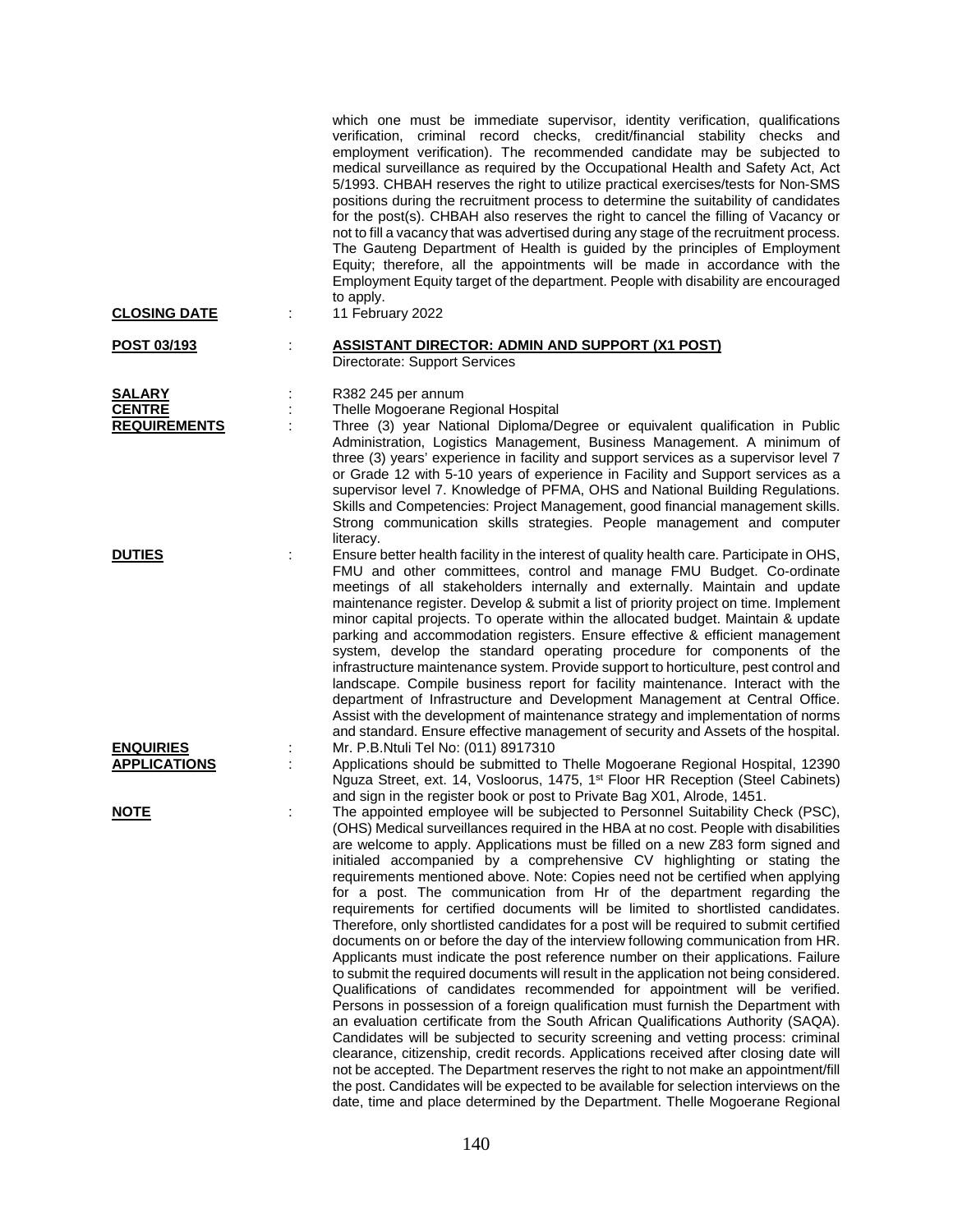| <b>CLOSING DATE</b>                                   | which one must be immediate supervisor, identity verification, qualifications<br>verification, criminal record checks, credit/financial stability checks and<br>employment verification). The recommended candidate may be subjected to<br>medical surveillance as required by the Occupational Health and Safety Act, Act<br>5/1993. CHBAH reserves the right to utilize practical exercises/tests for Non-SMS<br>positions during the recruitment process to determine the suitability of candidates<br>for the post(s). CHBAH also reserves the right to cancel the filling of Vacancy or<br>not to fill a vacancy that was advertised during any stage of the recruitment process.<br>The Gauteng Department of Health is guided by the principles of Employment<br>Equity; therefore, all the appointments will be made in accordance with the<br>Employment Equity target of the department. People with disability are encouraged<br>to apply.<br>11 February 2022                                                                                                                                                                                                                                                                                                                                                                                                                                                                                                                                                                                                                                                                         |
|-------------------------------------------------------|---------------------------------------------------------------------------------------------------------------------------------------------------------------------------------------------------------------------------------------------------------------------------------------------------------------------------------------------------------------------------------------------------------------------------------------------------------------------------------------------------------------------------------------------------------------------------------------------------------------------------------------------------------------------------------------------------------------------------------------------------------------------------------------------------------------------------------------------------------------------------------------------------------------------------------------------------------------------------------------------------------------------------------------------------------------------------------------------------------------------------------------------------------------------------------------------------------------------------------------------------------------------------------------------------------------------------------------------------------------------------------------------------------------------------------------------------------------------------------------------------------------------------------------------------------------------------------------------------------------------------------------------------|
|                                                       |                                                                                                                                                                                                                                                                                                                                                                                                                                                                                                                                                                                                                                                                                                                                                                                                                                                                                                                                                                                                                                                                                                                                                                                                                                                                                                                                                                                                                                                                                                                                                                                                                                                   |
| POST 03/193                                           | <b>ASSISTANT DIRECTOR: ADMIN AND SUPPORT (X1 POST)</b><br>Directorate: Support Services                                                                                                                                                                                                                                                                                                                                                                                                                                                                                                                                                                                                                                                                                                                                                                                                                                                                                                                                                                                                                                                                                                                                                                                                                                                                                                                                                                                                                                                                                                                                                           |
| <b>SALARY</b><br><b>CENTRE</b><br><b>REQUIREMENTS</b> | R382 245 per annum<br>Thelle Mogoerane Regional Hospital<br>Three (3) year National Diploma/Degree or equivalent qualification in Public<br>Administration, Logistics Management, Business Management. A minimum of<br>three (3) years' experience in facility and support services as a supervisor level 7<br>or Grade 12 with 5-10 years of experience in Facility and Support services as a<br>supervisor level 7. Knowledge of PFMA, OHS and National Building Regulations.<br>Skills and Competencies: Project Management, good financial management skills.<br>Strong communication skills strategies. People management and computer<br>literacy.                                                                                                                                                                                                                                                                                                                                                                                                                                                                                                                                                                                                                                                                                                                                                                                                                                                                                                                                                                                          |
| <b>DUTIES</b>                                         | Ensure better health facility in the interest of quality health care. Participate in OHS,<br>FMU and other committees, control and manage FMU Budget. Co-ordinate<br>meetings of all stakeholders internally and externally. Maintain and update<br>maintenance register. Develop & submit a list of priority project on time. Implement<br>minor capital projects. To operate within the allocated budget. Maintain & update<br>parking and accommodation registers. Ensure effective & efficient management<br>system, develop the standard operating procedure for components of the<br>infrastructure maintenance system. Provide support to horticulture, pest control and<br>landscape. Compile business report for facility maintenance. Interact with the<br>department of Infrastructure and Development Management at Central Office.<br>Assist with the development of maintenance strategy and implementation of norms<br>and standard. Ensure effective management of security and Assets of the hospital.                                                                                                                                                                                                                                                                                                                                                                                                                                                                                                                                                                                                                           |
| <b>ENQUIRIES</b><br><b>APPLICATIONS</b>               | Mr. P.B.Ntuli Tel No: (011) 8917310<br>Applications should be submitted to Thelle Mogoerane Regional Hospital, 12390<br>Nguza Street, ext. 14, Vosloorus, 1475, 1 <sup>st</sup> Floor HR Reception (Steel Cabinets)<br>and sign in the register book or post to Private Bag X01, Alrode, 1451.                                                                                                                                                                                                                                                                                                                                                                                                                                                                                                                                                                                                                                                                                                                                                                                                                                                                                                                                                                                                                                                                                                                                                                                                                                                                                                                                                    |
| <u>NOTE</u>                                           | The appointed employee will be subjected to Personnel Suitability Check (PSC),<br>(OHS) Medical surveillances required in the HBA at no cost. People with disabilities<br>are welcome to apply. Applications must be filled on a new Z83 form signed and<br>initialed accompanied by a comprehensive CV highlighting or stating the<br>requirements mentioned above. Note: Copies need not be certified when applying<br>for a post. The communication from Hr of the department regarding the<br>requirements for certified documents will be limited to shortlisted candidates.<br>Therefore, only shortlisted candidates for a post will be required to submit certified<br>documents on or before the day of the interview following communication from HR.<br>Applicants must indicate the post reference number on their applications. Failure<br>to submit the required documents will result in the application not being considered.<br>Qualifications of candidates recommended for appointment will be verified.<br>Persons in possession of a foreign qualification must furnish the Department with<br>an evaluation certificate from the South African Qualifications Authority (SAQA).<br>Candidates will be subjected to security screening and vetting process: criminal<br>clearance, citizenship, credit records. Applications received after closing date will<br>not be accepted. The Department reserves the right to not make an appointment/fill<br>the post. Candidates will be expected to be available for selection interviews on the<br>date, time and place determined by the Department. Thelle Mogoerane Regional |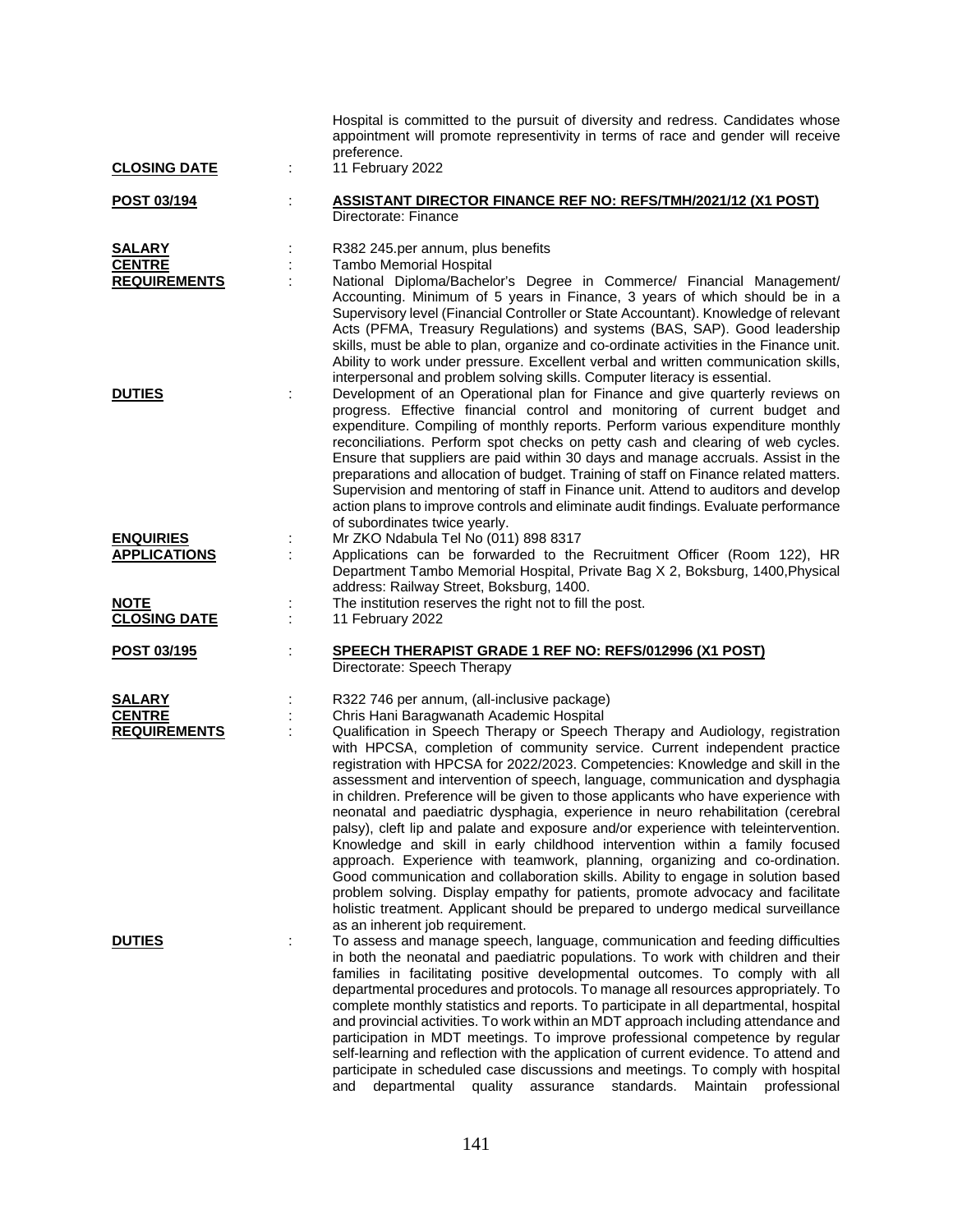| <b>CLOSING DATE</b>                                    | Hospital is committed to the pursuit of diversity and redress. Candidates whose<br>appointment will promote representivity in terms of race and gender will receive<br>preference.<br>11 February 2022                                                                                                                                                                                                                                                                                                                                                                                                                                                                                                                                                                                                                                                                                                                                                                                                                                                                                                          |
|--------------------------------------------------------|-----------------------------------------------------------------------------------------------------------------------------------------------------------------------------------------------------------------------------------------------------------------------------------------------------------------------------------------------------------------------------------------------------------------------------------------------------------------------------------------------------------------------------------------------------------------------------------------------------------------------------------------------------------------------------------------------------------------------------------------------------------------------------------------------------------------------------------------------------------------------------------------------------------------------------------------------------------------------------------------------------------------------------------------------------------------------------------------------------------------|
| POST 03/194                                            | <b>ASSISTANT DIRECTOR FINANCE REF NO: REFS/TMH/2021/12 (X1 POST)</b><br>Directorate: Finance                                                                                                                                                                                                                                                                                                                                                                                                                                                                                                                                                                                                                                                                                                                                                                                                                                                                                                                                                                                                                    |
| <b>SALARY</b><br><b>CENTRE</b><br><b>REQUIREMENTS</b>  | R382 245.per annum, plus benefits<br><b>Tambo Memorial Hospital</b><br>National Diploma/Bachelor's Degree in Commerce/ Financial Management/<br>Accounting. Minimum of 5 years in Finance, 3 years of which should be in a<br>Supervisory level (Financial Controller or State Accountant). Knowledge of relevant<br>Acts (PFMA, Treasury Regulations) and systems (BAS, SAP). Good leadership<br>skills, must be able to plan, organize and co-ordinate activities in the Finance unit.                                                                                                                                                                                                                                                                                                                                                                                                                                                                                                                                                                                                                        |
| <b>DUTIES</b>                                          | Ability to work under pressure. Excellent verbal and written communication skills,<br>interpersonal and problem solving skills. Computer literacy is essential.<br>Development of an Operational plan for Finance and give quarterly reviews on<br>progress. Effective financial control and monitoring of current budget and<br>expenditure. Compiling of monthly reports. Perform various expenditure monthly<br>reconciliations. Perform spot checks on petty cash and clearing of web cycles.<br>Ensure that suppliers are paid within 30 days and manage accruals. Assist in the<br>preparations and allocation of budget. Training of staff on Finance related matters.<br>Supervision and mentoring of staff in Finance unit. Attend to auditors and develop<br>action plans to improve controls and eliminate audit findings. Evaluate performance                                                                                                                                                                                                                                                      |
| <b>ENQUIRIES</b><br><b>APPLICATIONS</b><br><b>NOTE</b> | of subordinates twice yearly.<br>Mr ZKO Ndabula Tel No (011) 898 8317<br>Applications can be forwarded to the Recruitment Officer (Room 122), HR<br>Department Tambo Memorial Hospital, Private Bag X 2, Boksburg, 1400, Physical<br>address: Railway Street, Boksburg, 1400.<br>The institution reserves the right not to fill the post.                                                                                                                                                                                                                                                                                                                                                                                                                                                                                                                                                                                                                                                                                                                                                                       |
| <b>CLOSING DATE</b>                                    | 11 February 2022                                                                                                                                                                                                                                                                                                                                                                                                                                                                                                                                                                                                                                                                                                                                                                                                                                                                                                                                                                                                                                                                                                |
| POST 03/195                                            | <b>SPEECH THERAPIST GRADE 1 REF NO: REFS/012996 (X1 POST)</b><br>Directorate: Speech Therapy                                                                                                                                                                                                                                                                                                                                                                                                                                                                                                                                                                                                                                                                                                                                                                                                                                                                                                                                                                                                                    |
| <b>SALARY</b><br><b>CENTRE</b><br><b>REQUIREMENTS</b>  | R322 746 per annum, (all-inclusive package)<br>Chris Hani Baragwanath Academic Hospital<br>Qualification in Speech Therapy or Speech Therapy and Audiology, registration<br>with HPCSA, completion of community service. Current independent practice<br>registration with HPCSA for 2022/2023. Competencies: Knowledge and skill in the<br>assessment and intervention of speech, language, communication and dysphagia<br>in children. Preference will be given to those applicants who have experience with<br>neonatal and paediatric dysphagia, experience in neuro rehabilitation (cerebral<br>palsy), cleft lip and palate and exposure and/or experience with teleintervention.<br>Knowledge and skill in early childhood intervention within a family focused<br>approach. Experience with teamwork, planning, organizing and co-ordination.<br>Good communication and collaboration skills. Ability to engage in solution based<br>problem solving. Display empathy for patients, promote advocacy and facilitate<br>holistic treatment. Applicant should be prepared to undergo medical surveillance |
| <b>DUTIES</b>                                          | as an inherent job requirement.<br>To assess and manage speech, language, communication and feeding difficulties<br>in both the neonatal and paediatric populations. To work with children and their<br>families in facilitating positive developmental outcomes. To comply with all<br>departmental procedures and protocols. To manage all resources appropriately. To<br>complete monthly statistics and reports. To participate in all departmental, hospital<br>and provincial activities. To work within an MDT approach including attendance and<br>participation in MDT meetings. To improve professional competence by regular<br>self-learning and reflection with the application of current evidence. To attend and<br>participate in scheduled case discussions and meetings. To comply with hospital<br>departmental<br>assurance<br>standards.<br>Maintain<br>professional<br>and<br>quality                                                                                                                                                                                                     |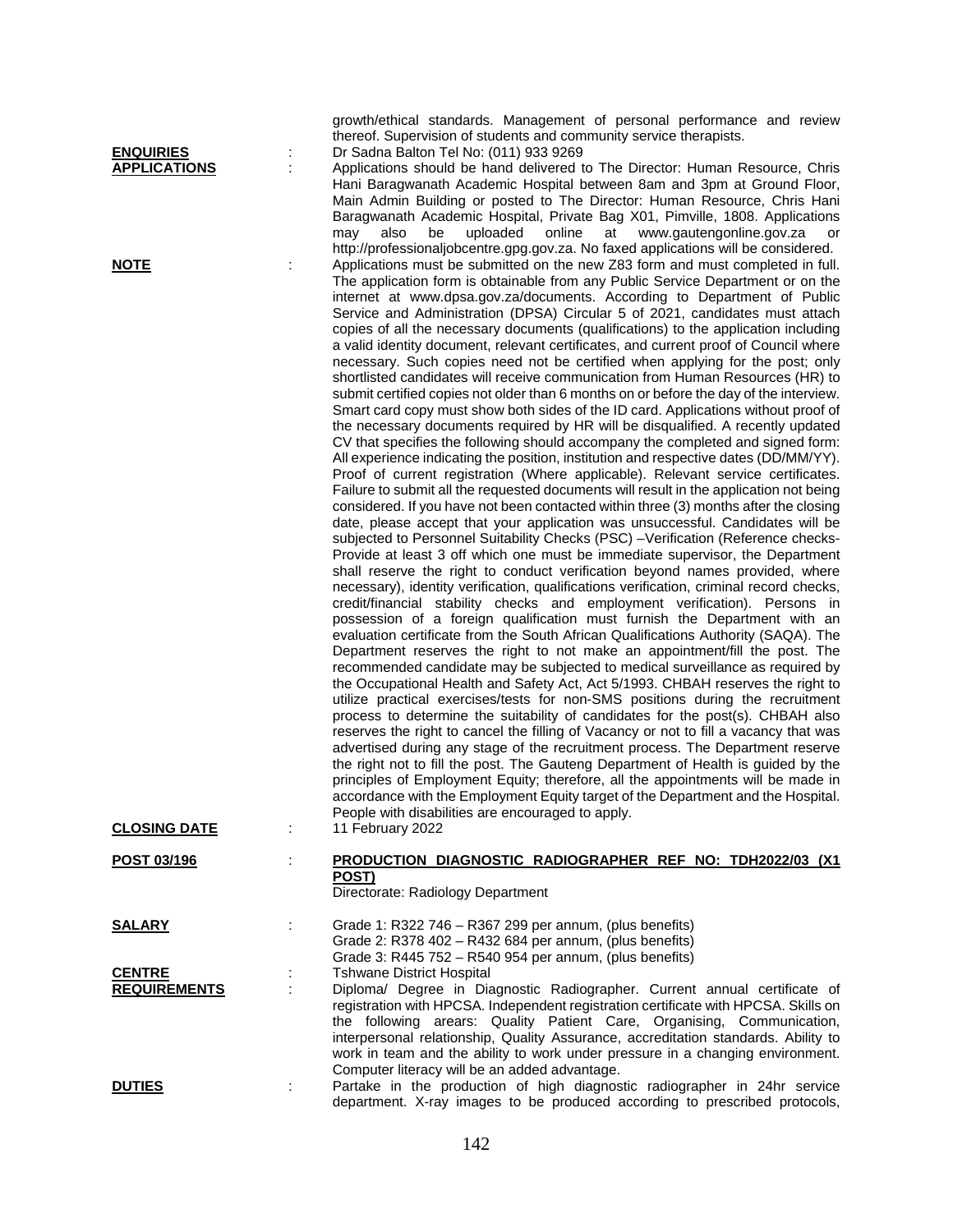|                                      | thereof. Supervision of students and community service therapists.                                                                                                                                                                                                                                                                                                                                                                                                                                                                                                                                                                                                                                                                                                                                                                                                                                                                                                                                                                                                                                                                                                                                                                                                                                                                                                                                                                                                                                                                                                                                                                                                                                                                                                                                                                                                                                                                                                                                                                                                                                                                                                                                                                                                                                                                                                                                                                                                                                                                                                                                                                                                                                                                                                                                                                                                                                                                                    |
|--------------------------------------|-------------------------------------------------------------------------------------------------------------------------------------------------------------------------------------------------------------------------------------------------------------------------------------------------------------------------------------------------------------------------------------------------------------------------------------------------------------------------------------------------------------------------------------------------------------------------------------------------------------------------------------------------------------------------------------------------------------------------------------------------------------------------------------------------------------------------------------------------------------------------------------------------------------------------------------------------------------------------------------------------------------------------------------------------------------------------------------------------------------------------------------------------------------------------------------------------------------------------------------------------------------------------------------------------------------------------------------------------------------------------------------------------------------------------------------------------------------------------------------------------------------------------------------------------------------------------------------------------------------------------------------------------------------------------------------------------------------------------------------------------------------------------------------------------------------------------------------------------------------------------------------------------------------------------------------------------------------------------------------------------------------------------------------------------------------------------------------------------------------------------------------------------------------------------------------------------------------------------------------------------------------------------------------------------------------------------------------------------------------------------------------------------------------------------------------------------------------------------------------------------------------------------------------------------------------------------------------------------------------------------------------------------------------------------------------------------------------------------------------------------------------------------------------------------------------------------------------------------------------------------------------------------------------------------------------------------------|
| <b>ENQUIRIES</b>                     | Dr Sadna Balton Tel No: (011) 933 9269                                                                                                                                                                                                                                                                                                                                                                                                                                                                                                                                                                                                                                                                                                                                                                                                                                                                                                                                                                                                                                                                                                                                                                                                                                                                                                                                                                                                                                                                                                                                                                                                                                                                                                                                                                                                                                                                                                                                                                                                                                                                                                                                                                                                                                                                                                                                                                                                                                                                                                                                                                                                                                                                                                                                                                                                                                                                                                                |
| <b>APPLICATIONS</b>                  | Applications should be hand delivered to The Director: Human Resource, Chris<br>Hani Baragwanath Academic Hospital between 8am and 3pm at Ground Floor,<br>Main Admin Building or posted to The Director: Human Resource, Chris Hani<br>Baragwanath Academic Hospital, Private Bag X01, Pimville, 1808. Applications<br>may<br>also<br>be<br>uploaded<br>online<br>at<br>www.gautengonline.gov.za<br>or<br>http://professionaljobcentre.gpg.gov.za. No faxed applications will be considered.                                                                                                                                                                                                                                                                                                                                                                                                                                                                                                                                                                                                                                                                                                                                                                                                                                                                                                                                                                                                                                                                                                                                                                                                                                                                                                                                                                                                                                                                                                                                                                                                                                                                                                                                                                                                                                                                                                                                                                                                                                                                                                                                                                                                                                                                                                                                                                                                                                                         |
| <b>NOTE</b>                          | Applications must be submitted on the new Z83 form and must completed in full.<br>The application form is obtainable from any Public Service Department or on the<br>internet at www.dpsa.gov.za/documents. According to Department of Public<br>Service and Administration (DPSA) Circular 5 of 2021, candidates must attach<br>copies of all the necessary documents (qualifications) to the application including<br>a valid identity document, relevant certificates, and current proof of Council where<br>necessary. Such copies need not be certified when applying for the post; only<br>shortlisted candidates will receive communication from Human Resources (HR) to<br>submit certified copies not older than 6 months on or before the day of the interview.<br>Smart card copy must show both sides of the ID card. Applications without proof of<br>the necessary documents required by HR will be disqualified. A recently updated<br>CV that specifies the following should accompany the completed and signed form:<br>All experience indicating the position, institution and respective dates (DD/MM/YY).<br>Proof of current registration (Where applicable). Relevant service certificates.<br>Failure to submit all the requested documents will result in the application not being<br>considered. If you have not been contacted within three (3) months after the closing<br>date, please accept that your application was unsuccessful. Candidates will be<br>subjected to Personnel Suitability Checks (PSC) -Verification (Reference checks-<br>Provide at least 3 off which one must be immediate supervisor, the Department<br>shall reserve the right to conduct verification beyond names provided, where<br>necessary), identity verification, qualifications verification, criminal record checks,<br>credit/financial stability checks and employment verification). Persons in<br>possession of a foreign qualification must furnish the Department with an<br>evaluation certificate from the South African Qualifications Authority (SAQA). The<br>Department reserves the right to not make an appointment/fill the post. The<br>recommended candidate may be subjected to medical surveillance as required by<br>the Occupational Health and Safety Act, Act 5/1993. CHBAH reserves the right to<br>utilize practical exercises/tests for non-SMS positions during the recruitment<br>process to determine the suitability of candidates for the post(s). CHBAH also<br>reserves the right to cancel the filling of Vacancy or not to fill a vacancy that was<br>advertised during any stage of the recruitment process. The Department reserve<br>the right not to fill the post. The Gauteng Department of Health is guided by the<br>principles of Employment Equity; therefore, all the appointments will be made in<br>accordance with the Employment Equity target of the Department and the Hospital. |
| <b>CLOSING DATE</b>                  | People with disabilities are encouraged to apply.<br>11 February 2022                                                                                                                                                                                                                                                                                                                                                                                                                                                                                                                                                                                                                                                                                                                                                                                                                                                                                                                                                                                                                                                                                                                                                                                                                                                                                                                                                                                                                                                                                                                                                                                                                                                                                                                                                                                                                                                                                                                                                                                                                                                                                                                                                                                                                                                                                                                                                                                                                                                                                                                                                                                                                                                                                                                                                                                                                                                                                 |
| POST 03/196                          | PRODUCTION DIAGNOSTIC RADIOGRAPHER REF NO: TDH2022/03 (X1<br>POST)<br>Directorate: Radiology Department                                                                                                                                                                                                                                                                                                                                                                                                                                                                                                                                                                                                                                                                                                                                                                                                                                                                                                                                                                                                                                                                                                                                                                                                                                                                                                                                                                                                                                                                                                                                                                                                                                                                                                                                                                                                                                                                                                                                                                                                                                                                                                                                                                                                                                                                                                                                                                                                                                                                                                                                                                                                                                                                                                                                                                                                                                               |
| <b>SALARY</b>                        | Grade 1: R322 746 - R367 299 per annum, (plus benefits)<br>Grade 2: R378 402 - R432 684 per annum, (plus benefits)<br>Grade 3: R445 752 - R540 954 per annum, (plus benefits)                                                                                                                                                                                                                                                                                                                                                                                                                                                                                                                                                                                                                                                                                                                                                                                                                                                                                                                                                                                                                                                                                                                                                                                                                                                                                                                                                                                                                                                                                                                                                                                                                                                                                                                                                                                                                                                                                                                                                                                                                                                                                                                                                                                                                                                                                                                                                                                                                                                                                                                                                                                                                                                                                                                                                                         |
| <b>CENTRE</b><br><b>REQUIREMENTS</b> | <b>Tshwane District Hospital</b><br>Diploma/ Degree in Diagnostic Radiographer. Current annual certificate of<br>registration with HPCSA. Independent registration certificate with HPCSA. Skills on<br>the following arears: Quality Patient Care, Organising, Communication,<br>interpersonal relationship, Quality Assurance, accreditation standards. Ability to<br>work in team and the ability to work under pressure in a changing environment.<br>Computer literacy will be an added advantage.                                                                                                                                                                                                                                                                                                                                                                                                                                                                                                                                                                                                                                                                                                                                                                                                                                                                                                                                                                                                                                                                                                                                                                                                                                                                                                                                                                                                                                                                                                                                                                                                                                                                                                                                                                                                                                                                                                                                                                                                                                                                                                                                                                                                                                                                                                                                                                                                                                               |
| <b>DUTIES</b>                        | Partake in the production of high diagnostic radiographer in 24hr service<br>department. X-ray images to be produced according to prescribed protocols,                                                                                                                                                                                                                                                                                                                                                                                                                                                                                                                                                                                                                                                                                                                                                                                                                                                                                                                                                                                                                                                                                                                                                                                                                                                                                                                                                                                                                                                                                                                                                                                                                                                                                                                                                                                                                                                                                                                                                                                                                                                                                                                                                                                                                                                                                                                                                                                                                                                                                                                                                                                                                                                                                                                                                                                               |

growth/ethical standards. Management of personal performance and review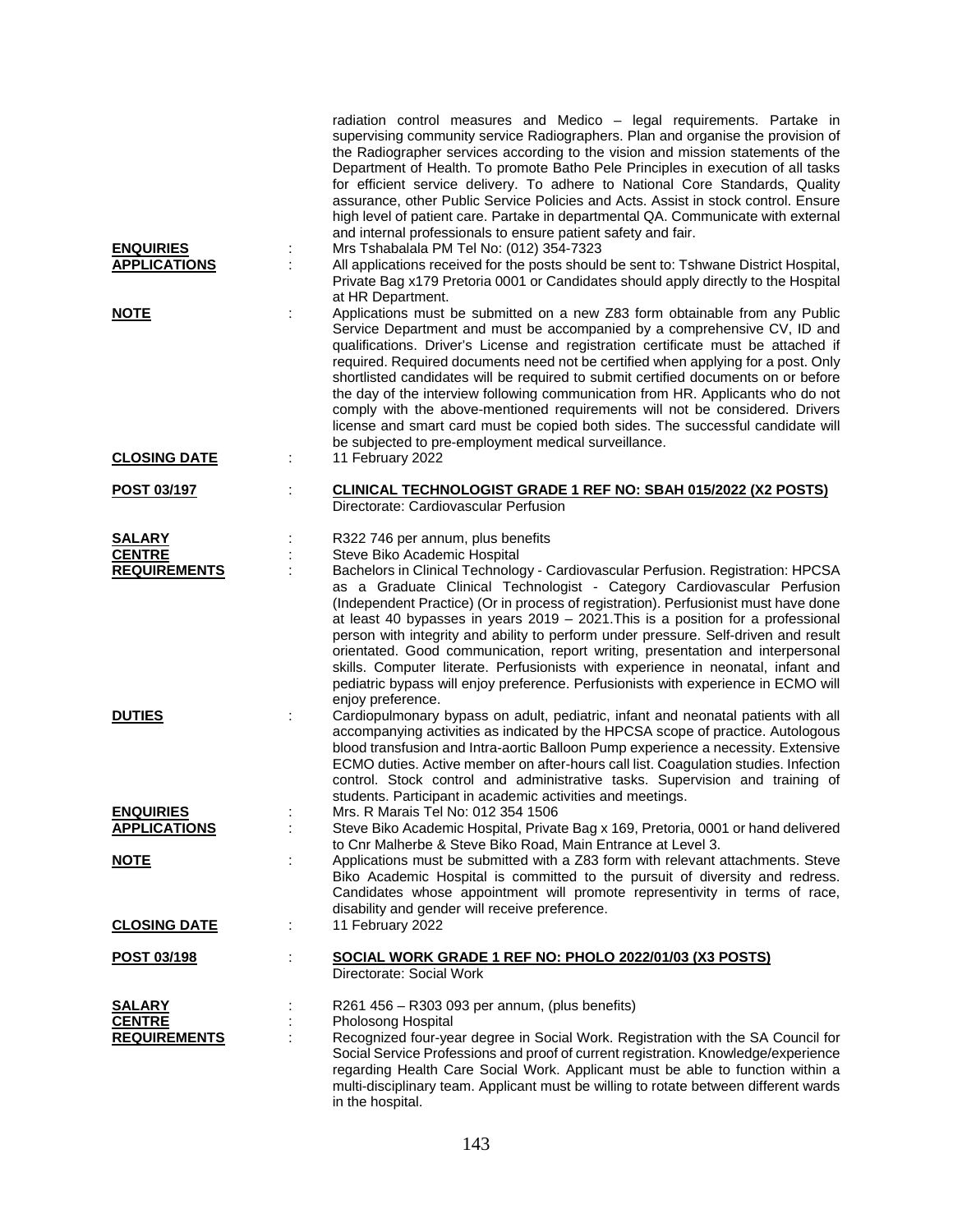|                                                        | radiation control measures and Medico - legal requirements. Partake in<br>supervising community service Radiographers. Plan and organise the provision of<br>the Radiographer services according to the vision and mission statements of the<br>Department of Health. To promote Batho Pele Principles in execution of all tasks<br>for efficient service delivery. To adhere to National Core Standards, Quality<br>assurance, other Public Service Policies and Acts. Assist in stock control. Ensure<br>high level of patient care. Partake in departmental QA. Communicate with external<br>and internal professionals to ensure patient safety and fair.                                                                                                                       |
|--------------------------------------------------------|-------------------------------------------------------------------------------------------------------------------------------------------------------------------------------------------------------------------------------------------------------------------------------------------------------------------------------------------------------------------------------------------------------------------------------------------------------------------------------------------------------------------------------------------------------------------------------------------------------------------------------------------------------------------------------------------------------------------------------------------------------------------------------------|
| <b>ENQUIRIES</b><br><b>APPLICATIONS</b>                | Mrs Tshabalala PM Tel No: (012) 354-7323<br>All applications received for the posts should be sent to: Tshwane District Hospital,<br>Private Bag x179 Pretoria 0001 or Candidates should apply directly to the Hospital<br>at HR Department.                                                                                                                                                                                                                                                                                                                                                                                                                                                                                                                                        |
| <u>NOTE</u>                                            | Applications must be submitted on a new Z83 form obtainable from any Public<br>Service Department and must be accompanied by a comprehensive CV, ID and<br>qualifications. Driver's License and registration certificate must be attached if<br>required. Required documents need not be certified when applying for a post. Only<br>shortlisted candidates will be required to submit certified documents on or before<br>the day of the interview following communication from HR. Applicants who do not<br>comply with the above-mentioned requirements will not be considered. Drivers<br>license and smart card must be copied both sides. The successful candidate will<br>be subjected to pre-employment medical surveillance.                                               |
| <b>CLOSING DATE</b>                                    | 11 February 2022                                                                                                                                                                                                                                                                                                                                                                                                                                                                                                                                                                                                                                                                                                                                                                    |
| POST 03/197                                            | CLINICAL TECHNOLOGIST GRADE 1 REF NO: SBAH 015/2022 (X2 POSTS)<br>Directorate: Cardiovascular Perfusion                                                                                                                                                                                                                                                                                                                                                                                                                                                                                                                                                                                                                                                                             |
| <b>SALARY</b><br><b>CENTRE</b><br><b>REQUIREMENTS</b>  | R322 746 per annum, plus benefits<br>Steve Biko Academic Hospital<br>Bachelors in Clinical Technology - Cardiovascular Perfusion. Registration: HPCSA<br>as a Graduate Clinical Technologist - Category Cardiovascular Perfusion<br>(Independent Practice) (Or in process of registration). Perfusionist must have done<br>at least 40 bypasses in years 2019 - 2021. This is a position for a professional<br>person with integrity and ability to perform under pressure. Self-driven and result<br>orientated. Good communication, report writing, presentation and interpersonal<br>skills. Computer literate. Perfusionists with experience in neonatal, infant and<br>pediatric bypass will enjoy preference. Perfusionists with experience in ECMO will<br>enjoy preference. |
| <b>DUTIES</b>                                          | Cardiopulmonary bypass on adult, pediatric, infant and neonatal patients with all<br>÷<br>accompanying activities as indicated by the HPCSA scope of practice. Autologous<br>blood transfusion and Intra-aortic Balloon Pump experience a necessity. Extensive<br>ECMO duties. Active member on after-hours call list. Coagulation studies. Infection<br>control. Stock control and administrative tasks. Supervision and training of<br>students. Participant in academic activities and meetings.                                                                                                                                                                                                                                                                                 |
| <b>ENQUIRIES</b><br><b>APPLICATIONS</b><br><b>NOTE</b> | Mrs. R Marais Tel No: 012 354 1506<br>Steve Biko Academic Hospital, Private Bag x 169, Pretoria, 0001 or hand delivered<br>to Cnr Malherbe & Steve Biko Road, Main Entrance at Level 3.<br>Applications must be submitted with a Z83 form with relevant attachments. Steve                                                                                                                                                                                                                                                                                                                                                                                                                                                                                                          |
|                                                        | Biko Academic Hospital is committed to the pursuit of diversity and redress.<br>Candidates whose appointment will promote representivity in terms of race,<br>disability and gender will receive preference.                                                                                                                                                                                                                                                                                                                                                                                                                                                                                                                                                                        |
| <b>CLOSING DATE</b>                                    | 11 February 2022                                                                                                                                                                                                                                                                                                                                                                                                                                                                                                                                                                                                                                                                                                                                                                    |
| <u>POST 03/198</u>                                     | <u>SOCIAL WORK GRADE 1 REF NO: PHOLO 2022/01/03 (X3 POSTS)</u><br>Directorate: Social Work                                                                                                                                                                                                                                                                                                                                                                                                                                                                                                                                                                                                                                                                                          |
| <u>SALARY</u>                                          | R261 456 – R303 093 per annum, (plus benefits)                                                                                                                                                                                                                                                                                                                                                                                                                                                                                                                                                                                                                                                                                                                                      |
| <b>CENTRE</b><br><b>REQUIREMENTS</b>                   | Pholosong Hospital<br>Recognized four-year degree in Social Work. Registration with the SA Council for<br>Social Service Professions and proof of current registration. Knowledge/experience<br>regarding Health Care Social Work. Applicant must be able to function within a<br>multi-disciplinary team. Applicant must be willing to rotate between different wards<br>in the hospital.                                                                                                                                                                                                                                                                                                                                                                                          |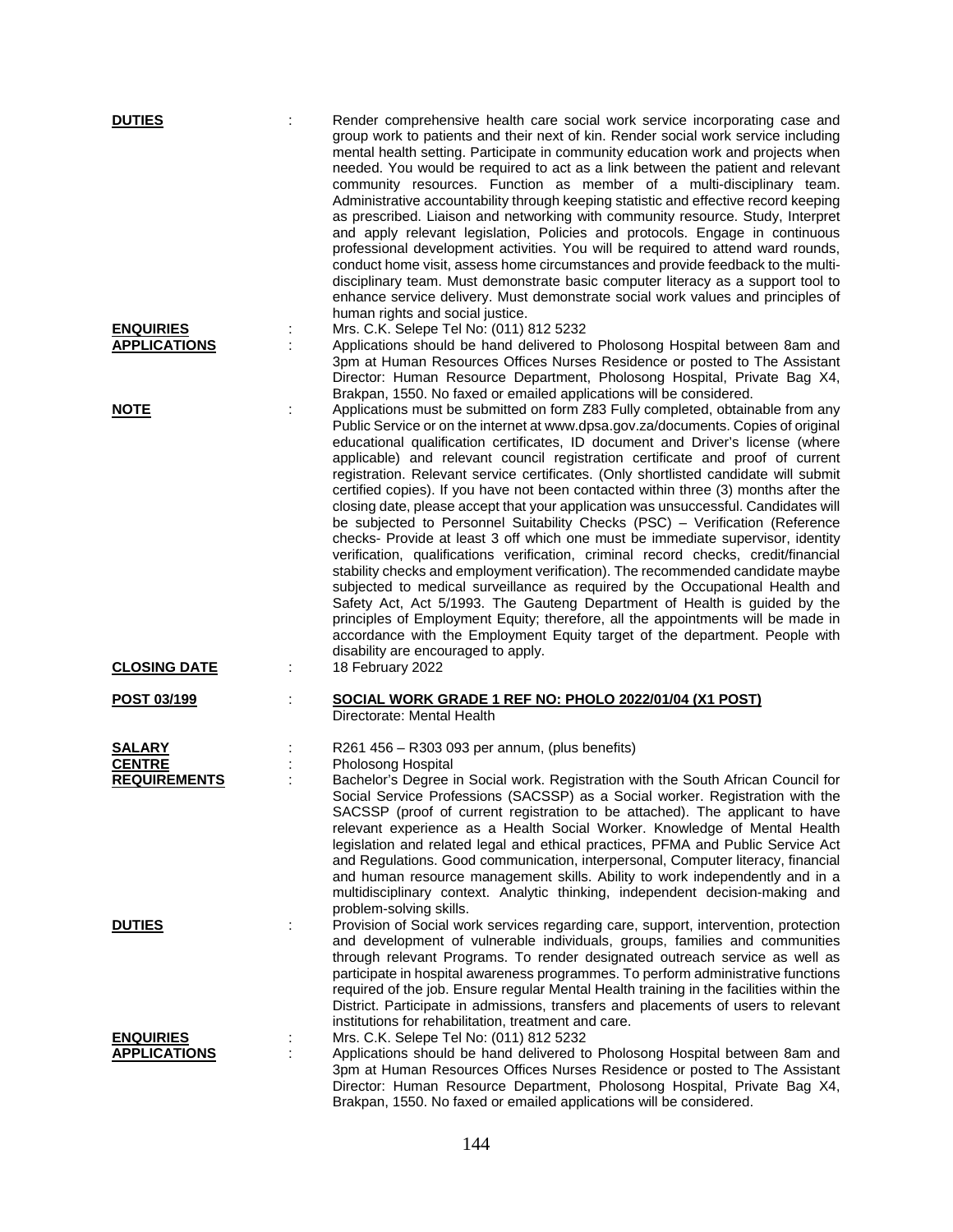| <b>DUTIES</b>                                         | Render comprehensive health care social work service incorporating case and<br>group work to patients and their next of kin. Render social work service including<br>mental health setting. Participate in community education work and projects when<br>needed. You would be required to act as a link between the patient and relevant<br>community resources. Function as member of a multi-disciplinary team.<br>Administrative accountability through keeping statistic and effective record keeping<br>as prescribed. Liaison and networking with community resource. Study, Interpret<br>and apply relevant legislation, Policies and protocols. Engage in continuous<br>professional development activities. You will be required to attend ward rounds,<br>conduct home visit, assess home circumstances and provide feedback to the multi-<br>disciplinary team. Must demonstrate basic computer literacy as a support tool to<br>enhance service delivery. Must demonstrate social work values and principles of<br>human rights and social justice.                                                                                                                                                                                                                                                                                                                                            |
|-------------------------------------------------------|------------------------------------------------------------------------------------------------------------------------------------------------------------------------------------------------------------------------------------------------------------------------------------------------------------------------------------------------------------------------------------------------------------------------------------------------------------------------------------------------------------------------------------------------------------------------------------------------------------------------------------------------------------------------------------------------------------------------------------------------------------------------------------------------------------------------------------------------------------------------------------------------------------------------------------------------------------------------------------------------------------------------------------------------------------------------------------------------------------------------------------------------------------------------------------------------------------------------------------------------------------------------------------------------------------------------------------------------------------------------------------------------------------|
| <b>ENQUIRIES</b><br><b>APPLICATIONS</b>               | Mrs. C.K. Selepe Tel No: (011) 812 5232<br>Applications should be hand delivered to Pholosong Hospital between 8am and<br>3pm at Human Resources Offices Nurses Residence or posted to The Assistant<br>Director: Human Resource Department, Pholosong Hospital, Private Bag X4,                                                                                                                                                                                                                                                                                                                                                                                                                                                                                                                                                                                                                                                                                                                                                                                                                                                                                                                                                                                                                                                                                                                           |
| <b>NOTE</b>                                           | Brakpan, 1550. No faxed or emailed applications will be considered.<br>Applications must be submitted on form Z83 Fully completed, obtainable from any<br>Public Service or on the internet at www.dpsa.gov.za/documents. Copies of original<br>educational qualification certificates, ID document and Driver's license (where<br>applicable) and relevant council registration certificate and proof of current<br>registration. Relevant service certificates. (Only shortlisted candidate will submit<br>certified copies). If you have not been contacted within three (3) months after the<br>closing date, please accept that your application was unsuccessful. Candidates will<br>be subjected to Personnel Suitability Checks (PSC) - Verification (Reference<br>checks- Provide at least 3 off which one must be immediate supervisor, identity<br>verification, qualifications verification, criminal record checks, credit/financial<br>stability checks and employment verification). The recommended candidate maybe<br>subjected to medical surveillance as required by the Occupational Health and<br>Safety Act, Act 5/1993. The Gauteng Department of Health is guided by the<br>principles of Employment Equity; therefore, all the appointments will be made in<br>accordance with the Employment Equity target of the department. People with<br>disability are encouraged to apply. |
| <b>CLOSING DATE</b>                                   | 18 February 2022                                                                                                                                                                                                                                                                                                                                                                                                                                                                                                                                                                                                                                                                                                                                                                                                                                                                                                                                                                                                                                                                                                                                                                                                                                                                                                                                                                                           |
| <u>POST 03/199</u>                                    | SOCIAL WORK GRADE 1 REF NO: PHOLO 2022/01/04 (X1 POST)<br>Directorate: Mental Health                                                                                                                                                                                                                                                                                                                                                                                                                                                                                                                                                                                                                                                                                                                                                                                                                                                                                                                                                                                                                                                                                                                                                                                                                                                                                                                       |
| <b>SALARY</b><br><b>CENTRE</b><br><b>REQUIREMENTS</b> | R261 456 – R303 093 per annum, (plus benefits)<br>Pholosong Hospital<br>Bachelor's Degree in Social work. Registration with the South African Council for<br>Social Service Professions (SACSSP) as a Social worker. Registration with the<br>SACSSP (proof of current registration to be attached). The applicant to have<br>relevant experience as a Health Social Worker. Knowledge of Mental Health<br>legislation and related legal and ethical practices, PFMA and Public Service Act<br>and Regulations. Good communication, interpersonal, Computer literacy, financial<br>and human resource management skills. Ability to work independently and in a<br>multidisciplinary context. Analytic thinking, independent decision-making and                                                                                                                                                                                                                                                                                                                                                                                                                                                                                                                                                                                                                                                           |
| <b>DUTIES</b>                                         | problem-solving skills.<br>Provision of Social work services regarding care, support, intervention, protection<br>and development of vulnerable individuals, groups, families and communities<br>through relevant Programs. To render designated outreach service as well as<br>participate in hospital awareness programmes. To perform administrative functions<br>required of the job. Ensure regular Mental Health training in the facilities within the<br>District. Participate in admissions, transfers and placements of users to relevant<br>institutions for rehabilitation, treatment and care.                                                                                                                                                                                                                                                                                                                                                                                                                                                                                                                                                                                                                                                                                                                                                                                                 |
| <b>ENQUIRIES</b><br><b>APPLICATIONS</b>               | Mrs. C.K. Selepe Tel No: (011) 812 5232<br>Applications should be hand delivered to Pholosong Hospital between 8am and<br>3pm at Human Resources Offices Nurses Residence or posted to The Assistant<br>Director: Human Resource Department, Pholosong Hospital, Private Bag X4,<br>Brakpan, 1550. No faxed or emailed applications will be considered.                                                                                                                                                                                                                                                                                                                                                                                                                                                                                                                                                                                                                                                                                                                                                                                                                                                                                                                                                                                                                                                    |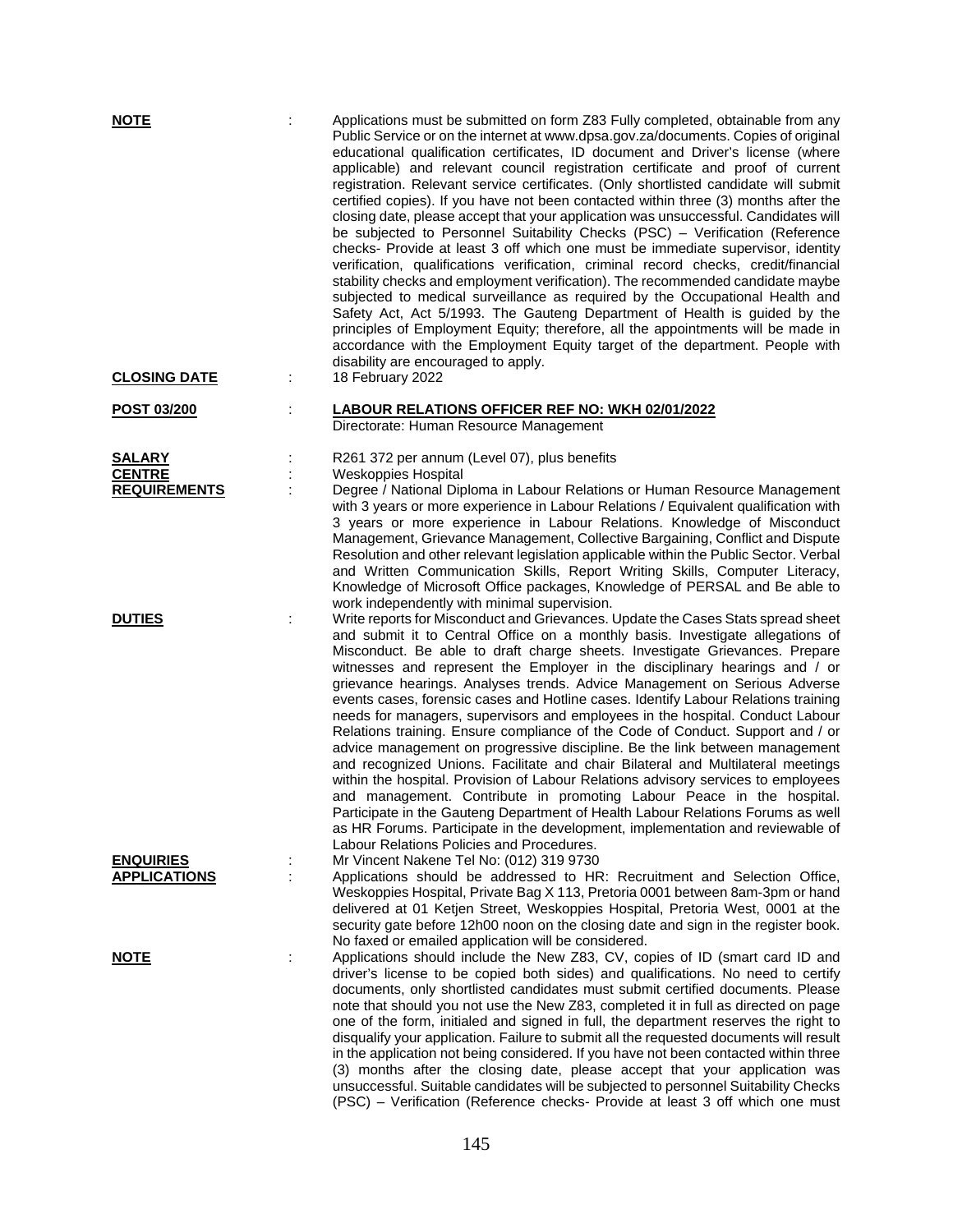| <b>NOTE</b>                             |   | Applications must be submitted on form Z83 Fully completed, obtainable from any<br>Public Service or on the internet at www.dpsa.gov.za/documents. Copies of original<br>educational qualification certificates, ID document and Driver's license (where<br>applicable) and relevant council registration certificate and proof of current<br>registration. Relevant service certificates. (Only shortlisted candidate will submit<br>certified copies). If you have not been contacted within three (3) months after the<br>closing date, please accept that your application was unsuccessful. Candidates will<br>be subjected to Personnel Suitability Checks (PSC) - Verification (Reference<br>checks- Provide at least 3 off which one must be immediate supervisor, identity<br>verification, qualifications verification, criminal record checks, credit/financial<br>stability checks and employment verification). The recommended candidate maybe<br>subjected to medical surveillance as required by the Occupational Health and<br>Safety Act, Act 5/1993. The Gauteng Department of Health is guided by the<br>principles of Employment Equity; therefore, all the appointments will be made in<br>accordance with the Employment Equity target of the department. People with<br>disability are encouraged to apply. |
|-----------------------------------------|---|-------------------------------------------------------------------------------------------------------------------------------------------------------------------------------------------------------------------------------------------------------------------------------------------------------------------------------------------------------------------------------------------------------------------------------------------------------------------------------------------------------------------------------------------------------------------------------------------------------------------------------------------------------------------------------------------------------------------------------------------------------------------------------------------------------------------------------------------------------------------------------------------------------------------------------------------------------------------------------------------------------------------------------------------------------------------------------------------------------------------------------------------------------------------------------------------------------------------------------------------------------------------------------------------------------------------------------------|
| <b>CLOSING DATE</b>                     |   | 18 February 2022                                                                                                                                                                                                                                                                                                                                                                                                                                                                                                                                                                                                                                                                                                                                                                                                                                                                                                                                                                                                                                                                                                                                                                                                                                                                                                                    |
| POST 03/200                             |   | <b>LABOUR RELATIONS OFFICER REF NO: WKH 02/01/2022</b><br>Directorate: Human Resource Management                                                                                                                                                                                                                                                                                                                                                                                                                                                                                                                                                                                                                                                                                                                                                                                                                                                                                                                                                                                                                                                                                                                                                                                                                                    |
| <b>SALARY</b>                           |   | R261 372 per annum (Level 07), plus benefits                                                                                                                                                                                                                                                                                                                                                                                                                                                                                                                                                                                                                                                                                                                                                                                                                                                                                                                                                                                                                                                                                                                                                                                                                                                                                        |
| <b>CENTRE</b><br><b>REQUIREMENTS</b>    |   | Weskoppies Hospital<br>Degree / National Diploma in Labour Relations or Human Resource Management                                                                                                                                                                                                                                                                                                                                                                                                                                                                                                                                                                                                                                                                                                                                                                                                                                                                                                                                                                                                                                                                                                                                                                                                                                   |
|                                         |   | with 3 years or more experience in Labour Relations / Equivalent qualification with<br>3 years or more experience in Labour Relations. Knowledge of Misconduct<br>Management, Grievance Management, Collective Bargaining, Conflict and Dispute<br>Resolution and other relevant legislation applicable within the Public Sector. Verbal<br>and Written Communication Skills, Report Writing Skills, Computer Literacy,<br>Knowledge of Microsoft Office packages, Knowledge of PERSAL and Be able to<br>work independently with minimal supervision.                                                                                                                                                                                                                                                                                                                                                                                                                                                                                                                                                                                                                                                                                                                                                                               |
| <b>DUTIES</b>                           | ÷ | Write reports for Misconduct and Grievances. Update the Cases Stats spread sheet<br>and submit it to Central Office on a monthly basis. Investigate allegations of<br>Misconduct. Be able to draft charge sheets. Investigate Grievances. Prepare<br>witnesses and represent the Employer in the disciplinary hearings and / or<br>grievance hearings. Analyses trends. Advice Management on Serious Adverse<br>events cases, forensic cases and Hotline cases. Identify Labour Relations training<br>needs for managers, supervisors and employees in the hospital. Conduct Labour<br>Relations training. Ensure compliance of the Code of Conduct. Support and / or<br>advice management on progressive discipline. Be the link between management<br>and recognized Unions. Facilitate and chair Bilateral and Multilateral meetings<br>within the hospital. Provision of Labour Relations advisory services to employees<br>and management. Contribute in promoting Labour Peace in the hospital.<br>Participate in the Gauteng Department of Health Labour Relations Forums as well<br>as HR Forums. Participate in the development, implementation and reviewable of<br>Labour Relations Policies and Procedures.                                                                                                             |
| <b>ENQUIRIES</b><br><b>APPLICATIONS</b> |   | Mr Vincent Nakene Tel No: (012) 319 9730<br>Applications should be addressed to HR: Recruitment and Selection Office,<br>Weskoppies Hospital, Private Bag X 113, Pretoria 0001 between 8am-3pm or hand<br>delivered at 01 Ketjen Street, Weskoppies Hospital, Pretoria West, 0001 at the<br>security gate before 12h00 noon on the closing date and sign in the register book.<br>No faxed or emailed application will be considered.                                                                                                                                                                                                                                                                                                                                                                                                                                                                                                                                                                                                                                                                                                                                                                                                                                                                                               |
| <u>NOTE</u>                             | ÷ | Applications should include the New Z83, CV, copies of ID (smart card ID and<br>driver's license to be copied both sides) and qualifications. No need to certify<br>documents, only shortlisted candidates must submit certified documents. Please<br>note that should you not use the New Z83, completed it in full as directed on page<br>one of the form, initialed and signed in full, the department reserves the right to<br>disqualify your application. Failure to submit all the requested documents will result<br>in the application not being considered. If you have not been contacted within three<br>(3) months after the closing date, please accept that your application was<br>unsuccessful. Suitable candidates will be subjected to personnel Suitability Checks<br>(PSC) - Verification (Reference checks- Provide at least 3 off which one must                                                                                                                                                                                                                                                                                                                                                                                                                                                             |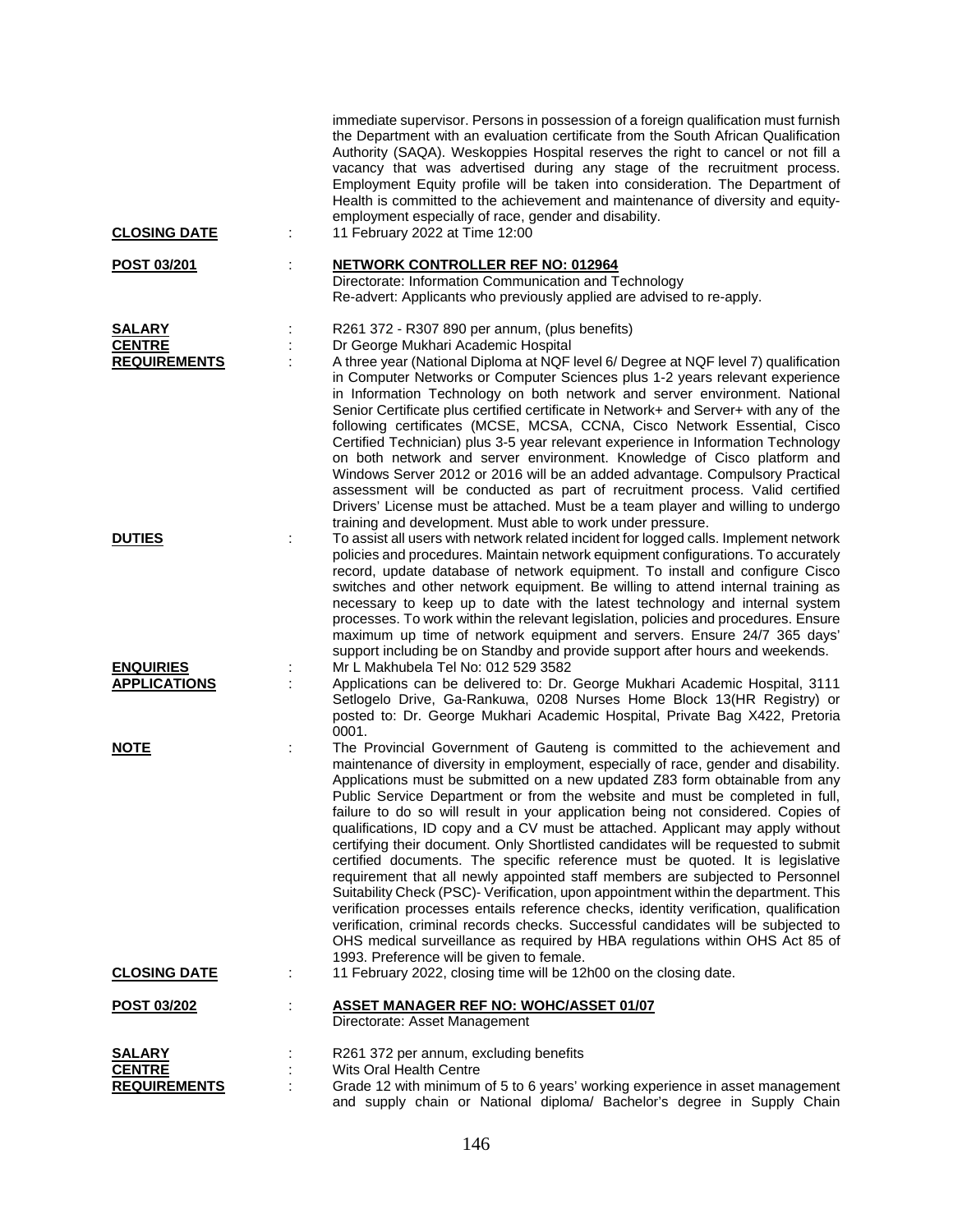| <b>CLOSING DATE</b>                                   | immediate supervisor. Persons in possession of a foreign qualification must furnish<br>the Department with an evaluation certificate from the South African Qualification<br>Authority (SAQA). Weskoppies Hospital reserves the right to cancel or not fill a<br>vacancy that was advertised during any stage of the recruitment process.<br>Employment Equity profile will be taken into consideration. The Department of<br>Health is committed to the achievement and maintenance of diversity and equity-<br>employment especially of race, gender and disability.<br>11 February 2022 at Time 12:00                                                                                                                                                                                                                                                                                                                                                                                                                                                                                                                                                             |
|-------------------------------------------------------|----------------------------------------------------------------------------------------------------------------------------------------------------------------------------------------------------------------------------------------------------------------------------------------------------------------------------------------------------------------------------------------------------------------------------------------------------------------------------------------------------------------------------------------------------------------------------------------------------------------------------------------------------------------------------------------------------------------------------------------------------------------------------------------------------------------------------------------------------------------------------------------------------------------------------------------------------------------------------------------------------------------------------------------------------------------------------------------------------------------------------------------------------------------------|
| POST 03/201                                           | <b>NETWORK CONTROLLER REF NO: 012964</b><br>Directorate: Information Communication and Technology<br>Re-advert: Applicants who previously applied are advised to re-apply.                                                                                                                                                                                                                                                                                                                                                                                                                                                                                                                                                                                                                                                                                                                                                                                                                                                                                                                                                                                           |
| <b>SALARY</b><br><b>CENTRE</b><br><b>REQUIREMENTS</b> | R261 372 - R307 890 per annum, (plus benefits)<br>Dr George Mukhari Academic Hospital<br>A three year (National Diploma at NQF level 6/ Degree at NQF level 7) qualification<br>in Computer Networks or Computer Sciences plus 1-2 years relevant experience<br>in Information Technology on both network and server environment. National<br>Senior Certificate plus certified certificate in Network+ and Server+ with any of the<br>following certificates (MCSE, MCSA, CCNA, Cisco Network Essential, Cisco<br>Certified Technician) plus 3-5 year relevant experience in Information Technology<br>on both network and server environment. Knowledge of Cisco platform and<br>Windows Server 2012 or 2016 will be an added advantage. Compulsory Practical<br>assessment will be conducted as part of recruitment process. Valid certified<br>Drivers' License must be attached. Must be a team player and willing to undergo<br>training and development. Must able to work under pressure.                                                                                                                                                                    |
| <b>DUTIES</b>                                         | To assist all users with network related incident for logged calls. Implement network<br>policies and procedures. Maintain network equipment configurations. To accurately<br>record, update database of network equipment. To install and configure Cisco<br>switches and other network equipment. Be willing to attend internal training as<br>necessary to keep up to date with the latest technology and internal system<br>processes. To work within the relevant legislation, policies and procedures. Ensure<br>maximum up time of network equipment and servers. Ensure 24/7 365 days'<br>support including be on Standby and provide support after hours and weekends.                                                                                                                                                                                                                                                                                                                                                                                                                                                                                      |
| <b>ENQUIRIES</b><br><b>APPLICATIONS</b>               | Mr L Makhubela Tel No: 012 529 3582<br>Applications can be delivered to: Dr. George Mukhari Academic Hospital, 3111<br>Setlogelo Drive, Ga-Rankuwa, 0208 Nurses Home Block 13(HR Registry) or<br>posted to: Dr. George Mukhari Academic Hospital, Private Bag X422, Pretoria<br>0001.                                                                                                                                                                                                                                                                                                                                                                                                                                                                                                                                                                                                                                                                                                                                                                                                                                                                                |
| <b>NOTE</b>                                           | The Provincial Government of Gauteng is committed to the achievement and<br>İ.<br>maintenance of diversity in employment, especially of race, gender and disability.<br>Applications must be submitted on a new updated Z83 form obtainable from any<br>Public Service Department or from the website and must be completed in full,<br>failure to do so will result in your application being not considered. Copies of<br>qualifications, ID copy and a CV must be attached. Applicant may apply without<br>certifying their document. Only Shortlisted candidates will be requested to submit<br>certified documents. The specific reference must be quoted. It is legislative<br>requirement that all newly appointed staff members are subjected to Personnel<br>Suitability Check (PSC)- Verification, upon appointment within the department. This<br>verification processes entails reference checks, identity verification, qualification<br>verification, criminal records checks. Successful candidates will be subjected to<br>OHS medical surveillance as required by HBA regulations within OHS Act 85 of<br>1993. Preference will be given to female. |
| <b>CLOSING DATE</b>                                   | 11 February 2022, closing time will be 12h00 on the closing date.                                                                                                                                                                                                                                                                                                                                                                                                                                                                                                                                                                                                                                                                                                                                                                                                                                                                                                                                                                                                                                                                                                    |
| <u>POST 03/202</u>                                    | <b>ASSET MANAGER REF NO: WOHC/ASSET 01/07</b><br>Directorate: Asset Management                                                                                                                                                                                                                                                                                                                                                                                                                                                                                                                                                                                                                                                                                                                                                                                                                                                                                                                                                                                                                                                                                       |
| <b>SALARY</b>                                         | R261 372 per annum, excluding benefits                                                                                                                                                                                                                                                                                                                                                                                                                                                                                                                                                                                                                                                                                                                                                                                                                                                                                                                                                                                                                                                                                                                               |
| <b>CENTRE</b><br><b>REQUIREMENTS</b>                  | Wits Oral Health Centre<br>Grade 12 with minimum of 5 to 6 years' working experience in asset management                                                                                                                                                                                                                                                                                                                                                                                                                                                                                                                                                                                                                                                                                                                                                                                                                                                                                                                                                                                                                                                             |

and supply chain or National diploma/ Bachelor's degree in Supply Chain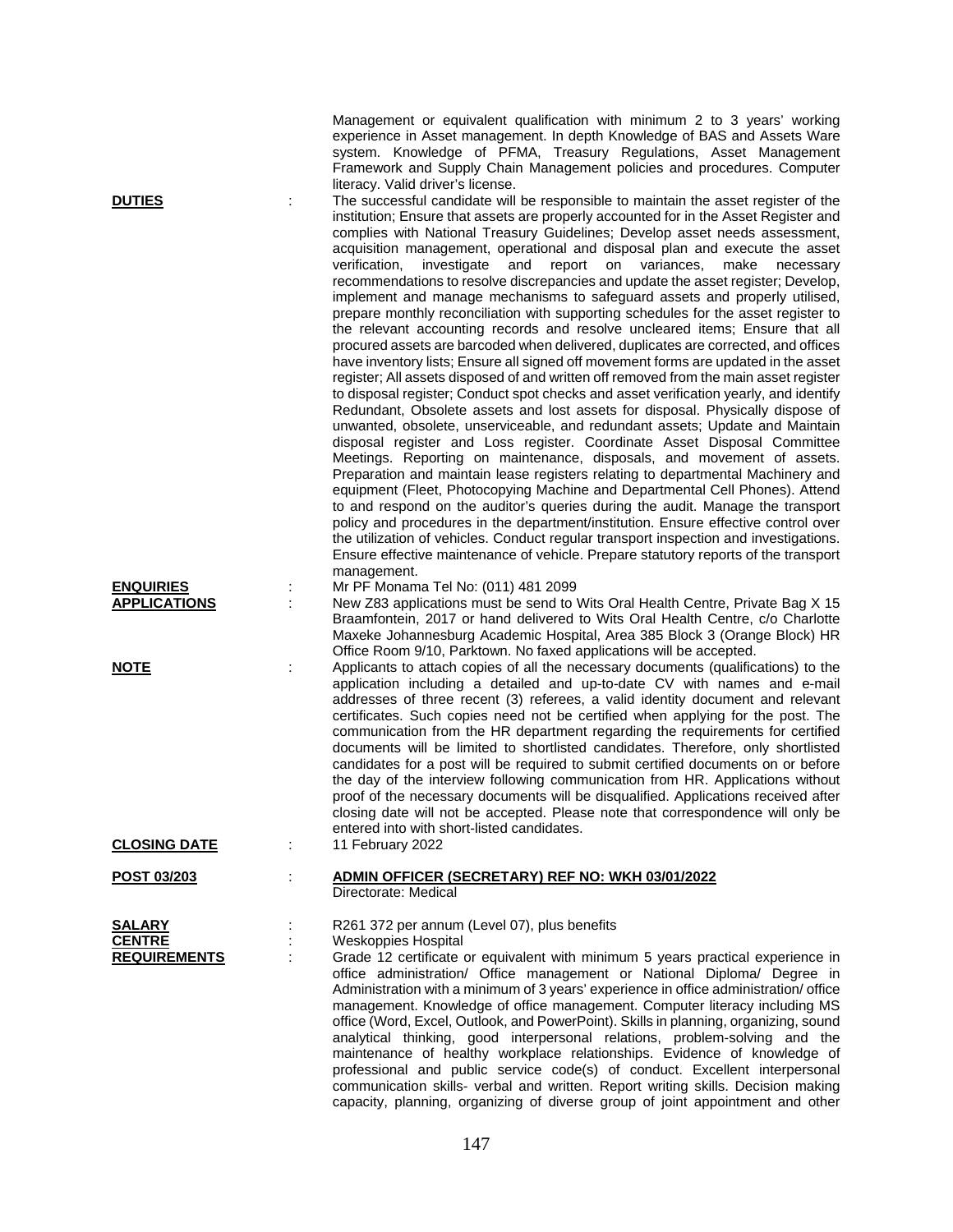Management or equivalent qualification with minimum 2 to 3 years' working experience in Asset management. In depth Knowledge of BAS and Assets Ware system. Knowledge of PFMA, Treasury Regulations, Asset Management Framework and Supply Chain Management policies and procedures. Computer literacy. Valid driver's license.

**DUTIES** : The successful candidate will be responsible to maintain the asset register of the institution; Ensure that assets are properly accounted for in the Asset Register and complies with National Treasury Guidelines; Develop asset needs assessment, acquisition management, operational and disposal plan and execute the asset verification, investigate and report on variances, make necessary recommendations to resolve discrepancies and update the asset register; Develop, implement and manage mechanisms to safeguard assets and properly utilised, prepare monthly reconciliation with supporting schedules for the asset register to the relevant accounting records and resolve uncleared items; Ensure that all procured assets are barcoded when delivered, duplicates are corrected, and offices have inventory lists; Ensure all signed off movement forms are updated in the asset register; All assets disposed of and written off removed from the main asset register to disposal register; Conduct spot checks and asset verification yearly, and identify Redundant, Obsolete assets and lost assets for disposal. Physically dispose of unwanted, obsolete, unserviceable, and redundant assets; Update and Maintain disposal register and Loss register. Coordinate Asset Disposal Committee Meetings. Reporting on maintenance, disposals, and movement of assets. Preparation and maintain lease registers relating to departmental Machinery and equipment (Fleet, Photocopying Machine and Departmental Cell Phones). Attend to and respond on the auditor's queries during the audit. Manage the transport policy and procedures in the department/institution. Ensure effective control over the utilization of vehicles. Conduct regular transport inspection and investigations. Ensure effective maintenance of vehicle. Prepare statutory reports of the transport management.

## **ENQUIRIES** : Mr PF Monama Tel No: (011) 481 2099

**APPLICATIONS** : New Z83 applications must be send to Wits Oral Health Centre, Private Bag X 15 Braamfontein, 2017 or hand delivered to Wits Oral Health Centre, c/o Charlotte Maxeke Johannesburg Academic Hospital, Area 385 Block 3 (Orange Block) HR Office Room 9/10, Parktown. No faxed applications will be accepted.

**NOTE** : Applicants to attach copies of all the necessary documents (qualifications) to the application including a detailed and up-to-date CV with names and e-mail addresses of three recent (3) referees, a valid identity document and relevant certificates. Such copies need not be certified when applying for the post. The communication from the HR department regarding the requirements for certified documents will be limited to shortlisted candidates. Therefore, only shortlisted candidates for a post will be required to submit certified documents on or before the day of the interview following communication from HR. Applications without proof of the necessary documents will be disqualified. Applications received after closing date will not be accepted. Please note that correspondence will only be entered into with short-listed candidates.<br>11 February 2022

capacity, planning, organizing of diverse group of joint appointment and other

**CLOSING DATE** : **POST 03/203** : **ADMIN OFFICER (SECRETARY) REF NO: WKH 03/01/2022**

Directorate: Medical

**SALARY** : R261 372 per annum (Level 07), plus benefits<br> **CENTRE** : Weskoppies Hospital **Weskoppies Hospital REQUIREMENTS** : Grade 12 certificate or equivalent with minimum 5 years practical experience in office administration/ Office management or National Diploma/ Degree in Administration with a minimum of 3 years' experience in office administration/ office management. Knowledge of office management. Computer literacy including MS office (Word, Excel, Outlook, and PowerPoint). Skills in planning, organizing, sound analytical thinking, good interpersonal relations, problem-solving and the maintenance of healthy workplace relationships. Evidence of knowledge of professional and public service code(s) of conduct. Excellent interpersonal communication skills- verbal and written. Report writing skills. Decision making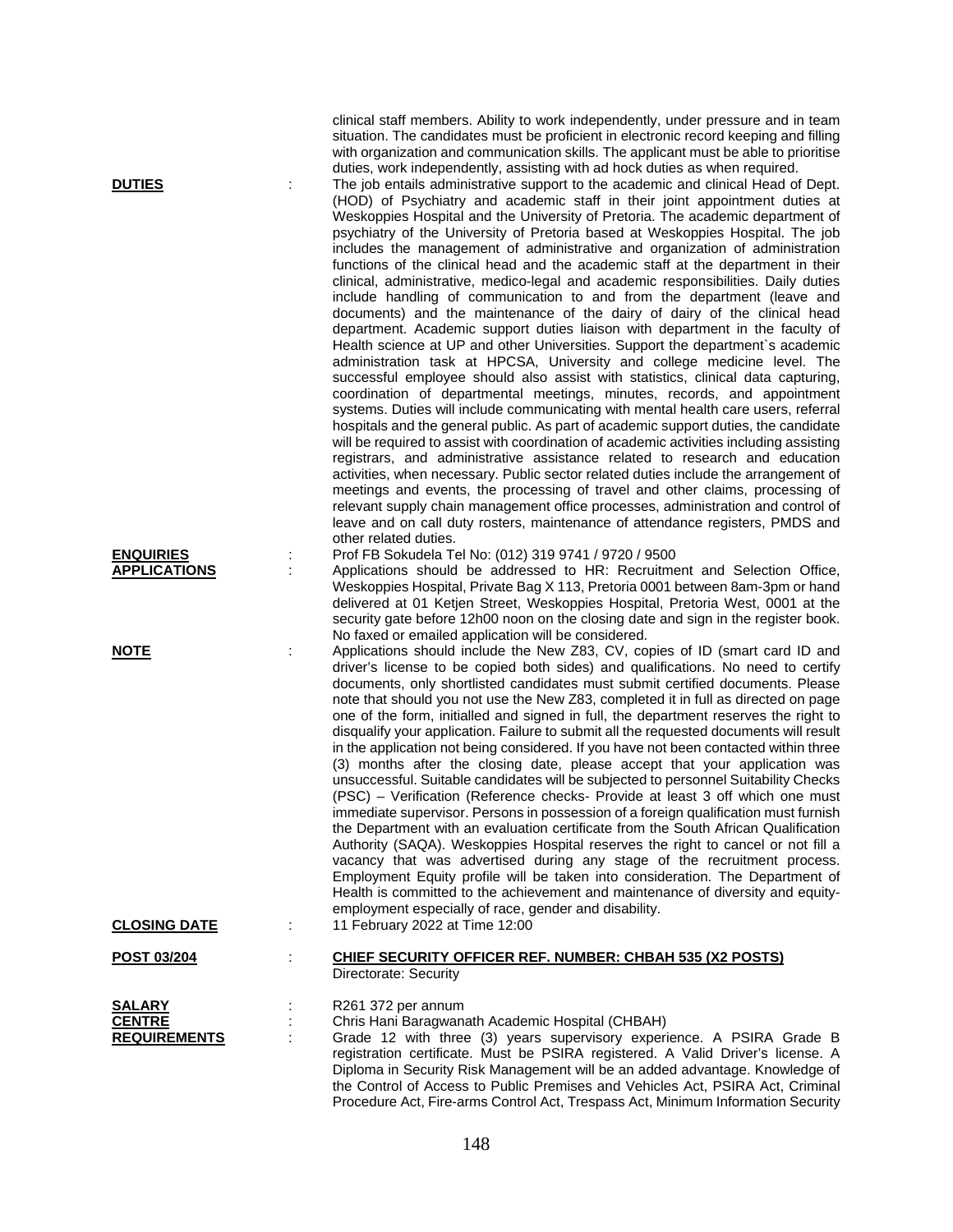clinical staff members. Ability to work independently, under pressure and in team situation. The candidates must be proficient in electronic record keeping and filling with organization and communication skills. The applicant must be able to prioritise duties, work independently, assisting with ad hock duties as when required.

**DUTIES** : The job entails administrative support to the academic and clinical Head of Dept. (HOD) of Psychiatry and academic staff in their joint appointment duties at Weskoppies Hospital and the University of Pretoria. The academic department of psychiatry of the University of Pretoria based at Weskoppies Hospital. The job includes the management of administrative and organization of administration functions of the clinical head and the academic staff at the department in their clinical, administrative, medico-legal and academic responsibilities. Daily duties include handling of communication to and from the department (leave and documents) and the maintenance of the dairy of dairy of the clinical head department. Academic support duties liaison with department in the faculty of Health science at UP and other Universities. Support the department`s academic administration task at HPCSA, University and college medicine level. The successful employee should also assist with statistics, clinical data capturing, coordination of departmental meetings, minutes, records, and appointment systems. Duties will include communicating with mental health care users, referral hospitals and the general public. As part of academic support duties, the candidate will be required to assist with coordination of academic activities including assisting registrars, and administrative assistance related to research and education activities, when necessary. Public sector related duties include the arrangement of meetings and events, the processing of travel and other claims, processing of relevant supply chain management office processes, administration and control of leave and on call duty rosters, maintenance of attendance registers, PMDS and other related duties.

## **ENQUIRIES** : Prof FB Sokudela Tel No: (012) 319 9741 / 9720 / 9500

**APPLICATIONS** : Applications should be addressed to HR: Recruitment and Selection Office, Weskoppies Hospital, Private Bag X 113, Pretoria 0001 between 8am-3pm or hand delivered at 01 Ketjen Street, Weskoppies Hospital, Pretoria West, 0001 at the security gate before 12h00 noon on the closing date and sign in the register book. No faxed or emailed application will be considered.

**NOTE** : Applications should include the New Z83, CV, copies of ID (smart card ID and driver's license to be copied both sides) and qualifications. No need to certify documents, only shortlisted candidates must submit certified documents. Please note that should you not use the New Z83, completed it in full as directed on page one of the form, initialled and signed in full, the department reserves the right to disqualify your application. Failure to submit all the requested documents will result in the application not being considered. If you have not been contacted within three (3) months after the closing date, please accept that your application was unsuccessful. Suitable candidates will be subjected to personnel Suitability Checks (PSC) – Verification (Reference checks- Provide at least 3 off which one must immediate supervisor. Persons in possession of a foreign qualification must furnish the Department with an evaluation certificate from the South African Qualification Authority (SAQA). Weskoppies Hospital reserves the right to cancel or not fill a vacancy that was advertised during any stage of the recruitment process. Employment Equity profile will be taken into consideration. The Department of Health is committed to the achievement and maintenance of diversity and equityemployment especially of race, gender and disability.

Procedure Act, Fire-arms Control Act, Trespass Act, Minimum Information Security

**CLOSING DATE** : 11 February 2022 at Time 12:00

## **POST 03/204** : **CHIEF SECURITY OFFICER REF. NUMBER: CHBAH 535 (X2 POSTS)** Directorate: Security

| <b>SALARY</b>       | R261 372 per annum                                                              |
|---------------------|---------------------------------------------------------------------------------|
| <b>CENTRE</b>       | Chris Hani Baragwanath Academic Hospital (CHBAH)                                |
| <b>REQUIREMENTS</b> | Grade 12 with three (3) years supervisory experience. A PSIRA Grade B           |
|                     | registration certificate. Must be PSIRA registered. A Valid Driver's license. A |
|                     | Diploma in Security Risk Management will be an added advantage. Knowledge of    |
|                     | the Control of Access to Public Premises and Vehicles Act, PSIRA Act, Criminal  |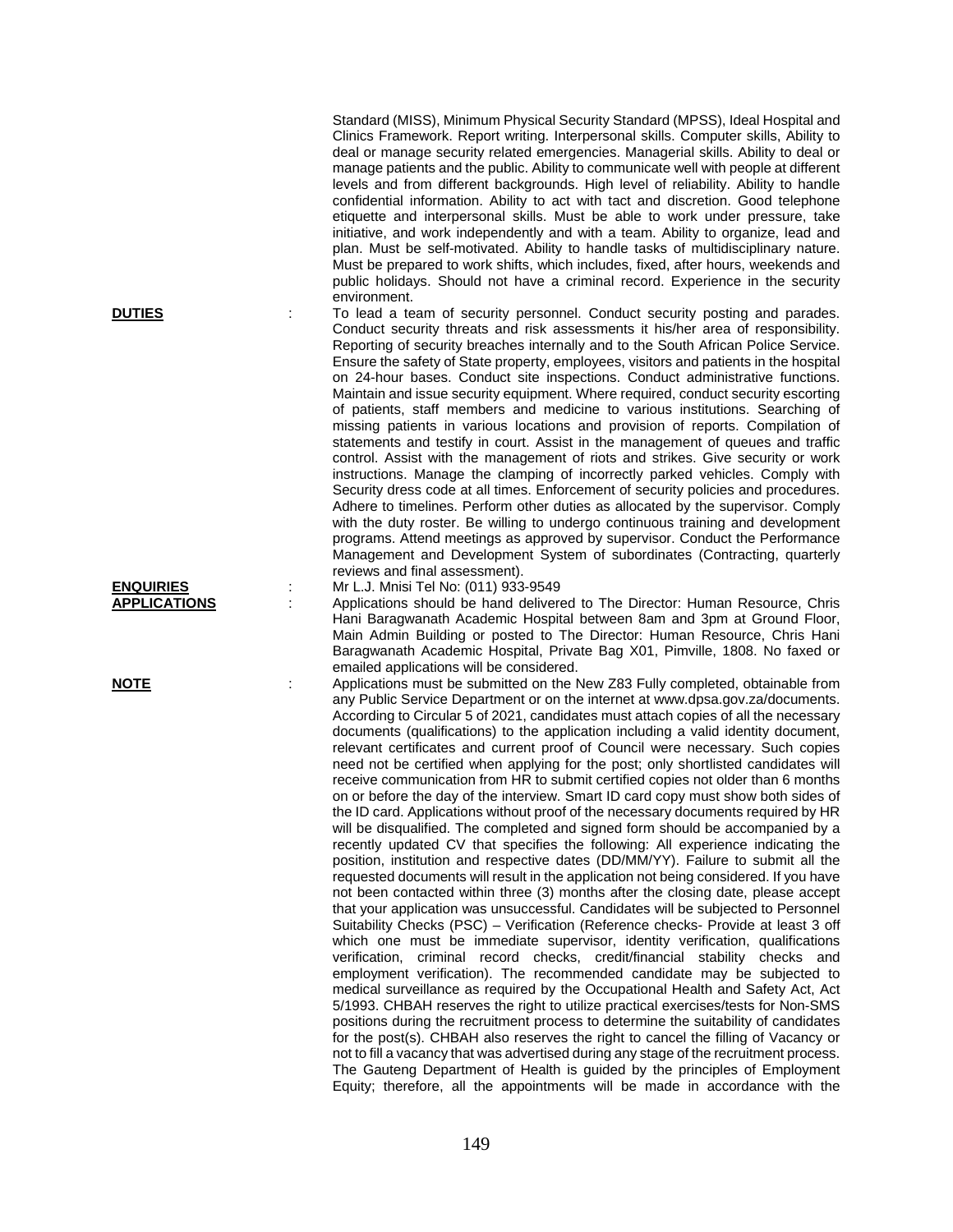Standard (MISS), Minimum Physical Security Standard (MPSS), Ideal Hospital and Clinics Framework. Report writing. Interpersonal skills. Computer skills, Ability to deal or manage security related emergencies. Managerial skills. Ability to deal or manage patients and the public. Ability to communicate well with people at different levels and from different backgrounds. High level of reliability. Ability to handle confidential information. Ability to act with tact and discretion. Good telephone etiquette and interpersonal skills. Must be able to work under pressure, take initiative, and work independently and with a team. Ability to organize, lead and plan. Must be self-motivated. Ability to handle tasks of multidisciplinary nature. Must be prepared to work shifts, which includes, fixed, after hours, weekends and public holidays. Should not have a criminal record. Experience in the security environment.

**DUTIES** : To lead a team of security personnel. Conduct security posting and parades. Conduct security threats and risk assessments it his/her area of responsibility. Reporting of security breaches internally and to the South African Police Service. Ensure the safety of State property, employees, visitors and patients in the hospital on 24-hour bases. Conduct site inspections. Conduct administrative functions. Maintain and issue security equipment. Where required, conduct security escorting of patients, staff members and medicine to various institutions. Searching of missing patients in various locations and provision of reports. Compilation of statements and testify in court. Assist in the management of queues and traffic control. Assist with the management of riots and strikes. Give security or work instructions. Manage the clamping of incorrectly parked vehicles. Comply with Security dress code at all times. Enforcement of security policies and procedures. Adhere to timelines. Perform other duties as allocated by the supervisor. Comply with the duty roster. Be willing to undergo continuous training and development programs. Attend meetings as approved by supervisor. Conduct the Performance Management and Development System of subordinates (Contracting, quarterly reviews and final assessment).

**ENQUIRIES** : Mr L.J. Mnisi Tel No: (011) 933-9549

**APPLICATIONS** : Applications should be hand delivered to The Director: Human Resource, Chris Hani Baragwanath Academic Hospital between 8am and 3pm at Ground Floor, Main Admin Building or posted to The Director: Human Resource, Chris Hani Baragwanath Academic Hospital, Private Bag X01, Pimville, 1808. No faxed or emailed applications will be considered.

NOTE **IDUTE** : Applications must be submitted on the New Z83 Fully completed, obtainable from any Public Service Department or on the internet at www.dpsa.gov.za/documents. According to Circular 5 of 2021, candidates must attach copies of all the necessary documents (qualifications) to the application including a valid identity document, relevant certificates and current proof of Council were necessary. Such copies need not be certified when applying for the post; only shortlisted candidates will receive communication from HR to submit certified copies not older than 6 months on or before the day of the interview. Smart ID card copy must show both sides of the ID card. Applications without proof of the necessary documents required by HR will be disqualified. The completed and signed form should be accompanied by a recently updated CV that specifies the following: All experience indicating the position, institution and respective dates (DD/MM/YY). Failure to submit all the requested documents will result in the application not being considered. If you have not been contacted within three (3) months after the closing date, please accept that your application was unsuccessful. Candidates will be subjected to Personnel Suitability Checks (PSC) – Verification (Reference checks- Provide at least 3 off which one must be immediate supervisor, identity verification, qualifications verification, criminal record checks, credit/financial stability checks and employment verification). The recommended candidate may be subjected to medical surveillance as required by the Occupational Health and Safety Act, Act 5/1993. CHBAH reserves the right to utilize practical exercises/tests for Non-SMS positions during the recruitment process to determine the suitability of candidates for the post(s). CHBAH also reserves the right to cancel the filling of Vacancy or not to fill a vacancy that was advertised during any stage of the recruitment process. The Gauteng Department of Health is guided by the principles of Employment Equity; therefore, all the appointments will be made in accordance with the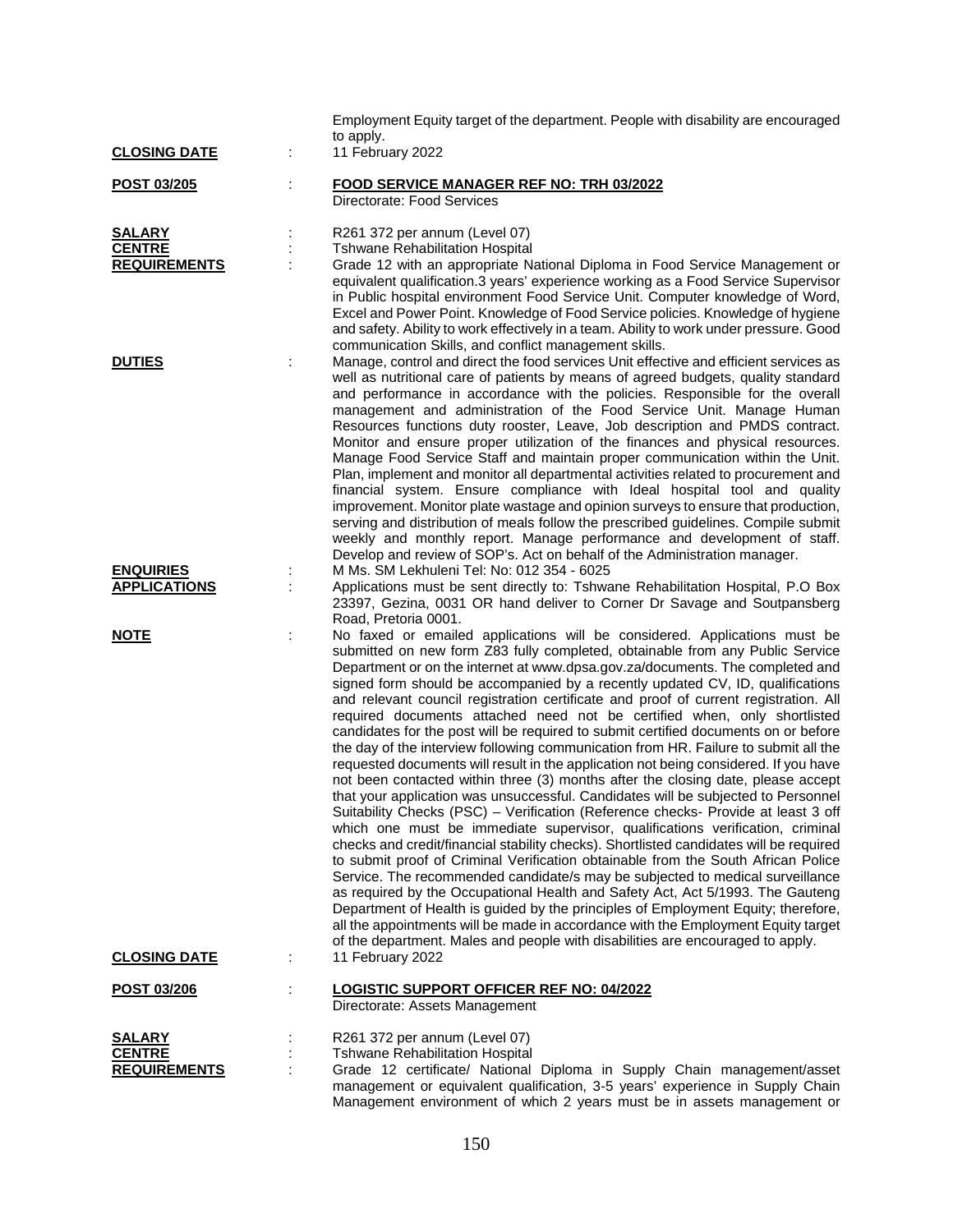|                                                       |    | Employment Equity target of the department. People with disability are encouraged<br>to apply.                                                                                                                                                                                                                                                                                                                                                                                                                                                                                                                                                                                                                                                                                                                                                                                                                                                                                                                                                                                                                                                                                                                                                                                                                                                                                                                                                                                                                                                                                                                                                                                                                                       |
|-------------------------------------------------------|----|--------------------------------------------------------------------------------------------------------------------------------------------------------------------------------------------------------------------------------------------------------------------------------------------------------------------------------------------------------------------------------------------------------------------------------------------------------------------------------------------------------------------------------------------------------------------------------------------------------------------------------------------------------------------------------------------------------------------------------------------------------------------------------------------------------------------------------------------------------------------------------------------------------------------------------------------------------------------------------------------------------------------------------------------------------------------------------------------------------------------------------------------------------------------------------------------------------------------------------------------------------------------------------------------------------------------------------------------------------------------------------------------------------------------------------------------------------------------------------------------------------------------------------------------------------------------------------------------------------------------------------------------------------------------------------------------------------------------------------------|
| <b>CLOSING DATE</b>                                   | ÷  | 11 February 2022                                                                                                                                                                                                                                                                                                                                                                                                                                                                                                                                                                                                                                                                                                                                                                                                                                                                                                                                                                                                                                                                                                                                                                                                                                                                                                                                                                                                                                                                                                                                                                                                                                                                                                                     |
| POST 03/205                                           | t. | FOOD SERVICE MANAGER REF NO: TRH 03/2022<br>Directorate: Food Services                                                                                                                                                                                                                                                                                                                                                                                                                                                                                                                                                                                                                                                                                                                                                                                                                                                                                                                                                                                                                                                                                                                                                                                                                                                                                                                                                                                                                                                                                                                                                                                                                                                               |
| <b>SALARY</b><br><b>CENTRE</b><br><b>REQUIREMENTS</b> |    | R261 372 per annum (Level 07)<br><b>Tshwane Rehabilitation Hospital</b><br>Grade 12 with an appropriate National Diploma in Food Service Management or<br>equivalent qualification.3 years' experience working as a Food Service Supervisor<br>in Public hospital environment Food Service Unit. Computer knowledge of Word,<br>Excel and Power Point. Knowledge of Food Service policies. Knowledge of hygiene<br>and safety. Ability to work effectively in a team. Ability to work under pressure. Good                                                                                                                                                                                                                                                                                                                                                                                                                                                                                                                                                                                                                                                                                                                                                                                                                                                                                                                                                                                                                                                                                                                                                                                                                           |
| <b>DUTIES</b>                                         |    | communication Skills, and conflict management skills.<br>Manage, control and direct the food services Unit effective and efficient services as<br>well as nutritional care of patients by means of agreed budgets, quality standard<br>and performance in accordance with the policies. Responsible for the overall<br>management and administration of the Food Service Unit. Manage Human<br>Resources functions duty rooster, Leave, Job description and PMDS contract.<br>Monitor and ensure proper utilization of the finances and physical resources.<br>Manage Food Service Staff and maintain proper communication within the Unit.<br>Plan, implement and monitor all departmental activities related to procurement and<br>financial system. Ensure compliance with Ideal hospital tool and quality<br>improvement. Monitor plate wastage and opinion surveys to ensure that production,<br>serving and distribution of meals follow the prescribed guidelines. Compile submit<br>weekly and monthly report. Manage performance and development of staff.<br>Develop and review of SOP's. Act on behalf of the Administration manager.                                                                                                                                                                                                                                                                                                                                                                                                                                                                                                                                                                                     |
| <b>ENQUIRIES</b><br><b>APPLICATIONS</b>               | ÷  | M Ms. SM Lekhuleni Tel: No: 012 354 - 6025<br>Applications must be sent directly to: Tshwane Rehabilitation Hospital, P.O Box<br>23397, Gezina, 0031 OR hand deliver to Corner Dr Savage and Soutpansberg<br>Road, Pretoria 0001.                                                                                                                                                                                                                                                                                                                                                                                                                                                                                                                                                                                                                                                                                                                                                                                                                                                                                                                                                                                                                                                                                                                                                                                                                                                                                                                                                                                                                                                                                                    |
| <b>NOTE</b>                                           |    | No faxed or emailed applications will be considered. Applications must be<br>submitted on new form Z83 fully completed, obtainable from any Public Service<br>Department or on the internet at www.dpsa.gov.za/documents. The completed and<br>signed form should be accompanied by a recently updated CV, ID, qualifications<br>and relevant council registration certificate and proof of current registration. All<br>required documents attached need not be certified when, only shortlisted<br>candidates for the post will be required to submit certified documents on or before<br>the day of the interview following communication from HR. Failure to submit all the<br>requested documents will result in the application not being considered. If you have<br>not been contacted within three (3) months after the closing date, please accept<br>that your application was unsuccessful. Candidates will be subjected to Personnel<br>Suitability Checks (PSC) - Verification (Reference checks- Provide at least 3 off<br>which one must be immediate supervisor, qualifications verification, criminal<br>checks and credit/financial stability checks). Shortlisted candidates will be required<br>to submit proof of Criminal Verification obtainable from the South African Police<br>Service. The recommended candidate/s may be subjected to medical surveillance<br>as required by the Occupational Health and Safety Act, Act 5/1993. The Gauteng<br>Department of Health is guided by the principles of Employment Equity; therefore,<br>all the appointments will be made in accordance with the Employment Equity target<br>of the department. Males and people with disabilities are encouraged to apply. |
| <b>CLOSING DATE</b>                                   | ÷. | 11 February 2022                                                                                                                                                                                                                                                                                                                                                                                                                                                                                                                                                                                                                                                                                                                                                                                                                                                                                                                                                                                                                                                                                                                                                                                                                                                                                                                                                                                                                                                                                                                                                                                                                                                                                                                     |
| POST 03/206                                           |    | <b>LOGISTIC SUPPORT OFFICER REF NO: 04/2022</b><br>Directorate: Assets Management                                                                                                                                                                                                                                                                                                                                                                                                                                                                                                                                                                                                                                                                                                                                                                                                                                                                                                                                                                                                                                                                                                                                                                                                                                                                                                                                                                                                                                                                                                                                                                                                                                                    |
| <u>SALARY</u><br><b>CENTRE</b><br><b>REQUIREMENTS</b> |    | R261 372 per annum (Level 07)<br><b>Tshwane Rehabilitation Hospital</b><br>Grade 12 certificate/ National Diploma in Supply Chain management/asset<br>management or equivalent qualification, 3-5 years' experience in Supply Chain<br>Management environment of which 2 years must be in assets management or                                                                                                                                                                                                                                                                                                                                                                                                                                                                                                                                                                                                                                                                                                                                                                                                                                                                                                                                                                                                                                                                                                                                                                                                                                                                                                                                                                                                                       |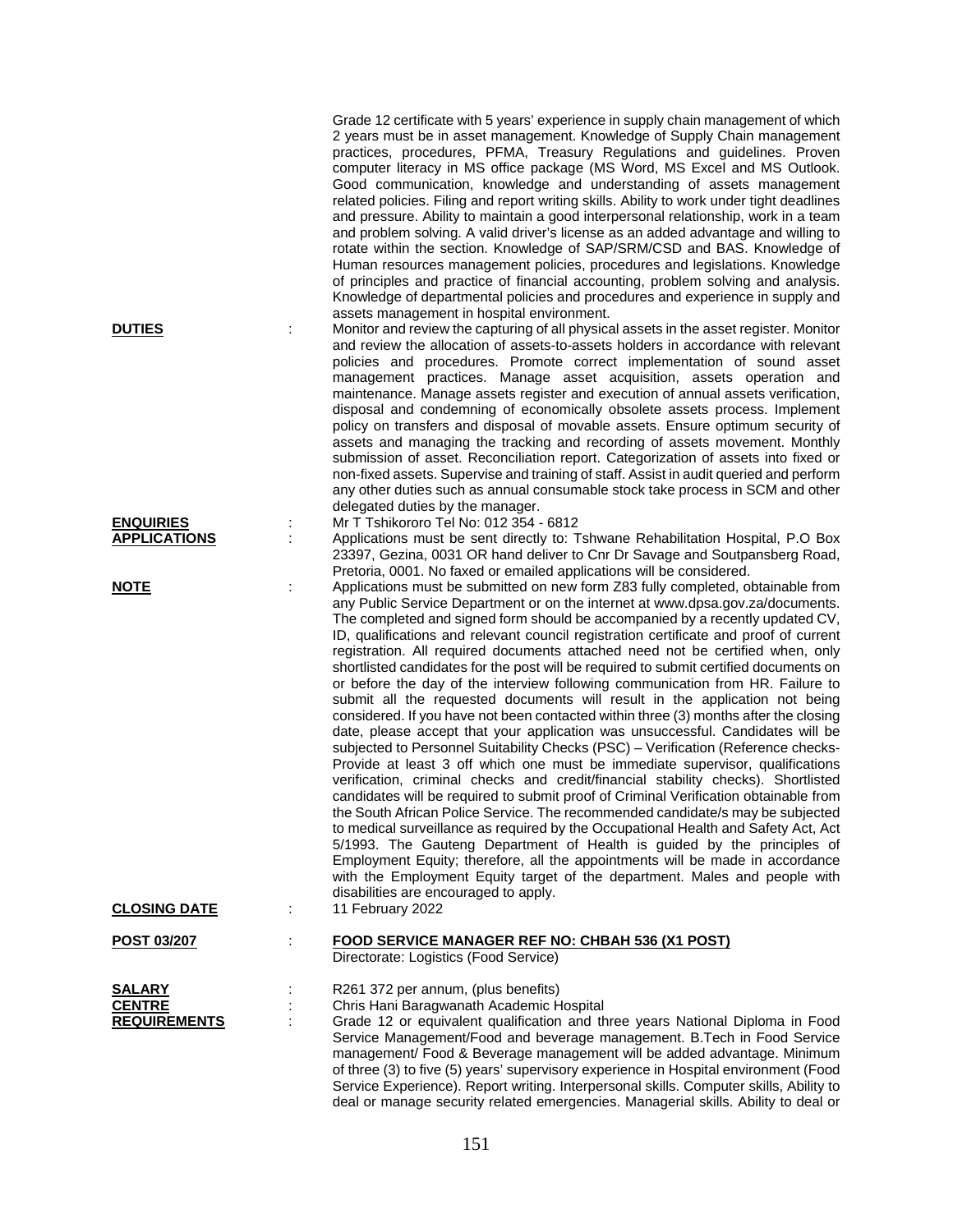|                                                       |   | 2 years must be in asset management. Knowledge of Supply Chain management<br>practices, procedures, PFMA, Treasury Regulations and guidelines. Proven<br>computer literacy in MS office package (MS Word, MS Excel and MS Outlook.<br>Good communication, knowledge and understanding of assets management<br>related policies. Filing and report writing skills. Ability to work under tight deadlines<br>and pressure. Ability to maintain a good interpersonal relationship, work in a team<br>and problem solving. A valid driver's license as an added advantage and willing to<br>rotate within the section. Knowledge of SAP/SRM/CSD and BAS. Knowledge of<br>Human resources management policies, procedures and legislations. Knowledge<br>of principles and practice of financial accounting, problem solving and analysis.<br>Knowledge of departmental policies and procedures and experience in supply and                                                                                                                                                                                                                                                                                                                                                                                                                                                                                                                                                                                                                                                                                                                                                         |
|-------------------------------------------------------|---|---------------------------------------------------------------------------------------------------------------------------------------------------------------------------------------------------------------------------------------------------------------------------------------------------------------------------------------------------------------------------------------------------------------------------------------------------------------------------------------------------------------------------------------------------------------------------------------------------------------------------------------------------------------------------------------------------------------------------------------------------------------------------------------------------------------------------------------------------------------------------------------------------------------------------------------------------------------------------------------------------------------------------------------------------------------------------------------------------------------------------------------------------------------------------------------------------------------------------------------------------------------------------------------------------------------------------------------------------------------------------------------------------------------------------------------------------------------------------------------------------------------------------------------------------------------------------------------------------------------------------------------------------------------------------------|
| <b>DUTIES</b>                                         | ÷ | assets management in hospital environment.<br>Monitor and review the capturing of all physical assets in the asset register. Monitor<br>and review the allocation of assets-to-assets holders in accordance with relevant<br>policies and procedures. Promote correct implementation of sound asset<br>management practices. Manage asset acquisition, assets operation and<br>maintenance. Manage assets register and execution of annual assets verification,<br>disposal and condemning of economically obsolete assets process. Implement<br>policy on transfers and disposal of movable assets. Ensure optimum security of<br>assets and managing the tracking and recording of assets movement. Monthly<br>submission of asset. Reconciliation report. Categorization of assets into fixed or<br>non-fixed assets. Supervise and training of staff. Assist in audit queried and perform<br>any other duties such as annual consumable stock take process in SCM and other<br>delegated duties by the manager.                                                                                                                                                                                                                                                                                                                                                                                                                                                                                                                                                                                                                                                             |
| <b>ENQUIRIES</b><br><b>APPLICATIONS</b>               |   | Mr T Tshikororo Tel No: 012 354 - 6812<br>Applications must be sent directly to: Tshwane Rehabilitation Hospital, P.O Box<br>23397, Gezina, 0031 OR hand deliver to Cnr Dr Savage and Soutpansberg Road,<br>Pretoria, 0001. No faxed or emailed applications will be considered.                                                                                                                                                                                                                                                                                                                                                                                                                                                                                                                                                                                                                                                                                                                                                                                                                                                                                                                                                                                                                                                                                                                                                                                                                                                                                                                                                                                                |
| <b>NOTE</b>                                           |   | Applications must be submitted on new form Z83 fully completed, obtainable from<br>any Public Service Department or on the internet at www.dpsa.gov.za/documents.<br>The completed and signed form should be accompanied by a recently updated CV,<br>ID, qualifications and relevant council registration certificate and proof of current<br>registration. All required documents attached need not be certified when, only<br>shortlisted candidates for the post will be required to submit certified documents on<br>or before the day of the interview following communication from HR. Failure to<br>submit all the requested documents will result in the application not being<br>considered. If you have not been contacted within three (3) months after the closing<br>date, please accept that your application was unsuccessful. Candidates will be<br>subjected to Personnel Suitability Checks (PSC) - Verification (Reference checks-<br>Provide at least 3 off which one must be immediate supervisor, qualifications<br>verification, criminal checks and credit/financial stability checks). Shortlisted<br>candidates will be required to submit proof of Criminal Verification obtainable from<br>the South African Police Service. The recommended candidate/s may be subjected<br>to medical surveillance as required by the Occupational Health and Safety Act, Act<br>5/1993. The Gauteng Department of Health is guided by the principles of<br>Employment Equity; therefore, all the appointments will be made in accordance<br>with the Employment Equity target of the department. Males and people with<br>disabilities are encouraged to apply. |
| <b>CLOSING DATE</b>                                   | ÷ | 11 February 2022                                                                                                                                                                                                                                                                                                                                                                                                                                                                                                                                                                                                                                                                                                                                                                                                                                                                                                                                                                                                                                                                                                                                                                                                                                                                                                                                                                                                                                                                                                                                                                                                                                                                |
| POST 03/207                                           |   | <b>FOOD SERVICE MANAGER REF NO: CHBAH 536 (X1 POST)</b><br>Directorate: Logistics (Food Service)                                                                                                                                                                                                                                                                                                                                                                                                                                                                                                                                                                                                                                                                                                                                                                                                                                                                                                                                                                                                                                                                                                                                                                                                                                                                                                                                                                                                                                                                                                                                                                                |
| <b>SALARY</b><br><b>CENTRE</b><br><b>REQUIREMENTS</b> |   | R261 372 per annum, (plus benefits)<br>Chris Hani Baragwanath Academic Hospital<br>Grade 12 or equivalent qualification and three years National Diploma in Food<br>Service Management/Food and beverage management. B.Tech in Food Service<br>management/ Food & Beverage management will be added advantage. Minimum<br>of three (3) to five (5) years' supervisory experience in Hospital environment (Food<br>Service Experience). Report writing. Interpersonal skills. Computer skills, Ability to                                                                                                                                                                                                                                                                                                                                                                                                                                                                                                                                                                                                                                                                                                                                                                                                                                                                                                                                                                                                                                                                                                                                                                        |

Grade 12 certificate with 5 years' experience in supply chain management of which

151

deal or manage security related emergencies. Managerial skills. Ability to deal or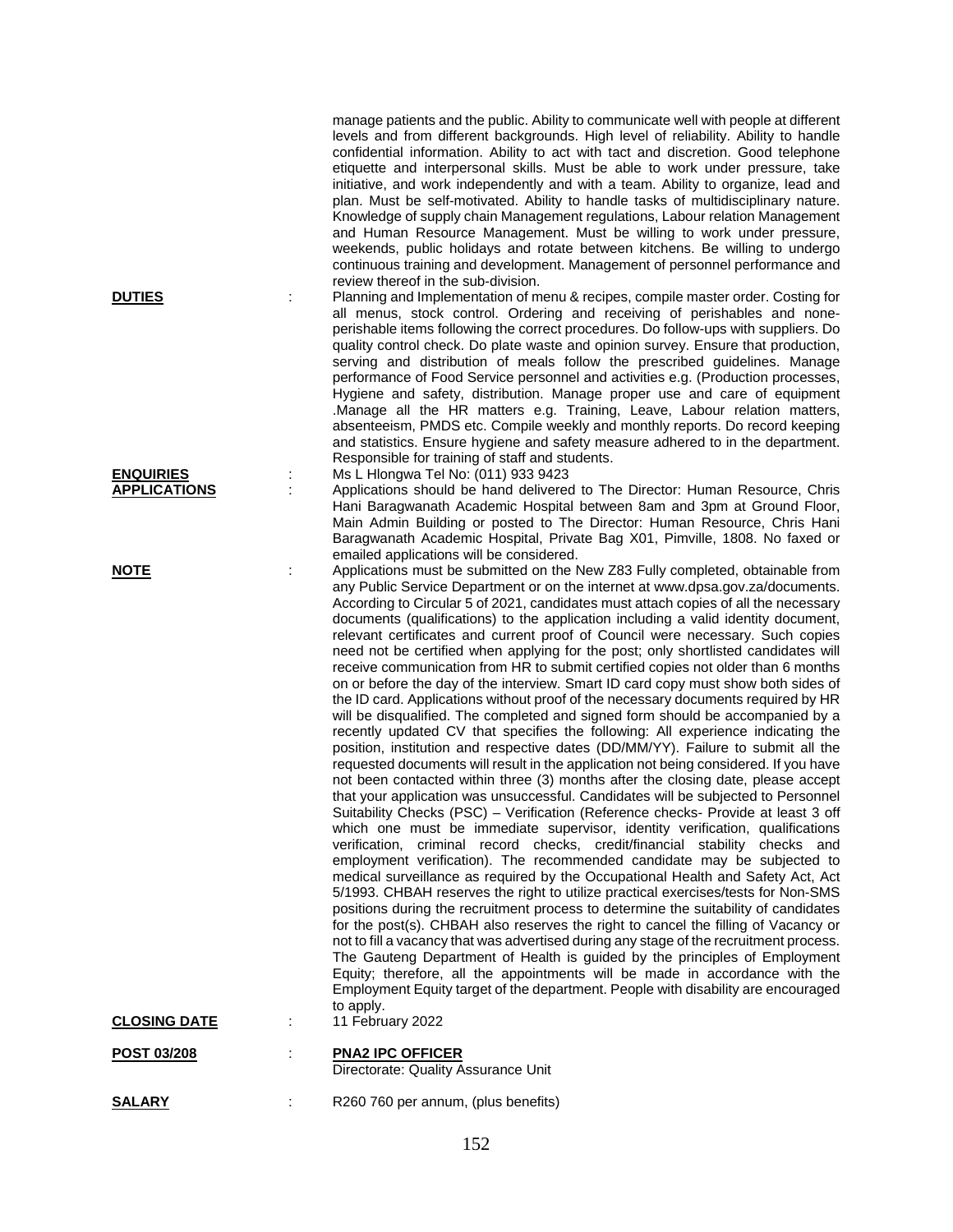|                     |   | manage patients and the public. Ability to communicate well with people at different<br>levels and from different backgrounds. High level of reliability. Ability to handle<br>confidential information. Ability to act with tact and discretion. Good telephone<br>etiquette and interpersonal skills. Must be able to work under pressure, take<br>initiative, and work independently and with a team. Ability to organize, lead and<br>plan. Must be self-motivated. Ability to handle tasks of multidisciplinary nature.<br>Knowledge of supply chain Management regulations, Labour relation Management<br>and Human Resource Management. Must be willing to work under pressure,<br>weekends, public holidays and rotate between kitchens. Be willing to undergo<br>continuous training and development. Management of personnel performance and<br>review thereof in the sub-division.                                                                                                                                                                                                                                                                                                                                                                                                                                                                                                                                                                                                                                                                                                                                                                                                                                                                                                                                                                                                                                                                                                                                                                                                                                                                                                                                                                                                                                                               |
|---------------------|---|-------------------------------------------------------------------------------------------------------------------------------------------------------------------------------------------------------------------------------------------------------------------------------------------------------------------------------------------------------------------------------------------------------------------------------------------------------------------------------------------------------------------------------------------------------------------------------------------------------------------------------------------------------------------------------------------------------------------------------------------------------------------------------------------------------------------------------------------------------------------------------------------------------------------------------------------------------------------------------------------------------------------------------------------------------------------------------------------------------------------------------------------------------------------------------------------------------------------------------------------------------------------------------------------------------------------------------------------------------------------------------------------------------------------------------------------------------------------------------------------------------------------------------------------------------------------------------------------------------------------------------------------------------------------------------------------------------------------------------------------------------------------------------------------------------------------------------------------------------------------------------------------------------------------------------------------------------------------------------------------------------------------------------------------------------------------------------------------------------------------------------------------------------------------------------------------------------------------------------------------------------------------------------------------------------------------------------------------------------------|
| <b>DUTIES</b>       |   | Planning and Implementation of menu & recipes, compile master order. Costing for<br>all menus, stock control. Ordering and receiving of perishables and none-<br>perishable items following the correct procedures. Do follow-ups with suppliers. Do<br>quality control check. Do plate waste and opinion survey. Ensure that production,<br>serving and distribution of meals follow the prescribed guidelines. Manage<br>performance of Food Service personnel and activities e.g. (Production processes,<br>Hygiene and safety, distribution. Manage proper use and care of equipment<br>.Manage all the HR matters e.g. Training, Leave, Labour relation matters,<br>absenteeism, PMDS etc. Compile weekly and monthly reports. Do record keeping<br>and statistics. Ensure hygiene and safety measure adhered to in the department.<br>Responsible for training of staff and students.                                                                                                                                                                                                                                                                                                                                                                                                                                                                                                                                                                                                                                                                                                                                                                                                                                                                                                                                                                                                                                                                                                                                                                                                                                                                                                                                                                                                                                                                 |
| <b>ENQUIRIES</b>    |   | Ms L Hlongwa Tel No: (011) 933 9423                                                                                                                                                                                                                                                                                                                                                                                                                                                                                                                                                                                                                                                                                                                                                                                                                                                                                                                                                                                                                                                                                                                                                                                                                                                                                                                                                                                                                                                                                                                                                                                                                                                                                                                                                                                                                                                                                                                                                                                                                                                                                                                                                                                                                                                                                                                         |
| <b>APPLICATIONS</b> |   | Applications should be hand delivered to The Director: Human Resource, Chris<br>Hani Baragwanath Academic Hospital between 8am and 3pm at Ground Floor,<br>Main Admin Building or posted to The Director: Human Resource, Chris Hani<br>Baragwanath Academic Hospital, Private Bag X01, Pimville, 1808. No faxed or<br>emailed applications will be considered.                                                                                                                                                                                                                                                                                                                                                                                                                                                                                                                                                                                                                                                                                                                                                                                                                                                                                                                                                                                                                                                                                                                                                                                                                                                                                                                                                                                                                                                                                                                                                                                                                                                                                                                                                                                                                                                                                                                                                                                             |
| <b>NOTE</b>         | ÷ | Applications must be submitted on the New Z83 Fully completed, obtainable from<br>any Public Service Department or on the internet at www.dpsa.gov.za/documents.<br>According to Circular 5 of 2021, candidates must attach copies of all the necessary<br>documents (qualifications) to the application including a valid identity document,<br>relevant certificates and current proof of Council were necessary. Such copies<br>need not be certified when applying for the post; only shortlisted candidates will<br>receive communication from HR to submit certified copies not older than 6 months<br>on or before the day of the interview. Smart ID card copy must show both sides of<br>the ID card. Applications without proof of the necessary documents required by HR<br>will be disqualified. The completed and signed form should be accompanied by a<br>recently updated CV that specifies the following: All experience indicating the<br>position, institution and respective dates (DD/MM/YY). Failure to submit all the<br>requested documents will result in the application not being considered. If you have<br>not been contacted within three (3) months after the closing date, please accept<br>that your application was unsuccessful. Candidates will be subjected to Personnel<br>Suitability Checks (PSC) - Verification (Reference checks- Provide at least 3 off<br>which one must be immediate supervisor, identity verification, qualifications<br>verification, criminal record checks, credit/financial stability checks and<br>employment verification). The recommended candidate may be subjected to<br>medical surveillance as required by the Occupational Health and Safety Act, Act<br>5/1993. CHBAH reserves the right to utilize practical exercises/tests for Non-SMS<br>positions during the recruitment process to determine the suitability of candidates<br>for the post(s). CHBAH also reserves the right to cancel the filling of Vacancy or<br>not to fill a vacancy that was advertised during any stage of the recruitment process.<br>The Gauteng Department of Health is guided by the principles of Employment<br>Equity; therefore, all the appointments will be made in accordance with the<br>Employment Equity target of the department. People with disability are encouraged<br>to apply. |
| <b>CLOSING DATE</b> |   | 11 February 2022                                                                                                                                                                                                                                                                                                                                                                                                                                                                                                                                                                                                                                                                                                                                                                                                                                                                                                                                                                                                                                                                                                                                                                                                                                                                                                                                                                                                                                                                                                                                                                                                                                                                                                                                                                                                                                                                                                                                                                                                                                                                                                                                                                                                                                                                                                                                            |
| <b>POST 03/208</b>  |   | <b>PNA2 IPC OFFICER</b><br>Directorate: Quality Assurance Unit                                                                                                                                                                                                                                                                                                                                                                                                                                                                                                                                                                                                                                                                                                                                                                                                                                                                                                                                                                                                                                                                                                                                                                                                                                                                                                                                                                                                                                                                                                                                                                                                                                                                                                                                                                                                                                                                                                                                                                                                                                                                                                                                                                                                                                                                                              |
| <b>SALARY</b>       |   | R260 760 per annum, (plus benefits)                                                                                                                                                                                                                                                                                                                                                                                                                                                                                                                                                                                                                                                                                                                                                                                                                                                                                                                                                                                                                                                                                                                                                                                                                                                                                                                                                                                                                                                                                                                                                                                                                                                                                                                                                                                                                                                                                                                                                                                                                                                                                                                                                                                                                                                                                                                         |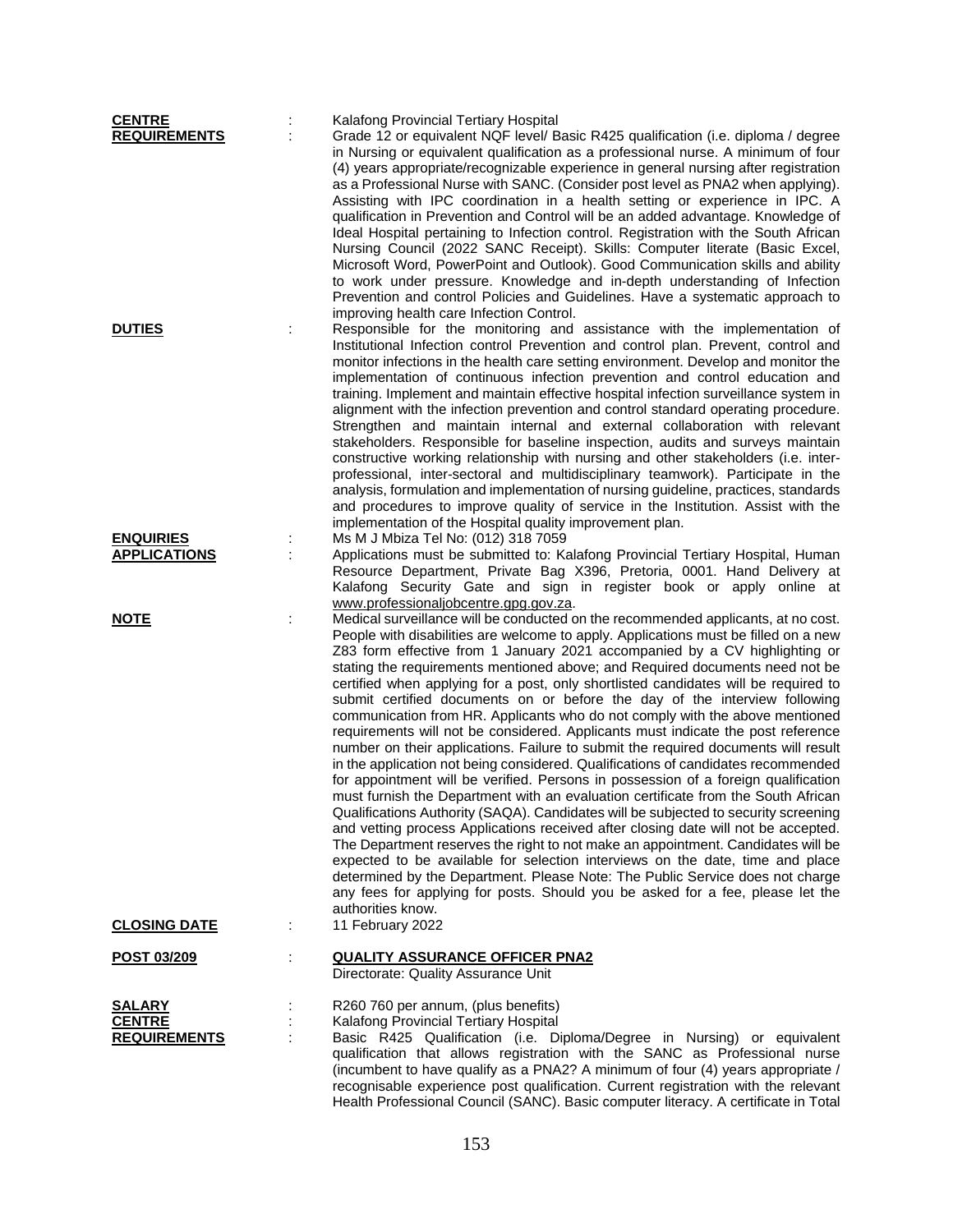| <b>CENTRE</b><br><b>REQUIREMENTS</b>                  | Kalafong Provincial Tertiary Hospital<br>Grade 12 or equivalent NQF level/ Basic R425 qualification (i.e. diploma / degree<br>in Nursing or equivalent qualification as a professional nurse. A minimum of four<br>(4) years appropriate/recognizable experience in general nursing after registration<br>as a Professional Nurse with SANC. (Consider post level as PNA2 when applying).<br>Assisting with IPC coordination in a health setting or experience in IPC. A<br>qualification in Prevention and Control will be an added advantage. Knowledge of<br>Ideal Hospital pertaining to Infection control. Registration with the South African<br>Nursing Council (2022 SANC Receipt). Skills: Computer literate (Basic Excel,<br>Microsoft Word, PowerPoint and Outlook). Good Communication skills and ability<br>to work under pressure. Knowledge and in-depth understanding of Infection<br>Prevention and control Policies and Guidelines. Have a systematic approach to                                                                                                                                                                                                                                                                                                                                                                                                                                                                                                                                                                                             |
|-------------------------------------------------------|---------------------------------------------------------------------------------------------------------------------------------------------------------------------------------------------------------------------------------------------------------------------------------------------------------------------------------------------------------------------------------------------------------------------------------------------------------------------------------------------------------------------------------------------------------------------------------------------------------------------------------------------------------------------------------------------------------------------------------------------------------------------------------------------------------------------------------------------------------------------------------------------------------------------------------------------------------------------------------------------------------------------------------------------------------------------------------------------------------------------------------------------------------------------------------------------------------------------------------------------------------------------------------------------------------------------------------------------------------------------------------------------------------------------------------------------------------------------------------------------------------------------------------------------------------------------------------|
| <b>DUTIES</b>                                         | improving health care Infection Control.<br>Responsible for the monitoring and assistance with the implementation of<br>Institutional Infection control Prevention and control plan. Prevent, control and<br>monitor infections in the health care setting environment. Develop and monitor the<br>implementation of continuous infection prevention and control education and<br>training. Implement and maintain effective hospital infection surveillance system in<br>alignment with the infection prevention and control standard operating procedure.<br>Strengthen and maintain internal and external collaboration with relevant<br>stakeholders. Responsible for baseline inspection, audits and surveys maintain<br>constructive working relationship with nursing and other stakeholders (i.e. inter-<br>professional, inter-sectoral and multidisciplinary teamwork). Participate in the<br>analysis, formulation and implementation of nursing guideline, practices, standards<br>and procedures to improve quality of service in the Institution. Assist with the<br>implementation of the Hospital quality improvement plan.                                                                                                                                                                                                                                                                                                                                                                                                                                     |
| <b>ENQUIRIES</b><br><b>APPLICATIONS</b>               | Ms M J Mbiza Tel No: (012) 318 7059<br>Applications must be submitted to: Kalafong Provincial Tertiary Hospital, Human<br>Resource Department, Private Bag X396, Pretoria, 0001. Hand Delivery at<br>Kalafong Security Gate and sign in register book or apply online at<br>www.professionaljobcentre.gpg.gov.za.                                                                                                                                                                                                                                                                                                                                                                                                                                                                                                                                                                                                                                                                                                                                                                                                                                                                                                                                                                                                                                                                                                                                                                                                                                                               |
| <b>NOTE</b>                                           | Medical surveillance will be conducted on the recommended applicants, at no cost.<br>People with disabilities are welcome to apply. Applications must be filled on a new<br>Z83 form effective from 1 January 2021 accompanied by a CV highlighting or<br>stating the requirements mentioned above; and Required documents need not be<br>certified when applying for a post, only shortlisted candidates will be required to<br>submit certified documents on or before the day of the interview following<br>communication from HR. Applicants who do not comply with the above mentioned<br>requirements will not be considered. Applicants must indicate the post reference<br>number on their applications. Failure to submit the required documents will result<br>in the application not being considered. Qualifications of candidates recommended<br>for appointment will be verified. Persons in possession of a foreign qualification<br>must furnish the Department with an evaluation certificate from the South African<br>Qualifications Authority (SAQA). Candidates will be subjected to security screening<br>and vetting process Applications received after closing date will not be accepted.<br>The Department reserves the right to not make an appointment. Candidates will be<br>expected to be available for selection interviews on the date, time and place<br>determined by the Department. Please Note: The Public Service does not charge<br>any fees for applying for posts. Should you be asked for a fee, please let the<br>authorities know. |
| <b>CLOSING DATE</b>                                   | 11 February 2022                                                                                                                                                                                                                                                                                                                                                                                                                                                                                                                                                                                                                                                                                                                                                                                                                                                                                                                                                                                                                                                                                                                                                                                                                                                                                                                                                                                                                                                                                                                                                                |
| POST 03/209                                           | <b>QUALITY ASSURANCE OFFICER PNA2</b><br>Directorate: Quality Assurance Unit                                                                                                                                                                                                                                                                                                                                                                                                                                                                                                                                                                                                                                                                                                                                                                                                                                                                                                                                                                                                                                                                                                                                                                                                                                                                                                                                                                                                                                                                                                    |
| <b>SALARY</b><br><b>CENTRE</b><br><b>REQUIREMENTS</b> | R260 760 per annum, (plus benefits)<br>Kalafong Provincial Tertiary Hospital<br>Basic R425 Qualification (i.e. Diploma/Degree in Nursing) or equivalent<br>qualification that allows registration with the SANC as Professional nurse<br>(incumbent to have qualify as a PNA2? A minimum of four (4) years appropriate /<br>recognisable experience post qualification. Current registration with the relevant<br>Health Professional Council (SANC). Basic computer literacy. A certificate in Total                                                                                                                                                                                                                                                                                                                                                                                                                                                                                                                                                                                                                                                                                                                                                                                                                                                                                                                                                                                                                                                                           |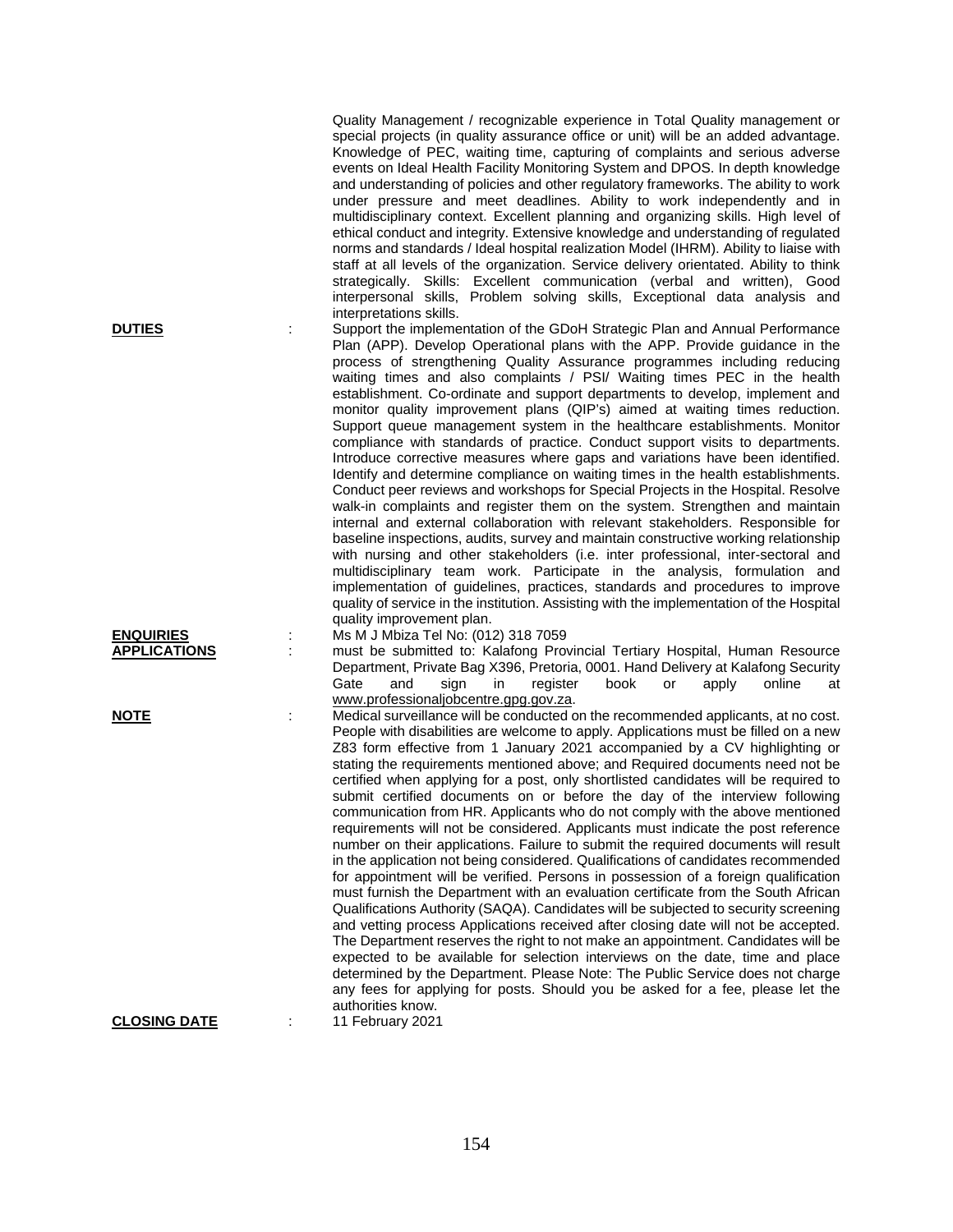Quality Management / recognizable experience in Total Quality management or special projects (in quality assurance office or unit) will be an added advantage. Knowledge of PEC, waiting time, capturing of complaints and serious adverse events on Ideal Health Facility Monitoring System and DPOS. In depth knowledge and understanding of policies and other regulatory frameworks. The ability to work under pressure and meet deadlines. Ability to work independently and in multidisciplinary context. Excellent planning and organizing skills. High level of ethical conduct and integrity. Extensive knowledge and understanding of regulated norms and standards / Ideal hospital realization Model (IHRM). Ability to liaise with staff at all levels of the organization. Service delivery orientated. Ability to think strategically. Skills: Excellent communication (verbal and written), Good interpersonal skills, Problem solving skills, Exceptional data analysis and interpretations skills. **DUTIES** : Support the implementation of the GDoH Strategic Plan and Annual Performance

Plan (APP). Develop Operational plans with the APP. Provide guidance in the process of strengthening Quality Assurance programmes including reducing waiting times and also complaints / PSI/ Waiting times PEC in the health establishment. Co-ordinate and support departments to develop, implement and monitor quality improvement plans (QIP's) aimed at waiting times reduction. Support queue management system in the healthcare establishments. Monitor compliance with standards of practice. Conduct support visits to departments. Introduce corrective measures where gaps and variations have been identified. Identify and determine compliance on waiting times in the health establishments. Conduct peer reviews and workshops for Special Projects in the Hospital. Resolve walk-in complaints and register them on the system. Strengthen and maintain internal and external collaboration with relevant stakeholders. Responsible for baseline inspections, audits, survey and maintain constructive working relationship with nursing and other stakeholders (i.e. inter professional, inter-sectoral and multidisciplinary team work. Participate in the analysis, formulation and implementation of guidelines, practices, standards and procedures to improve quality of service in the institution. Assisting with the implementation of the Hospital quality improvement plan.

**ENQUIRIES** : Ms M J Mbiza Tel No: (012) 318 7059<br>**APPLICATIONS** : must be submitted to: Kalafong Prov must be submitted to: Kalafong Provincial Tertiary Hospital, Human Resource Department, Private Bag X396, Pretoria, 0001. Hand Delivery at Kalafong Security<br>Gate and sign in register book or apply online at Gate and sign in register book or apply online at [www.professionaljobcentre.gpg.gov.za.](http://www.professionaljobcentre.gpg.gov.za/)

**NOTE** in the Medical surveillance will be conducted on the recommended applicants, at no cost. People with disabilities are welcome to apply. Applications must be filled on a new Z83 form effective from 1 January 2021 accompanied by a CV highlighting or stating the requirements mentioned above; and Required documents need not be certified when applying for a post, only shortlisted candidates will be required to submit certified documents on or before the day of the interview following communication from HR. Applicants who do not comply with the above mentioned requirements will not be considered. Applicants must indicate the post reference number on their applications. Failure to submit the required documents will result in the application not being considered. Qualifications of candidates recommended for appointment will be verified. Persons in possession of a foreign qualification must furnish the Department with an evaluation certificate from the South African Qualifications Authority (SAQA). Candidates will be subjected to security screening and vetting process Applications received after closing date will not be accepted. The Department reserves the right to not make an appointment. Candidates will be expected to be available for selection interviews on the date, time and place determined by the Department. Please Note: The Public Service does not charge any fees for applying for posts. Should you be asked for a fee, please let the authorities know.

**CLOSING DATE** : 11 February 2021

154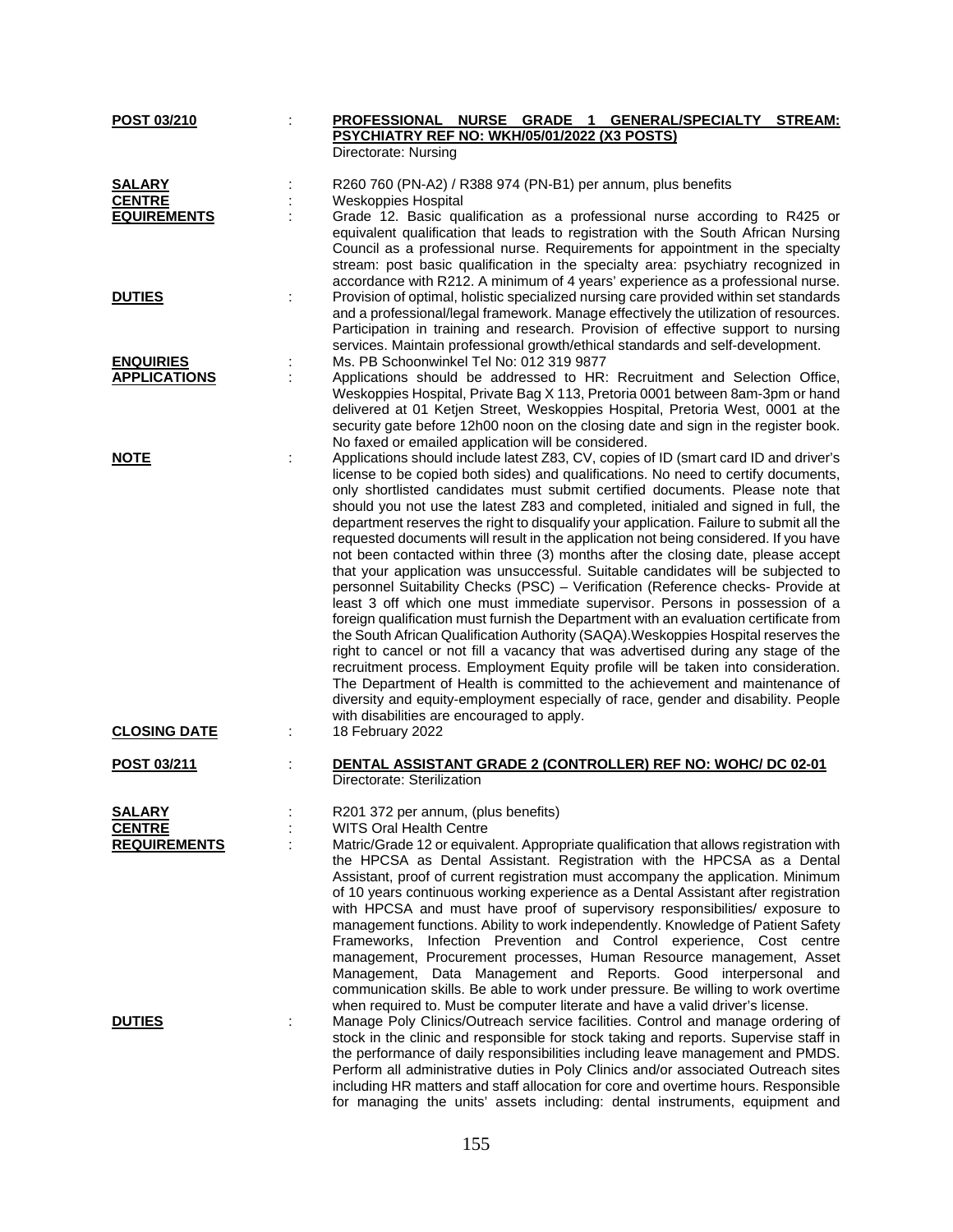| POST 03/210         | PROFESSIONAL NURSE GRADE 1 GENERAL/SPECIALTY STREAM:<br>PSYCHIATRY REF NO: WKH/05/01/2022 (X3 POSTS)                                                                                                                                                                                                                                                                                                                                                                                                                                                                                                                                                                                                                                                                                                                                                                                                                                                                                                                                                                                                                                                                                                                                                                                                                                                                                                                                                     |
|---------------------|----------------------------------------------------------------------------------------------------------------------------------------------------------------------------------------------------------------------------------------------------------------------------------------------------------------------------------------------------------------------------------------------------------------------------------------------------------------------------------------------------------------------------------------------------------------------------------------------------------------------------------------------------------------------------------------------------------------------------------------------------------------------------------------------------------------------------------------------------------------------------------------------------------------------------------------------------------------------------------------------------------------------------------------------------------------------------------------------------------------------------------------------------------------------------------------------------------------------------------------------------------------------------------------------------------------------------------------------------------------------------------------------------------------------------------------------------------|
|                     | Directorate: Nursing                                                                                                                                                                                                                                                                                                                                                                                                                                                                                                                                                                                                                                                                                                                                                                                                                                                                                                                                                                                                                                                                                                                                                                                                                                                                                                                                                                                                                                     |
| <b>SALARY</b>       | R260 760 (PN-A2) / R388 974 (PN-B1) per annum, plus benefits                                                                                                                                                                                                                                                                                                                                                                                                                                                                                                                                                                                                                                                                                                                                                                                                                                                                                                                                                                                                                                                                                                                                                                                                                                                                                                                                                                                             |
| <b>CENTRE</b>       | Weskoppies Hospital                                                                                                                                                                                                                                                                                                                                                                                                                                                                                                                                                                                                                                                                                                                                                                                                                                                                                                                                                                                                                                                                                                                                                                                                                                                                                                                                                                                                                                      |
| <b>EQUIREMENTS</b>  | Grade 12. Basic qualification as a professional nurse according to R425 or                                                                                                                                                                                                                                                                                                                                                                                                                                                                                                                                                                                                                                                                                                                                                                                                                                                                                                                                                                                                                                                                                                                                                                                                                                                                                                                                                                               |
|                     | equivalent qualification that leads to registration with the South African Nursing<br>Council as a professional nurse. Requirements for appointment in the specialty<br>stream: post basic qualification in the specialty area: psychiatry recognized in<br>accordance with R212. A minimum of 4 years' experience as a professional nurse.                                                                                                                                                                                                                                                                                                                                                                                                                                                                                                                                                                                                                                                                                                                                                                                                                                                                                                                                                                                                                                                                                                              |
| <b>DUTIES</b>       | Provision of optimal, holistic specialized nursing care provided within set standards                                                                                                                                                                                                                                                                                                                                                                                                                                                                                                                                                                                                                                                                                                                                                                                                                                                                                                                                                                                                                                                                                                                                                                                                                                                                                                                                                                    |
|                     | and a professional/legal framework. Manage effectively the utilization of resources.<br>Participation in training and research. Provision of effective support to nursing<br>services. Maintain professional growth/ethical standards and self-development.                                                                                                                                                                                                                                                                                                                                                                                                                                                                                                                                                                                                                                                                                                                                                                                                                                                                                                                                                                                                                                                                                                                                                                                              |
| <b>ENQUIRIES</b>    | Ms. PB Schoonwinkel Tel No: 012 319 9877                                                                                                                                                                                                                                                                                                                                                                                                                                                                                                                                                                                                                                                                                                                                                                                                                                                                                                                                                                                                                                                                                                                                                                                                                                                                                                                                                                                                                 |
| <b>APPLICATIONS</b> | Applications should be addressed to HR: Recruitment and Selection Office,                                                                                                                                                                                                                                                                                                                                                                                                                                                                                                                                                                                                                                                                                                                                                                                                                                                                                                                                                                                                                                                                                                                                                                                                                                                                                                                                                                                |
|                     | Weskoppies Hospital, Private Bag X 113, Pretoria 0001 between 8am-3pm or hand<br>delivered at 01 Ketjen Street, Weskoppies Hospital, Pretoria West, 0001 at the<br>security gate before 12h00 noon on the closing date and sign in the register book.<br>No faxed or emailed application will be considered.                                                                                                                                                                                                                                                                                                                                                                                                                                                                                                                                                                                                                                                                                                                                                                                                                                                                                                                                                                                                                                                                                                                                             |
| <b>NOTE</b>         | Applications should include latest Z83, CV, copies of ID (smart card ID and driver's<br>license to be copied both sides) and qualifications. No need to certify documents,<br>only shortlisted candidates must submit certified documents. Please note that<br>should you not use the latest Z83 and completed, initialed and signed in full, the<br>department reserves the right to disqualify your application. Failure to submit all the<br>requested documents will result in the application not being considered. If you have<br>not been contacted within three (3) months after the closing date, please accept<br>that your application was unsuccessful. Suitable candidates will be subjected to<br>personnel Suitability Checks (PSC) - Verification (Reference checks- Provide at<br>least 3 off which one must immediate supervisor. Persons in possession of a<br>foreign qualification must furnish the Department with an evaluation certificate from<br>the South African Qualification Authority (SAQA). Weskoppies Hospital reserves the<br>right to cancel or not fill a vacancy that was advertised during any stage of the<br>recruitment process. Employment Equity profile will be taken into consideration.<br>The Department of Health is committed to the achievement and maintenance of<br>diversity and equity-employment especially of race, gender and disability. People<br>with disabilities are encouraged to apply. |
| <b>CLOSING DATE</b> | 18 February 2022                                                                                                                                                                                                                                                                                                                                                                                                                                                                                                                                                                                                                                                                                                                                                                                                                                                                                                                                                                                                                                                                                                                                                                                                                                                                                                                                                                                                                                         |
| POST 03/211         | DENTAL ASSISTANT GRADE 2 (CONTROLLER) REF NO: WOHC/ DC 02-01<br>Directorate: Sterilization                                                                                                                                                                                                                                                                                                                                                                                                                                                                                                                                                                                                                                                                                                                                                                                                                                                                                                                                                                                                                                                                                                                                                                                                                                                                                                                                                               |
| <b>SALARY</b>       | R201 372 per annum, (plus benefits)                                                                                                                                                                                                                                                                                                                                                                                                                                                                                                                                                                                                                                                                                                                                                                                                                                                                                                                                                                                                                                                                                                                                                                                                                                                                                                                                                                                                                      |
| <b>CENTRE</b>       | WITS Oral Health Centre                                                                                                                                                                                                                                                                                                                                                                                                                                                                                                                                                                                                                                                                                                                                                                                                                                                                                                                                                                                                                                                                                                                                                                                                                                                                                                                                                                                                                                  |
| <b>REQUIREMENTS</b> | Matric/Grade 12 or equivalent. Appropriate qualification that allows registration with<br>the HPCSA as Dental Assistant. Registration with the HPCSA as a Dental<br>Assistant, proof of current registration must accompany the application. Minimum<br>of 10 years continuous working experience as a Dental Assistant after registration<br>with HPCSA and must have proof of supervisory responsibilities/ exposure to<br>management functions. Ability to work independently. Knowledge of Patient Safety<br>Infection Prevention and Control experience, Cost centre<br>Frameworks,<br>management, Procurement processes, Human Resource management, Asset<br>Management, Data Management and Reports. Good interpersonal and<br>communication skills. Be able to work under pressure. Be willing to work overtime<br>when required to. Must be computer literate and have a valid driver's license.                                                                                                                                                                                                                                                                                                                                                                                                                                                                                                                                                |
| <b>DUTIES</b>       | Manage Poly Clinics/Outreach service facilities. Control and manage ordering of<br>stock in the clinic and responsible for stock taking and reports. Supervise staff in<br>the performance of daily responsibilities including leave management and PMDS.<br>Perform all administrative duties in Poly Clinics and/or associated Outreach sites<br>including HR matters and staff allocation for core and overtime hours. Responsible<br>for managing the units' assets including: dental instruments, equipment and                                                                                                                                                                                                                                                                                                                                                                                                                                                                                                                                                                                                                                                                                                                                                                                                                                                                                                                                     |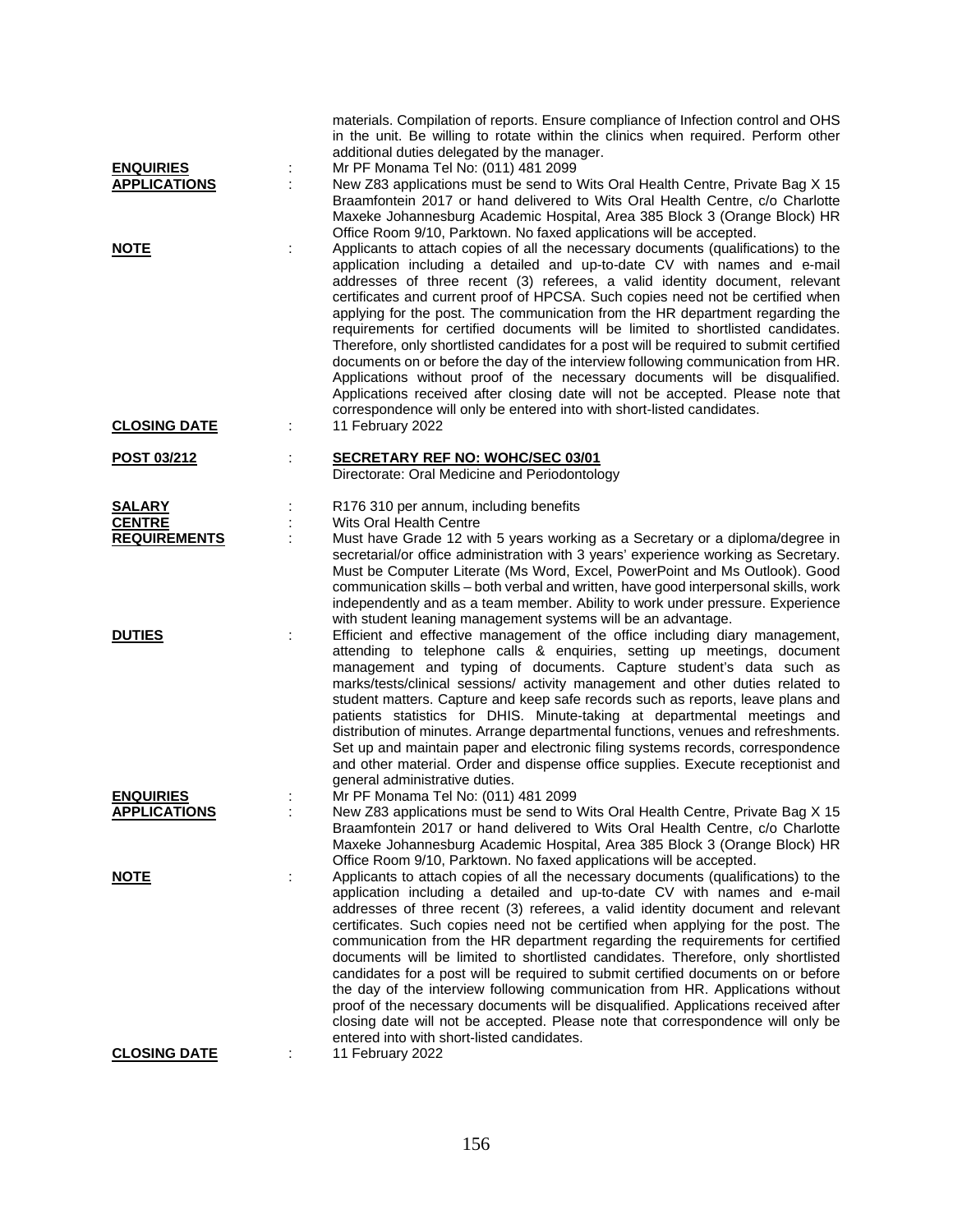| <b>ENQUIRIES</b>    | ÷ | materials. Compilation of reports. Ensure compliance of Infection control and OHS<br>in the unit. Be willing to rotate within the clinics when required. Perform other<br>additional duties delegated by the manager.<br>Mr PF Monama Tel No: (011) 481 2099                                                                                                                                                                                                                                                                                                                                                                                                                                                                                                                                                                                                                                                                   |
|---------------------|---|--------------------------------------------------------------------------------------------------------------------------------------------------------------------------------------------------------------------------------------------------------------------------------------------------------------------------------------------------------------------------------------------------------------------------------------------------------------------------------------------------------------------------------------------------------------------------------------------------------------------------------------------------------------------------------------------------------------------------------------------------------------------------------------------------------------------------------------------------------------------------------------------------------------------------------|
| <b>APPLICATIONS</b> |   | New Z83 applications must be send to Wits Oral Health Centre, Private Bag X 15<br>Braamfontein 2017 or hand delivered to Wits Oral Health Centre, c/o Charlotte<br>Maxeke Johannesburg Academic Hospital, Area 385 Block 3 (Orange Block) HR<br>Office Room 9/10, Parktown. No faxed applications will be accepted.                                                                                                                                                                                                                                                                                                                                                                                                                                                                                                                                                                                                            |
| <u>NOTE</u>         | ÷ | Applicants to attach copies of all the necessary documents (qualifications) to the<br>application including a detailed and up-to-date CV with names and e-mail<br>addresses of three recent (3) referees, a valid identity document, relevant<br>certificates and current proof of HPCSA. Such copies need not be certified when<br>applying for the post. The communication from the HR department regarding the<br>requirements for certified documents will be limited to shortlisted candidates.<br>Therefore, only shortlisted candidates for a post will be required to submit certified<br>documents on or before the day of the interview following communication from HR.<br>Applications without proof of the necessary documents will be disqualified.<br>Applications received after closing date will not be accepted. Please note that<br>correspondence will only be entered into with short-listed candidates. |
| <b>CLOSING DATE</b> | ÷ | 11 February 2022                                                                                                                                                                                                                                                                                                                                                                                                                                                                                                                                                                                                                                                                                                                                                                                                                                                                                                               |
| POST 03/212         | ÷ | <b>SECRETARY REF NO: WOHC/SEC 03/01</b><br>Directorate: Oral Medicine and Periodontology                                                                                                                                                                                                                                                                                                                                                                                                                                                                                                                                                                                                                                                                                                                                                                                                                                       |
| <b>SALARY</b>       |   | R176 310 per annum, including benefits                                                                                                                                                                                                                                                                                                                                                                                                                                                                                                                                                                                                                                                                                                                                                                                                                                                                                         |
| <b>CENTRE</b>       |   | Wits Oral Health Centre                                                                                                                                                                                                                                                                                                                                                                                                                                                                                                                                                                                                                                                                                                                                                                                                                                                                                                        |
| <b>REQUIREMENTS</b> |   | Must have Grade 12 with 5 years working as a Secretary or a diploma/degree in<br>secretarial/or office administration with 3 years' experience working as Secretary.<br>Must be Computer Literate (Ms Word, Excel, PowerPoint and Ms Outlook). Good<br>communication skills - both verbal and written, have good interpersonal skills, work<br>independently and as a team member. Ability to work under pressure. Experience<br>with student leaning management systems will be an advantage.                                                                                                                                                                                                                                                                                                                                                                                                                                 |
| <b>DUTIES</b>       |   | Efficient and effective management of the office including diary management,<br>attending to telephone calls & enquiries, setting up meetings, document<br>management and typing of documents. Capture student's data such as<br>marks/tests/clinical sessions/ activity management and other duties related to<br>student matters. Capture and keep safe records such as reports, leave plans and<br>patients statistics for DHIS. Minute-taking at departmental meetings and<br>distribution of minutes. Arrange departmental functions, venues and refreshments.<br>Set up and maintain paper and electronic filing systems records, correspondence<br>and other material. Order and dispense office supplies. Execute receptionist and<br>general administrative duties.                                                                                                                                                   |
| <b>ENQUIRIES</b>    |   | Mr PF Monama Tel No: (011) 481 2099                                                                                                                                                                                                                                                                                                                                                                                                                                                                                                                                                                                                                                                                                                                                                                                                                                                                                            |
| <b>APPLICATIONS</b> |   | New Z83 applications must be send to Wits Oral Health Centre, Private Bag X 15<br>Braamfontein 2017 or hand delivered to Wits Oral Health Centre, c/o Charlotte<br>Maxeke Johannesburg Academic Hospital, Area 385 Block 3 (Orange Block) HR<br>Office Room 9/10, Parktown. No faxed applications will be accepted.                                                                                                                                                                                                                                                                                                                                                                                                                                                                                                                                                                                                            |
| <u>NOTE</u>         | ÷ | Applicants to attach copies of all the necessary documents (qualifications) to the<br>application including a detailed and up-to-date CV with names and e-mail<br>addresses of three recent (3) referees, a valid identity document and relevant<br>certificates. Such copies need not be certified when applying for the post. The<br>communication from the HR department regarding the requirements for certified<br>documents will be limited to shortlisted candidates. Therefore, only shortlisted<br>candidates for a post will be required to submit certified documents on or before<br>the day of the interview following communication from HR. Applications without<br>proof of the necessary documents will be disqualified. Applications received after<br>closing date will not be accepted. Please note that correspondence will only be<br>entered into with short-listed candidates.                         |
| <b>CLOSING DATE</b> |   | 11 February 2022                                                                                                                                                                                                                                                                                                                                                                                                                                                                                                                                                                                                                                                                                                                                                                                                                                                                                                               |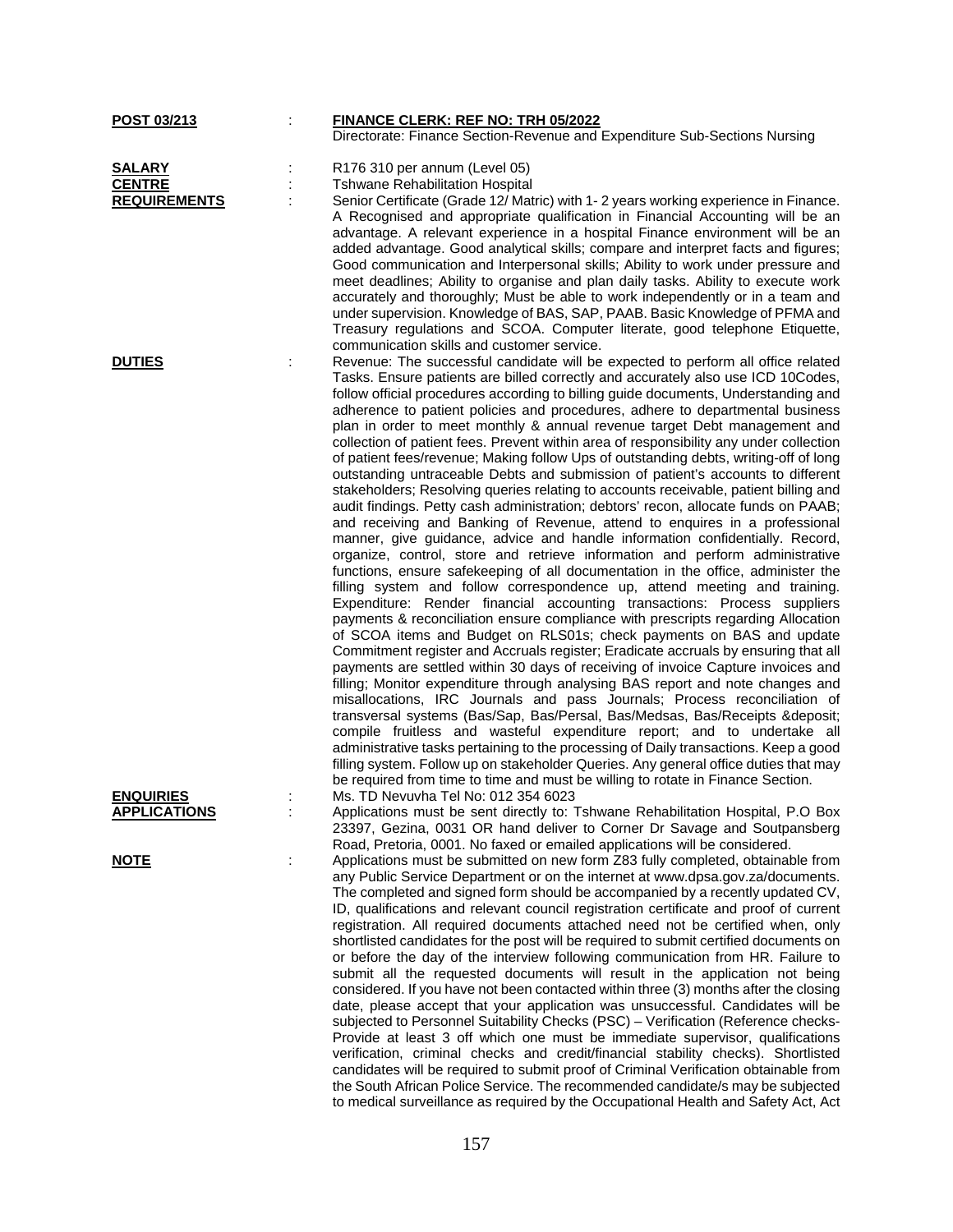| <u>POST 03/213</u>                      | <b>FINANCE CLERK: REF NO: TRH 05/2022</b><br>Directorate: Finance Section-Revenue and Expenditure Sub-Sections Nursing                                                                                                                                                                                                                                                                                                                                             |
|-----------------------------------------|--------------------------------------------------------------------------------------------------------------------------------------------------------------------------------------------------------------------------------------------------------------------------------------------------------------------------------------------------------------------------------------------------------------------------------------------------------------------|
|                                         |                                                                                                                                                                                                                                                                                                                                                                                                                                                                    |
| <b>SALARY</b>                           | R176 310 per annum (Level 05)                                                                                                                                                                                                                                                                                                                                                                                                                                      |
| <b>CENTRE</b>                           | <b>Tshwane Rehabilitation Hospital</b>                                                                                                                                                                                                                                                                                                                                                                                                                             |
| <b>REQUIREMENTS</b>                     | Senior Certificate (Grade 12/ Matric) with 1-2 years working experience in Finance.<br>A Recognised and appropriate qualification in Financial Accounting will be an<br>advantage. A relevant experience in a hospital Finance environment will be an<br>added advantage. Good analytical skills; compare and interpret facts and figures;                                                                                                                         |
|                                         | Good communication and Interpersonal skills; Ability to work under pressure and<br>meet deadlines; Ability to organise and plan daily tasks. Ability to execute work<br>accurately and thoroughly; Must be able to work independently or in a team and<br>under supervision. Knowledge of BAS, SAP, PAAB. Basic Knowledge of PFMA and<br>Treasury regulations and SCOA. Computer literate, good telephone Etiquette,<br>communication skills and customer service. |
| <b>DUTIES</b>                           | Revenue: The successful candidate will be expected to perform all office related                                                                                                                                                                                                                                                                                                                                                                                   |
|                                         | Tasks. Ensure patients are billed correctly and accurately also use ICD 10Codes,<br>follow official procedures according to billing guide documents, Understanding and<br>adherence to patient policies and procedures, adhere to departmental business<br>plan in order to meet monthly & annual revenue target Debt management and<br>collection of patient fees. Prevent within area of responsibility any under collection                                     |
|                                         | of patient fees/revenue; Making follow Ups of outstanding debts, writing-off of long<br>outstanding untraceable Debts and submission of patient's accounts to different<br>stakeholders; Resolving queries relating to accounts receivable, patient billing and<br>audit findings. Petty cash administration; debtors' recon, allocate funds on PAAB;                                                                                                              |
|                                         | and receiving and Banking of Revenue, attend to enquires in a professional<br>manner, give guidance, advice and handle information confidentially. Record,<br>organize, control, store and retrieve information and perform administrative<br>functions, ensure safekeeping of all documentation in the office, administer the                                                                                                                                     |
|                                         | filling system and follow correspondence up, attend meeting and training.<br>Expenditure: Render financial accounting transactions: Process suppliers<br>payments & reconciliation ensure compliance with prescripts regarding Allocation                                                                                                                                                                                                                          |
|                                         | of SCOA items and Budget on RLS01s; check payments on BAS and update<br>Commitment register and Accruals register; Eradicate accruals by ensuring that all<br>payments are settled within 30 days of receiving of invoice Capture invoices and<br>filling; Monitor expenditure through analysing BAS report and note changes and                                                                                                                                   |
|                                         | misallocations, IRC Journals and pass Journals; Process reconciliation of<br>transversal systems (Bas/Sap, Bas/Persal, Bas/Medsas, Bas/Receipts & deposit;<br>compile fruitless and wasteful expenditure report; and to undertake all                                                                                                                                                                                                                              |
|                                         | administrative tasks pertaining to the processing of Daily transactions. Keep a good<br>filling system. Follow up on stakeholder Queries. Any general office duties that may<br>be required from time to time and must be willing to rotate in Finance Section.                                                                                                                                                                                                    |
| <b>ENQUIRIES</b><br><b>APPLICATIONS</b> | Ms. TD Nevuvha Tel No: 012 354 6023<br>Applications must be sent directly to: Tshwane Rehabilitation Hospital, P.O Box                                                                                                                                                                                                                                                                                                                                             |
|                                         | 23397, Gezina, 0031 OR hand deliver to Corner Dr Savage and Soutpansberg<br>Road, Pretoria, 0001. No faxed or emailed applications will be considered.                                                                                                                                                                                                                                                                                                             |
| <b>NOTE</b>                             | Applications must be submitted on new form Z83 fully completed, obtainable from<br>any Public Service Department or on the internet at www.dpsa.gov.za/documents.                                                                                                                                                                                                                                                                                                  |
|                                         | The completed and signed form should be accompanied by a recently updated CV,<br>ID, qualifications and relevant council registration certificate and proof of current<br>registration. All required documents attached need not be certified when, only                                                                                                                                                                                                           |
|                                         | shortlisted candidates for the post will be required to submit certified documents on<br>or before the day of the interview following communication from HR. Failure to                                                                                                                                                                                                                                                                                            |
|                                         | submit all the requested documents will result in the application not being<br>considered. If you have not been contacted within three (3) months after the closing                                                                                                                                                                                                                                                                                                |
|                                         | date, please accept that your application was unsuccessful. Candidates will be<br>subjected to Personnel Suitability Checks (PSC) - Verification (Reference checks-                                                                                                                                                                                                                                                                                                |
|                                         | Provide at least 3 off which one must be immediate supervisor, qualifications<br>verification, criminal checks and credit/financial stability checks). Shortlisted                                                                                                                                                                                                                                                                                                 |
|                                         | candidates will be required to submit proof of Criminal Verification obtainable from                                                                                                                                                                                                                                                                                                                                                                               |
|                                         | the South African Police Service. The recommended candidate/s may be subjected<br>to medical surveillance as required by the Occupational Health and Safety Act, Act                                                                                                                                                                                                                                                                                               |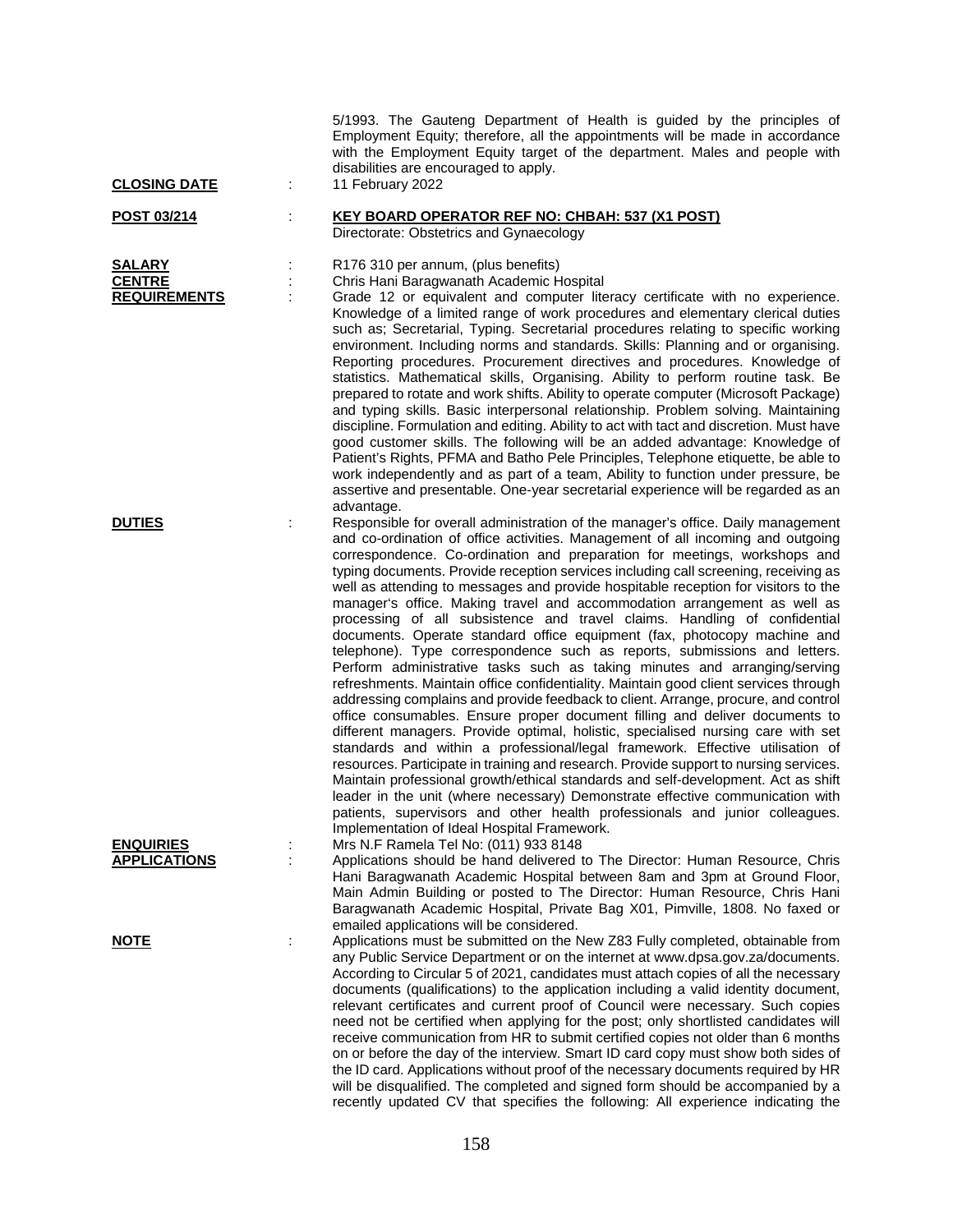| <b>CLOSING DATE</b>                                   |   | 5/1993. The Gauteng Department of Health is guided by the principles of<br>Employment Equity; therefore, all the appointments will be made in accordance<br>with the Employment Equity target of the department. Males and people with<br>disabilities are encouraged to apply.<br>11 February 2022                                                                                                                                                                                                                                                                                                                                                                                                                                                                                                                                                                                                                                                                                                                                                                                                                                                                                                                                                                                                                                                                                                                                                                                                                                                                                                                                                                       |
|-------------------------------------------------------|---|---------------------------------------------------------------------------------------------------------------------------------------------------------------------------------------------------------------------------------------------------------------------------------------------------------------------------------------------------------------------------------------------------------------------------------------------------------------------------------------------------------------------------------------------------------------------------------------------------------------------------------------------------------------------------------------------------------------------------------------------------------------------------------------------------------------------------------------------------------------------------------------------------------------------------------------------------------------------------------------------------------------------------------------------------------------------------------------------------------------------------------------------------------------------------------------------------------------------------------------------------------------------------------------------------------------------------------------------------------------------------------------------------------------------------------------------------------------------------------------------------------------------------------------------------------------------------------------------------------------------------------------------------------------------------|
| POST 03/214                                           |   | <b>KEY BOARD OPERATOR REF NO: CHBAH: 537 (X1 POST)</b><br>Directorate: Obstetrics and Gynaecology                                                                                                                                                                                                                                                                                                                                                                                                                                                                                                                                                                                                                                                                                                                                                                                                                                                                                                                                                                                                                                                                                                                                                                                                                                                                                                                                                                                                                                                                                                                                                                         |
| <b>SALARY</b><br><b>CENTRE</b><br><b>REQUIREMENTS</b> |   | R176 310 per annum, (plus benefits)<br>Chris Hani Baragwanath Academic Hospital<br>Grade 12 or equivalent and computer literacy certificate with no experience.<br>Knowledge of a limited range of work procedures and elementary clerical duties<br>such as; Secretarial, Typing. Secretarial procedures relating to specific working<br>environment. Including norms and standards. Skills: Planning and or organising.<br>Reporting procedures. Procurement directives and procedures. Knowledge of<br>statistics. Mathematical skills, Organising. Ability to perform routine task. Be<br>prepared to rotate and work shifts. Ability to operate computer (Microsoft Package)<br>and typing skills. Basic interpersonal relationship. Problem solving. Maintaining<br>discipline. Formulation and editing. Ability to act with tact and discretion. Must have<br>good customer skills. The following will be an added advantage: Knowledge of<br>Patient's Rights, PFMA and Batho Pele Principles, Telephone etiquette, be able to<br>work independently and as part of a team, Ability to function under pressure, be<br>assertive and presentable. One-year secretarial experience will be regarded as an                                                                                                                                                                                                                                                                                                                                                                                                                                                           |
| <b>DUTIES</b>                                         |   | advantage.<br>Responsible for overall administration of the manager's office. Daily management<br>and co-ordination of office activities. Management of all incoming and outgoing<br>correspondence. Co-ordination and preparation for meetings, workshops and<br>typing documents. Provide reception services including call screening, receiving as<br>well as attending to messages and provide hospitable reception for visitors to the<br>manager's office. Making travel and accommodation arrangement as well as<br>processing of all subsistence and travel claims. Handling of confidential<br>documents. Operate standard office equipment (fax, photocopy machine and<br>telephone). Type correspondence such as reports, submissions and letters.<br>Perform administrative tasks such as taking minutes and arranging/serving<br>refreshments. Maintain office confidentiality. Maintain good client services through<br>addressing complains and provide feedback to client. Arrange, procure, and control<br>office consumables. Ensure proper document filling and deliver documents to<br>different managers. Provide optimal, holistic, specialised nursing care with set<br>standards and within a professional/legal framework. Effective utilisation of<br>resources. Participate in training and research. Provide support to nursing services.<br>Maintain professional growth/ethical standards and self-development. Act as shift<br>leader in the unit (where necessary) Demonstrate effective communication with<br>patients, supervisors and other health professionals and junior colleagues.<br>Implementation of Ideal Hospital Framework. |
| <b>ENQUIRIES</b><br><b>APPLICATIONS</b>               |   | Mrs N.F Ramela Tel No: (011) 933 8148<br>Applications should be hand delivered to The Director: Human Resource, Chris<br>Hani Baragwanath Academic Hospital between 8am and 3pm at Ground Floor,<br>Main Admin Building or posted to The Director: Human Resource, Chris Hani<br>Baragwanath Academic Hospital, Private Bag X01, Pimville, 1808. No faxed or<br>emailed applications will be considered.                                                                                                                                                                                                                                                                                                                                                                                                                                                                                                                                                                                                                                                                                                                                                                                                                                                                                                                                                                                                                                                                                                                                                                                                                                                                  |
| <b>NOTE</b>                                           | ÷ | Applications must be submitted on the New Z83 Fully completed, obtainable from<br>any Public Service Department or on the internet at www.dpsa.gov.za/documents.<br>According to Circular 5 of 2021, candidates must attach copies of all the necessary<br>documents (qualifications) to the application including a valid identity document,<br>relevant certificates and current proof of Council were necessary. Such copies<br>need not be certified when applying for the post; only shortlisted candidates will<br>receive communication from HR to submit certified copies not older than 6 months<br>on or before the day of the interview. Smart ID card copy must show both sides of<br>the ID card. Applications without proof of the necessary documents required by HR<br>will be disqualified. The completed and signed form should be accompanied by a<br>recently updated CV that specifies the following: All experience indicating the                                                                                                                                                                                                                                                                                                                                                                                                                                                                                                                                                                                                                                                                                                                  |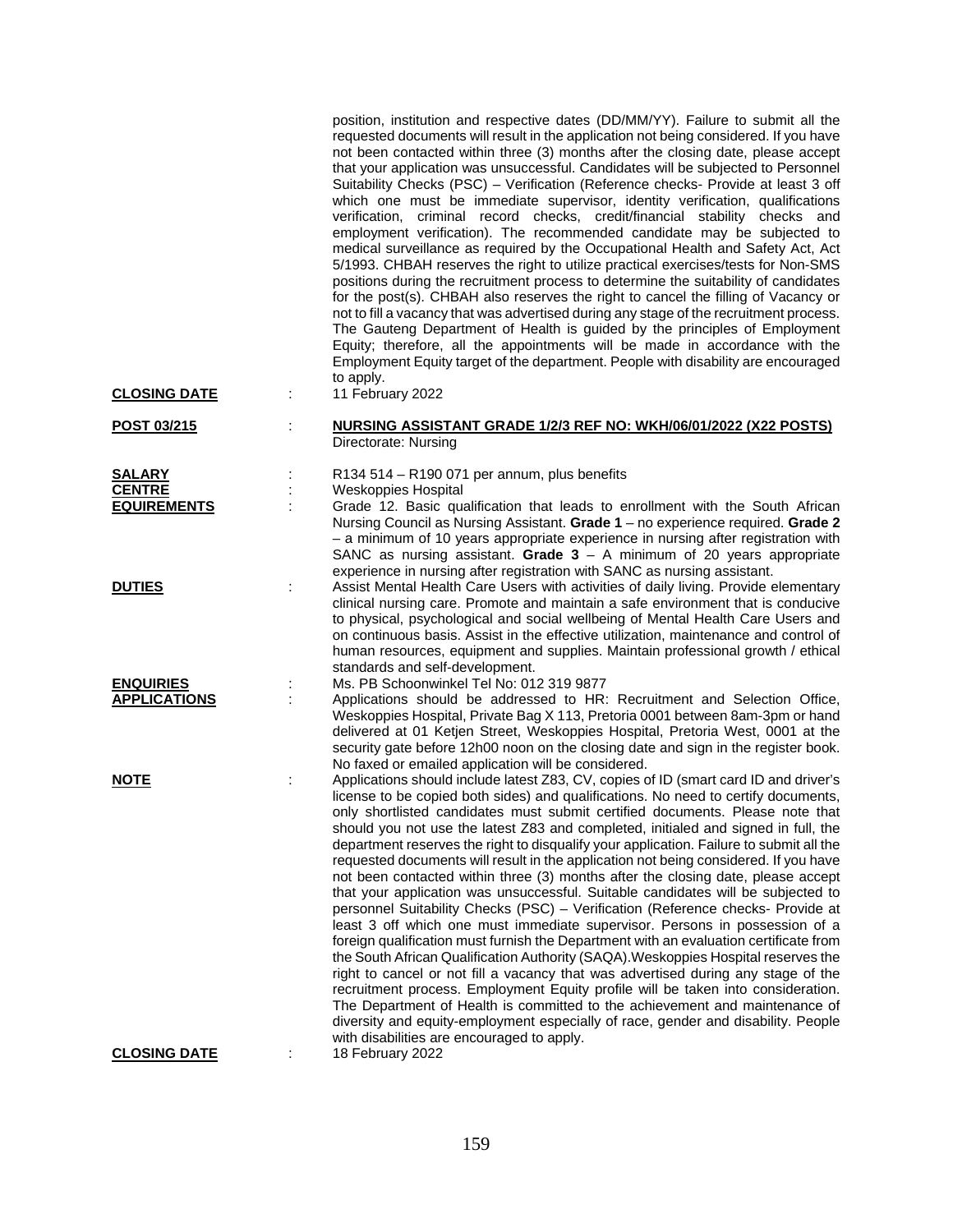| <b>CLOSING DATE</b>                 | position, institution and respective dates (DD/MM/YY). Failure to submit all the<br>requested documents will result in the application not being considered. If you have<br>not been contacted within three (3) months after the closing date, please accept<br>that your application was unsuccessful. Candidates will be subjected to Personnel<br>Suitability Checks (PSC) - Verification (Reference checks- Provide at least 3 off<br>which one must be immediate supervisor, identity verification, qualifications<br>verification, criminal record checks, credit/financial stability checks and<br>employment verification). The recommended candidate may be subjected to<br>medical surveillance as required by the Occupational Health and Safety Act, Act<br>5/1993. CHBAH reserves the right to utilize practical exercises/tests for Non-SMS<br>positions during the recruitment process to determine the suitability of candidates<br>for the post(s). CHBAH also reserves the right to cancel the filling of Vacancy or<br>not to fill a vacancy that was advertised during any stage of the recruitment process.<br>The Gauteng Department of Health is guided by the principles of Employment<br>Equity; therefore, all the appointments will be made in accordance with the<br>Employment Equity target of the department. People with disability are encouraged<br>to apply.<br>11 February 2022 |
|-------------------------------------|---------------------------------------------------------------------------------------------------------------------------------------------------------------------------------------------------------------------------------------------------------------------------------------------------------------------------------------------------------------------------------------------------------------------------------------------------------------------------------------------------------------------------------------------------------------------------------------------------------------------------------------------------------------------------------------------------------------------------------------------------------------------------------------------------------------------------------------------------------------------------------------------------------------------------------------------------------------------------------------------------------------------------------------------------------------------------------------------------------------------------------------------------------------------------------------------------------------------------------------------------------------------------------------------------------------------------------------------------------------------------------------------------------------------|
|                                     |                                                                                                                                                                                                                                                                                                                                                                                                                                                                                                                                                                                                                                                                                                                                                                                                                                                                                                                                                                                                                                                                                                                                                                                                                                                                                                                                                                                                                     |
| POST 03/215                         | NURSING ASSISTANT GRADE 1/2/3 REF NO: WKH/06/01/2022 (X22 POSTS)<br>Directorate: Nursing                                                                                                                                                                                                                                                                                                                                                                                                                                                                                                                                                                                                                                                                                                                                                                                                                                                                                                                                                                                                                                                                                                                                                                                                                                                                                                                            |
|                                     |                                                                                                                                                                                                                                                                                                                                                                                                                                                                                                                                                                                                                                                                                                                                                                                                                                                                                                                                                                                                                                                                                                                                                                                                                                                                                                                                                                                                                     |
| <b>SALARY</b>                       | R134 514 - R190 071 per annum, plus benefits                                                                                                                                                                                                                                                                                                                                                                                                                                                                                                                                                                                                                                                                                                                                                                                                                                                                                                                                                                                                                                                                                                                                                                                                                                                                                                                                                                        |
| <b>CENTRE</b><br><b>EQUIREMENTS</b> | <b>Weskoppies Hospital</b><br>Grade 12. Basic qualification that leads to enrollment with the South African                                                                                                                                                                                                                                                                                                                                                                                                                                                                                                                                                                                                                                                                                                                                                                                                                                                                                                                                                                                                                                                                                                                                                                                                                                                                                                         |
|                                     | Nursing Council as Nursing Assistant. Grade 1 - no experience required. Grade 2<br>- a minimum of 10 years appropriate experience in nursing after registration with<br>SANC as nursing assistant. Grade $3 - A$ minimum of 20 years appropriate                                                                                                                                                                                                                                                                                                                                                                                                                                                                                                                                                                                                                                                                                                                                                                                                                                                                                                                                                                                                                                                                                                                                                                    |
|                                     | experience in nursing after registration with SANC as nursing assistant.                                                                                                                                                                                                                                                                                                                                                                                                                                                                                                                                                                                                                                                                                                                                                                                                                                                                                                                                                                                                                                                                                                                                                                                                                                                                                                                                            |
| <b>DUTIES</b>                       | Assist Mental Health Care Users with activities of daily living. Provide elementary<br>clinical nursing care. Promote and maintain a safe environment that is conducive<br>to physical, psychological and social wellbeing of Mental Health Care Users and<br>on continuous basis. Assist in the effective utilization, maintenance and control of<br>human resources, equipment and supplies. Maintain professional growth / ethical<br>standards and self-development.                                                                                                                                                                                                                                                                                                                                                                                                                                                                                                                                                                                                                                                                                                                                                                                                                                                                                                                                            |
| <b>ENQUIRIES</b>                    | Ms. PB Schoonwinkel Tel No: 012 319 9877                                                                                                                                                                                                                                                                                                                                                                                                                                                                                                                                                                                                                                                                                                                                                                                                                                                                                                                                                                                                                                                                                                                                                                                                                                                                                                                                                                            |
| <b>APPLICATIONS</b>                 | Applications should be addressed to HR: Recruitment and Selection Office,                                                                                                                                                                                                                                                                                                                                                                                                                                                                                                                                                                                                                                                                                                                                                                                                                                                                                                                                                                                                                                                                                                                                                                                                                                                                                                                                           |
|                                     | Weskoppies Hospital, Private Bag X 113, Pretoria 0001 between 8am-3pm or hand<br>delivered at 01 Ketjen Street, Weskoppies Hospital, Pretoria West, 0001 at the<br>security gate before 12h00 noon on the closing date and sign in the register book.<br>No faxed or emailed application will be considered.                                                                                                                                                                                                                                                                                                                                                                                                                                                                                                                                                                                                                                                                                                                                                                                                                                                                                                                                                                                                                                                                                                        |
| <b>NOTE</b>                         | Applications should include latest Z83, CV, copies of ID (smart card ID and driver's                                                                                                                                                                                                                                                                                                                                                                                                                                                                                                                                                                                                                                                                                                                                                                                                                                                                                                                                                                                                                                                                                                                                                                                                                                                                                                                                |
|                                     | license to be copied both sides) and qualifications. No need to certify documents,<br>only shortlisted candidates must submit certified documents. Please note that<br>should you not use the latest Z83 and completed, initialed and signed in full, the<br>department reserves the right to disqualify your application. Failure to submit all the<br>requested documents will result in the application not being considered. If you have<br>not been contacted within three (3) months after the closing date, please accept<br>that your application was unsuccessful. Suitable candidates will be subjected to<br>personnel Suitability Checks (PSC) - Verification (Reference checks- Provide at<br>least 3 off which one must immediate supervisor. Persons in possession of a<br>foreign qualification must furnish the Department with an evaluation certificate from<br>the South African Qualification Authority (SAQA). Weskoppies Hospital reserves the<br>right to cancel or not fill a vacancy that was advertised during any stage of the<br>recruitment process. Employment Equity profile will be taken into consideration.<br>The Department of Health is committed to the achievement and maintenance of<br>diversity and equity-employment especially of race, gender and disability. People<br>with disabilities are encouraged to apply.                                                    |
| <b>CLOSING DATE</b>                 | 18 February 2022                                                                                                                                                                                                                                                                                                                                                                                                                                                                                                                                                                                                                                                                                                                                                                                                                                                                                                                                                                                                                                                                                                                                                                                                                                                                                                                                                                                                    |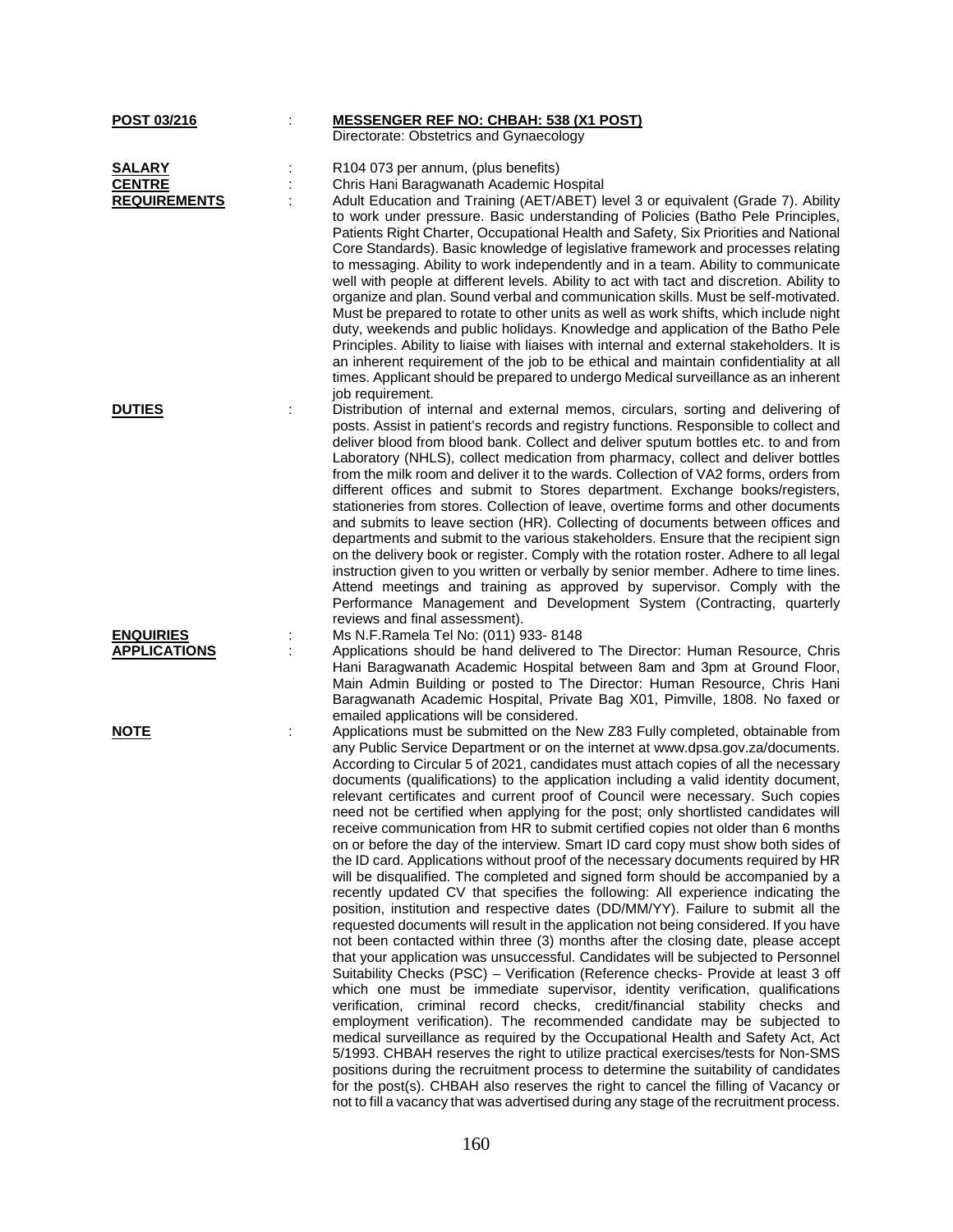| POST 03/216         | <b>MESSENGER REF NO: CHBAH: 538 (X1 POST)</b>                                                                                                                    |
|---------------------|------------------------------------------------------------------------------------------------------------------------------------------------------------------|
|                     | Directorate: Obstetrics and Gynaecology                                                                                                                          |
| <b>SALARY</b>       | R104 073 per annum, (plus benefits)                                                                                                                              |
| <b>CENTRE</b>       | Chris Hani Baragwanath Academic Hospital                                                                                                                         |
| <b>REQUIREMENTS</b> | Adult Education and Training (AET/ABET) level 3 or equivalent (Grade 7). Ability                                                                                 |
|                     | to work under pressure. Basic understanding of Policies (Batho Pele Principles,                                                                                  |
|                     | Patients Right Charter, Occupational Health and Safety, Six Priorities and National                                                                              |
|                     | Core Standards). Basic knowledge of legislative framework and processes relating                                                                                 |
|                     | to messaging. Ability to work independently and in a team. Ability to communicate                                                                                |
|                     | well with people at different levels. Ability to act with tact and discretion. Ability to                                                                        |
|                     | organize and plan. Sound verbal and communication skills. Must be self-motivated.                                                                                |
|                     | Must be prepared to rotate to other units as well as work shifts, which include night                                                                            |
|                     | duty, weekends and public holidays. Knowledge and application of the Batho Pele                                                                                  |
|                     | Principles. Ability to liaise with liaises with internal and external stakeholders. It is                                                                        |
|                     | an inherent requirement of the job to be ethical and maintain confidentiality at all                                                                             |
|                     | times. Applicant should be prepared to undergo Medical surveillance as an inherent                                                                               |
|                     | job requirement.                                                                                                                                                 |
| <b>DUTIES</b>       | Distribution of internal and external memos, circulars, sorting and delivering of                                                                                |
|                     | posts. Assist in patient's records and registry functions. Responsible to collect and                                                                            |
|                     | deliver blood from blood bank. Collect and deliver sputum bottles etc. to and from                                                                               |
|                     | Laboratory (NHLS), collect medication from pharmacy, collect and deliver bottles                                                                                 |
|                     | from the milk room and deliver it to the wards. Collection of VA2 forms, orders from                                                                             |
|                     | different offices and submit to Stores department. Exchange books/registers,                                                                                     |
|                     | stationeries from stores. Collection of leave, overtime forms and other documents                                                                                |
|                     | and submits to leave section (HR). Collecting of documents between offices and                                                                                   |
|                     | departments and submit to the various stakeholders. Ensure that the recipient sign                                                                               |
|                     | on the delivery book or register. Comply with the rotation roster. Adhere to all legal                                                                           |
|                     | instruction given to you written or verbally by senior member. Adhere to time lines.                                                                             |
|                     | Attend meetings and training as approved by supervisor. Comply with the                                                                                          |
|                     | Performance Management and Development System (Contracting, quarterly                                                                                            |
|                     | reviews and final assessment).                                                                                                                                   |
| <b>ENQUIRIES</b>    | Ms N.F.Ramela Tel No: (011) 933-8148                                                                                                                             |
| <b>APPLICATIONS</b> | Applications should be hand delivered to The Director: Human Resource, Chris                                                                                     |
|                     | Hani Baragwanath Academic Hospital between 8am and 3pm at Ground Floor,                                                                                          |
|                     | Main Admin Building or posted to The Director: Human Resource, Chris Hani                                                                                        |
|                     | Baragwanath Academic Hospital, Private Bag X01, Pimville, 1808. No faxed or                                                                                      |
|                     | emailed applications will be considered.                                                                                                                         |
| <b>NOTE</b>         | Applications must be submitted on the New Z83 Fully completed, obtainable from<br>any Public Service Department or on the internet at www.dpsa.gov.za/documents. |
|                     | According to Circular 5 of 2021, candidates must attach copies of all the necessary                                                                              |
|                     | documents (qualifications) to the application including a valid identity document,                                                                               |
|                     | relevant certificates and current proof of Council were necessary. Such copies                                                                                   |
|                     | need not be certified when applying for the post; only shortlisted candidates will                                                                               |
|                     | receive communication from HR to submit certified copies not older than 6 months                                                                                 |
|                     | on or before the day of the interview. Smart ID card copy must show both sides of                                                                                |
|                     | the ID card. Applications without proof of the necessary documents required by HR                                                                                |
|                     | will be disqualified. The completed and signed form should be accompanied by a                                                                                   |
|                     | recently updated CV that specifies the following: All experience indicating the                                                                                  |
|                     | position, institution and respective dates (DD/MM/YY). Failure to submit all the                                                                                 |
|                     | requested documents will result in the application not being considered. If you have                                                                             |
|                     | not been contacted within three (3) months after the closing date, please accept                                                                                 |
|                     | that your application was unsuccessful. Candidates will be subjected to Personnel                                                                                |
|                     | Suitability Checks (PSC) - Verification (Reference checks- Provide at least 3 off                                                                                |
|                     | which one must be immediate supervisor, identity verification, qualifications                                                                                    |
|                     | verification, criminal record checks, credit/financial stability checks and                                                                                      |
|                     | employment verification). The recommended candidate may be subjected to                                                                                          |
|                     | medical surveillance as required by the Occupational Health and Safety Act, Act                                                                                  |
|                     | 5/1993. CHBAH reserves the right to utilize practical exercises/tests for Non-SMS                                                                                |
|                     | positions during the recruitment process to determine the suitability of candidates                                                                              |
|                     | for the post(s). CHBAH also reserves the right to cancel the filling of Vacancy or                                                                               |
|                     | not to fill a vacancy that was advertised during any stage of the recruitment process.                                                                           |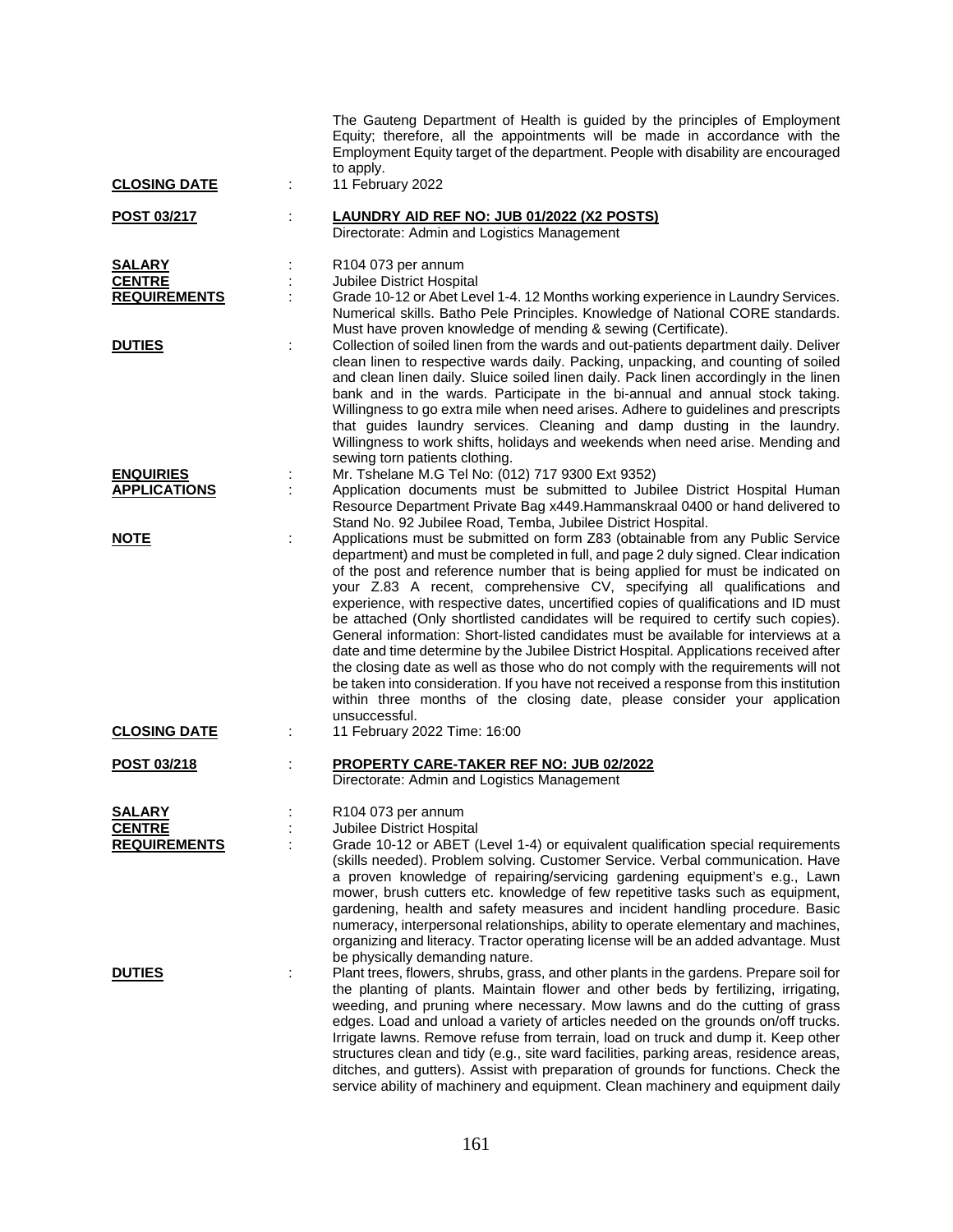|                                      | The Gauteng Department of Health is guided by the principles of Employment<br>Equity; therefore, all the appointments will be made in accordance with the<br>Employment Equity target of the department. People with disability are encouraged<br>to apply.                                                                                                                                                                                                                                                                                                                                                                                                                                                                                                                                                                                                                                                                                                                   |
|--------------------------------------|-------------------------------------------------------------------------------------------------------------------------------------------------------------------------------------------------------------------------------------------------------------------------------------------------------------------------------------------------------------------------------------------------------------------------------------------------------------------------------------------------------------------------------------------------------------------------------------------------------------------------------------------------------------------------------------------------------------------------------------------------------------------------------------------------------------------------------------------------------------------------------------------------------------------------------------------------------------------------------|
| <b>CLOSING DATE</b>                  | 11 February 2022                                                                                                                                                                                                                                                                                                                                                                                                                                                                                                                                                                                                                                                                                                                                                                                                                                                                                                                                                              |
| <u>POST 03/217</u>                   | LAUNDRY AID REF NO: JUB 01/2022 (X2 POSTS)<br>Directorate: Admin and Logistics Management                                                                                                                                                                                                                                                                                                                                                                                                                                                                                                                                                                                                                                                                                                                                                                                                                                                                                     |
| <b>SALARY</b>                        | R104 073 per annum<br>Jubilee District Hospital                                                                                                                                                                                                                                                                                                                                                                                                                                                                                                                                                                                                                                                                                                                                                                                                                                                                                                                               |
| <b>CENTRE</b><br><b>REQUIREMENTS</b> | Grade 10-12 or Abet Level 1-4. 12 Months working experience in Laundry Services.                                                                                                                                                                                                                                                                                                                                                                                                                                                                                                                                                                                                                                                                                                                                                                                                                                                                                              |
|                                      | Numerical skills. Batho Pele Principles. Knowledge of National CORE standards.<br>Must have proven knowledge of mending & sewing (Certificate).                                                                                                                                                                                                                                                                                                                                                                                                                                                                                                                                                                                                                                                                                                                                                                                                                               |
| <b>DUTIES</b>                        | Collection of soiled linen from the wards and out-patients department daily. Deliver<br>clean linen to respective wards daily. Packing, unpacking, and counting of soiled<br>and clean linen daily. Sluice soiled linen daily. Pack linen accordingly in the linen<br>bank and in the wards. Participate in the bi-annual and annual stock taking.<br>Willingness to go extra mile when need arises. Adhere to guidelines and prescripts<br>that guides laundry services. Cleaning and damp dusting in the laundry.<br>Willingness to work shifts, holidays and weekends when need arise. Mending and<br>sewing torn patients clothing.                                                                                                                                                                                                                                                                                                                                       |
| <b>ENQUIRIES</b>                     | Mr. Tshelane M.G Tel No: (012) 717 9300 Ext 9352)                                                                                                                                                                                                                                                                                                                                                                                                                                                                                                                                                                                                                                                                                                                                                                                                                                                                                                                             |
| <b>APPLICATIONS</b>                  | Application documents must be submitted to Jubilee District Hospital Human<br>Resource Department Private Bag x449. Hammanskraal 0400 or hand delivered to<br>Stand No. 92 Jubilee Road, Temba, Jubilee District Hospital.                                                                                                                                                                                                                                                                                                                                                                                                                                                                                                                                                                                                                                                                                                                                                    |
| <b>NOTE</b>                          | Applications must be submitted on form Z83 (obtainable from any Public Service<br>department) and must be completed in full, and page 2 duly signed. Clear indication<br>of the post and reference number that is being applied for must be indicated on<br>your Z.83 A recent, comprehensive CV, specifying all qualifications and<br>experience, with respective dates, uncertified copies of qualifications and ID must<br>be attached (Only shortlisted candidates will be required to certify such copies).<br>General information: Short-listed candidates must be available for interviews at a<br>date and time determine by the Jubilee District Hospital. Applications received after<br>the closing date as well as those who do not comply with the requirements will not<br>be taken into consideration. If you have not received a response from this institution<br>within three months of the closing date, please consider your application<br>unsuccessful. |
| <b>CLOSING DATE</b>                  | 11 February 2022 Time: 16:00                                                                                                                                                                                                                                                                                                                                                                                                                                                                                                                                                                                                                                                                                                                                                                                                                                                                                                                                                  |
| POST 03/218                          | <b>PROPERTY CARE-TAKER REF NO: JUB 02/2022</b><br>Directorate: Admin and Logistics Management                                                                                                                                                                                                                                                                                                                                                                                                                                                                                                                                                                                                                                                                                                                                                                                                                                                                                 |
| <b>SALARY</b>                        | R104 073 per annum                                                                                                                                                                                                                                                                                                                                                                                                                                                                                                                                                                                                                                                                                                                                                                                                                                                                                                                                                            |
| <b>CENTRE</b>                        | Jubilee District Hospital                                                                                                                                                                                                                                                                                                                                                                                                                                                                                                                                                                                                                                                                                                                                                                                                                                                                                                                                                     |
| <b>REQUIREMENTS</b>                  | Grade 10-12 or ABET (Level 1-4) or equivalent qualification special requirements<br>(skills needed). Problem solving. Customer Service. Verbal communication. Have<br>a proven knowledge of repairing/servicing gardening equipment's e.g., Lawn<br>mower, brush cutters etc. knowledge of few repetitive tasks such as equipment,<br>gardening, health and safety measures and incident handling procedure. Basic<br>numeracy, interpersonal relationships, ability to operate elementary and machines,<br>organizing and literacy. Tractor operating license will be an added advantage. Must<br>be physically demanding nature.                                                                                                                                                                                                                                                                                                                                            |
| <b>DUTIES</b>                        | Plant trees, flowers, shrubs, grass, and other plants in the gardens. Prepare soil for<br>the planting of plants. Maintain flower and other beds by fertilizing, irrigating,<br>weeding, and pruning where necessary. Mow lawns and do the cutting of grass<br>edges. Load and unload a variety of articles needed on the grounds on/off trucks.<br>Irrigate lawns. Remove refuse from terrain, load on truck and dump it. Keep other<br>structures clean and tidy (e.g., site ward facilities, parking areas, residence areas,<br>ditches, and gutters). Assist with preparation of grounds for functions. Check the<br>service ability of machinery and equipment. Clean machinery and equipment daily                                                                                                                                                                                                                                                                      |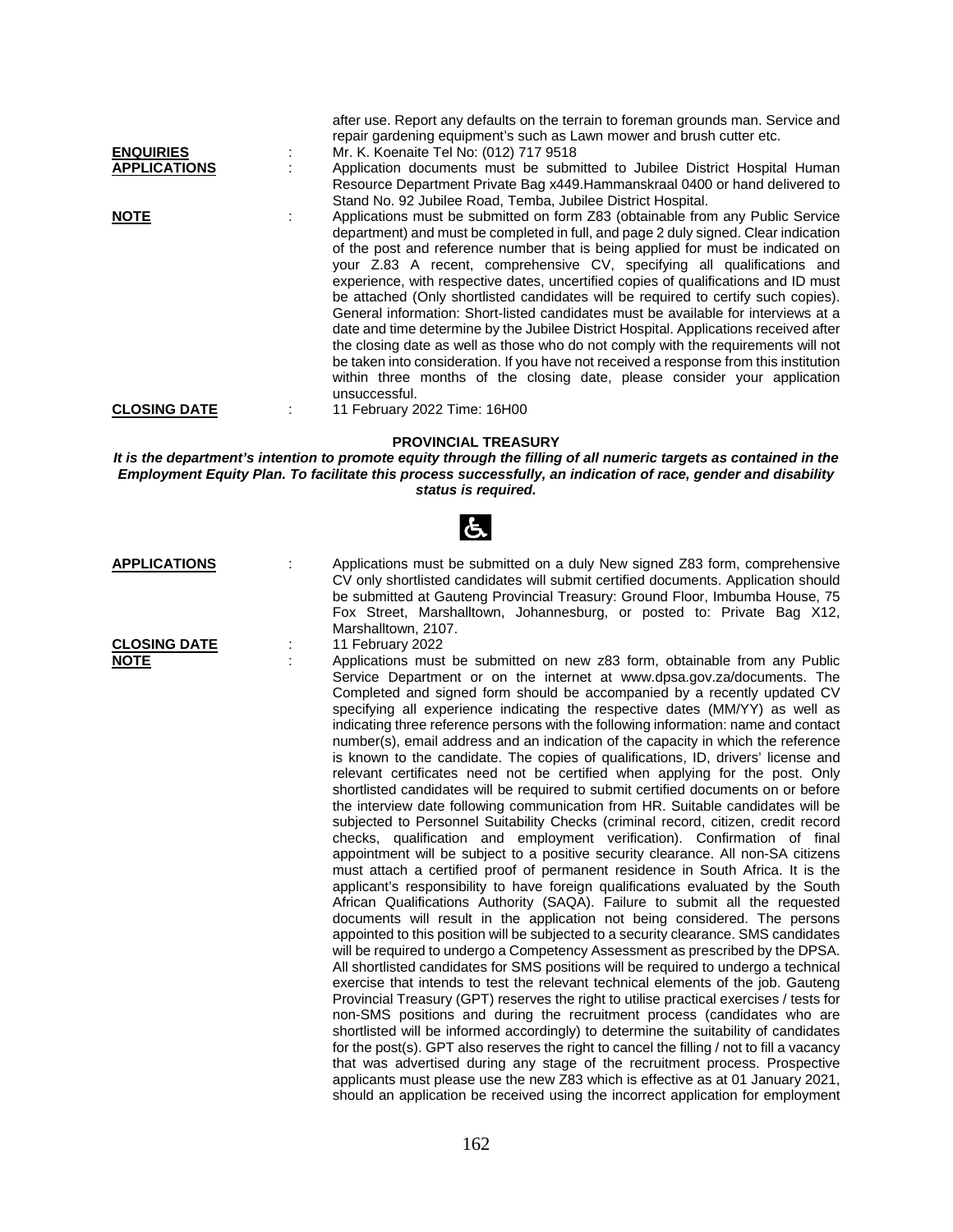|                     | after use. Report any defaults on the terrain to foreman grounds man. Service and<br>repair gardening equipment's such as Lawn mower and brush cutter etc.                                                                                                                                                                                                                                                                                                                                                                                                                                                                                                                                                                                                                                                                                                                                                                                                                    |  |
|---------------------|-------------------------------------------------------------------------------------------------------------------------------------------------------------------------------------------------------------------------------------------------------------------------------------------------------------------------------------------------------------------------------------------------------------------------------------------------------------------------------------------------------------------------------------------------------------------------------------------------------------------------------------------------------------------------------------------------------------------------------------------------------------------------------------------------------------------------------------------------------------------------------------------------------------------------------------------------------------------------------|--|
| <b>ENQUIRIES</b>    | Mr. K. Koenaite Tel No: (012) 717 9518                                                                                                                                                                                                                                                                                                                                                                                                                                                                                                                                                                                                                                                                                                                                                                                                                                                                                                                                        |  |
| <b>APPLICATIONS</b> | Application documents must be submitted to Jubilee District Hospital Human                                                                                                                                                                                                                                                                                                                                                                                                                                                                                                                                                                                                                                                                                                                                                                                                                                                                                                    |  |
|                     | Resource Department Private Bag x449. Hammanskraal 0400 or hand delivered to<br>Stand No. 92 Jubilee Road, Temba, Jubilee District Hospital.                                                                                                                                                                                                                                                                                                                                                                                                                                                                                                                                                                                                                                                                                                                                                                                                                                  |  |
| <b>NOTE</b>         | Applications must be submitted on form Z83 (obtainable from any Public Service<br>department) and must be completed in full, and page 2 duly signed. Clear indication<br>of the post and reference number that is being applied for must be indicated on<br>your Z.83 A recent, comprehensive CV, specifying all qualifications and<br>experience, with respective dates, uncertified copies of qualifications and ID must<br>be attached (Only shortlisted candidates will be required to certify such copies).<br>General information: Short-listed candidates must be available for interviews at a<br>date and time determine by the Jubilee District Hospital. Applications received after<br>the closing date as well as those who do not comply with the requirements will not<br>be taken into consideration. If you have not received a response from this institution<br>within three months of the closing date, please consider your application<br>unsuccessful. |  |
| <b>CLOSING DATE</b> | 11 February 2022 Time: 16H00                                                                                                                                                                                                                                                                                                                                                                                                                                                                                                                                                                                                                                                                                                                                                                                                                                                                                                                                                  |  |

**PROVINCIAL TREASURY**

*It is the department's intention to promote equity through the filling of all numeric targets as contained in the Employment Equity Plan. To facilitate this process successfully, an indication of race, gender and disability status is required.*

|                             | 占                                                                                                                                                                                                                                                                                                                                                                                                                                                                                                                                                                                                                                                                                                                                                                                                                                                                                                                                                                                                                                                                                                                                                                                                                                                                                                                                                                                                                                                                                                                                                                                                                                                                                                                                                                                                                                                                                                                                                                                                                                                                                                                                                                                                                                                                                                                                                    |
|-----------------------------|------------------------------------------------------------------------------------------------------------------------------------------------------------------------------------------------------------------------------------------------------------------------------------------------------------------------------------------------------------------------------------------------------------------------------------------------------------------------------------------------------------------------------------------------------------------------------------------------------------------------------------------------------------------------------------------------------------------------------------------------------------------------------------------------------------------------------------------------------------------------------------------------------------------------------------------------------------------------------------------------------------------------------------------------------------------------------------------------------------------------------------------------------------------------------------------------------------------------------------------------------------------------------------------------------------------------------------------------------------------------------------------------------------------------------------------------------------------------------------------------------------------------------------------------------------------------------------------------------------------------------------------------------------------------------------------------------------------------------------------------------------------------------------------------------------------------------------------------------------------------------------------------------------------------------------------------------------------------------------------------------------------------------------------------------------------------------------------------------------------------------------------------------------------------------------------------------------------------------------------------------------------------------------------------------------------------------------------------------|
| <b>APPLICATIONS</b>         | Applications must be submitted on a duly New signed Z83 form, comprehensive<br>CV only shortlisted candidates will submit certified documents. Application should<br>be submitted at Gauteng Provincial Treasury: Ground Floor, Imbumba House, 75<br>Fox Street, Marshalltown, Johannesburg, or posted to: Private Bag X12,<br>Marshalltown, 2107.                                                                                                                                                                                                                                                                                                                                                                                                                                                                                                                                                                                                                                                                                                                                                                                                                                                                                                                                                                                                                                                                                                                                                                                                                                                                                                                                                                                                                                                                                                                                                                                                                                                                                                                                                                                                                                                                                                                                                                                                   |
| <b>CLOSING DATE</b><br>NOTE | 11 February 2022<br>Applications must be submitted on new z83 form, obtainable from any Public<br>Service Department or on the internet at www.dpsa.gov.za/documents. The<br>Completed and signed form should be accompanied by a recently updated CV<br>specifying all experience indicating the respective dates (MM/YY) as well as<br>indicating three reference persons with the following information: name and contact<br>number(s), email address and an indication of the capacity in which the reference<br>is known to the candidate. The copies of qualifications, ID, drivers' license and<br>relevant certificates need not be certified when applying for the post. Only<br>shortlisted candidates will be required to submit certified documents on or before<br>the interview date following communication from HR. Suitable candidates will be<br>subjected to Personnel Suitability Checks (criminal record, citizen, credit record<br>checks, qualification and employment verification). Confirmation of final<br>appointment will be subject to a positive security clearance. All non-SA citizens<br>must attach a certified proof of permanent residence in South Africa. It is the<br>applicant's responsibility to have foreign qualifications evaluated by the South<br>African Qualifications Authority (SAQA). Failure to submit all the requested<br>documents will result in the application not being considered. The persons<br>appointed to this position will be subjected to a security clearance. SMS candidates<br>will be required to undergo a Competency Assessment as prescribed by the DPSA.<br>All shortlisted candidates for SMS positions will be required to undergo a technical<br>exercise that intends to test the relevant technical elements of the job. Gauteng<br>Provincial Treasury (GPT) reserves the right to utilise practical exercises / tests for<br>non-SMS positions and during the recruitment process (candidates who are<br>shortlisted will be informed accordingly) to determine the suitability of candidates<br>for the post(s). GPT also reserves the right to cancel the filling / not to fill a vacancy<br>that was advertised during any stage of the recruitment process. Prospective<br>applicants must please use the new Z83 which is effective as at 01 January 2021, |
|                             | should an application be received using the incorrect application for employment                                                                                                                                                                                                                                                                                                                                                                                                                                                                                                                                                                                                                                                                                                                                                                                                                                                                                                                                                                                                                                                                                                                                                                                                                                                                                                                                                                                                                                                                                                                                                                                                                                                                                                                                                                                                                                                                                                                                                                                                                                                                                                                                                                                                                                                                     |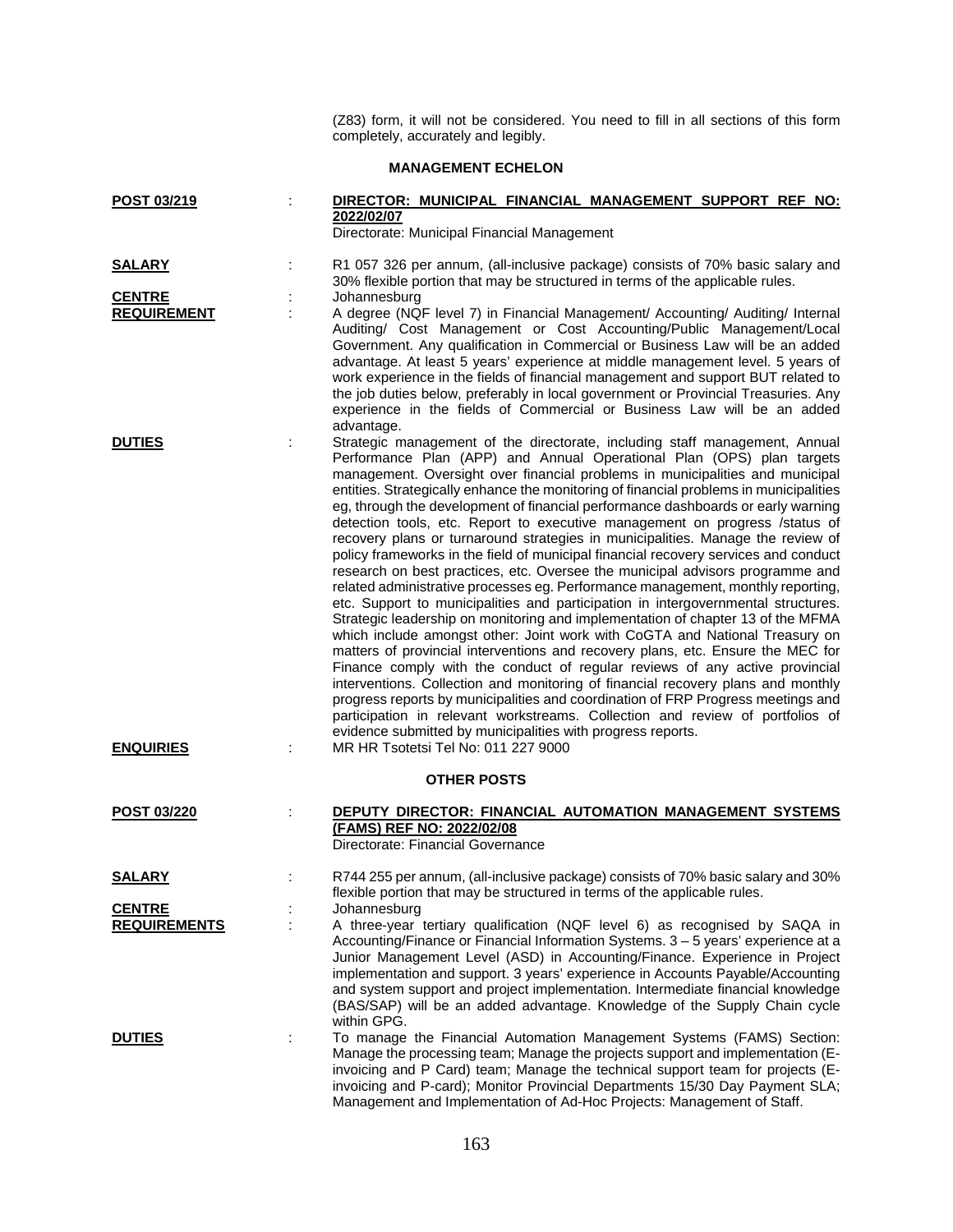(Z83) form, it will not be considered. You need to fill in all sections of this form completely, accurately and legibly.

## **MANAGEMENT ECHELON**

| POST 03/219                       | DIRECTOR: MUNICIPAL FINANCIAL MANAGEMENT SUPPORT REF NO:<br>2022/02/07                                                                                                                                                                                                                                                                                                                                                                                                                                                                                                                                                                                                                                                                                                                                                                                                                                                                                                                                                                                                                                                                                                                                                                                                                                                                                                                                                                                                                                                                                                                                                                   |
|-----------------------------------|------------------------------------------------------------------------------------------------------------------------------------------------------------------------------------------------------------------------------------------------------------------------------------------------------------------------------------------------------------------------------------------------------------------------------------------------------------------------------------------------------------------------------------------------------------------------------------------------------------------------------------------------------------------------------------------------------------------------------------------------------------------------------------------------------------------------------------------------------------------------------------------------------------------------------------------------------------------------------------------------------------------------------------------------------------------------------------------------------------------------------------------------------------------------------------------------------------------------------------------------------------------------------------------------------------------------------------------------------------------------------------------------------------------------------------------------------------------------------------------------------------------------------------------------------------------------------------------------------------------------------------------|
|                                   | Directorate: Municipal Financial Management                                                                                                                                                                                                                                                                                                                                                                                                                                                                                                                                                                                                                                                                                                                                                                                                                                                                                                                                                                                                                                                                                                                                                                                                                                                                                                                                                                                                                                                                                                                                                                                              |
| <b>SALARY</b>                     | R1 057 326 per annum, (all-inclusive package) consists of 70% basic salary and<br>30% flexible portion that may be structured in terms of the applicable rules.                                                                                                                                                                                                                                                                                                                                                                                                                                                                                                                                                                                                                                                                                                                                                                                                                                                                                                                                                                                                                                                                                                                                                                                                                                                                                                                                                                                                                                                                          |
| <b>CENTRE</b>                     | Johannesburg                                                                                                                                                                                                                                                                                                                                                                                                                                                                                                                                                                                                                                                                                                                                                                                                                                                                                                                                                                                                                                                                                                                                                                                                                                                                                                                                                                                                                                                                                                                                                                                                                             |
| <b>REQUIREMENT</b>                | A degree (NQF level 7) in Financial Management/ Accounting/ Auditing/ Internal<br>Auditing/ Cost Management or Cost Accounting/Public Management/Local<br>Government. Any qualification in Commercial or Business Law will be an added<br>advantage. At least 5 years' experience at middle management level. 5 years of<br>work experience in the fields of financial management and support BUT related to<br>the job duties below, preferably in local government or Provincial Treasuries. Any<br>experience in the fields of Commercial or Business Law will be an added<br>advantage.                                                                                                                                                                                                                                                                                                                                                                                                                                                                                                                                                                                                                                                                                                                                                                                                                                                                                                                                                                                                                                              |
| <b>DUTIES</b><br><b>ENQUIRIES</b> | Strategic management of the directorate, including staff management, Annual<br>Performance Plan (APP) and Annual Operational Plan (OPS) plan targets<br>management. Oversight over financial problems in municipalities and municipal<br>entities. Strategically enhance the monitoring of financial problems in municipalities<br>eg, through the development of financial performance dashboards or early warning<br>detection tools, etc. Report to executive management on progress /status of<br>recovery plans or turnaround strategies in municipalities. Manage the review of<br>policy frameworks in the field of municipal financial recovery services and conduct<br>research on best practices, etc. Oversee the municipal advisors programme and<br>related administrative processes eg. Performance management, monthly reporting,<br>etc. Support to municipalities and participation in intergovernmental structures.<br>Strategic leadership on monitoring and implementation of chapter 13 of the MFMA<br>which include amongst other: Joint work with CoGTA and National Treasury on<br>matters of provincial interventions and recovery plans, etc. Ensure the MEC for<br>Finance comply with the conduct of regular reviews of any active provincial<br>interventions. Collection and monitoring of financial recovery plans and monthly<br>progress reports by municipalities and coordination of FRP Progress meetings and<br>participation in relevant workstreams. Collection and review of portfolios of<br>evidence submitted by municipalities with progress reports.<br>MR HR Tsotetsi Tel No: 011 227 9000 |
|                                   | <b>OTHER POSTS</b>                                                                                                                                                                                                                                                                                                                                                                                                                                                                                                                                                                                                                                                                                                                                                                                                                                                                                                                                                                                                                                                                                                                                                                                                                                                                                                                                                                                                                                                                                                                                                                                                                       |
| POST 03/220                       | DEPUTY DIRECTOR: FINANCIAL AUTOMATION MANAGEMENT SYSTEMS<br>(FAMS) REF NO: 2022/02/08<br>Directorate: Financial Governance                                                                                                                                                                                                                                                                                                                                                                                                                                                                                                                                                                                                                                                                                                                                                                                                                                                                                                                                                                                                                                                                                                                                                                                                                                                                                                                                                                                                                                                                                                               |
| <b>SALARY</b>                     | R744 255 per annum, (all-inclusive package) consists of 70% basic salary and 30%<br>flexible portion that may be structured in terms of the applicable rules.                                                                                                                                                                                                                                                                                                                                                                                                                                                                                                                                                                                                                                                                                                                                                                                                                                                                                                                                                                                                                                                                                                                                                                                                                                                                                                                                                                                                                                                                            |
| <b>CENTRE</b>                     | Johannesburg                                                                                                                                                                                                                                                                                                                                                                                                                                                                                                                                                                                                                                                                                                                                                                                                                                                                                                                                                                                                                                                                                                                                                                                                                                                                                                                                                                                                                                                                                                                                                                                                                             |
| <b>REQUIREMENTS</b>               | A three-year tertiary qualification (NQF level 6) as recognised by SAQA in<br>Accounting/Finance or Financial Information Systems. 3 – 5 years' experience at a<br>Junior Management Level (ASD) in Accounting/Finance. Experience in Project<br>implementation and support. 3 years' experience in Accounts Payable/Accounting<br>and system support and project implementation. Intermediate financial knowledge<br>(BAS/SAP) will be an added advantage. Knowledge of the Supply Chain cycle<br>within GPG.                                                                                                                                                                                                                                                                                                                                                                                                                                                                                                                                                                                                                                                                                                                                                                                                                                                                                                                                                                                                                                                                                                                           |
| <b>DUTIES</b>                     | To manage the Financial Automation Management Systems (FAMS) Section:<br>Manage the processing team; Manage the projects support and implementation (E-<br>invoicing and P Card) team; Manage the technical support team for projects (E-<br>invoicing and P-card); Monitor Provincial Departments 15/30 Day Payment SLA;<br>Management and Implementation of Ad-Hoc Projects: Management of Staff.                                                                                                                                                                                                                                                                                                                                                                                                                                                                                                                                                                                                                                                                                                                                                                                                                                                                                                                                                                                                                                                                                                                                                                                                                                      |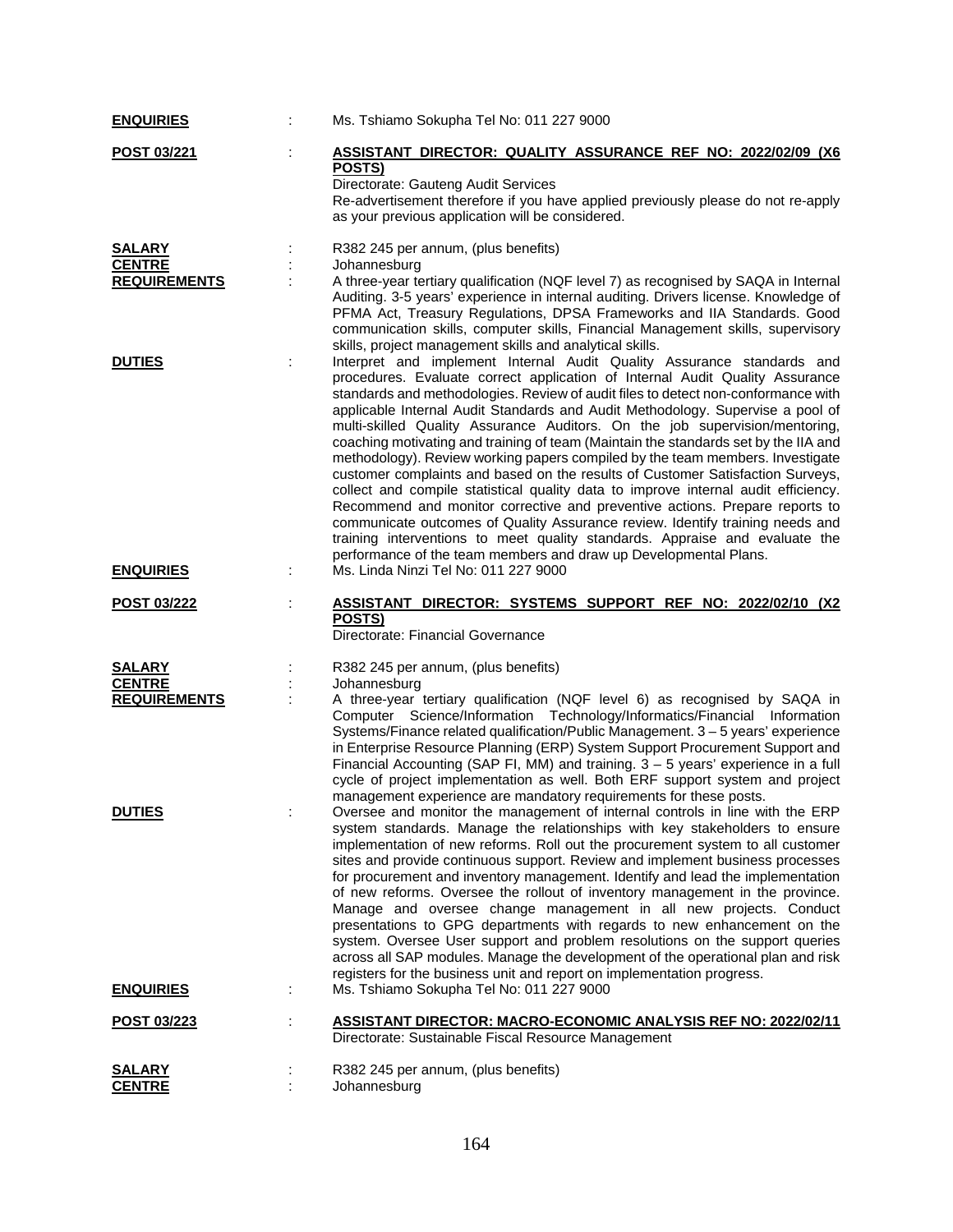| <b>ENQUIRIES</b>                     | Ms. Tshiamo Sokupha Tel No: 011 227 9000                                                                                                                                                                                                                                                                                                                                                                                                                                                                                                                                                                                                                                                                                                                                                                                                                                                                                                                                                                                                                                        |
|--------------------------------------|---------------------------------------------------------------------------------------------------------------------------------------------------------------------------------------------------------------------------------------------------------------------------------------------------------------------------------------------------------------------------------------------------------------------------------------------------------------------------------------------------------------------------------------------------------------------------------------------------------------------------------------------------------------------------------------------------------------------------------------------------------------------------------------------------------------------------------------------------------------------------------------------------------------------------------------------------------------------------------------------------------------------------------------------------------------------------------|
| POST 03/221                          | ASSISTANT DIRECTOR: QUALITY ASSURANCE REF NO: 2022/02/09 (X6<br>POSTS)<br>Directorate: Gauteng Audit Services<br>Re-advertisement therefore if you have applied previously please do not re-apply<br>as your previous application will be considered.                                                                                                                                                                                                                                                                                                                                                                                                                                                                                                                                                                                                                                                                                                                                                                                                                           |
| <b>SALARY</b>                        | R382 245 per annum, (plus benefits)                                                                                                                                                                                                                                                                                                                                                                                                                                                                                                                                                                                                                                                                                                                                                                                                                                                                                                                                                                                                                                             |
| <b>CENTRE</b><br><b>REQUIREMENTS</b> | Johannesburg<br>A three-year tertiary qualification (NQF level 7) as recognised by SAQA in Internal<br>Auditing. 3-5 years' experience in internal auditing. Drivers license. Knowledge of<br>PFMA Act, Treasury Regulations, DPSA Frameworks and IIA Standards. Good<br>communication skills, computer skills, Financial Management skills, supervisory<br>skills, project management skills and analytical skills.                                                                                                                                                                                                                                                                                                                                                                                                                                                                                                                                                                                                                                                            |
| <b>DUTIES</b>                        | Interpret and implement Internal Audit Quality Assurance standards and<br>procedures. Evaluate correct application of Internal Audit Quality Assurance<br>standards and methodologies. Review of audit files to detect non-conformance with<br>applicable Internal Audit Standards and Audit Methodology. Supervise a pool of<br>multi-skilled Quality Assurance Auditors. On the job supervision/mentoring,<br>coaching motivating and training of team (Maintain the standards set by the IIA and<br>methodology). Review working papers compiled by the team members. Investigate<br>customer complaints and based on the results of Customer Satisfaction Surveys,<br>collect and compile statistical quality data to improve internal audit efficiency.<br>Recommend and monitor corrective and preventive actions. Prepare reports to<br>communicate outcomes of Quality Assurance review. Identify training needs and<br>training interventions to meet quality standards. Appraise and evaluate the<br>performance of the team members and draw up Developmental Plans. |
| <b>ENQUIRIES</b>                     | Ms. Linda Ninzi Tel No: 011 227 9000                                                                                                                                                                                                                                                                                                                                                                                                                                                                                                                                                                                                                                                                                                                                                                                                                                                                                                                                                                                                                                            |
| <b>POST 03/222</b>                   | ASSISTANT DIRECTOR: SYSTEMS SUPPORT REF NO: 2022/02/10 (X2<br>POSTS)<br>Directorate: Financial Governance                                                                                                                                                                                                                                                                                                                                                                                                                                                                                                                                                                                                                                                                                                                                                                                                                                                                                                                                                                       |
| <b>SALARY</b>                        | R382 245 per annum, (plus benefits)                                                                                                                                                                                                                                                                                                                                                                                                                                                                                                                                                                                                                                                                                                                                                                                                                                                                                                                                                                                                                                             |
| <b>CENTRE</b><br><b>REQUIREMENTS</b> | Johannesburg<br>A three-year tertiary qualification (NQF level 6) as recognised by SAQA in                                                                                                                                                                                                                                                                                                                                                                                                                                                                                                                                                                                                                                                                                                                                                                                                                                                                                                                                                                                      |
|                                      | Computer Science/Information Technology/Informatics/Financial Information<br>Systems/Finance related qualification/Public Management. 3 - 5 years' experience<br>in Enterprise Resource Planning (ERP) System Support Procurement Support and<br>Financial Accounting (SAP FI, MM) and training. $3 - 5$ years' experience in a full<br>cycle of project implementation as well. Both ERF support system and project<br>management experience are mandatory requirements for these posts.                                                                                                                                                                                                                                                                                                                                                                                                                                                                                                                                                                                       |
| <b>DUTIES</b>                        | Oversee and monitor the management of internal controls in line with the ERP<br>system standards. Manage the relationships with key stakeholders to ensure<br>implementation of new reforms. Roll out the procurement system to all customer<br>sites and provide continuous support. Review and implement business processes<br>for procurement and inventory management. Identify and lead the implementation<br>of new reforms. Oversee the rollout of inventory management in the province.<br>Manage and oversee change management in all new projects. Conduct<br>presentations to GPG departments with regards to new enhancement on the<br>system. Oversee User support and problem resolutions on the support queries<br>across all SAP modules. Manage the development of the operational plan and risk<br>registers for the business unit and report on implementation progress.                                                                                                                                                                                     |
| <b>ENQUIRIES</b>                     | Ms. Tshiamo Sokupha Tel No: 011 227 9000                                                                                                                                                                                                                                                                                                                                                                                                                                                                                                                                                                                                                                                                                                                                                                                                                                                                                                                                                                                                                                        |
| <u>POST 03/223</u>                   | <b>ASSISTANT DIRECTOR: MACRO-ECONOMIC ANALYSIS REF NO: 2022/02/11</b><br>Directorate: Sustainable Fiscal Resource Management                                                                                                                                                                                                                                                                                                                                                                                                                                                                                                                                                                                                                                                                                                                                                                                                                                                                                                                                                    |
| SALARY                               | R382 245 per annum, (plus benefits)                                                                                                                                                                                                                                                                                                                                                                                                                                                                                                                                                                                                                                                                                                                                                                                                                                                                                                                                                                                                                                             |
| <b>CENTRE</b>                        | Johannesburg                                                                                                                                                                                                                                                                                                                                                                                                                                                                                                                                                                                                                                                                                                                                                                                                                                                                                                                                                                                                                                                                    |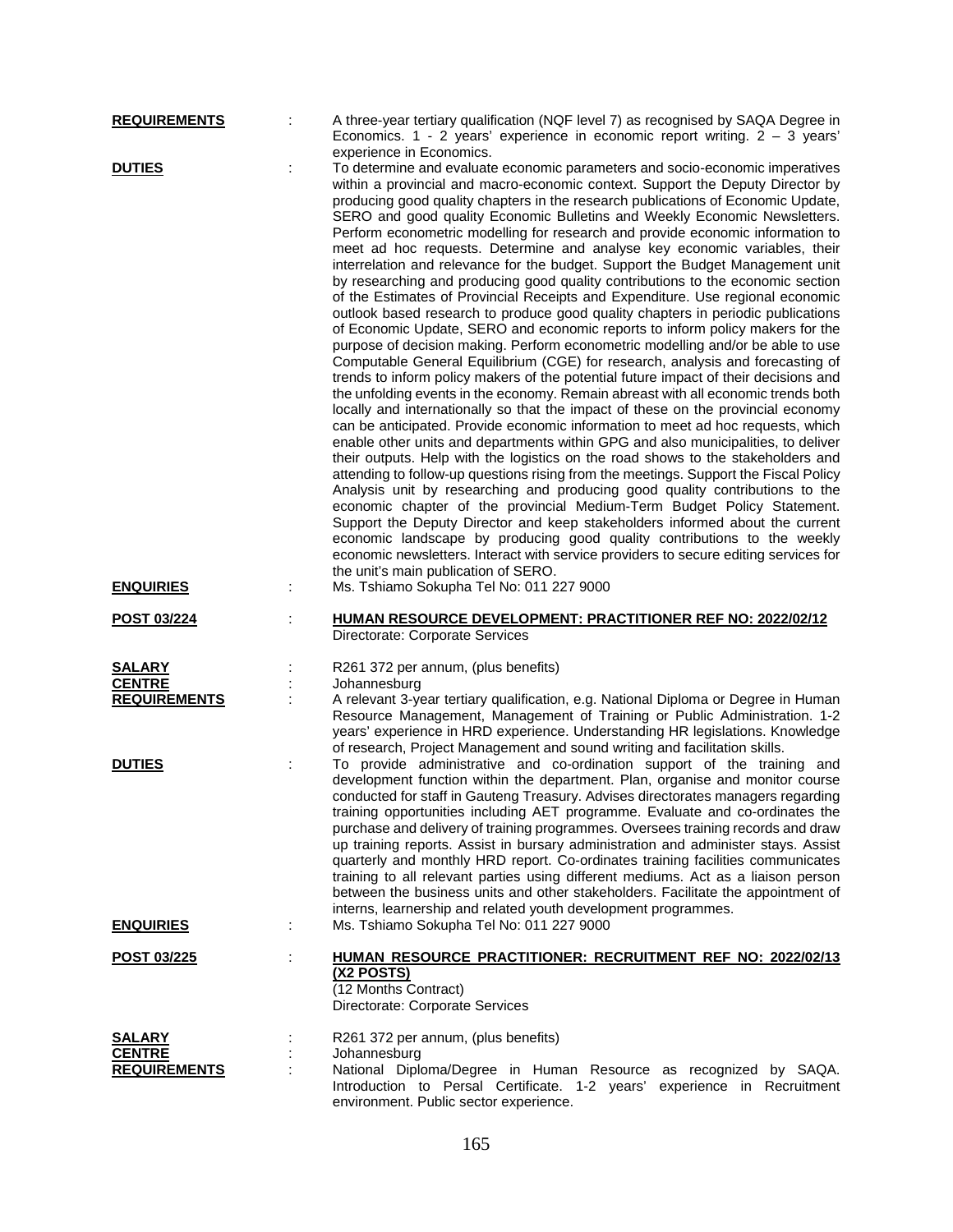| <b>REQUIREMENTS</b>                                   | A three-year tertiary qualification (NQF level 7) as recognised by SAQA Degree in<br>Economics. 1 - 2 years' experience in economic report writing. $2 - 3$ years'                                                                                                                                                                                                                                                                                                                                                                                                                                                                                                                                                                                                                                                                                                                                                                                                                                                                                                                                                                                                                                                                                                                                                                                                                                                                                                                                                                                                                                                                                                                                                                                                                                                                                                                                                                                                                                                                                                                                                                                                                                                                                   |
|-------------------------------------------------------|------------------------------------------------------------------------------------------------------------------------------------------------------------------------------------------------------------------------------------------------------------------------------------------------------------------------------------------------------------------------------------------------------------------------------------------------------------------------------------------------------------------------------------------------------------------------------------------------------------------------------------------------------------------------------------------------------------------------------------------------------------------------------------------------------------------------------------------------------------------------------------------------------------------------------------------------------------------------------------------------------------------------------------------------------------------------------------------------------------------------------------------------------------------------------------------------------------------------------------------------------------------------------------------------------------------------------------------------------------------------------------------------------------------------------------------------------------------------------------------------------------------------------------------------------------------------------------------------------------------------------------------------------------------------------------------------------------------------------------------------------------------------------------------------------------------------------------------------------------------------------------------------------------------------------------------------------------------------------------------------------------------------------------------------------------------------------------------------------------------------------------------------------------------------------------------------------------------------------------------------------|
| <b>DUTIES</b><br><b>ENQUIRIES</b>                     | experience in Economics.<br>To determine and evaluate economic parameters and socio-economic imperatives<br>within a provincial and macro-economic context. Support the Deputy Director by<br>producing good quality chapters in the research publications of Economic Update,<br>SERO and good quality Economic Bulletins and Weekly Economic Newsletters.<br>Perform econometric modelling for research and provide economic information to<br>meet ad hoc requests. Determine and analyse key economic variables, their<br>interrelation and relevance for the budget. Support the Budget Management unit<br>by researching and producing good quality contributions to the economic section<br>of the Estimates of Provincial Receipts and Expenditure. Use regional economic<br>outlook based research to produce good quality chapters in periodic publications<br>of Economic Update, SERO and economic reports to inform policy makers for the<br>purpose of decision making. Perform econometric modelling and/or be able to use<br>Computable General Equilibrium (CGE) for research, analysis and forecasting of<br>trends to inform policy makers of the potential future impact of their decisions and<br>the unfolding events in the economy. Remain abreast with all economic trends both<br>locally and internationally so that the impact of these on the provincial economy<br>can be anticipated. Provide economic information to meet ad hoc requests, which<br>enable other units and departments within GPG and also municipalities, to deliver<br>their outputs. Help with the logistics on the road shows to the stakeholders and<br>attending to follow-up questions rising from the meetings. Support the Fiscal Policy<br>Analysis unit by researching and producing good quality contributions to the<br>economic chapter of the provincial Medium-Term Budget Policy Statement.<br>Support the Deputy Director and keep stakeholders informed about the current<br>economic landscape by producing good quality contributions to the weekly<br>economic newsletters. Interact with service providers to secure editing services for<br>the unit's main publication of SERO.<br>Ms. Tshiamo Sokupha Tel No: 011 227 9000 |
| POST 03/224                                           | <b>HUMAN RESOURCE DEVELOPMENT: PRACTITIONER REF NO: 2022/02/12</b><br>Directorate: Corporate Services                                                                                                                                                                                                                                                                                                                                                                                                                                                                                                                                                                                                                                                                                                                                                                                                                                                                                                                                                                                                                                                                                                                                                                                                                                                                                                                                                                                                                                                                                                                                                                                                                                                                                                                                                                                                                                                                                                                                                                                                                                                                                                                                                |
| <b>SALARY</b><br><b>CENTRE</b><br><b>REQUIREMENTS</b> | R261 372 per annum, (plus benefits)<br>Johannesburg<br>A relevant 3-year tertiary qualification, e.g. National Diploma or Degree in Human<br>Resource Management, Management of Training or Public Administration. 1-2<br>years' experience in HRD experience. Understanding HR legislations. Knowledge<br>of research, Project Management and sound writing and facilitation skills.                                                                                                                                                                                                                                                                                                                                                                                                                                                                                                                                                                                                                                                                                                                                                                                                                                                                                                                                                                                                                                                                                                                                                                                                                                                                                                                                                                                                                                                                                                                                                                                                                                                                                                                                                                                                                                                                |
| <b>DUTIES</b>                                         | To provide administrative and co-ordination support of the training and<br>development function within the department. Plan, organise and monitor course<br>conducted for staff in Gauteng Treasury. Advises directorates managers regarding<br>training opportunities including AET programme. Evaluate and co-ordinates the<br>purchase and delivery of training programmes. Oversees training records and draw<br>up training reports. Assist in bursary administration and administer stays. Assist<br>quarterly and monthly HRD report. Co-ordinates training facilities communicates<br>training to all relevant parties using different mediums. Act as a liaison person<br>between the business units and other stakeholders. Facilitate the appointment of<br>interns, learnership and related youth development programmes.                                                                                                                                                                                                                                                                                                                                                                                                                                                                                                                                                                                                                                                                                                                                                                                                                                                                                                                                                                                                                                                                                                                                                                                                                                                                                                                                                                                                                |
| <b>ENQUIRIES</b>                                      | Ms. Tshiamo Sokupha Tel No: 011 227 9000                                                                                                                                                                                                                                                                                                                                                                                                                                                                                                                                                                                                                                                                                                                                                                                                                                                                                                                                                                                                                                                                                                                                                                                                                                                                                                                                                                                                                                                                                                                                                                                                                                                                                                                                                                                                                                                                                                                                                                                                                                                                                                                                                                                                             |
| POST 03/225                                           | <b>HUMAN RESOURCE PRACTITIONER: RECRUITMENT REF NO: 2022/02/13</b><br><u>(X2 POSTS)</u><br>(12 Months Contract)<br>Directorate: Corporate Services                                                                                                                                                                                                                                                                                                                                                                                                                                                                                                                                                                                                                                                                                                                                                                                                                                                                                                                                                                                                                                                                                                                                                                                                                                                                                                                                                                                                                                                                                                                                                                                                                                                                                                                                                                                                                                                                                                                                                                                                                                                                                                   |
| <b>SALARY</b><br><b>CENTRE</b>                        | R261 372 per annum, (plus benefits)<br>Johannesburg                                                                                                                                                                                                                                                                                                                                                                                                                                                                                                                                                                                                                                                                                                                                                                                                                                                                                                                                                                                                                                                                                                                                                                                                                                                                                                                                                                                                                                                                                                                                                                                                                                                                                                                                                                                                                                                                                                                                                                                                                                                                                                                                                                                                  |
| <b>REQUIREMENTS</b>                                   | National Diploma/Degree in Human Resource as recognized by SAQA.<br>Introduction to Persal Certificate. 1-2 years' experience in Recruitment<br>environment. Public sector experience.                                                                                                                                                                                                                                                                                                                                                                                                                                                                                                                                                                                                                                                                                                                                                                                                                                                                                                                                                                                                                                                                                                                                                                                                                                                                                                                                                                                                                                                                                                                                                                                                                                                                                                                                                                                                                                                                                                                                                                                                                                                               |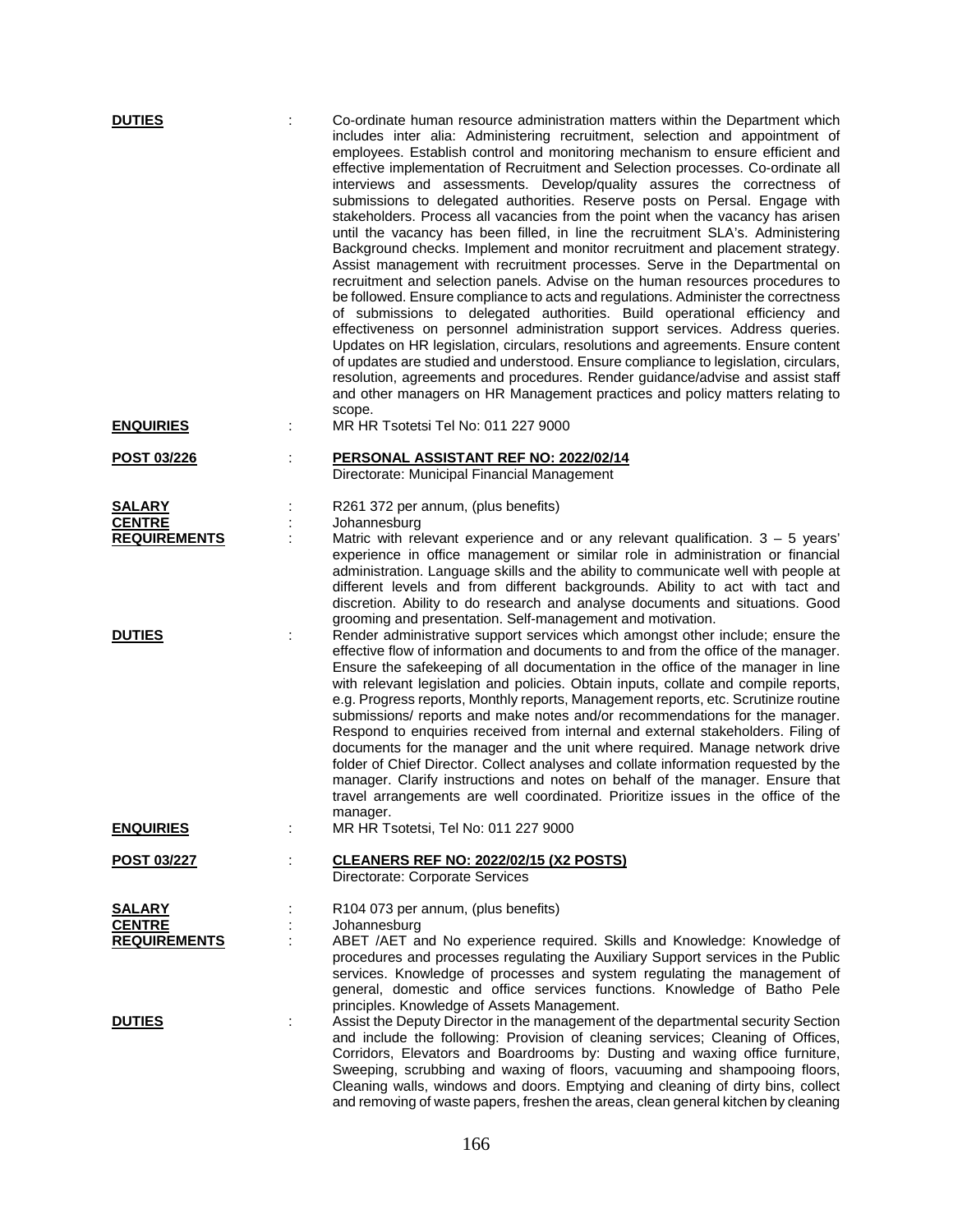| <b>DUTIES</b><br><b>ENQUIRIES</b> |   | Co-ordinate human resource administration matters within the Department which<br>includes inter alia: Administering recruitment, selection and appointment of<br>employees. Establish control and monitoring mechanism to ensure efficient and<br>effective implementation of Recruitment and Selection processes. Co-ordinate all<br>interviews and assessments. Develop/quality assures the correctness of<br>submissions to delegated authorities. Reserve posts on Persal. Engage with<br>stakeholders. Process all vacancies from the point when the vacancy has arisen<br>until the vacancy has been filled, in line the recruitment SLA's. Administering<br>Background checks. Implement and monitor recruitment and placement strategy.<br>Assist management with recruitment processes. Serve in the Departmental on<br>recruitment and selection panels. Advise on the human resources procedures to<br>be followed. Ensure compliance to acts and regulations. Administer the correctness<br>of submissions to delegated authorities. Build operational efficiency and<br>effectiveness on personnel administration support services. Address queries.<br>Updates on HR legislation, circulars, resolutions and agreements. Ensure content<br>of updates are studied and understood. Ensure compliance to legislation, circulars,<br>resolution, agreements and procedures. Render guidance/advise and assist staff<br>and other managers on HR Management practices and policy matters relating to<br>scope.<br>MR HR Tsotetsi Tel No: 011 227 9000 |
|-----------------------------------|---|-----------------------------------------------------------------------------------------------------------------------------------------------------------------------------------------------------------------------------------------------------------------------------------------------------------------------------------------------------------------------------------------------------------------------------------------------------------------------------------------------------------------------------------------------------------------------------------------------------------------------------------------------------------------------------------------------------------------------------------------------------------------------------------------------------------------------------------------------------------------------------------------------------------------------------------------------------------------------------------------------------------------------------------------------------------------------------------------------------------------------------------------------------------------------------------------------------------------------------------------------------------------------------------------------------------------------------------------------------------------------------------------------------------------------------------------------------------------------------------------------------------------------------------------------------------------|
|                                   |   |                                                                                                                                                                                                                                                                                                                                                                                                                                                                                                                                                                                                                                                                                                                                                                                                                                                                                                                                                                                                                                                                                                                                                                                                                                                                                                                                                                                                                                                                                                                                                                 |
| POST 03/226                       |   | PERSONAL ASSISTANT REF NO: 2022/02/14<br>Directorate: Municipal Financial Management                                                                                                                                                                                                                                                                                                                                                                                                                                                                                                                                                                                                                                                                                                                                                                                                                                                                                                                                                                                                                                                                                                                                                                                                                                                                                                                                                                                                                                                                            |
| <b>SALARY</b>                     |   | R261 372 per annum, (plus benefits)                                                                                                                                                                                                                                                                                                                                                                                                                                                                                                                                                                                                                                                                                                                                                                                                                                                                                                                                                                                                                                                                                                                                                                                                                                                                                                                                                                                                                                                                                                                             |
| <b>CENTRE</b>                     |   | Johannesburg                                                                                                                                                                                                                                                                                                                                                                                                                                                                                                                                                                                                                                                                                                                                                                                                                                                                                                                                                                                                                                                                                                                                                                                                                                                                                                                                                                                                                                                                                                                                                    |
| <b>REQUIREMENTS</b>               |   | Matric with relevant experience and or any relevant qualification. $3 - 5$ years'<br>experience in office management or similar role in administration or financial<br>administration. Language skills and the ability to communicate well with people at<br>different levels and from different backgrounds. Ability to act with tact and<br>discretion. Ability to do research and analyse documents and situations. Good<br>grooming and presentation. Self-management and motivation.                                                                                                                                                                                                                                                                                                                                                                                                                                                                                                                                                                                                                                                                                                                                                                                                                                                                                                                                                                                                                                                                       |
| <b>DUTIES</b>                     | ÷ | Render administrative support services which amongst other include; ensure the<br>effective flow of information and documents to and from the office of the manager.<br>Ensure the safekeeping of all documentation in the office of the manager in line<br>with relevant legislation and policies. Obtain inputs, collate and compile reports,<br>e.g. Progress reports, Monthly reports, Management reports, etc. Scrutinize routine<br>submissions/ reports and make notes and/or recommendations for the manager.<br>Respond to enquiries received from internal and external stakeholders. Filing of<br>documents for the manager and the unit where required. Manage network drive<br>folder of Chief Director. Collect analyses and collate information requested by the<br>manager. Clarify instructions and notes on behalf of the manager. Ensure that<br>travel arrangements are well coordinated. Prioritize issues in the office of the<br>manager.                                                                                                                                                                                                                                                                                                                                                                                                                                                                                                                                                                                                |
| <b>ENQUIRIES</b>                  |   | MR HR Tsotetsi, Tel No: 011 227 9000                                                                                                                                                                                                                                                                                                                                                                                                                                                                                                                                                                                                                                                                                                                                                                                                                                                                                                                                                                                                                                                                                                                                                                                                                                                                                                                                                                                                                                                                                                                            |
| <b>POST 03/227</b>                |   | <b>CLEANERS REF NO: 2022/02/15 (X2 POSTS)</b><br>Directorate: Corporate Services                                                                                                                                                                                                                                                                                                                                                                                                                                                                                                                                                                                                                                                                                                                                                                                                                                                                                                                                                                                                                                                                                                                                                                                                                                                                                                                                                                                                                                                                                |
| <b>SALARY</b>                     |   | R104 073 per annum, (plus benefits)                                                                                                                                                                                                                                                                                                                                                                                                                                                                                                                                                                                                                                                                                                                                                                                                                                                                                                                                                                                                                                                                                                                                                                                                                                                                                                                                                                                                                                                                                                                             |
| <b>CENTRE</b>                     |   | Johannesburg                                                                                                                                                                                                                                                                                                                                                                                                                                                                                                                                                                                                                                                                                                                                                                                                                                                                                                                                                                                                                                                                                                                                                                                                                                                                                                                                                                                                                                                                                                                                                    |
| <b>REQUIREMENTS</b>               |   | ABET /AET and No experience required. Skills and Knowledge: Knowledge of                                                                                                                                                                                                                                                                                                                                                                                                                                                                                                                                                                                                                                                                                                                                                                                                                                                                                                                                                                                                                                                                                                                                                                                                                                                                                                                                                                                                                                                                                        |
|                                   |   | procedures and processes regulating the Auxiliary Support services in the Public<br>services. Knowledge of processes and system regulating the management of<br>general, domestic and office services functions. Knowledge of Batho Pele<br>principles. Knowledge of Assets Management.                                                                                                                                                                                                                                                                                                                                                                                                                                                                                                                                                                                                                                                                                                                                                                                                                                                                                                                                                                                                                                                                                                                                                                                                                                                                         |
| <b>DUTIES</b>                     |   | Assist the Deputy Director in the management of the departmental security Section<br>and include the following: Provision of cleaning services; Cleaning of Offices,<br>Corridors, Elevators and Boardrooms by: Dusting and waxing office furniture,<br>Sweeping, scrubbing and waxing of floors, vacuuming and shampooing floors,<br>Cleaning walls, windows and doors. Emptying and cleaning of dirty bins, collect<br>and removing of waste papers, freshen the areas, clean general kitchen by cleaning                                                                                                                                                                                                                                                                                                                                                                                                                                                                                                                                                                                                                                                                                                                                                                                                                                                                                                                                                                                                                                                     |